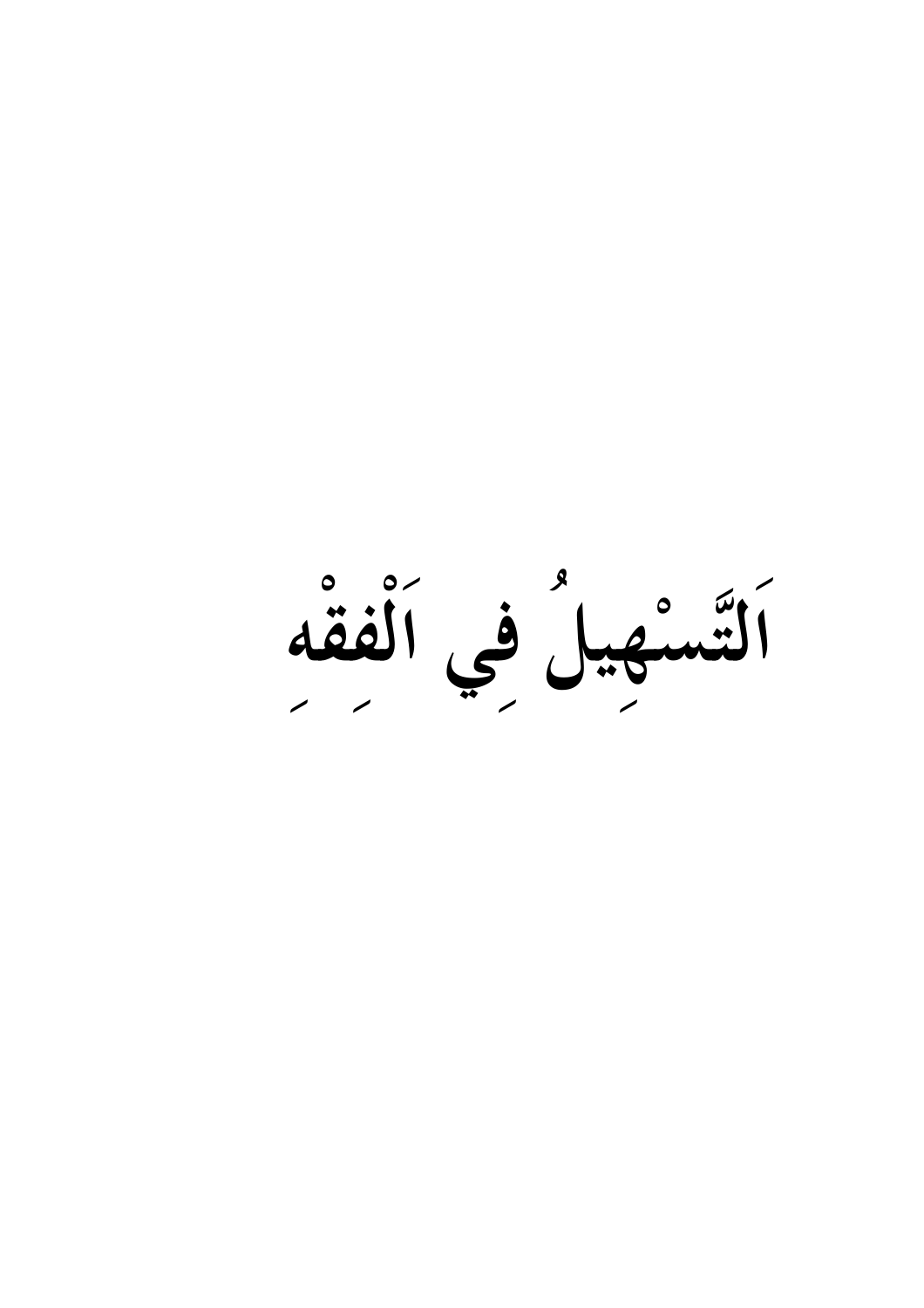اَلتَسْهِيلُ فِي اَلْفَقَه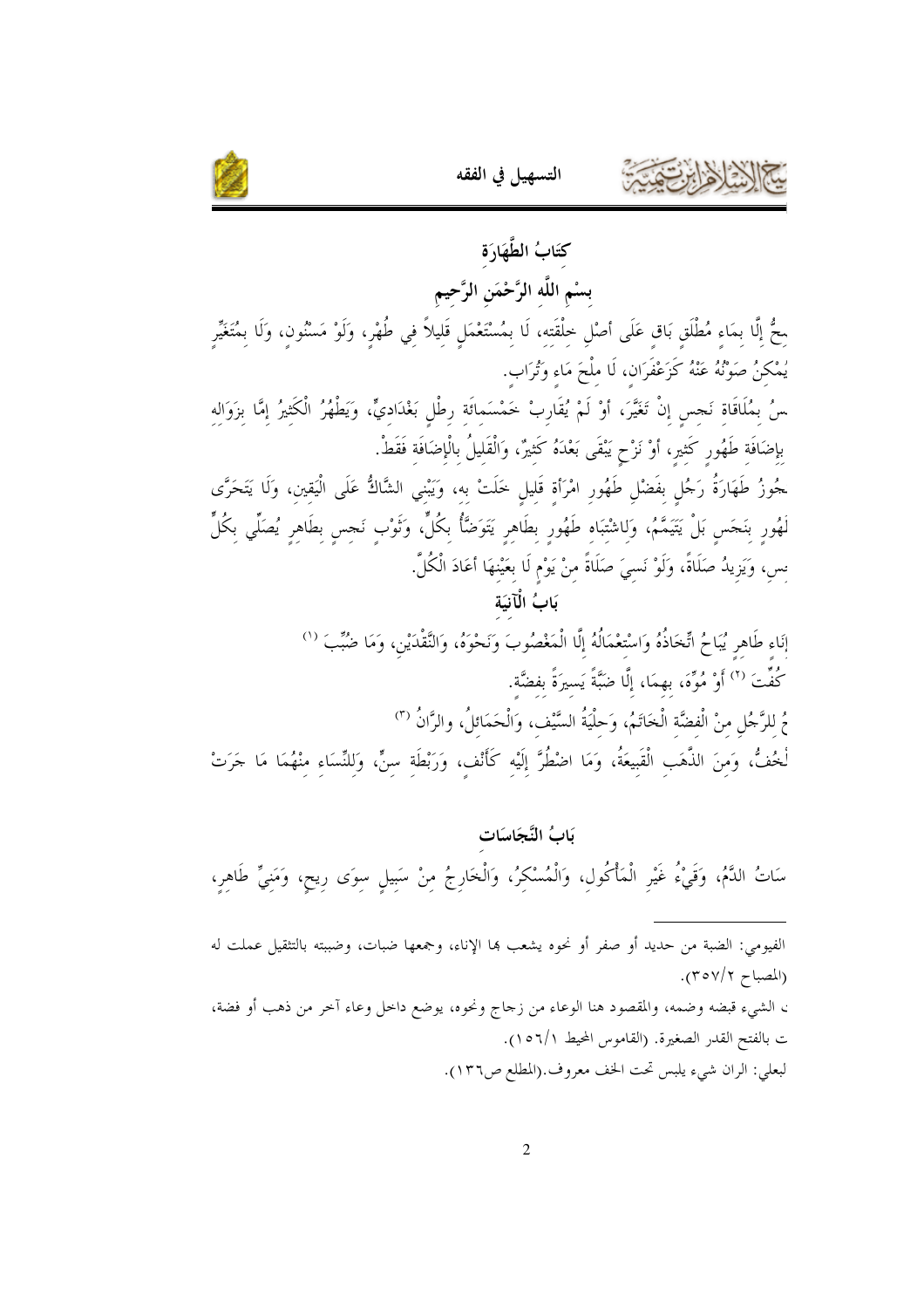



كتَابُ الطَّهَارَة بسْم اللَّه الرَّحْمَن الرَّحيم محُّ إلَّا بمَاء مُطْلَق بَاق عَلَى أصْلِ خِلْقَتِهِ، لَا بِمُسْتَعْمَلِ قَلِيلاً فِي طُهْرٍ، وَلَوْ مَسْنُون، وَلَا بِمُتَغَيِّر يُمْكنُ صَوْنُهُ عَنْهُ كَزَعْفَرَان، لَا ملْحَ مَاء وَتُرَاب. سُ بمُلَاقَاة نَجس إنْ تَغَيَّرَ، أَوْ لَمْ يُقَارِبْ خَمْسَماتَة رطْل بَغْدَاديٍّ، وَيَطْهُرُ الْكَثيرُ إمَّا بزَوَاله بإضَافَة طَهُور كَثير، أَوْ نَزْحٍ يَبْقَى بَعْدَهُ كَثيرٌ، وَالْقَليلُ بالْإضَافَة فَقَطْ. <sup>ّ</sup>خُوزُ طَهَارَةُ رَحُل بفَضْل طَهُور امْرَأة قَليل خَلَتْ به، وَيَبْني الشَّاكُّ عَلَى الْيَقين، وَلَا يَتَحَرَّى لَهُورِ بِنَحَسٍ بَلْ يَتَيَمَّمُ، وَلِاشْتِبَاهِ طَهُورِ بطَاهِرِ يَتَوَضَّأُ بِكُلٍّ، وَتُوْب نَجس بطَاهرِ يُصَلِّي بكُلٍّ س، وَيَزِيدُ صَلَاةً، وَلَوْ نَسيَ صَلَاةً منْ يَوْم لَا بِعَيْنِهَا أَعَادَ الْكُلَّ. يَابُ الْآنيَة إنَاء طَاهر يُبَاحُ اتِّخَاذُهُ وَاسْتعْمَالُهُ إِلَّا الْمَغْصُوبَ وَنَحْوَهُ، وَالنَّقْدَيْنِ، وَمَا ضُبِّبَ <sup>(١)</sup> كُفِّتَ  $^{\left(7\right)}$  أَوْ مُوِّهَ، بهمَا، إِلَّا ضَبَّةً يَسيرَةً بفضَّة. مُ للرَّجُلِ منْ الْفضَّة الْخَاتَمُ، وَحلْيَةُ السَّيْف، وَالْحَمَائِلُ، والرَّانُ (٣) لْخُفُّ، وَمِنَ الذَّهَبِ الْقَبِيعَةُ، وَمَا اضْطُرَّ إِلَيْه كَأَنْف، وَرَبْطَة سِنٍّ، وَلِلنِّسَاء منْهُمَا مَا حَرَتْ

بَابُ النَّجَاسَات سَاتُ الدَّمُ، وَقَيْءُ غَيْرِ الْمَأْكُولِ، وَالْمُسْكِرُ، وَالْخَارِجُ مِنْ سَبِيلٍ سِوَى رِيحٍ، وَمَنِيٍّ طَاهِرٍ، الفيومي: الضبة من حديد أو صفر أو نحوه يشعب ها الإناء، وجمعها ضبات، وضببته بالتثقيل عملت له (المصباح ٢٥٧/٢). ، الشيء قبضه وضمه، والمقصود هنا الوعاء من زحاج ونحوه، يوضع داخل وعاء آخر من ذهب أو فضة، ت بالفتح القدر الصغيرة. (القاموس المحيط ١٥٦/١). لبعلي: الران شيء يلبس تحت الخف معروف.(المطلع ص١٣٦).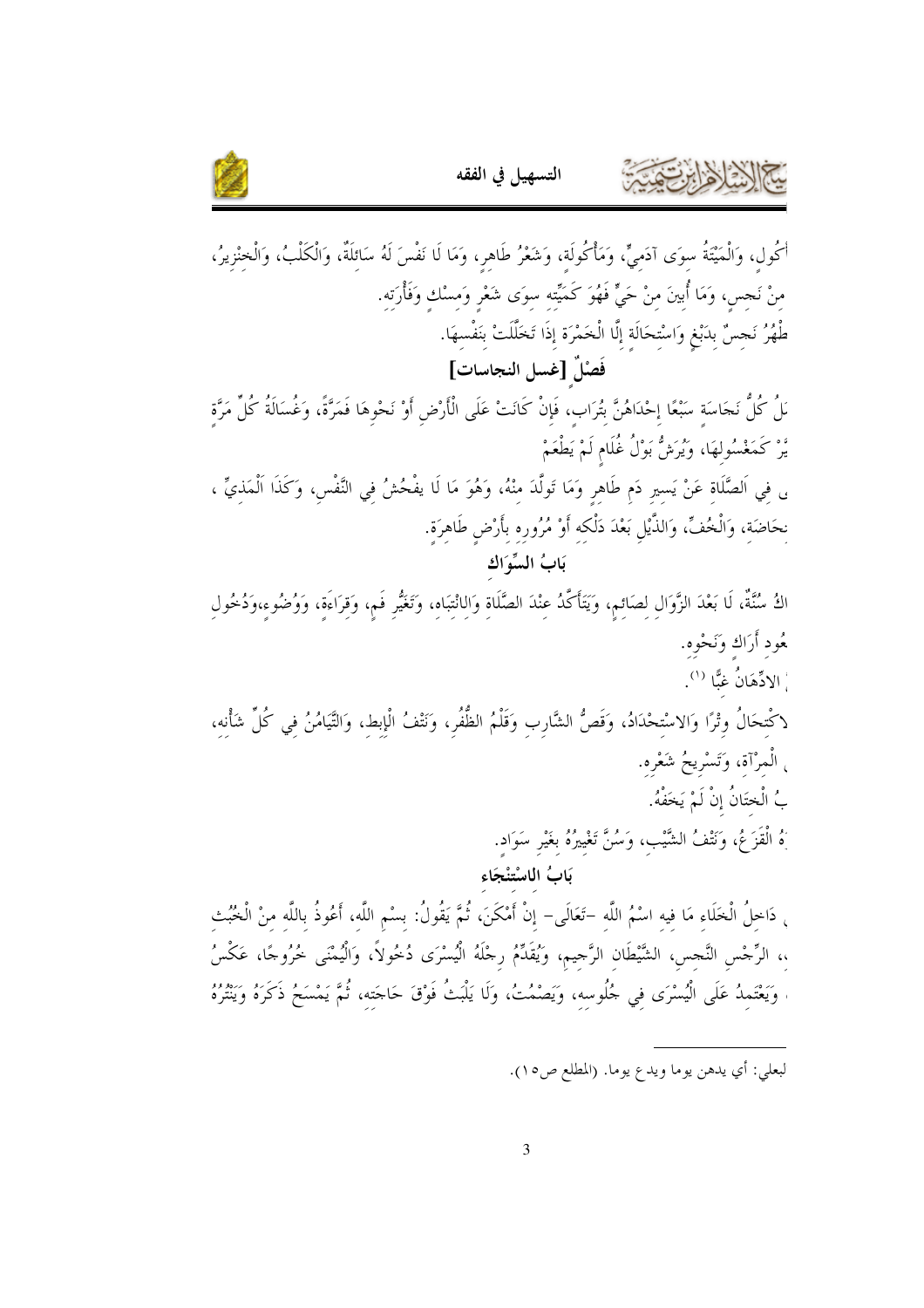

أَكُول، وَالْمَيْتَةُ سوَى آدَميٍّ، وَمَأْكُولَة، وَشَعْرُ طَاهر، وَمَا لَا نَفْسَ لَهُ سَائلَةٌ، وَالْكَلْبُ، وَالْخنْزيرُ، مِنْ نَحِسٍ، وَمَا أُبينَ مِنْ حَيٍّ فَهُوَ كَمَيِّته سِوَى شَعْرِ وَمِسْك وَفَأْرَته. طْهُرُ نَحِسٌ بدَبْغٍ وَاسْتحَالَةٍ إِلَّا الْخَمْرَةِ إِذَا تَخَلَّلَتْ بَنَفْسهَا. فَصْلٌ [غسل النجاسات] مَلُ كُلُّ نَجَاسَة سَبْعًا إحْدَاهُنَّ بَتُرَاب، فَإِنْ كَانَتْ عَلَى الْأَرْضِ أَوْ نَحْوهَا فَمَرَّةً، وَغُسَالَةُ كُلِّ مَرَّة يَّرْ كَمَغْسُولهَا، وَيُرَشُّ بَوْلُ غُلَام لَمْ يَطْعَمْ لى فِي اَلصَّلَاةِ عَنْ يَسيرِ دَم طَاهِرٍ وَمَا تَولَّدَ مِنْهُ، وَهُوَ مَا لَا يفْحُشُ فِي النَّفْسِ، وَكَذَا اَلْمَذِيِّ ، نحَاضَةٍ، وَالْخُفِّ، وَالذَّيْلِ بَعْدَ دَلْكِهِ أَوْ مُرُورِهِ بِأَرْضِ طَاهِرَةٍ. بَابُ السِّوَاك اكُ سُنَّةٌ، لَا بَعْدَ الزَّوَال لصَائم، وَيَتَأَكَّدُ عنْدَ الصَّلَاة وَالانْتِبَاه، وَتَغَيُّرِ فَم، وَقِرَاءَة، وَوُضُوء،وَدُخُولِ مُحود أَرَاك وَنَحْوه. ِّ الادِّهَانُ غبًّا <sup>(۱</sup>). لاكْتحَالُ وتْرًا وَالاسْتحْدَادُ، وَقَصُّ الشَّارب وَقَلْمُ الظُّفُر، وَنَتْفُ الْإبط، وَالتَّيَامُنُ في كُلّ شأنه، <sub>،</sub> الْمرْآة، وَتَسْريحُ شَعْره. بُ الْختَانُ إِنْ لَمْ يَخَفْهُ. َهُ الْقَزَعُ، وَنَتْفُ الشَّيْب، وَسُنَّ تَغْيِيرُهُ بِغَيْرِ سَوَادٍ. بَابُ الْاسْتنْجَاء <sub>،</sub> دَاخِلُ الْخَلَاءِ مَا فِيهِ اسْمُ اللَّه –تَعَالَى– إنْ أَمْكَنَ، ثُمَّ يَقُولُ: بسْم اللَّه، أَعُوذُ باللَّه منْ الْخُبُث ،، الرِّجْسِ النَّجِسِ، الشَّيْطَانِ الرَّجِيمِ، وَيُقَلِّمُ رِجْلَهُ الْيُسْرَى دُخُولاً، وَالْيُمْنَى خُرُوجًا، عَكْسُ وَيَعْتَمِدُ عَلَى الْيُسْرَى في جُلُوسه، وَيَصْمُتُ، وَلَا يَلْبَتْ فَوْقَ حَاجَته، ثُمَّ يَمْسَحُ ذَكَرَهُ وَيَنْتُرُهُ

التسهيل في الفقه

لبعلي: أي يدهن يوما ويدع يوما. (المطلع ص١٥).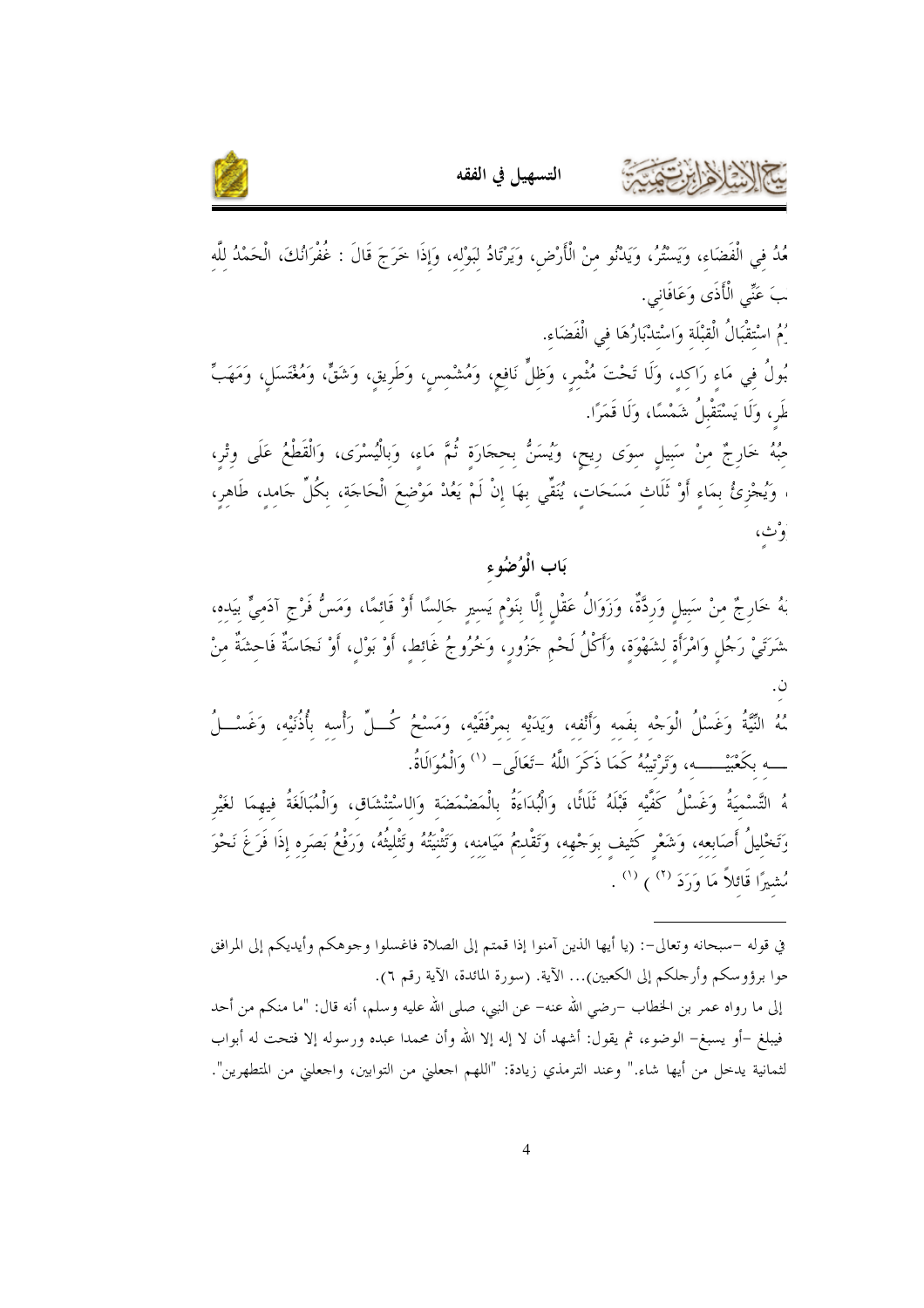



مُدُ في الْفَضَاء، وَيَسْتُرُ، وَيَدْنُو منْ الْأَرْضِ، وَيَرْتَادُ لبَوْله، وَإذَا خَرَجَ قَالَ : غُفْرَانُكَ، الْحَمْدُ للَّه بَ عَنِّي الْأَذَى وَعَافَانِي. يُمُ اسْتقْبَالُ الْقبْلَة وَاسْتدْبَارُهَا في الْفَضَاء. بُولُ في مَاء رَاكد، وَلَا تَحْتَ مُثْمر، وَظلٍّ نَافع، وَمُشْمس، وَطَرِيقِ، وَشَقٍّ، وَمُغْتَسَلِ، وَمَهَبٍّ طَر، وَلَا يَسْتَقْبِلُ شَمْسًا، وَلَا قَمَرًا. حِبُهُ خَارِجٌ مِنْ سَبِيلِ سِوَى رِيحٍ، وَيُسَنُّ بِحِجَارَةٍ ثُمَّ مَاءِ، وَبِالْيُسْرَى، وَالْقَطْعُ عَلَى وِتْرِ، ، وَيُجْزِئُ بِمَاءِ أَوْ ثَلَاثٍ مَسَحَاتٍ، يُنَقِّي بِهَا إِنْ لَمْ يَعُدْ مَوْضِعَ الْحَاجَةِ، بِكُلِّ جَامِد، طَاهِرٍ، وْٹ، بَاب الْوُضُوء بَهُ خَارِجٌ منْ سَبيلٍ وَردَّةٌ، وَزَوَالُ عَقْلٍ إلَّا بنَوْمٍ يَسيرٍ جَالسًا أَوْ قَائمًا، وَمَسُّ فَرْج آدَميٍّ بيَده، شَرَتَيْ رَجُلٍ وَامْرَأَةٍ لِشَهْوَةٍ، وَأَكْلُ لَحْمٍ جَزُورٍ، وَخُرُوجُ غَائِطٍ، أَوْ بَوْلٍ، أَوْ نَجَاسَةٌ فَاحِشَةٌ مِنْ

مُهُ النَّيَّةُ وَغَسْلُ الْوَجْه بفَمه وأَنْفه، ويَدَيْه بمرْفَقَيْه، وَمَسْحُ كُــلِّ رَأْسه بأُذُنَيْه، وَغَسْــلُ ـــه بكَعْبَيْـــــه، وَتَرْتيبُهُ كَمَا ذَكَرَ اللَّهُ –تَعَالَى– `` وَالْمُوَالَاةُ.

هُ التَّسْميَةُ وَغَسْلُ كَفَّيْه قَبْلَهُ ثَلَاثًا، وَالْبُدَاءَةُ بِالْمَضْمَضَة وَالاسْتنْشَاق، وَالْمُبَالَغَةُ فيهمَا لغَيْر وَتَخْليلُ أَصَابعه، وَشَعْر كَثيف بوَجْهه، وَتَقْلـيمُ مَيَامنه، وَتَثْنيَتُهُ وتَثْليتُهُ، وَرَفْعُ بَصَره إذَا فَرَغَ نَحْوَ مُشيرًا قَائلاً مَا وَرَدَ (٢) (') .

في قوله –سبحانه وتعالى–: (يا أيها الذين آمنوا إذا قمتم إلى الصلاة فاغسلوا وجوهكم وأيديكم إلى المرافق حوا برؤوسكم وأرحلكم إلى الكعبين)... الآية. (سورة المائدة، الآية رقم ٦). إلى ما رواه عمر بن الخطاب –رضي الله عنه– عن النبي، صلى الله عليه وسلم، أنه قال: "ما منكم من أحد فيبلغ –أو يسبغ– الوضوء، ثم يقول: أشهد أن لا إله إلا الله وأن محمدا عبده ورسوله إلا فتحت له أبواب لثمانية يدخل من أيها شاء." وعند الترمذي زيادة: "اللهم احعلني من التوابين، واحعلني من المتطهرين".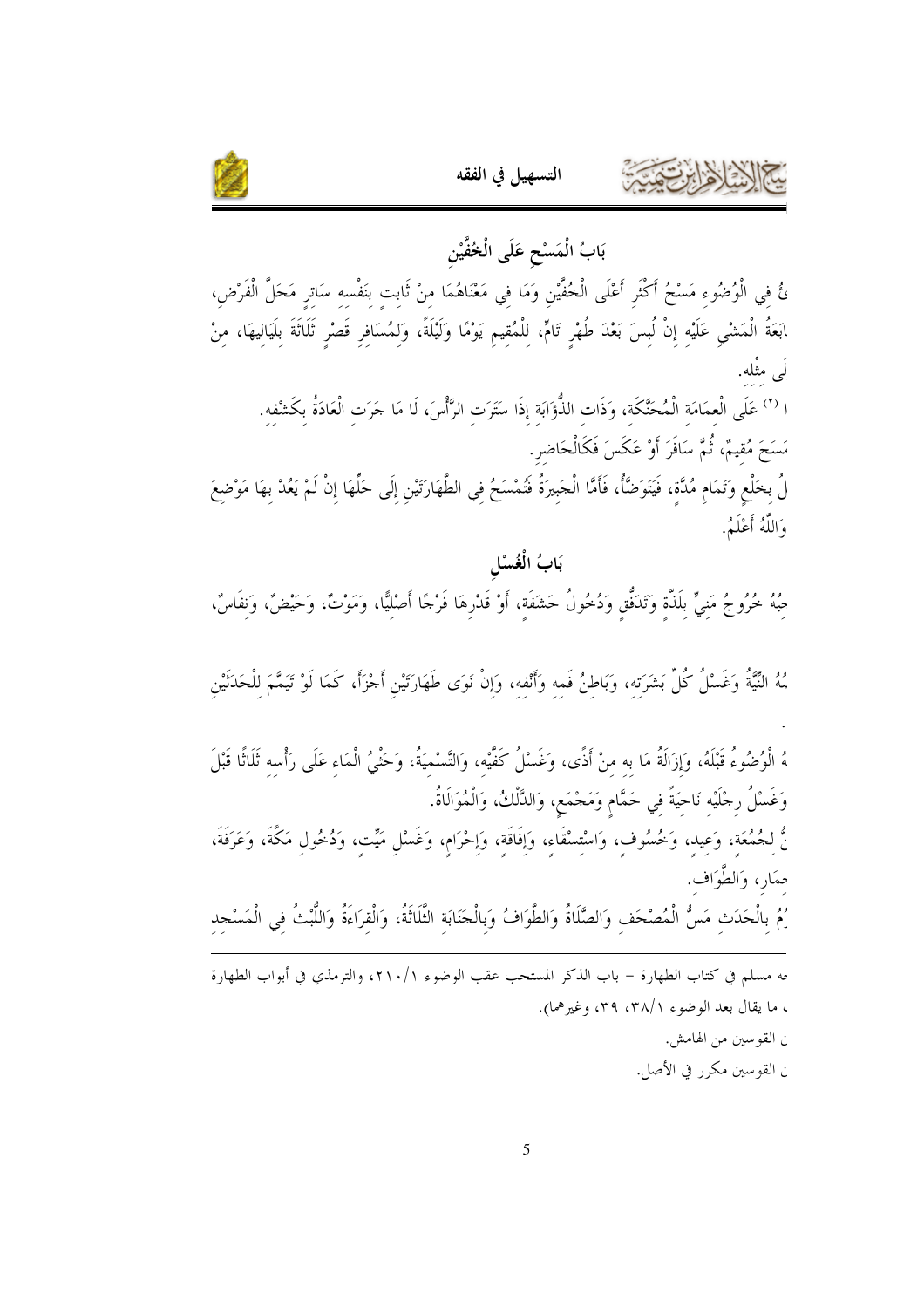

بَابُ الْمَسْحِ عَلَى الْخُفَّيْنِ ئُ فِي الْوُصُوءِ مَسْحُ أَكْثَرِ أَعْلَى الْخُفَيْنِ وَمَا فِي مَعْنَاهُمَا مِنْ ثَابِتِ بِنَفْسِهِ سَاتِرِ مَحَلَّ الْفَرْضِ، ابَعَةُ الْمَشْيِ عَلَيْهِ إِنْ لُبِسَ بَعْدَ طُهْرٍ تَامٍّ، لِلْمُقِيمِ يَوْمًا وَلَيْلَةً، وَلِمُسَافِرِ قَصْرٍ ثَلَاثَةَ بِلَيَالِيهَا، مِنْ لَى مثْله. ا <sup>(٢)</sup> عَلَى الْعمَامَة الْمُحَنَّكَة، وَذَات الذُّؤَابَة إذَا سَتَرَت الرَّأْسَ، لَا مَا حَرَت الْعَادَةُ بكَشْفه. مَسَحَ مُقيمٌ، ثُمَّ سَافَرَ أَوْ عَكَسَ فَكَالْحَاضرِ. لُ بخَلْعٍ وَتَمَامٍ مُدَّة، فَيَتَوَضَّأُ، فَأَمَّا الْجَبِيرَةُ فَتُمْسَحُ فِي الطَّهَارَتَيْنِ إِلَى حَلّهَا إِنْ لَمْ يَعُدْ بِهَا مَوْضِعَ وَاللَّهُ أَعْلَمُ. بَابُ الْغُسْل صِّهُ خُرُوجُ مَنِيٍّ بِلَذَّةٍ وَتَدَفَّقٍ وَدُخُولُ حَشَفَةٍ، أَوْ قَدْرِهَا فَرْجًا أَصْلِيًّا، وَمَوْتٌ، وَحَيْضٌ، وَنفَاسٌ، مُهُ النِّيَّةُ وَغَسْلُ كُلِّ بَشَرَتِهِ، وَبَاطِنُ فَمِهِ وَأَنْفِهِ، وَإِنْ نَوَى طَهَارَتَيْنِ أَجْزَأَ، كَمَا لَوْ تَيَمَّمَ لِلْحَدَثَيْنِ هُ الْوُضُوءُ قَبْلَهُ، وَإِزَالَةُ مَا به منْ أَذًى، وَغَسْلُ كَفَّيْه، وَالتَّسْميَةُ، وَحَثْبُى الْمَاء عَلَى رَأْسه ثَلَاثًا قَبْلَ وَغَسْلُ رجْلَيْه نَاحيَةً في حَمَّام وَمَجْمَع، وَالدَّلْكُ، وَالْمُوَالَاةُ. نُّ لجُمُعَة، وَعيد، وَخُسُوف، وَاسْتمسْقَاء، وَإِفَاقَة، وَإِحْرَام، وَغَسْلٍ مَيِّت، وَدُخُول مَكَّةَ، وَعَرَفَةَ، حمَارِ، وَالطَّوَافِ. يُمُ بِالْحَدَثِ مَسُّ الْمُصْحَفِ وَالصَّلَاةُ وَالطَّوَافُ وَبِالْجَنَابَةِ الثَّلَاثَةُ، وَالْقِرَاءَةُ وَاللَّبْتُ في الْمَسْجد <sup>مه</sup> مسلم في كتاب الطهارة – باب الذكر المستحب عقب الوضوء ٢١٠/١، والترمذي في أبواب الطهارة ، ما يقال بعد الوضوء ٢٨/١، ٣٩، وغيرهما). ن القوسين من الهامش. ن القوسين مكرر في الأصل.

التسهيل في الفقه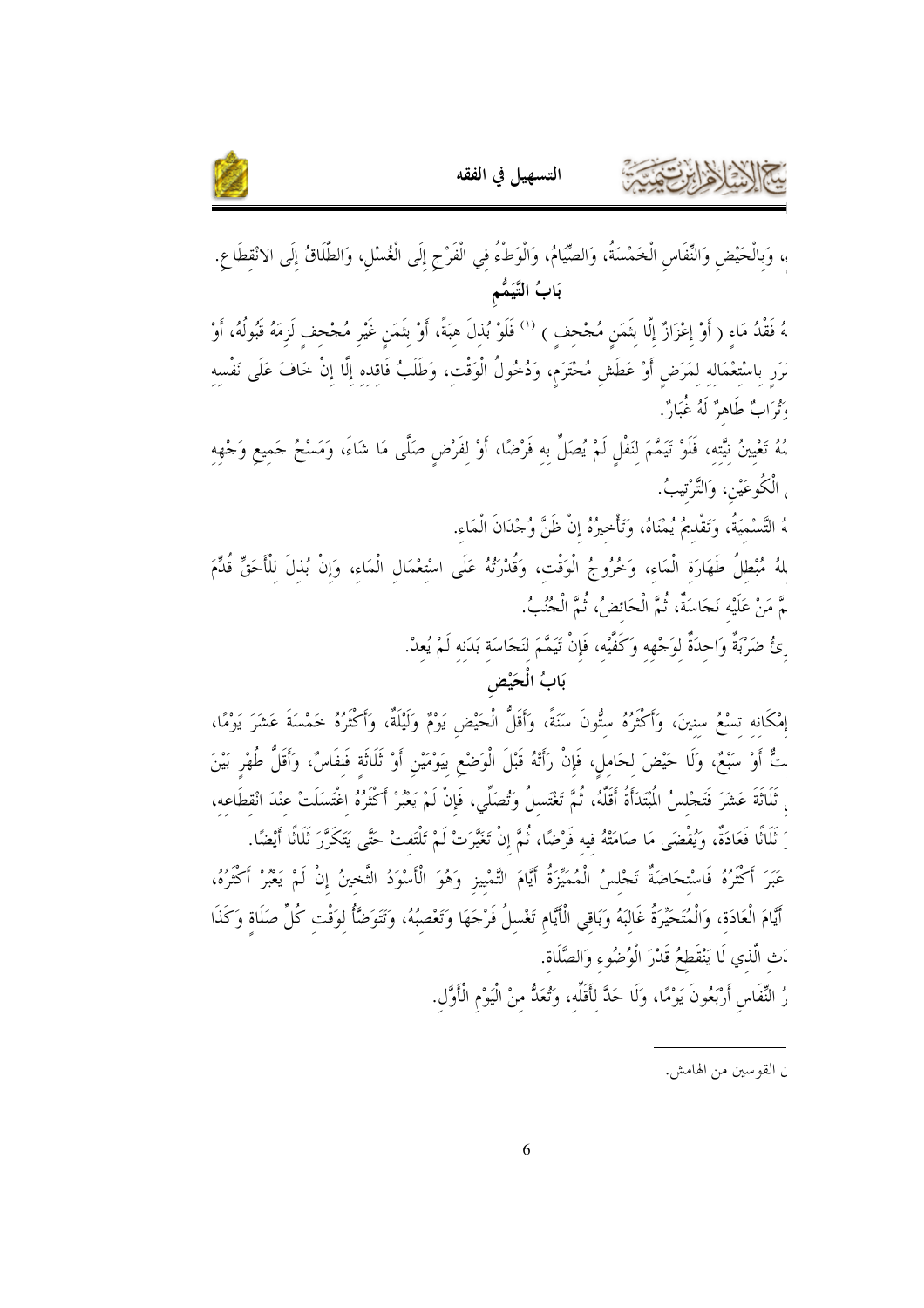



، وَبِالْحَيْضِ وَالنِّفَاسِ الْخَمْسَةُ، وَالصِّيَامُ، وَالْوَطْءُ في الْفَرْجِ إِلَى الْغُسْلِ، وَالطَّلَاقُ إِلَى الانْقطَاعِ. بَابُ التَّيَمُّم

هُ فَقْدُ مَاء ( أَوْ إعْزَازٌ إلَّا بثَمَن مُجْحف ) <sup>(١)</sup> فَلَوْ بُذلَ هبَةً، أَوْ بثَمَن غَيْر مُجْحف لَزمَهُ قَبُولُهُ، أَوْ ىَرَر باسْتعْمَاله لمَرَض أَوْ عَطَشٍ مُحْتَرَمٍ، وَدُخُولُ الْوَقْتِ، وَطَلَبُ فَاقده إِلَّا إِنْ خَافَ عَلَى نَفْسه ؛ تُوَابٌ طَاهِرٌ لَهُ غُبَارٌ .

مُهُ تَعْيينُ نيَّته، فَلَوْ تَيَمَّمَ لنَفْل لَمْ يُصَلِّ به فَرْضًا، أَوْ لفَرْض صَلَّى مَا شَاءَ، وَمَسْحُ حَميع وَجْهه <sub>،</sub> الْكُوعَيْنِ، وَالتَّرْتيبُ.

هُ التَّسْميَةُ، وَتَقْديمُ يُمْنَاهُ، وَتَأْخيرُهُ إنْ ظَنَّ وُجْدَانَ الْمَاء.

لمهُ مُبْطلُ طَهَارَة الْمَاء، وَخُرُوجُ الْوَقْت، وَقُدْرَتُهُ عَلَى اسْتعْمَال الْمَاء، وَإِنْ بُذِلَ للأَحَقّ قُدِّمَ ـمَّ مَنْ عَلَيْه نَجَاسَةٌ، ثُمَّ الْحَائضُ، ثُمَّ الْجُنُبُ.

ِئُ ضَرْبَةٌ وَاحدَةٌ لوَحْهِه وَكَفَّيْه، فَإِنْ تَيَمَّمَ لنَجَاسَة بَدَنه لَمْ يُعدْ.

بَابُ الْحَيْضِ

إِمْكَانه تسْعُ سنينَ، وَأَكْثَرُهُ ستُّونَ سَنَةً، وَأَقَلُّ الْحَيْضِ يَوْمٌ وَلَيْلَةٌ، وَأَكْثَرُهُ خَمْسَةَ عَشَرَ يَوْمًا، تٌّ أَوْ سَبْعٌ، وَلَا حَيْضَ لحَامل، فَإِنْ رَأَتْهُ قَبْلَ الْوَضْعِ بِيَوْمَيْنِ أَوْ ثَلَاثَة فَنفَاسٌ، وَأَقَلُّ طُهْر بَيْنَ ، ثَلَاثَةَ عَشَرَ فَتَجْلسُ الْمُبْنَدَأَةُ أَقَلَّهُ، ثُمَّ تَغْتَسلُ وَتُصَلِّى، فَإِنْ لَمْ يَعْبُرْ أَكْثَرُهُ اغْتَسَلَتْ عنْدَ انْقطَاعه، َ ثَلَاثًا فَعَادَةٌ، وَيُقْضَى مَا صَامَتْهُ فيه فَرْضًا، ثُمَّ إنْ تَغَيَّرَتْ لَمْ تَلْتَفتْ حَتَّى يَتَكَرَّرَ ثَلَاثًا أَيْضًا. عَبَرَ أَكْثَرُهُ فَاسْتحَاضَةٌ تَجْلسُ الْمُمَيِّزَةُ أَيَّامَ التَّمْييزِ وَهُوَ الْأَسْوَدُ الثَّخينُ إنْ لَمْ يَعْبُرْ أَكْثَرُهُ، أَيَّامَ الْعَادَة، وَالْمُتَحَيِّرَةُ غَالبَهُ وَبَاقى الْأَيَّام تَغْسلُ فَرْجَهَا وَتَعْصِبُهُ، وَتَتَوَضَّأُ لوَقْت كُلِّ صَلَاة وَكَذَا <sub>َ</sub>تْ الَّذي لَا يَنْقَطِعُ قَدْرَ الْوُضُوءِ وَالصَّلَاة.

رُ النِّفَاسِ أَرْبَعُونَ يَوْمًا، وَلَا حَدَّ لِأَقَلِّه، وَتُعَدُّ منْ الْيَوْمِ الْأَوَّل.

ن القو سين من الهامش.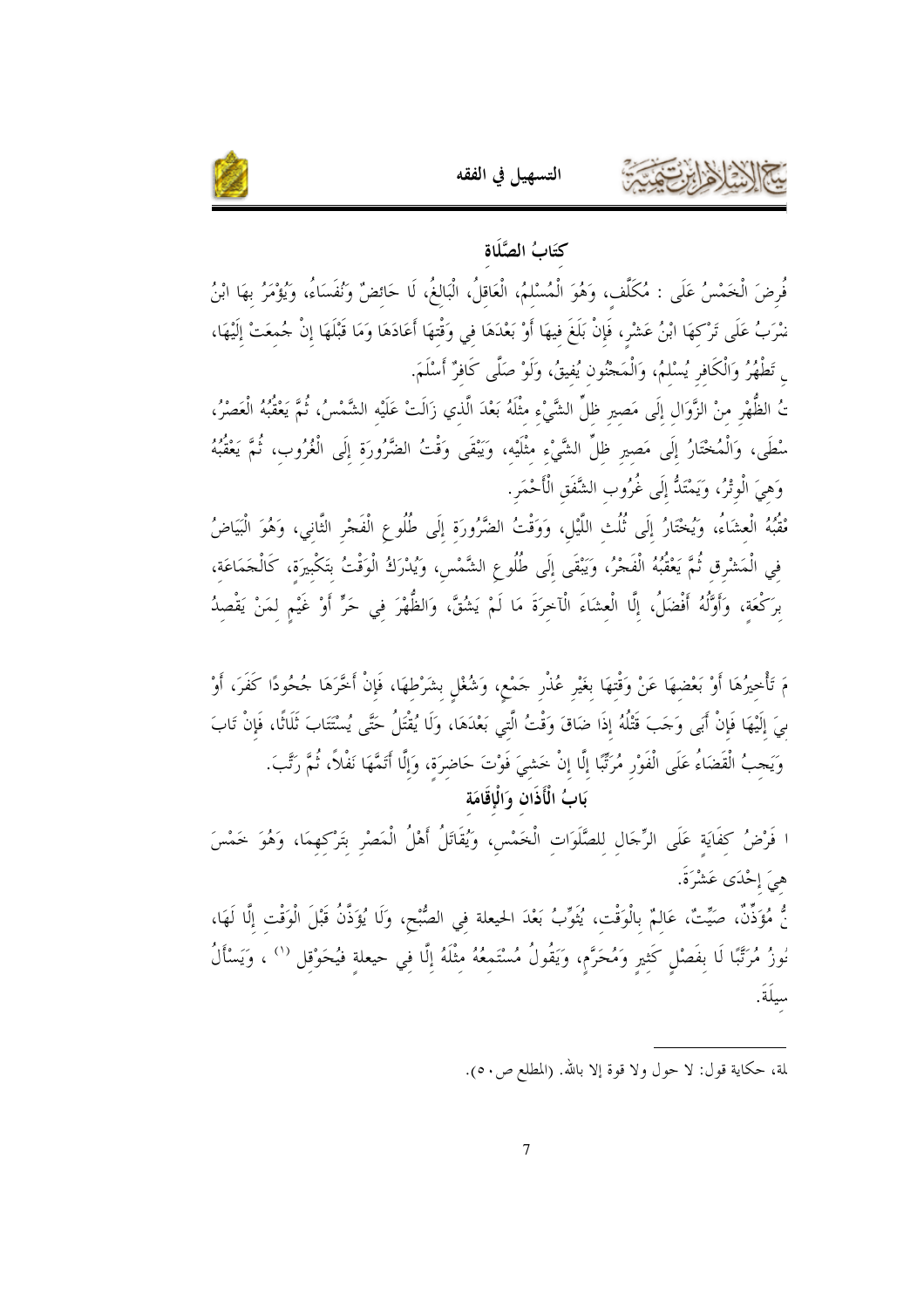

#### كتَابُ الصَّلَاة

التسهيل في الفقه

فُرِضَ الْخَمْسُ عَلَى : مُكَلِّف، وَهُوَ الْمُسْلمُ، الْعَاقلُ، الْبَالغُ، لَا حَائضٌ وَنُفَسَاءُ، وَيُؤْمَرُ بهَا ابْنُ نْمْرَبُ عَلَى تَرْكِهَا ابْنُ عَشْرٍ، فَإِنْ بَلَغَ فيهَا أَوْ بَعْدَهَا في وَقْتهَا أَعَادَهَا وَمَا قَبْلَهَا إنْ حُمعَتْ إلَيْهَا، <sub>ى</sub> تَطْهُرُ وَالْكَافرِ يُسْلمُ، وَالْمَحْنُون يُفيقُ، وَلَوْ صَلَّى كَافرٌ أَسْلَمَ.

تُ الظُّهْرِ منْ الزَّوَال إلَى مَصير ظلِّ الشَّيْءِ مثْلَهُ بَعْدَ الَّذي زَالَتْ عَلَيْه الشَّمْسُ، ثُمَّ يَعْقُبُهُ الْعَصْرُ، سْطَى، وَالْمُخْتَارُ إِلَى مَصيرٍ ظلِّ الشَّيْءِ مثْلَيْه، وَيَبْقَى وَقْتُ الضَّرُورَة إلَى الْغُرُوب، ثُمَّ يَعْقُبُهُ وَهيَ الْوِتْرُ، وَيَمْتَدُّ إِلَى غُرُوب الشَّفَق الْأَحْمَرِ.

مْقُبُهُ الْعِشَاءُ، وَيُخْتَارُ إِلَى ثُلُثِ اللَّيْلِ، وَوَقْتُ الضَّرُورَةِ إِلَى طُلُوعِ الْفَجْرِ الثَّاني، وَهُوَ الْبَيَاضُ في الْمَشْرِق ثُمَّ يَعْقُبُهُ الْفَجْرُ، وَيَبْقَى إِلَى طُلُوعِ الشَّمْسِ، وَيُدْرَكُ الْوَقْتُ بتَكْبيرَة، كَالْحَمَاعَة، برَكْعَة، وَأَوَّلُهُ أَفْضَلُ، إلَّا الْعشَاءَ الْآخرَةَ مَا لَمْ يَشْقَّ، وَالظُّهْرَ في حَرٍّ أَوْ غَيْم لمَنْ يَقْصدُ

مَ تَأْخيرُهَا أَوْ بَعْضهَا عَنْ وَقْتهَا بغَيْر عُذْر حَمْع، وَشُغْل بشَرْطهَا، فَإِنْ أَخَّرَهَا حُحُودًا كَفَرَ، أَوْ ىيَ إِلَيْهَا فَإِنْ أَبَى وَجَبَ قَتْلُهُ إِذَا ضَاقَ وَقْتُ الَّتِي بَعْدَهَا، وَلَا يُقْتَلُ حَتَّى يُسْتَتَابَ ثَلَاثًا، فَإِنْ تَابَ وَيَجبُ الْقَضَاءُ عَلَى الْفَوْرِ مُرَبِّبًا إِلَّا إنْ خَشيَ فَوْتَ حَاضرَة، وَإِلَّا أَتَمَّهَا نَفْلاً، ثُمَّ رَتَّبَ. .<br>بَابُ الْأَذَان وَالْإِقَامَة

ا فَرْضُ كفَايَة عَلَى الرِّجَال للصَّلَوَات الْخَمْس، وَيُقَاتَلُ أَهْلُ الْمَصْرِ بتَرْكهمَا، وَهُوَ خَمْسَ هيَ إحْدَى عَشْرَةً. نُّ مُؤَذِّنٌ، صَيِّتٌ، عَالِمٌ بِالْوَقْتِ، يُتُوِّبُ بَعْدَ الحيعلة في الصُّبْح، وَلَا يُؤَذَّنُ قَبْلَ الْوَقْت إلَّا لَهَا، نُوزُ مُرَتَّبًا لَا بِفَصْلٍ كَثيرٍ وَمُحَرَّمٍ، وَيَقُولُ مُسْتَمِعُهُ مِثْلَهُ إِلَّا فِي حيعلةِ فيُحَوْقل <sup>(١)</sup> ، وَيَسْأَلُ سيلَةَ.

لمة، حكاية قول: لا حول ولا قوة إلا بالله. (المطلع ص٥٠).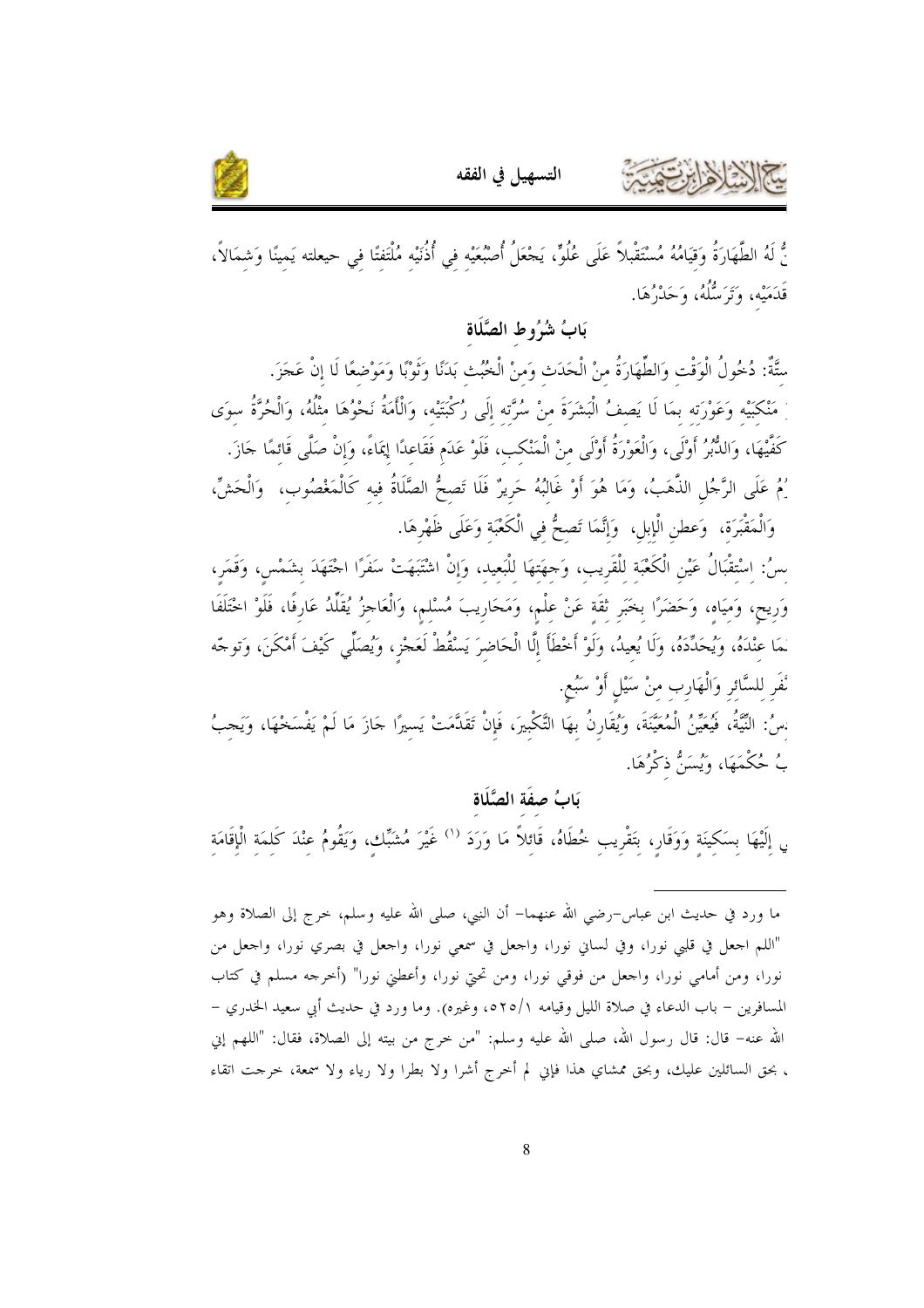



نُّ لَهُ الطَّهَارَةُ وَقِيَامُهُ مُسْتَقْبِلاً عَلَى عُلُوٍّ، يَجْعَلُ أُصْبُعَيْه في أُذُنَيْه مُلْتَفتًا في حيعلته يَمينًا وَشمَالاً، قَدَمَيْه، وَتَرَسُّلُهُ، وَحَدْرُهَا.

#### بَابُ شُرُوطِ الصَّلَاةِ

سَّةٌ: دُحُولُ الْوَقْت وَالطِّهَارَةُ منْ الْحَدَث وَمنْ الْخُبُث بَدَنًا وَثَوْبًا وَمَوْضعًا لَا إنْ عَجَزَ. مَنْكَبَيْه وَعَوْرَته بمَا لَا يَصفُ الْبَشَرَةَ منْ سُرَّته إلَى رُكْبَتَيْه، وَالْأَمَةُ نَحْوُهَا مثْلُهُ، وَالْحُرَّةُ سوَى كَفَّيْهَا، وَاللُّبُرُ أَوْلَى، وَالْعَوْرَةُ أَوْلَى منْ الْمَنْكب، فَلَوْ عَدَم فَقَاعدًا إِيمَاءً، وَإنْ صَلًى قَائمًا جَازَ. يُمُ عَلَى الرَّجُلِ الذَّهَبُ، وَمَا هُوَ أَوْ غَالبُهُ حَرِيرٌ فَلَا تَصحُّ الصَّلَاةُ فيه كَالْمَغْصُوب، ۖ وَالْحَشِّ، وَالْمَقْبَرَةِ، وَعطنِ الْإِبلِ، وَإِنَّمَا تَصحُّ في الْكَعْبَة وَعَلَى ظَهْرِهَا.

سُ: اسْتقْبَالُ عَيْنِ الْكَعْبَة للْقَريب، وَحِهَتهَا للْبَعيد، وَإِنْ اشْتَبَهَتْ سَفَرًا اجْتَهَدَ بشَمْس، وَقَمَر، وَرِيحٍ، وَمِيَاهِ، وَحَضَرًا بِخَبَرِ ثِقَةٍ عَنْ عِلْمٍ، وَمَحَارِيبَ مُسْلمٍ، وَالْعَاجزُ يُقَلّْدُ عَارِفًا، فَلَوْ اخْتَلَفَا نمَا عنْدَهُ، وَيُحَدِّدَهُ، وَلَا يُعيدُ، وَلَوْ أَخْطَأَ إِلَّا الْحَاضرَ يَسْقُطْ لَعَجْزٍ، وَيُصَلِّي كَيْفَ أَمْكَنَ، وَتوجّه نْفَر للسَّائر وَالْهَارب منْ سَيْل أَوْ سَبْع.

:سُ: النَّيَّةُ، فَيُعَيِّنُ الْمُعَيَّنَةَ، وَيُقَارِنُ بهَا التَّكْبيرَ، فَإِنْ تَقَلَّمَتْ يَسيرًا حَازَ مَا لَمْ يَفْسَخْهَا، وَيَحبُ بُ حُكْمَهَا، وَيُسَنُّ ذكْرُهَا.

#### بَابُ صفَة الصَّلَاة

<sub>ي</sub> إِلَيْهَا بِسَكِينَةٍ وَوَقَارٍ، بِتَقْرِيب خُطَاهُ، قَائلاً مَا وَرَدَ <sup>(١)</sup> غَيْرَ مُشَبِّك، وَيَقُومُ عنْدَ كَلمَة الْإِقَامَة

ما ورد في حديث ابن عباس-رضي الله عنهما– أن النبي، صلى الله عليه وسلم، خرج إلى الصلاة وهو "اللم احعل في قلبي نورًا، وفي لسانٍ نورًا، واجعل في سمعي نورًا، واحعل في بصري نورًا، واحعل من نورا، ومن أمامي نورا، واحعل من فوقي نورا، ومن تحتي نورا، وأعطني نورا" (أخرجه مسلم في كتاب المسافرين – باب الدعاء في صلاة الليل وقيامه ٥٢٥/١، وغيره). وما ورد في حديث أبي سعيد الخدري – الله عنه– قال: قال رسول الله، صلى الله عليه وسلم: "من خرج من بيته إلى الصلاة، فقال: "اللهم إين ، بحق السائلين عليك، وبحق ممشاي هذا فإني لم أخرج أشرا ولا بطرا ولا رياء ولا سمعة، خرجت اتقاء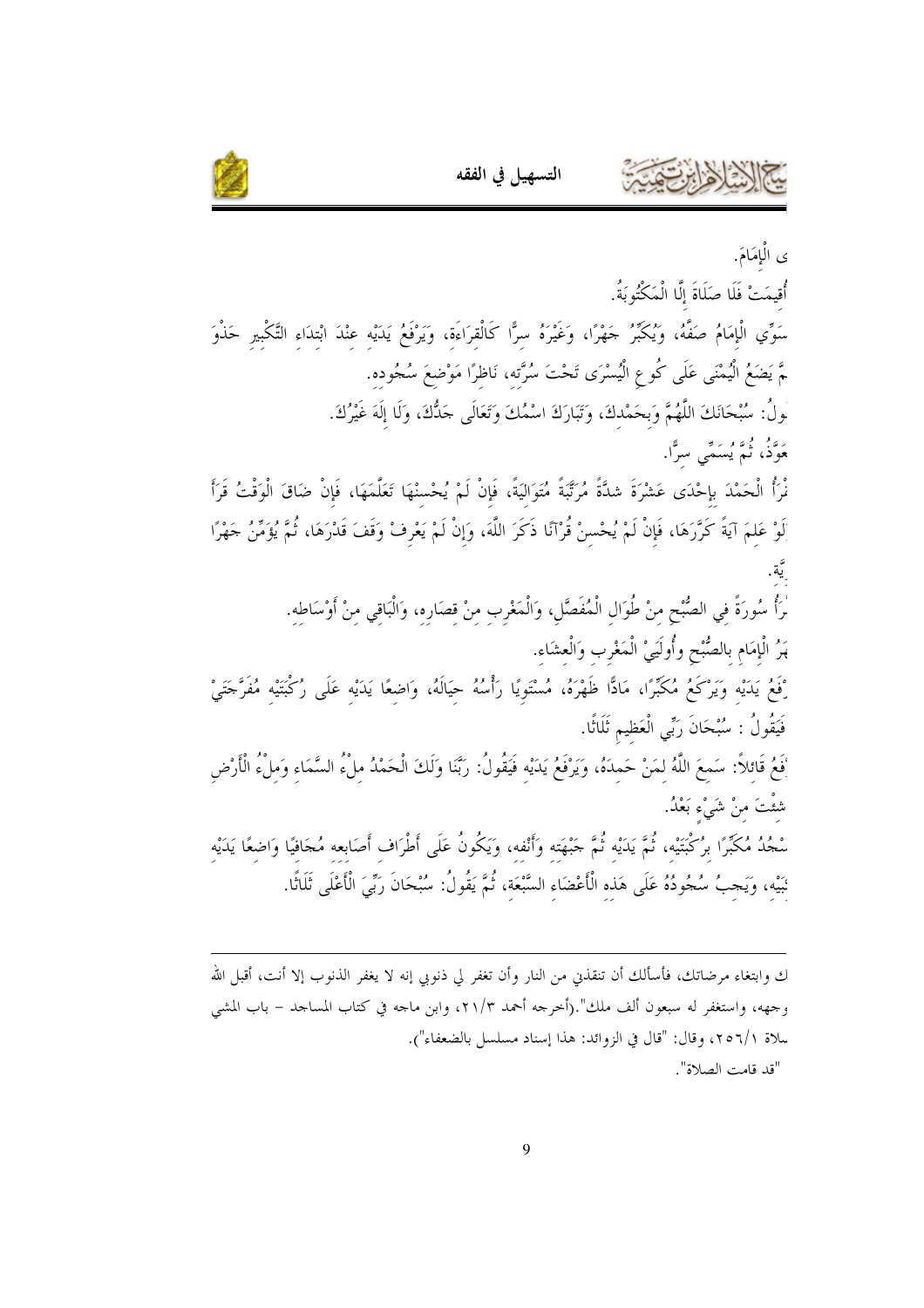

ى الْإِمَامَ.

أُقيمَتْ فَلَا صَلَاةَ إِلَّا الْمَكْتُوبَةُ.

سَوِّي الْإِمَامُ صَفَّهُ، وَيُكَبِّرُ حَهْرًا، وَغَيْرَهُ سرًّا كَالْقرَاءَة، وَيَرْفَعُ يَدَيْه عنْدَ ابْتدَاء التَّكْبير حَذْوَ ـمَّ يَضَعُ الْيُمْنَى عَلَى كُوعِ الْيُسْرَى تَحْتَ سُرَّته، نَاظرًا مَوْضعَ سُجُوده. لُولُ: سُبْحَانَكَ اللَّهُمَّ وَبِحَمْدكَ، وَتَبَارَكَ اسْمُكَ وَتَعَالَى جَدُّكَ، وَلَا إِلَهَ غَيْرُكَ. رَةً مُسَعَّمٍ رَسِّي سَرًّا.<br>مَوَّقْ، ثُمَّ يُسَمَّى سَرًّا.

نْرَأُ الْحَمْدَ بِإِحْدَى عَشْرَةَ شكَّةً مُرَتَّبَةً مُتَوَاليَةً، فَإِنْ لَمْ يُحْسنْهَا تَعَلَّمَهَا، فَإِنْ ضَاقَ الْوَقْتُ قَرَأَ َلَوْ عَلمَ آيَةً كَرَّرَهَا، فَإِنْ لَمْ يُحْسنْ قُرْآنًا ذَكَرَ اللَّهَ، وَإِنْ لَمْ يَعْرِفْ وَقَفَ قَدْرَهَا، ثُمَّ يُؤَمِّنُ جَهْرًا

> مْرَأُ سُورَةً في الصُّبْحِ منْ طُوَال الْمُفَصَّلِ، وَالْمَغْرب منْ قصَاره، وَالْبَاقي منْ أَوْسَاطه. هَرُ الْإِمَامِ بِالصُّبْحِ وأُولَيَيْ الْمَغْرِبِ وَالْعِشَاءِ.

رْفَعُ يَدَيْه وَيَرْكَعُ مُكَبِّرًا، مَاذًّا ظَهْرَهُ، مُسْتَوِيًا رَأْسُهُ حيَالَهُ، وَاضعًا يَدَيْه عَلَى رُكْبَتَيْه مُفَرَّخَتَىْ فَيَقُولُ : سُبْحَانَ رَبِّى الْعَظيم ثَلَاثًا.

نَعَعُ قَائلاً: سَمعَ اللَّهُ لمَنْ حَمدَهُ، وَيَرْفَعُ يَدَيْه فَيَقُولُ: رَبَّنَا وَلَكَ الْحَمْدُ ملْءُ السَّمَاء وَملْءُ الْأَرْض شئَتَ منْ شَيْء بَعْدُ.

سْجُدُ مُكَبِّرًا برُكْبَتَيْه، ثُمَّ يَدَيْه ثُمَّ جَبْهَته وَأَنْفه، وَيَكُونُ عَلَى أَطْرَاف أَصَابعه مُجَافيًا وَاضعًا يَدَيْه نَبَيْه، وَيَجبُ سُجُودُهُ عَلَى هَذه الْأَعْضَاء السَّبْعَة، ثُمَّ يَقُولُ: سُبْحَانَ رَبِّيَ الْأَعْلَى ثَلَاثًا.

ك وابتغاء مرضاتك، فأسألك أن تنقذين من النار وأن تغفر لي ذنوبي إنه لا يغفر الذنوب إلا أنت، أقبل الله وجهه، واستغفر له سبعون ألف ملك".(أخرجه أحمد ٢١/٣، وابن ماجه في كتاب المساحد – باب المشي سلاة ٢٥٦/١، وقال: "قال في الزوائد: هذا إسناد مسلسل بالضعفاء"). "قد قامت الصلاة".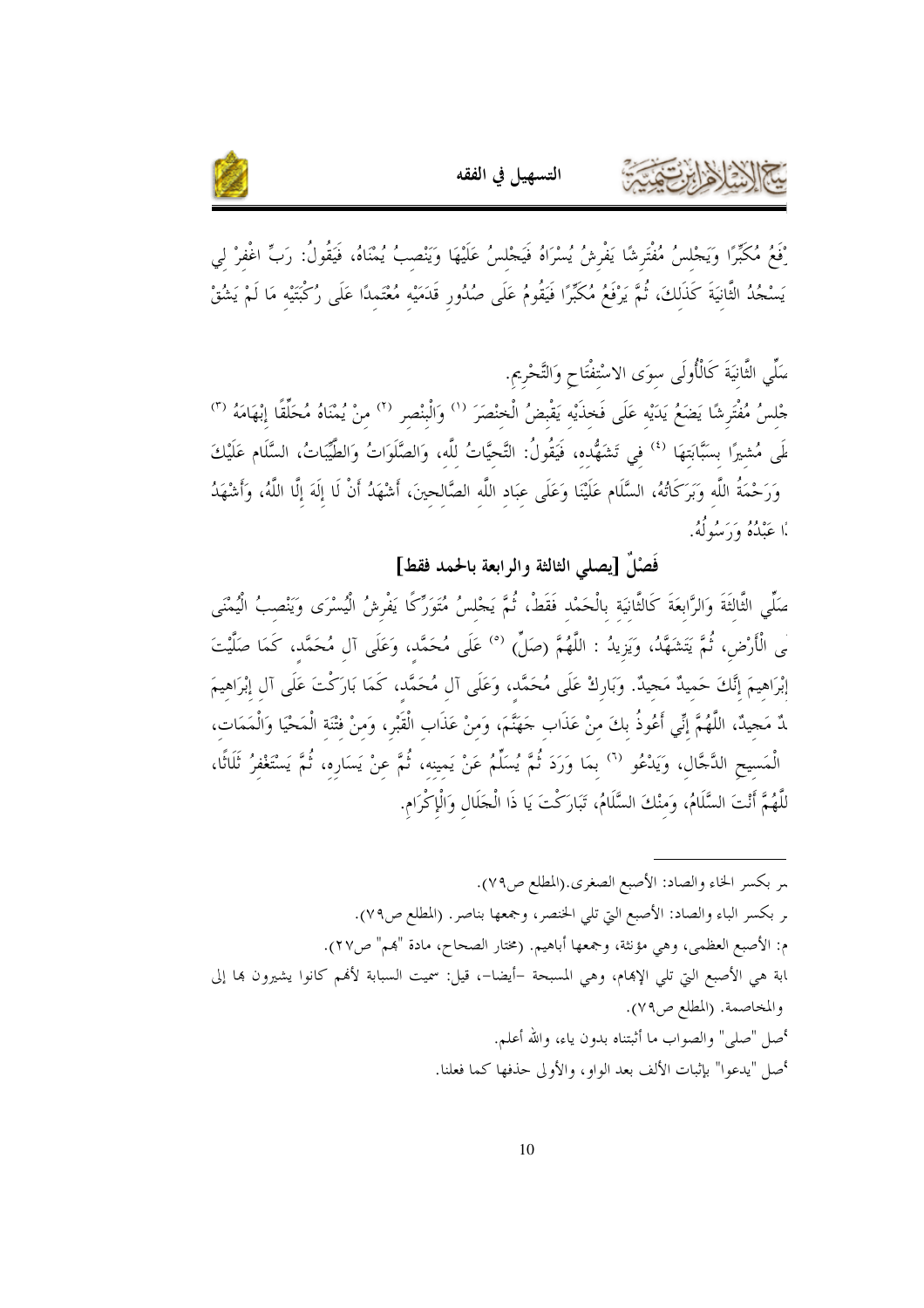

ْفِعُ مُكَبِّرًا وَيَجْلسُ مُفْتَرِشًا يَفْرِشُ يُسْرَاهُ فَيَجْلسُ عَلَيْهَا وَيَنْصبُ يُمْنَاهُ، فَيَقُولُ: رَبّ اغْفرْ لي يَسْجُدُ الثَّانيَةَ كَذَلكَ، ثُمَّ يَرْفَعُ مُكَبِّرًا فَيَقُومُ عَلَى صُدُورٍ قَدَمَيْه مُعْتَمدًا عَلَى رُكْبَتَيْه مَا لَمْ يَشُقْ

التسهيل في الفقه

سَلَّى الثَّانيَةَ كَالْأُولَى سوَى الاسْتفْتَاح وَالتَّحْرِيم. جْلسُ مُفْتَرِشًا يَضَعُ يَدَيْه عَلَى فَخذَيْه يَقْبِضُ الْخنْصَرَ `` وَالْبنْصر `` منْ يُمْنَاهُ مُحَلِّقًا إنْهَامَهُ ``' لَمِي مُشيرًا بسَبَّابَتهَا لأ في تَشَهُّده، فَيَقُولُ: التَّحيَّاتُ للَّه، وَالصَّلَوَاتُ وَالطَّيِّبَاتُ، السَّلَام عَلَيْكَ وَرَحْمَةُ اللَّه وَبَرَكَاتُهُ، السَّلَام عَلَيْنَا وَعَلَى عبَاد اللَّه الصَّالحينَ، أَشْهَدُ أَنْ لَا إلَهَ إلَّا اللَّهُ، وَأَشْهَدُ أَا عَبْدُهُ وَدَبَبُهُ وَلَهُ.

فَصْلٌ [يصلى الثالثة والرابعة بالحمد فقط]

صَلِّي الثَّالثَةَ وَالرَّابعَةَ كَالثَّانيَة بالْحَمْد فَقَطْ، ثُمَّ يَجْلسُ مُتَوَرِّكًا يَفْرشُ الْيُسْرَى وَيَنْصبُ الْيُمْنَى لَى الْأَرْضِ، ثُمَّ يَتَشَهَّدُ، وَيَزِيدُ : اللَّهُمَّ (صَلِّ) <sup>(٥)</sup> عَلَى مُحَمَّد، وَعَلَى آل مُحَمَّد، كَمَا صَلَّيْتَ إبْرَاهِيمَ إنَّكَ حَميدٌ مَجيدٌ. وَبَارِكْ عَلَى مُحَمَّد، وَعَلَى آل مُحَمَّد، كَمَا بَارَكْتَ عَلَى آل إبْرَاهيمَ لَّ مَحِيدٌ، اللَّهُمَّ إنِّي أَعُوذُ بكَ منْ عَذَابٍ حَهَنَّمَ، وَمنْ عَذَابٍ الْقَبْرِ، وَمنْ فتْنَة الْمَحْيَا وَالْمَمَات، الْمَسيحِ الدَّجَّالِ، وَيَدْعُو <sup>(٦)</sup> بمَا وَرَدَ ثُمَّ يُسَلِّمُ عَنْ يَمينه، ثُمَّ عنْ يَسَارِه، ثُمَّ يَسْتَغْفرُ ثَلَاثًا، للَّهُمَّ أَنْتَ السَّلَامُ، وَمنْكَ السَّلَامُ، تَبَارَكْتَ يَا ذَا الْجَلَال وَالْإِكْرَام.

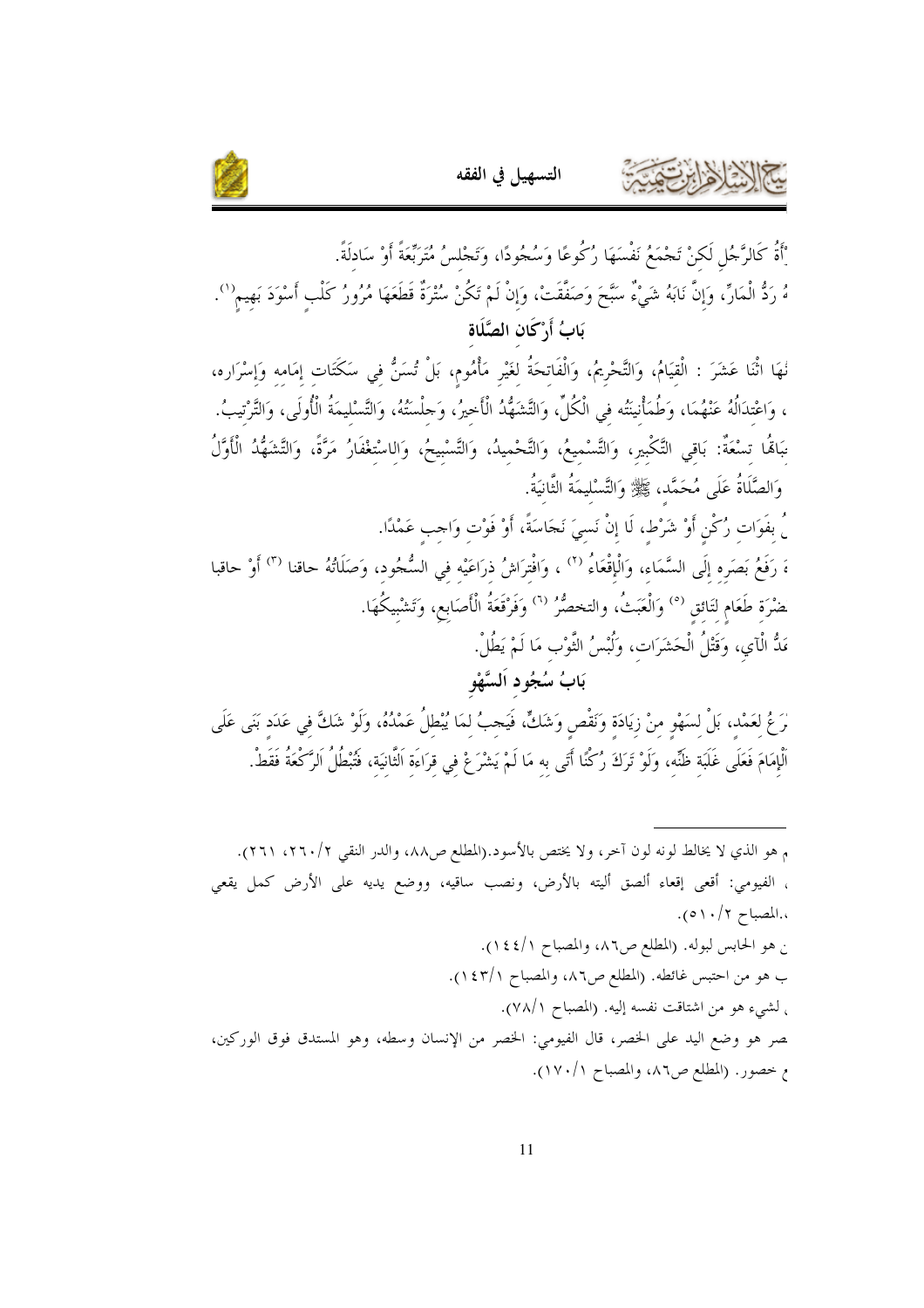



ْأَةُ كَالرَّجُلِ لَكنْ تَجْمَعُ نَفْسَهَا رُكُوعًا وَسُجُودًا، وَتَجْلسُ مُتَرَبِّعَةً أَوْ سَادلَةً. هُ رَدُّ الْمَارِّ، وَإِنَّ نَابَهُ شَيْءٌ سَبَّحَ وَصَفَقَتْ، وَإِنْ لَمْ تَكُنْ سُتْرَةٌ قَطَعَهَا مُرُورُ كَلْب أَسْوَدَ بَهيم``. بَابُ أَ,ْكَانِ الصَّلَاةِ نُهَا اثْنَا عَشَرَ : الْقيَامُ، وَالتَّحْرِيمُ، وَالْفَاتحَةُ لغَيْرِ مَأْمُوم، بَلْ تُسَنُّ في سَكَتَات إمَامه وَإسْرَاره، ، وَاعْتدَالُهُ عَنْهُمَا، وَطُمَأْنِيَتُه في الْكُلِّ، وَالتَّشَهُّدُ الْأَحِيرُ، وَحِلْسَتُهُ، وَالتَّسْليمَةُ الْأُولَى، وَالتَّرْتيبُ. مَباهَٰا تسْعَةٌ: بَاقي التَّكْبير، وَالتَّسْميعُ، وَالتَّحْميدُ، وَالتَّسْبيحُ، وَالاسْتعْفَارُ مَرَّةً، وَالتَّشَهُّدُ الْأَوَّلُ وَالصَّلَاةُ عَلَى مُحَمَّد، ݣَحِيًّا وَالتَّسْلِيمَةُ الثَّانِيَةُ. ﴾ بفَوَات رُكْن أَوْ شَرْط، لَا إنْ نَسيَ نَجَاسَةً، أَوْ فَوْت وَاحِب عَمْدًا. ءَ رَفَعُ بَصَره إلَى السَّمَاء، وَالْإِقْعَاءُ <sup>(٢)</sup> ، وَافْترَاشُ ذرَاعَيْه في السُّجُود، وَصَلَاتُهُ حاقنا <sup>(٣)</sup> أَوْ حاقبا َضْرَة طَعَام لتَائق <sup>(٥)</sup> وَالْعَبَثُ، والتخصُّرُ <sup>(٦)</sup> وَفَرْقَعَةُ الْأَصَابِع، وَتَشْيكُهَا. مَدُّ الْآي، وَقَتْلُ الْحَشَرَات، وَلُبْسُ النَّوْب مَا لَمْ يَطُلْ. بَابُ سُجُود اَلسَّهْو رَعُ لعَمْد، بَلْ لسَهْو منْ زيَادَة وَنَقْص وَشَكٍّ، فَيَجبُ لمَا يُبْطلُ عَمْدُهُ، وَلَوْ شَكٌّ في عَدَد بَنَى عَلَى الْإِمَامَ فَعَلَى غَلَبَة ظُنِّه، وَلَوْ تَرَكُ رُكْنًا أَتَى به مَا لَمْ يَشْرَعْ في قرَاءَة الثَّانيَة، فَتُبطُلُ الرَّكْعَةُ فَقَطْ.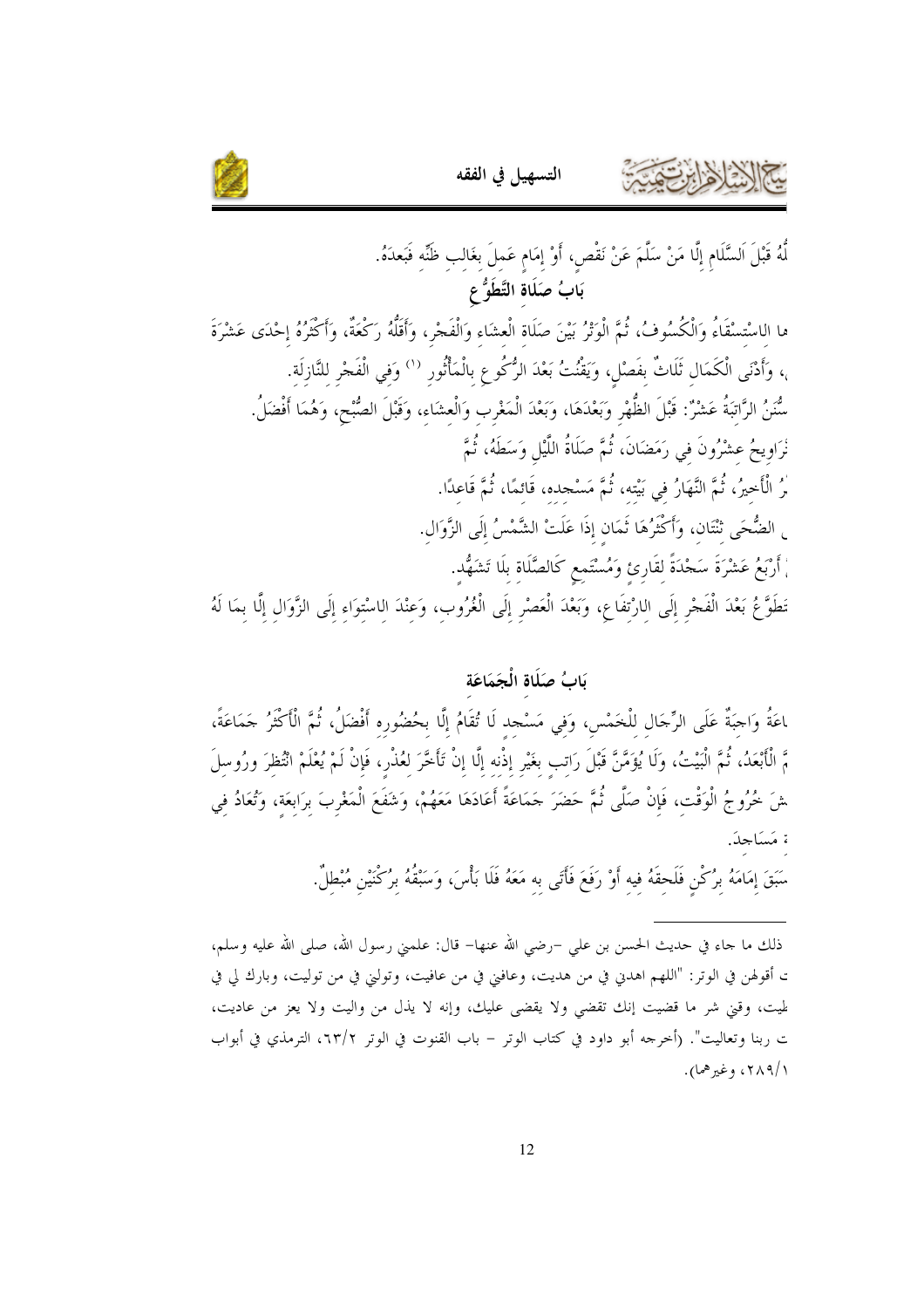



لُّهُ قَبْلَ السَّلَامِ إِلَّا مَنْ سَلَّمَ عَنْ نَقْصٍ، أَوْ إِمَامِ عَمِلَ بِغَالِبِ ظُنِّهِ فَبَعدَهُ. بَابُ صَلَاة التَّطَوُّعِ

ما الاسْتسْقَاءُ وَالْكُسُوفُ، ثُمَّ الْوَتْرُ بَيْنَ صَلَاة الْعشَاء وَالْفَجْر، وَأَقَلُّهُ رَكْعَةٌ، وَأَكْثَرُهُ إِحْدَى عَشْرَةَ ،، وَأَدْنَى الْكَمَال ثَلَاثٌ بفَصْل، وَيَقْنُتُ بَعْدَ الرُّكُوع بالْمَأْتُور <sup>(١)</sup> وَفِي الْفَجْرِ لِلنَّازِلَةِ. سُّنَنُ الرَّاتبَةُ عَشْرٌ: قَبْلَ الظُّهْرِ وَبَعْدَهَا، وَبَعْدَ الْمَغْرِب وَالْعشَاء، وَقَبْلَ الصُّبْح، وَهُمَا أَفْضَلُ. نْرَاوِيحُ عشْرُونَ في رَمَضَانَ، ثُمَّ صَلَاةُ اللَّيْلِ وَسَطَهُ، ثُمَّ رُ الْأَخيرُ، ثُمَّ النَّهَارُ في بَيْته، ثُمَّ مَسْجده، قَائمًا، ثُمَّ قَاعدًا. <sub>ِ</sub> الضُّحَى تْتَّان، وَأَكْثَرُهَا ثَمَان إِذَا عَلَتْ الشَّمْسُ إِلَى الزَّوَالِ. ْ أَرْبَعُ عَشْرَةَ سَجْدَةً لقَارِئ وَمُسْتَمعِ كَالصَّلَاة بلَا تَشَهُّد. تَطَوَّعُ بَعْدَ الْفَحْرِ إِلَى اللرْتفَاعِ، وَبَعْدَ الْعَصْرِ إِلَى الْغُرُوبِ، وَعِنْدَ الِاسْتِوَاءِ إِلَى الزَّوَالِ إِلَّا بِمَا لَهُ

#### يَابُ صَلَاةِ الْجَمَاعَةِ

ﺎﻋَﺔُ ﻭَﺍﺟﺒَﺔٌ ﻋَﻠَﻰ ﺍﻟرِّﺟَﺎﻝ ﻟﻠْﺨَﻤْﺲ، ﻭَﻓِﻲ ﻣَﺴْﺠﺪ ﻟَﺎ ﺗُﻘَﺎﻡُ ﺇﻟَّﺎ ﺑﺤُﻀُﻮﺭﻩ ﺃُﻓْﺿَﻞُ، ﺛُﻢَّ ﺍﻟْأَﻛْثَرُ جَمَاعَةً، مَّ الْأَبْعَدُ، ثُمَّ الْبَيْتُ، وَلَا يُؤَمَّنَّ قَبْلَ رَاتب بغَيْر إذْنه إلَّا إنْ تَأَخَّرَ لعُذْر، فَإنْ لَمْ يُعْلَمْ انْتُظرَ ورُوسلَ شَ خُرُوجُ الْوَقْت، فَإِنْ صَلَّى ثُمَّ حَضَرَ حَمَاعَةً أَعَادَهَا مَعَهُمْ، وَشَفَعَ الْمَغْربَ برَابعَة، وَتُعَادُ في ة مَسَاجدَ.

سَبَقَ إِمَامَهُ بِرُكْنِ فَلَحِقَهُ فِيهِ أَوْ رَفَعَ فَأَتَى به مَعَهُ فَلَا بَأْسَ، وَسَبْقُهُ بِرُكْنَيْن مُبْطلٌ.

ذلك ما جاء في حديث الحسن بن علي –رضي الله عنها– قال: علمني رسول الله، صلى الله عليه وسلم، ت أقولهن في الوتر: "اللهم اهدين في من هديت، وعافني في من عافيت، وتوليني في من توليت، وبارك لي في لميت، وفيَّ شر ما قضيت إنك تقضي ولا يقضي عليك، وإنه لا يذل من واليت ولا يعز من عاديت، ت ربنا وتعاليت". (أخرجه أبو داود في كتاب الوتر – باب القنوت في الوتر ٢٣/٢، الترمذي في أبواب ( /۲۸۹ ، وغي<sub>ر</sub> هما).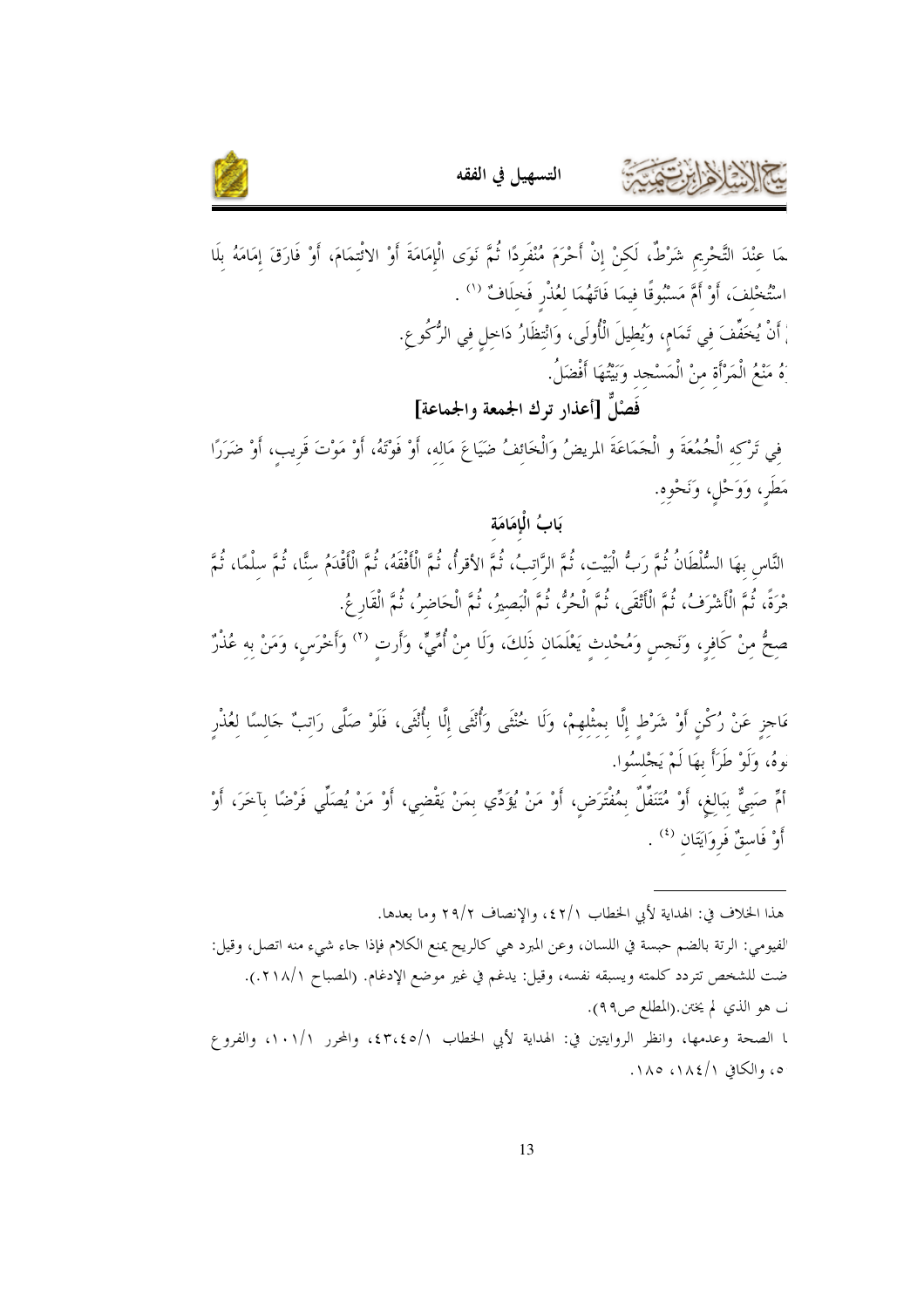

ـمَا عنْدَ التَّحْرِيم شَرْطٌ، لَكنْ إنْ أَحْرَمَ مُنْفَرِدًا ثُمَّ نَوَى الْإمَامَةَ أَوْ الاثْتمَامَ، أَوْ فَارَق إمَامَهُ بلَا اسْتُخْلفَ، أَوْ أَمَّ مَسْبُوقًا فيمَا فَاتَهُمَا لَعُذْرٍ فَخلَافٌ (`` . ُمْ أَنْ يُخَفِّفَ في تَمَام، وَيُطيلَ الْأُولَى، وَانْتظَارُ دَاحل في الرُّكُوعِ. َهُ مَنْعُ الْمَرْأَة منْ الْمَسْجد وَبَيْتُهَا أَفْضَلُ. فَصْلٌ [أعذار ترك الجمعة والجماعة] فى تَرْكه الْجُمُعَةَ و الْجَمَاعَةَ المريضُ وَالْخَائفُ ضَيَاعَ مَالِه، أَوْ فَوْتَهُ، أَوْ مَوْتَ قَرِيبٍ، أَوْ ضَرَرًا مَطَرٍ، وَوَحْلٍ، وَنَحْوِهِ.

بَابُ الْإِمَامَة النَّاس بهَا السُّلْطَانُ ثُمَّ رَبُّ الْبَيْت، ثُمَّ الرَّاتبُ، ثُمَّ الأقرأُ، ثُمَّ الْأَفْقَهُ، ثُمَّ الْأَقْدَمُ سنَّا، ثُمَّ الْمَمَّا، ثُمَّ هْرَةً، ثُمَّ الْأَشْرَفُ، ثُمَّ الْأَتْقَى، ثُمَّ الْحُرُّ، ثُمَّ الْبَصيرُ، ثُمَّ الْحَاضرُ، ثُمَّ الْقَار عُ صِحُّ مِنْ كَافِرٍ، وَنَجسٍ وَمُحْدِثٍ يَعْلَمَانِ ذَلِكَ، وَلَا مِنْ أُمِّيٍّ، وَأَرت <sup>(٢)</sup> وَأَخْرَسِ، وَمَنْ به عُذْرٌ

مَاحِزٍ عَنْ رُكْنِ أَوْ شَرْطٍ إِلَّا بمثْلهمْ، وَلَا خُنْتَى وَأُنْتَى إِلَّا بِأُنْتَى، فَلَوْ صَلًى رَاتبٌ جَالسًا لعُذْر نُوهُ، وَلَوْ طَرَأَ بِهَا لَمْ يَجْلِسُوا. أُمٍّ صَبِيٌّ بِبَالِغٍ، أَوْ مُتَنَفِّلٌ بِمُفْتَرَضٍ، أَوْ مَنْ يُؤَدِّي بِمَنْ يَقْضِي، أَوْ مَنْ يُصَلِّي فَرْضًا بآخَرَ، أَوْ أَوْ فَاسقٌ فَروَايَتَان <sup>(٤)</sup> .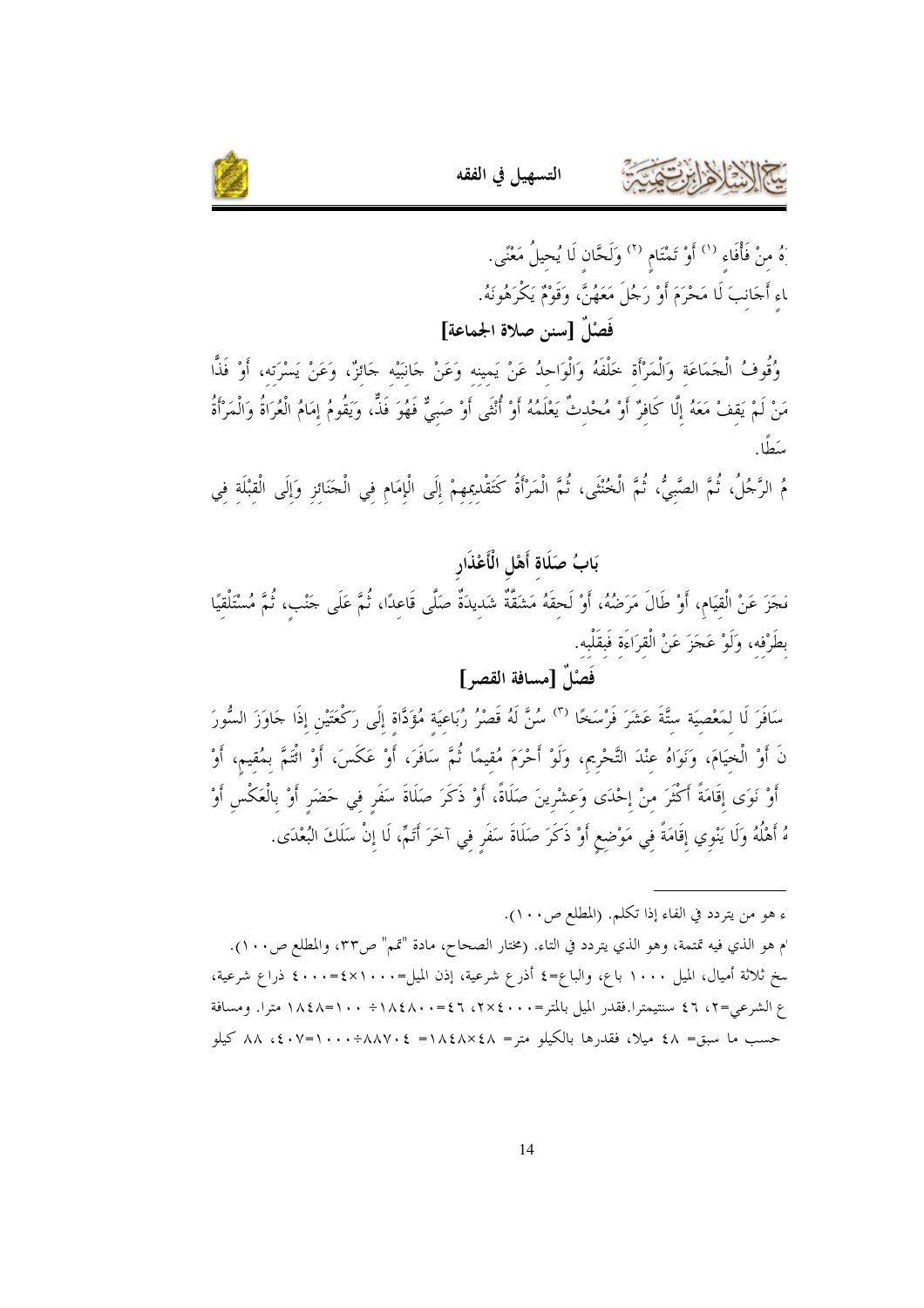

ِهُ منْ فَأْفَاء <sup>(١)</sup> أَوْ تَمْتَام <sup>(٢)</sup> وَلَحَّان لَا يُحيلُ مَعْنًى. ﺎﺀِ ﺃَﺠَﺎﻧِﺐَ ﻟَﺎ ﻣَﺤْﺮَﻡَ ﺃُﻭْ ﺭَﺟُﻞَ ﻣَﻌَﻬُﻦً، ﻭَﻗَﻮْﻡٌ ﻳَﻜْﺭَﻫُﻮﻧَﻪُ. فَصْلٌ [سنن صلاة الجماعة]

وُقُوفُ الْجَمَاعَة وَالْمَرْأَة خَلْفَهُ وَالْوَاحِدُ عَنْ يَمينه وَعَنْ حَانبَيْه جَائزٌ، وَعَنْ يَسْرَته، أَوْ فَذًا مَنْ لَمْ يَقفْ مَعَهُ إِلَّا كَافِرٌ أَوْ مُحْدِثٌ يَعْلَمُهُ أَوْ أُنْثَى أَوْ صَبِيٌّ فَهُوَ فَذًّ، وَيَقُومُ إِمَامُ الْعُرَاةُ وَالْمَرْأَةُ سَطًا.

التسهيل في الفقه

مُ الرَّحُلُ، ثُمَّ الصَّبيُّ، ثُمَّ الْخُنْثَى، ثُمَّ الْمَرْأَةُ كَتَقْدِيمهمْ إِلَى الْإِمَامِ فِي الْحَنَائزِ وَإِلَى الْقبْلَة فِي

بَابُ صَلَاة أَهْلِ الْأَعْذَارِ مَجَزَ عَنْ الْقيَامِ، أَوْ طَالَ مَرَضُهُ، أَوْ لَحقَهُ مَشَقَّةٌ شَديدَةٌ صَلَّى قَاعدًا، ثُمَّ عَلَى جَنْب، ثُمَّ مُسْتَلْقيًا بطَرْفه، وَلَوْ عَجَزَ عَنْ الْقرَاءَة فَبقَلْبه.

فَصْلَ [مسافة القصر ]

سَافَرَ لَا لمَعْصِيَة ستَّةَ عَشَرَ فَرْسَخًا <sup>(٣)</sup> سُنَّ لَهُ قَصْرُ رُبَاعيَة مُؤَدَّاة إِلَى رَكْعَتَيْن إذَا حَاوَزَ السُّورَ نَ أَوْ الْخِيَامَ، وَنَوَاهُ عنْدَ التَّحْرِيم، وَلَوْ أَحْرَمَ مُقيمًا ثُمَّ سَافَرَ، أَوْ عَكَسَ، أَوْ ائْتَمَّ بمُقيم، أَوْ أَوْ نَوَى إقَامَةً أَكْثَرَ منْ إحْدَى وَعشْرينَ صَلَاةً، أَوْ ذَكَرَ صَلَاةَ سَفَرٍ في حَضَر أَوْ بالْعَكْس أَوْ هُ أَهْلُهُ وَلَا يَنْوِي إِقَامَةً فِي مَوْضِعٍ أَوْ ذَكَرَ صَلَاةَ سَفَرٍ فِي آخَرَ أَتَمَّ، لَا إِنْ سَلَكَ البُعْدَى.

ء هو من يتردد في الفاء إذا تكلم. (المطلع ص١٠٠). م هو الذي فيه تمتمة، وهو الذي يتردد في التاء. (مختار الصحاح، مادة "تمم" ص٣٣، والمطلع ص١٠١). سخ ثلاثة أميال، الميل ١٠٠٠ باع، والباع=٤ أذرع شرعية، إذن الميل=٢٠٠٠=٤٠٠٠ ذراع شرعية، ع الشرعي=٢، ٤٦ سنتيمترا.فقدر الميل بالمتر=٢٠٠٠، ٢٧٤، ٤٦، ١٨٤٨. + ١٨٤٨- ١٨٤٨ مترا. ومسافة حسب ما سبق= ٤٨ ميلا، فقدرها بالكيلو متر= ١٨٤٨×٤٨ = ٨٨٧٠÷١٠٠+١٠٧ دكم ٨٨ كيلو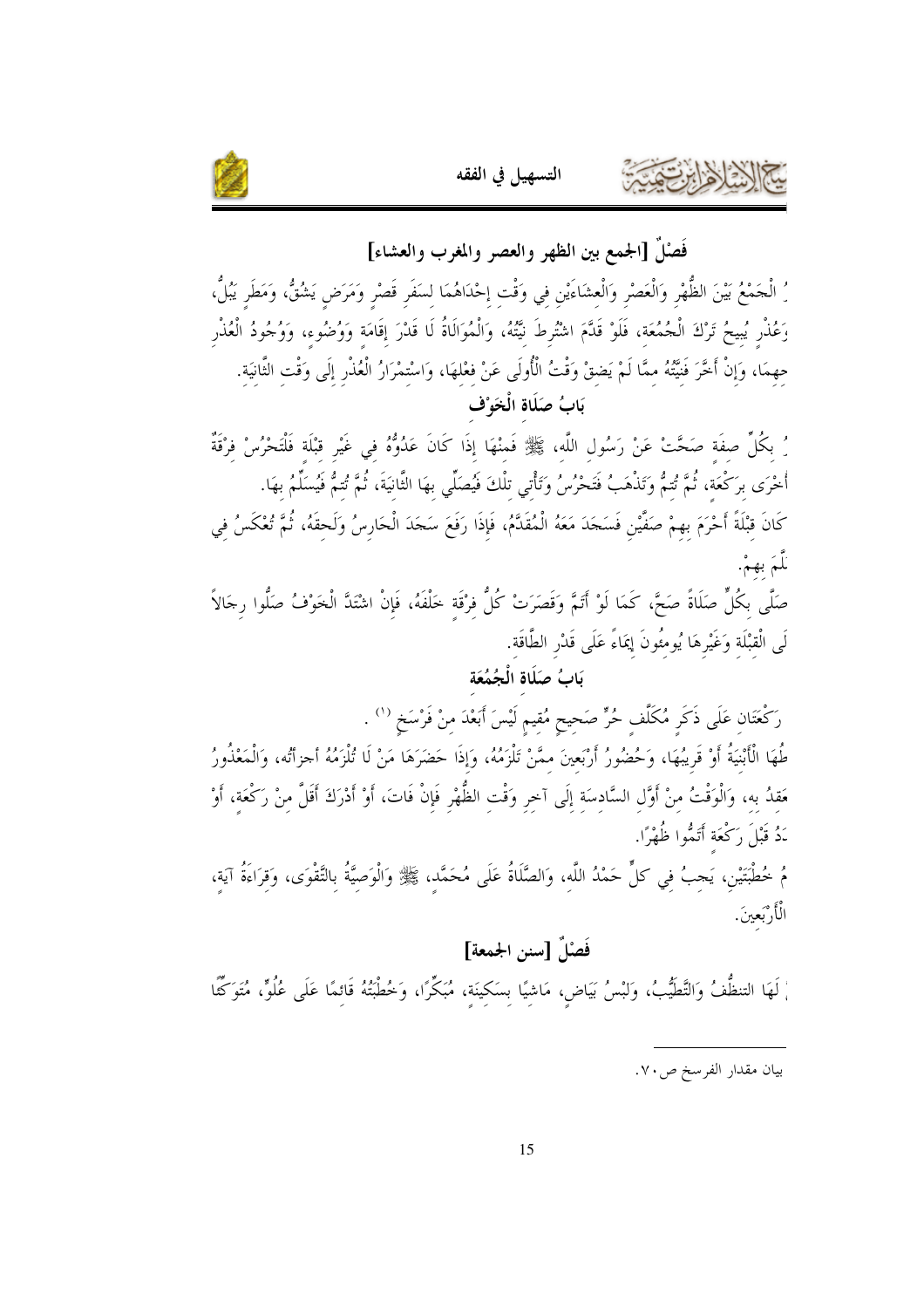



فَصْلٌ [الجمع بين الظهر والعصر والمغرب والعشاء] رُ الْحَمْعُ بَيْنَ الظُّهْرِ وَالْعَصْرِ وَالْعشَاءَيْنِ في وَقْت إحْدَاهُمَا لسَفَرٍ قَصْرٍ وَمَرَضٍ يَشُقُّ، وَمَطَر يَبُلُّ، وَعُذْرٍ يُبِيحُ تَرْكَ الْجُمُعَة، فَلَوْ قَلَّمَ اشْتُرطَ نَيِّتُهُ، وَالْمُوَالَاةُ لَا قَدْرَ إِقَامَة وَوُضُوء، وَوُجُودُ الْعُذْرِ حهمَا، وَإِنْ أَخَّرَ فَنَيَّتُهُ ممَّا لَمْ يَضقْ وَقْتُ الْأُولَى عَنْ فعْلهَا، وَاسْتمْرَارُ الْعُذْرِ إِلَى وَقْتِ الثَّانِيَةِ. بَابُ صَلَاة الْخَوْف

رُ بكُلِّ صفَة صَحَّتْ عَنْ رَسُول اللَّه، ﷺ فَمنْهَا إذَا كَانَ عَدُوُّهُ فِي غَيْرِ قِبْلَةٍ فَلْتَحْرُسْ فِرْقَةٌ أُخْرَى برَكْعَة، ثُمَّ تُتمُّ وَتَذْهَبُ فَتَحْرُسُ وَتَأْتي تلْكَ فَيُصَلِّي بهَا الثَّانيَةَ، ثُمَّ تُتمُّ فَيُسَلِّمُ بهَا. كَانَ قبْلَةً أَحْرَمَ بهمْ صَفَّيْن فَسَجَدَ مَعَهُ الْمُقَدَّمُ، فَإِذَا رَفَعَ سَجَدَ الْحَارِسُ وَلَحقَهُ، ثُمَّ تُعْكَسُ في نَلْمَ بهمْ.

صَلَّى بكُلٍّ صَلَاةً صَحَّ، كَمَا لَوْ أَتَمَّ وَقَصَرَتْ كُلُّ فرْقَةِ خَلْفَهُ، فَإِنْ اشْتَدَّ الْخَوْفُ صَلُّوا رِجَالاً لَى الْقبْلَة وَغَيْرِهَا يُومِئُونَ إِيمَاءً عَلَى قَدْرِ الطَّاقَة.

## بَابُ صَلَاةِ الْجُمُعَةِ

رَكْعَتَان عَلَى ذَكَر مُكَلَّف حُرٍّ صَحيح مُقيم لَيْسَ أَبَعْدَ منْ فَرْسَخ <sup>(١</sup>' . طُهَا الْأَبْنِيَةُ أَوْ قَرِيبُهَا، وَحُضُورُ أَرْبَعينَ ممَّنْ تَلْزَمُهُ، وَإِذَا حَضَرَهَا مَنْ لَا تُلْزَمُهُ أحزأتُه، وَالْمَعْذُورُ حَقِدُ بِهِ، وَالْوَقْتُ مِنْ أَوَّلِ السَّادِسَةِ إِلَى آخِرِ وَقْتِ الظُّهْرِ فَإِنْ فَاتَ، أَوْ أَدْرَكَ أَقَلَّ مِنْ رَكْعَةِ، أَوْ نَدُ قَبْلَ رَكْعَة أَتَمُّوا ظُهْرًا.

مُ خُطْبَتَيْن، يَجبُ فِي كلٍّ حَمْدُ اللَّه، وَالصَّلَاةُ عَلَى مُحَمَّدٍ، ﷺ وَالْوَصِيَّةُ بِالتَّقْوَى، وَقِرَاءَةُ آيةٍ، الْأَرْبَعينَ.

## فَصْلٌ [سنن الجمعة]

ْ لَهَا التنظُّفُ وَالتَّطَيُّبُ، وَلبْسُ بَيَاضٍ، مَاشيًا بسَكينَة، مُبَكِّرًا، وَخُطْبَتُهُ قَائمًا عَلَى عُلُوٍّ، مُتَوَكِّئًا

بيان مقدار الفرسخ ص٧٠.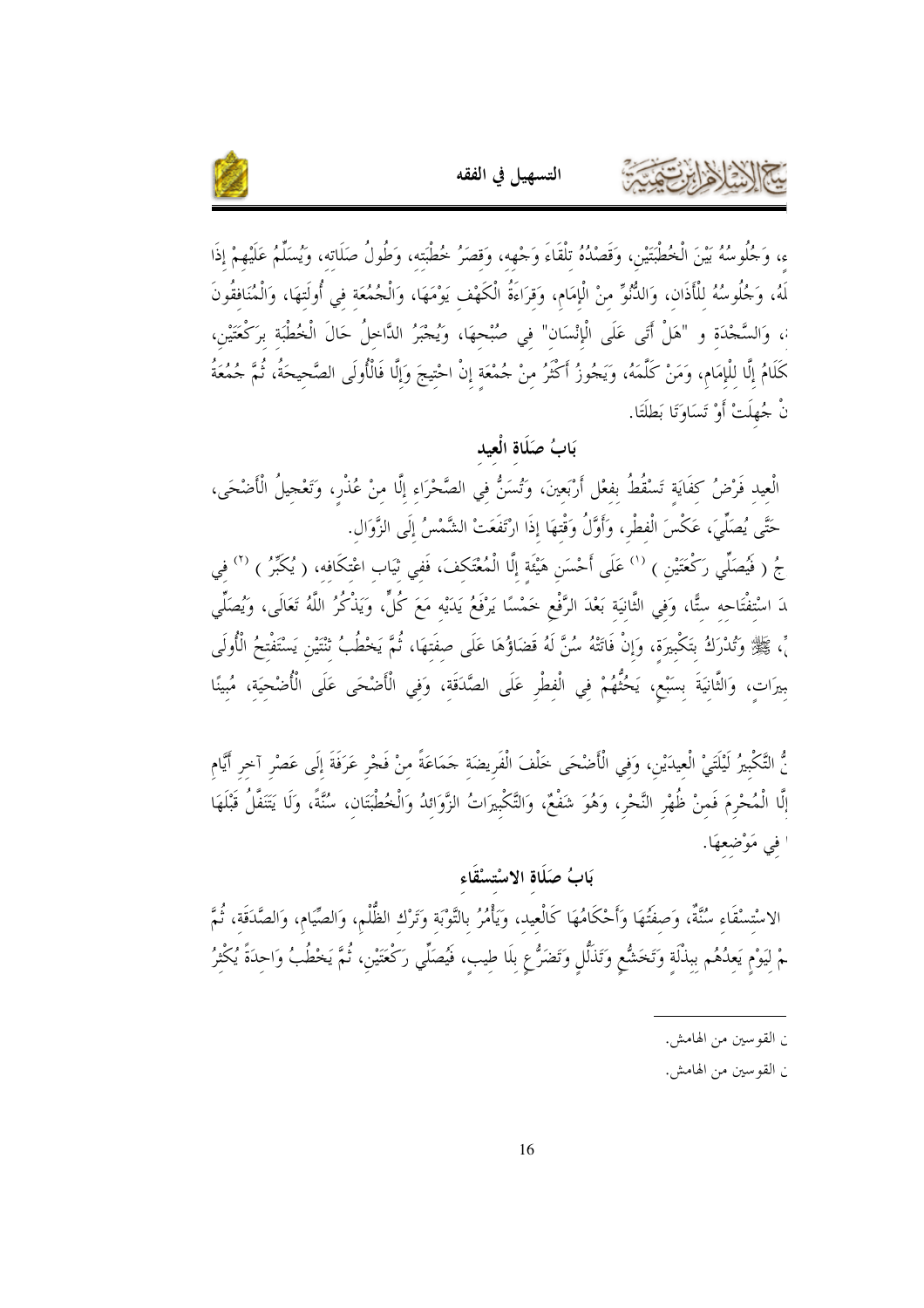

ء، وَجُلُوسُهُ بَيْنَ الْخُطْبَتَيْنِ، وَقَصْدُهُ تلْقَاءَ وَجْهِه، وَقصَرُ خُطْبَته، وَطُولُ صَلَاته، وَيُسَلِّمُ عَلَيْهِمْ إذَا لَهُ، وَجُلُوسُهُ للْأَذَانِ، وَالذُّنُوِّ منْ الْإِمَامِ، وَقرَاءَةُ الْكَهْفِ يَوْمَهَا، وَالْجُمُعَة في أُولَتهَا، وَالْمُنَافقُونَ <sub>ّ</sub>، وَالسَّجْدَة و "هَلْ أَتَى عَلَى الْإِنْسَان" في صُبْحهَا، وَيُجْبَرُ الدَّاخلُ حَالَ الْخُطْبَة برَكْعَتَيْن، كَلَامُ إلَّا للْإمَام، وَمَنْ كَلَّمَهُ، وَيَجُوزُ أَكْثَرُ منْ جُمْعَة إنْ احْتِيجَ وَإِلَّا فَالْأُولَى الصَّحيحَةُ، ثُمَّ جُمُعَةُ نْ جُهلَتْ أَوْ تَسَاوَتَا بَطلَتَا.

التسهيل في الفقه

بَابُ صَلَاة الْعِيد الْعِيد فَرْضُ كفَايَة تَسْقُطُ بفعْل أَرْبَعينَ، وَتُسَنُّ فِي الصَّحْرَاءِ إِلَّا مِنْ عُذْرٍ، وَتَعْجيلُ الْأضْحَى، حَتَّى يُصَلِّيَ، عَكْسَ الْفطْرِ، وَأَوَّلُ وَقْتهَا إِذَا ارْتَفَعَتْ الشَّمْسُ إِلَى الزَّوَالِ. جُ ( فَيُصَلِّي رَكْعَتَيْن ) <sup>(١)</sup> عَلَى أَحْسَن هَيْئَة إلَّا الْمُعْتَكفَ، فَفي ثيَاب اعْتكَافِهِ، ( يُكَبِّرُ ) <sup>(٢)</sup> فِي ﺪَ ﺍﺳْﺘﻔْﺘَﺎﺣﻪ ﺳﺘًّﺎ، ﻭَﻓِﻲ ﺍﻟﻨَّﺎﻧﻴَﺔ ﺑَﻌْﺪَ ﺍﻟرَّﻓْﻢ ﺧَﻤْﺳًﺎ ﻳَﺮْﻓَﻢُ ﻳَﺪَﻳْﻪ ﻣَﻢَ ﻛُﻞٍّ، ﻭَﻳَﻨْﻛُﺮُ ﺍﻟﻠَّﻪُ تَعَالَى، ﻭيُصَلِّي مِّ، ﷺ وَتُدْرَكُ بتَكْبيرَة، وَإِنْ فَاتَتْهُ سُنَّ لَهُ قَضَاؤُهَا عَلَى صفَتهَا، ثُمَّ يَخْطُبُ ثنْتَيْن يَسْتَفْتحُ الْأُولَى بيرَات، وَالثَّانيَةَ بسَبْع، يَحُتُّهُمْ في الْفطْرِ عَلَى الصَّدَقَة، وَفي الْأَضْحَى عَلَى الْأُضْحيَة، مُبينًا

نُّ التَّكْبيرُ لَيْلَتَيْ الْعِيدَيْنِ، وَفي الْأَضْحَى خَلْفَ الْفَريضَة حَمَاعَةً منْ فَجْرٍ عَرَفَةَ إلَى عَصْر آخر أَيَّام إلَّا الْمُحْرِمَ فَمنْ ظُهْرِ النَّحْرِ، وَهُوَ شَفْعٌ، وَالتَّكْبِيرَاتُ الزَّوَائدُ وَالْخُطْبَتَان، سُنَّةً، وَلَا يَتَنَفَّلُ قَبْلَهَا ا في مَوْضعهَا.

## بَابُ صَلَاة الاسْتسْقَاء

الاسْتسْقَاء سُنَّةٌ، وَصفَتُهَا وَأَحْكَامُهَا كَالْعيد، وَيَأْمُرُ بالتَّوْبَة وَتَرْك الظُّلْم، وَالصَّيَام، وَالصَّدَقَة، ثُمَّ مْ لِيَوْمٍ يَعِدُهُم بِبِذْلَةٍ وَتَخَشُّعِ وَتَذَلُّلٍ وَتَضَرُّعِ بِلَا طِيبٍ، فَيُصَلِّي رَكْعَتَيْنِ، ثُمَّ يَخْطُبُ وَاحِدَةً يُكْثِرُ

ن القوسين من الهامش.

ن القوسين من الهامش.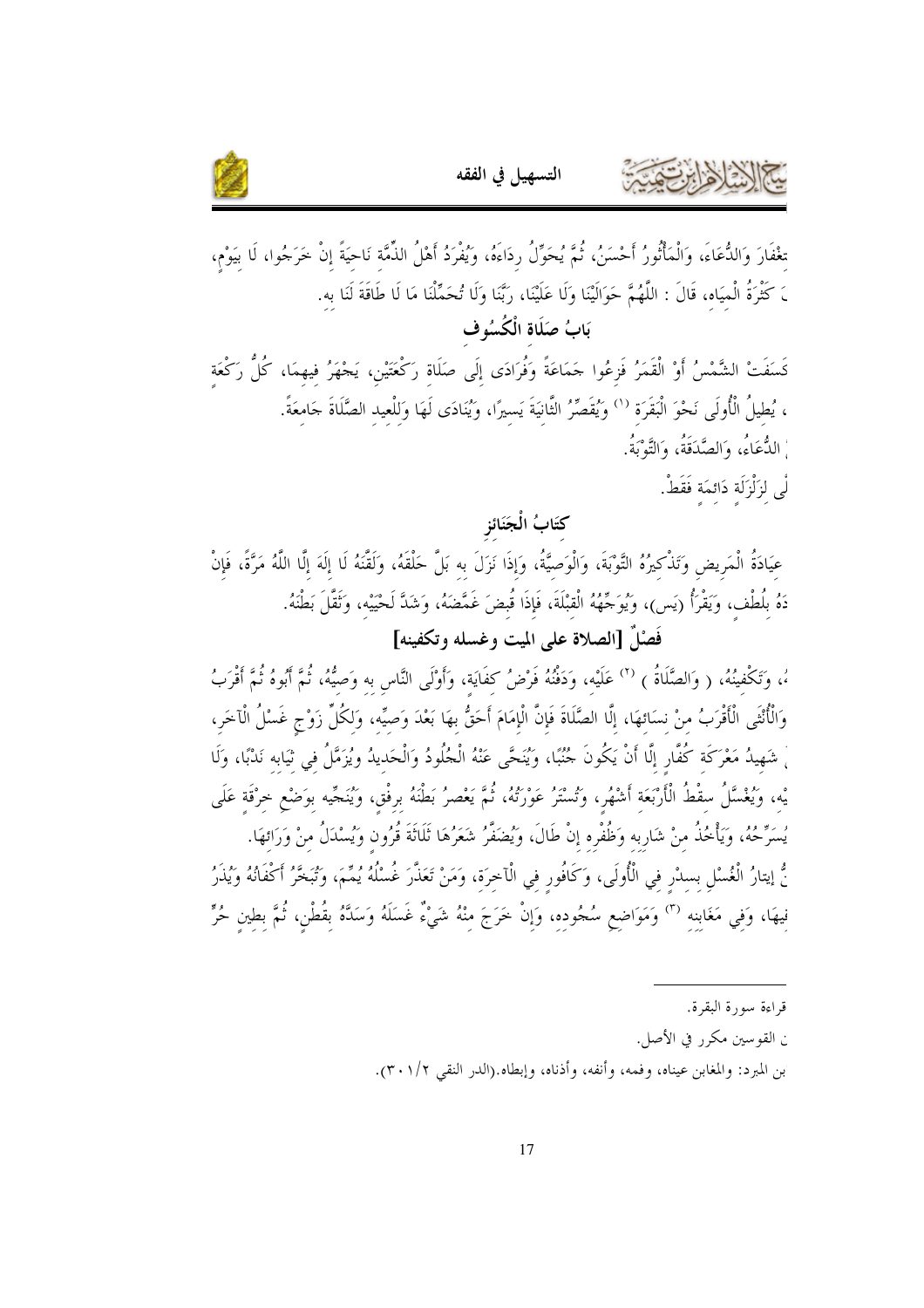



تغْفَارَ وَالدُّعَاءَ، وَالْمَأْتُورُ أَحْسَنُ، ثُمَّ يُحَوِّلُ ردَاءَهُ، وَيُفْرَدُ أَهْلُ الذَّمَّة نَاحيَةً إنْ خَرَجُوا، لَا بيَوْم، <sub>َ</sub> كَثْرَةُ الْميَاه، قَالَ : اللَّهُمَّ حَوَالَيْنَا وَلَا عَلَيْنَا، رَبَّنَا وَلَا تُحَمِّلْنَا مَا لَا طَاقَةَ لَنَا به.

بَابُ صَلَاةِ الْكُسُوفِ

كَسَفَتْ الشَّمْسُ أَوْ الْقَمَرُ فَزعُوا جَمَاعَةً وَفُرَادَى إلَى صَلَاة رَكْعَتَيْن، يَجْهَرُ فيهمَا، كُلُّ رَكْعَة ، يُطيلُ الْأُولَى نَحْوَ الْبَقَرَة ('' وَيُقَصِّرُ الثَّانيَةَ يَسيرًا، وَيُنَادَى لَهَا وَللْعيد الصَّلَاةَ حَامعَةً. ، الدُّعَاءُ، وَالصَّدَقَةُ، وَالتَّوْبَةُ.

لْي لزَلْزَلَة دَائمَة فَقَطْ.

كتَابُ الْجَنَائزِ

عيَادَةُ الْمَريض وَتَذْكيرُهُ التَّوْبَةَ، وَالْوَصيَّةُ، وَإِذَا نَزَلَ به بَلَّ حَلْقَهُ، وَلَقَّنَهُ لَا إلَهَ إلَّا اللَّهُ مَرَّةً، فَإِنْ دَهُ بِلُطْف، وَيَقْرَأُ (يَس)، وَيُوَجِّهُهُ الْقبْلَةَ، فَإِذَا قُبِضَ غَمَّضَهُ، وَشَلَّ لَحْيَيْه، وَثَقَّلَ بَطْنَهُ. فَصْلٌ [الصلاة على الميت وغسله وتكفينه]

ءُ، وَتَكْفينُهُ، ( وَالصَّلَاةُ ) <sup>(٢)</sup> عَلَيْه، وَدَفْنُهُ فَرْضُ كفَايَة، وَأَوْلَى النَّاس به وَصيُّهُ، ثُمَّ أَبُوهُ ثُمَّ أَقْرَبُ وَالْأُنْثَى الْأَقْرَبُ منْ نسَائهَا، إلَّا الصَّلَاةَ فَإِنَّ الْإِمَامَ أَحَقُّ بهَا بَعْدَ وَصيِّه، وَلكُلّ زَوْج غَسْلُ الْآخَر، ْ شَهِيدُ مَعْرَكَة كُفَّار إِلَّا أَنْ يَكُونَ جُنُبًا، وَيُنَحَّى عَنْهُ الْجُلُودُ وَالْحَديدُ ويُزَمَّلُ في ثيَابه نَدْبًا، وَلَا يْه، وَيُغْسَّلُ سقْطُ الْأَرْبَعَة أَشْهُر، وَتُسْتَرُ عَوْرَتُهُ، ثُمَّ يَعْصرُ بَطْنَهُ برفْق، وَيُنَجِّيه بوَضْع خرْقَة عَلَى يُسَرِّحُهُ، وَيَأْخُذُ منْ شَارِبه وَظُفْره إنْ طَالَ، وَيُضَفَّرُ شَعَرُهَا ثَلَاثَةَ قُرُون وَيُسْدَلُ منْ وَرَائهَا. نُّ إيتارُ الْغُسْل بسدْر في الْأُولَى، وَكَافُور في الْآخرَة، وَمَنْ تَعَذَّرَ غُسْلُهُ يُمِّمَ، وَتُبَخَّرُ أكْفَانُهُ وَيُذَرُ فيهَا، وَفي مَغَابنه <sup>(٣)</sup> وَمَوَاضع سُجُوده، وَإنْ خَرَجَ منْهُ شَيْءٌ غَسَلَهُ وَسَدَّهُ بقُطْن، ثُمَّ بطين حُرٍّ

- ن القوسين مكرر في الأصل.
- بن المبرد: والمغابن عيناه، وفمه، وأنفه، وأذناه، وإبطاه.(الدر النقى ٢٠١/٢).

قراءة سورة البقرة.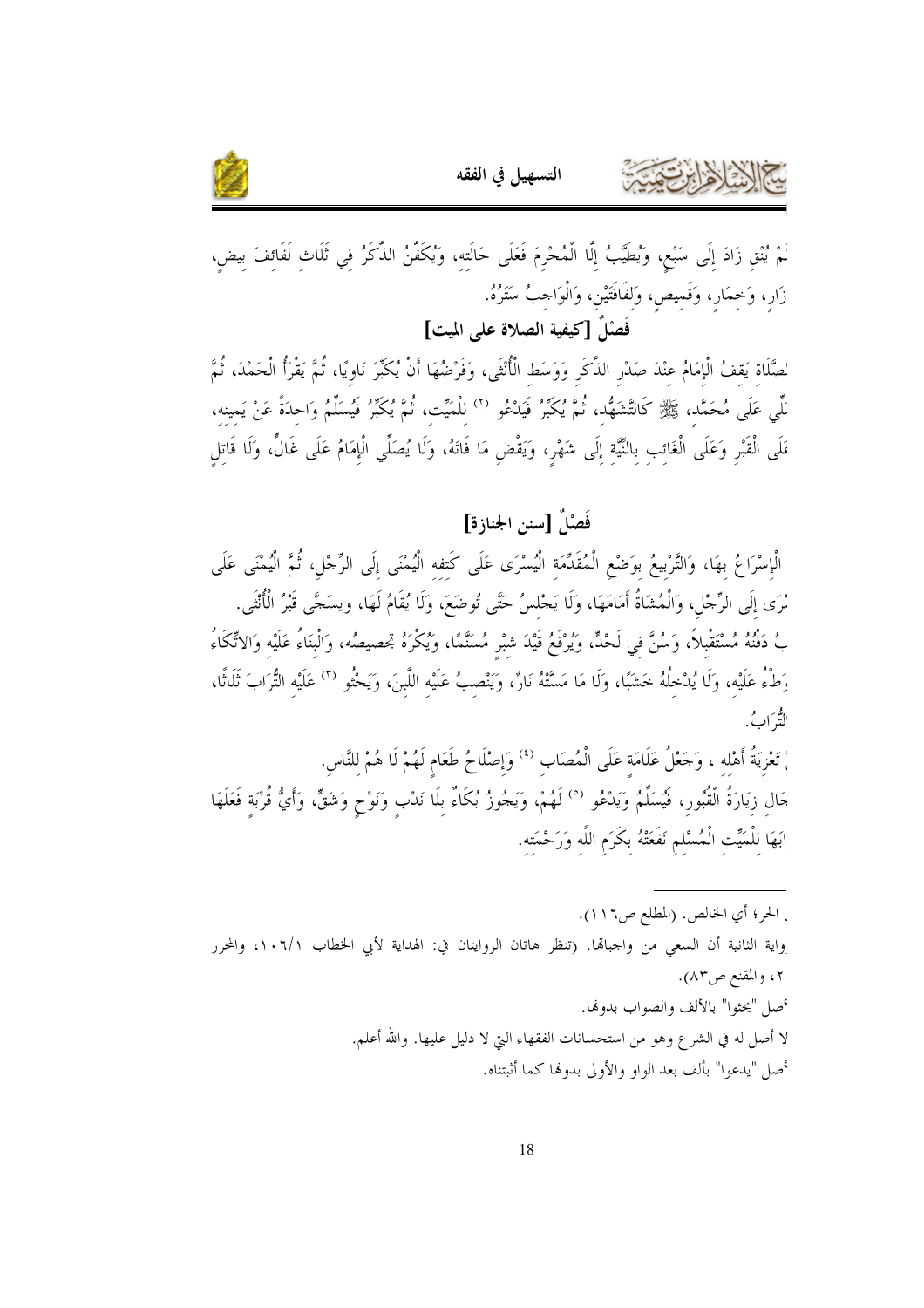



لْمْ يُنْقِ زَادَ إِلَى سَبْعٍ، وَيُطَيَّبُ إِلَّا الْمُحْرِمَ فَعَلَى حَالَته، وَيُكَفَّنُ الذَّكَرُ في ثَلَاث لَفَائفَ بيض، زَارٍ، وَحِمَارٍ، وَقَمِيصٍ، وَلفَافَتَيْنِ، وَالْوَاحِبُ سَتَرُهُ. فَصْلٌ [كيفية الصلاة على الميت]

لصَّلَاة يَقفُ الْإمَامُ عنْدَ صَدْرِ الذَّكَرِ وَوَسَطِ الْأُنْثَى، وَفَرْضُهَا أَنْ يُكَبِّرَ نَاويًا، ثُمَّ يَقْرَأُ الْحَمْدَ، ثُمَّ نِّلِّي عَلَى مُحَمَّد، ﷺ كَالتَّشَهُّد، ثُمَّ يُكَبِّرُ فَيَدْعُو  $^{(7)}$  للْمَيِّت، ثُمَّ يُكَبِّرُ فَيُسَلِّمُ وَاحدَةً عَنْ يَمينه، مَلَى الْقَبْرِ وَعَلَى الْغَائب بالنَّيَّة إلَى شَهْرٍ، وَيَقْض مَا فَاتَهُ، وَلَا يُصَلِّي الْإمَامُ عَلَى غَالٍّ، وَلَا قَاتل

فَصْلٌ [سنن الجنازة]

الْإِسْرَاعُ بهَا، وَالتَّرْبيعُ بوَضْعِ الْمُقَدِّمَة الْيُسْرَى عَلَى كَتفه الْيُمْنَى إلَى الرِّحْل، ثُمَّ الْيُمْنَى عَلَى ْرَى إِلَى الرِّجْلِ، وَالْمُشَاةُ أَمَامَهَا، وَلَا يَجْلسُ حَتَّى تُوضَعَ، وَلَا يُقَامُ لَهَا، ويسَجَّى قَبْرُ الْأُنْثَى. بُ دَفْنُهُ مُسْتَقْبِلاً، وَسُنَّ في لَحْدٍّ، وَيُرْفَعُ قَيْدَ شبْرِ مُسَنَّمًا، وَيُكْرَهُ تحصيصُه، وَالْبنَاءُ عَلَيْه وَالاتِّكَاءُ رَطْءُ عَلَيْه، وَلَا يُدْخِلُهُ خَشَبًا، وَلَا مَا مَسَّنَّهُ نَارٌ، وَيَنْصبُ عَلَيْه اللَّبنَ، وَيَحْثُو <sup>(٣)</sup> عَلَيْه التُّرَابَ ثَلَاثًا، د.<br>لتيراب .

مّْ تَعْزِيَةُ أَهْله ، وَجَعْلُ عَلَامَة عَلَى الْمُصَاب <sup>(٤)</sup> وَإصْلَاحُ طَعَام لَهُمْ لَا هُمْ للنَّاس. حَال زِيَارَةُ الْقُبُور، فَيُسَلِّمُ وَيَدْعُو <sup>(٥)</sup> لَهُمْ، وَيَجُوزُ بُكَاءٌ بِلَا نَدْبِ وَنَوْحِ وَشَقٍّ، وَأَيُّ قُرْبَةٍ فَعَلَهَا ابَهَا للْمَيِّت الْمُسْلم نَفَعَتْهُ بكَرَم اللَّه وَرَحْمَته.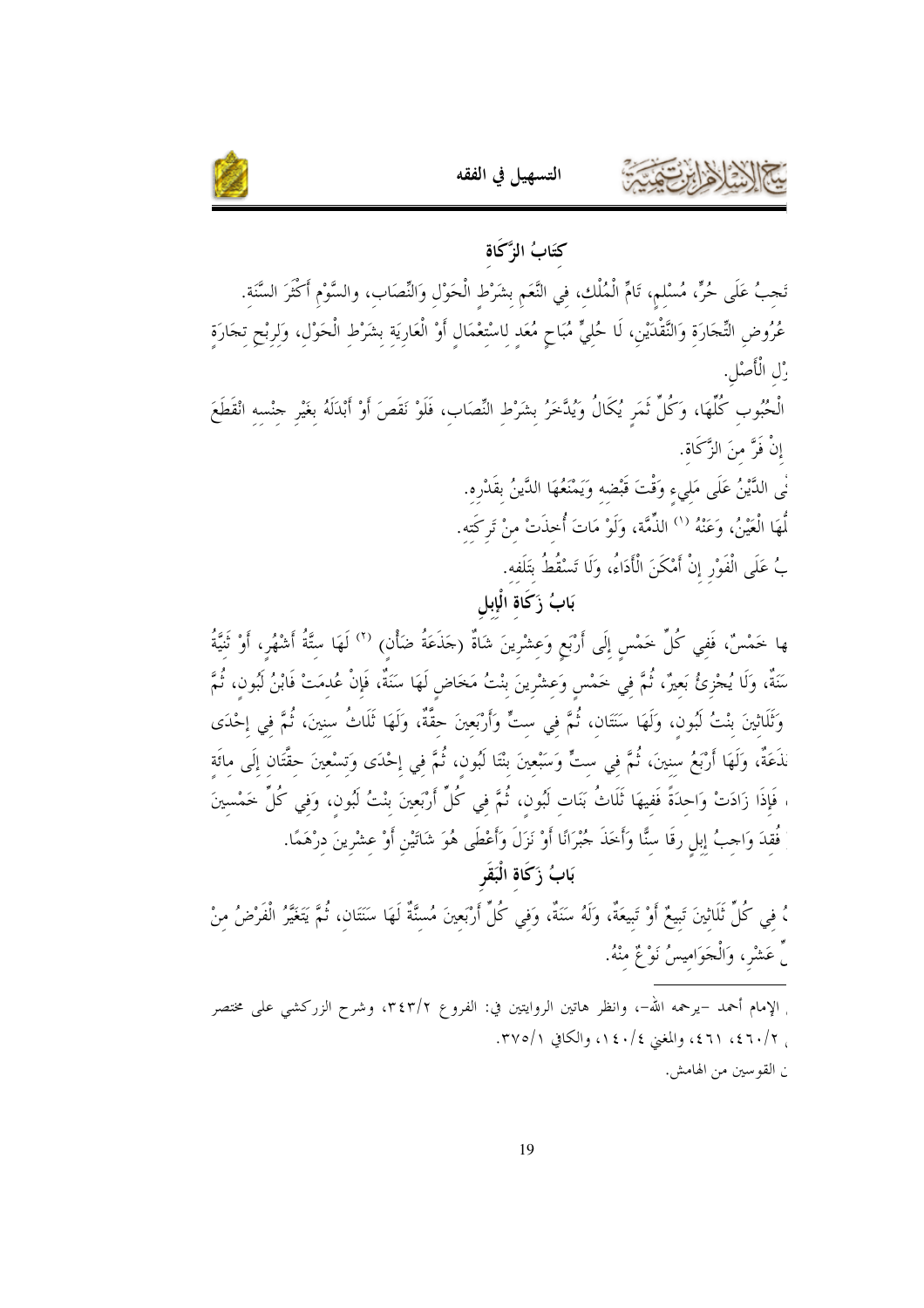



#### كتَابُ الزَّكَاة

تَجِبُ عَلَى حُرٍّ، مُسْلِمٍ، تَامٍّ الْمُلْكِ، فِي النَّعَمِ بِشَرْطِ الْحَوْلِ وَالنِّصَابِ، والسَّوْمِ أكْثَرَ السَّنَةِ. عُرُوضِ التِّحَارَة وَالنَّقْدَيْنِ، لَا حُلِيٍّ مُبَاحٍ مُعَدِ لِاسْتِعْمَالٍ أَوْ الْعَارِيَةِ بِشَرْطِ الْحَوْلِ، وَلِرِبْحِ تِحَارَةٍ زْل الْأَصْلِ.

الْحُبُوبِ كُلِّهَا، وَكُلِّ ثَمَرٍ يُكَالُ وَيُدَّخَرُ بِشَرْطٍ النِّصَابِ، فَلَوْ نَقَصَ أَوْ أَبْدَلَهُ بغَيْرِ جنْسه انْقَطَعَ إِنْ فَرَّ منَ الزَّكَاة.

> نْي الدَّيْنُ عَلَى مَلىء وَقْتَ قَبْضه وَيَمْنَعُهَا الدَّينُ بقَدْرِه. لُّهَا الْعَيْنُ، وَعَنْهُ ``` الذِّمَّة، وَلَوْ مَاتَ أُخذَتْ منْ تَركَته. بُ عَلَى الْفَوْرِ إنْ أَمْكَنَ الْأَدَاءُ، وَلَا تَسْقُطُ بتَلَفه.

ها خَمْسٌ، فَفي كُلِّ خَمْسٍ إِلَى أَرْبَعٍ وَعشْرِينَ شَاةٌ (جَذَعَةُ ضَأْن) <sup>(٢)</sup> لَهَا ستَّةُ أَشْهُر، أَوْ ثَنيَّةُ سَنَةٌ، وَلَا يُحْزِئُ بَعِيرٌ، ثُمَّ فِي خَمْسِ وَعِشْرِينَ بنْتُ مَخَاضٍ لَهَا سَنَةٌ، فَإِنْ عُدمَتْ فَابْنُ لَبُون، ثُمَّ وَثَلَاثِينَ بنْتُ لَبُون، وَلَهَا سَنَتَان، ثُمَّ في ستٍّ وَأَرْبَعينَ حقَّةٌ، وَلَهَا ثَلَاثُ سنينَ، ثُمَّ في إحْدَى نَذَعَةٌ، وَلَهَا أَرْبَعُ سنينَ، ثُمَّ في ستٍّ وَسَبْعينَ بنْتَا لَبُون، ثُمَّ في إحْدَى وَتسْعينَ حقَّتَان إلَى مائَة ، فَإِذَا زَادَتْ وَاحدَةً فَفيهَا ثَلَاثُ بَنَات لَبُون، ثُمَّ في كُلِّ أَرْبَعينَ بنْتُ لَبُون، وَفي كُلِّ خَمْسينَ فُقدَ وَاحِبُ إبلِ رقَا سنًّا وَأَخَذَ جُبْرَانًا أَوْ نَزَلَ وَأَعْطَى هُوَ شَاتَيْنِ أَوْ عِشْرِينَ دِرْهَمًا. بَابُ زَكَاةِ الْبَقَرِ

، في كُلِّ ثَلَاثِينَ تَبِيعٌ أَوْ تَبِيعَةٌ، وَلَهُ سَنَةٌ، وَفي كُلِّ أَرْبَعِينَ مُسنَّةٌ لَهَا سَنَتَان، ثُمَّ يَتَغَيَّرُ الْفَرْضُ منْ ٍّ عَشْرٍ، وَالْجَوَاميسُ نَوْعٌ منْهُ.

<sub>ا</sub> الإمام أحمد –يرحمه الله–، وانظر هاتين الروايتين في: الفروع ٣٤٣/٢، وشرح الزركشي على مختصر ب ٢/٤٦٠/ ٤٦١، والمغنى ١٤٠/٤، والكافي ٣٧٥/١. ن القو سين من الهامش.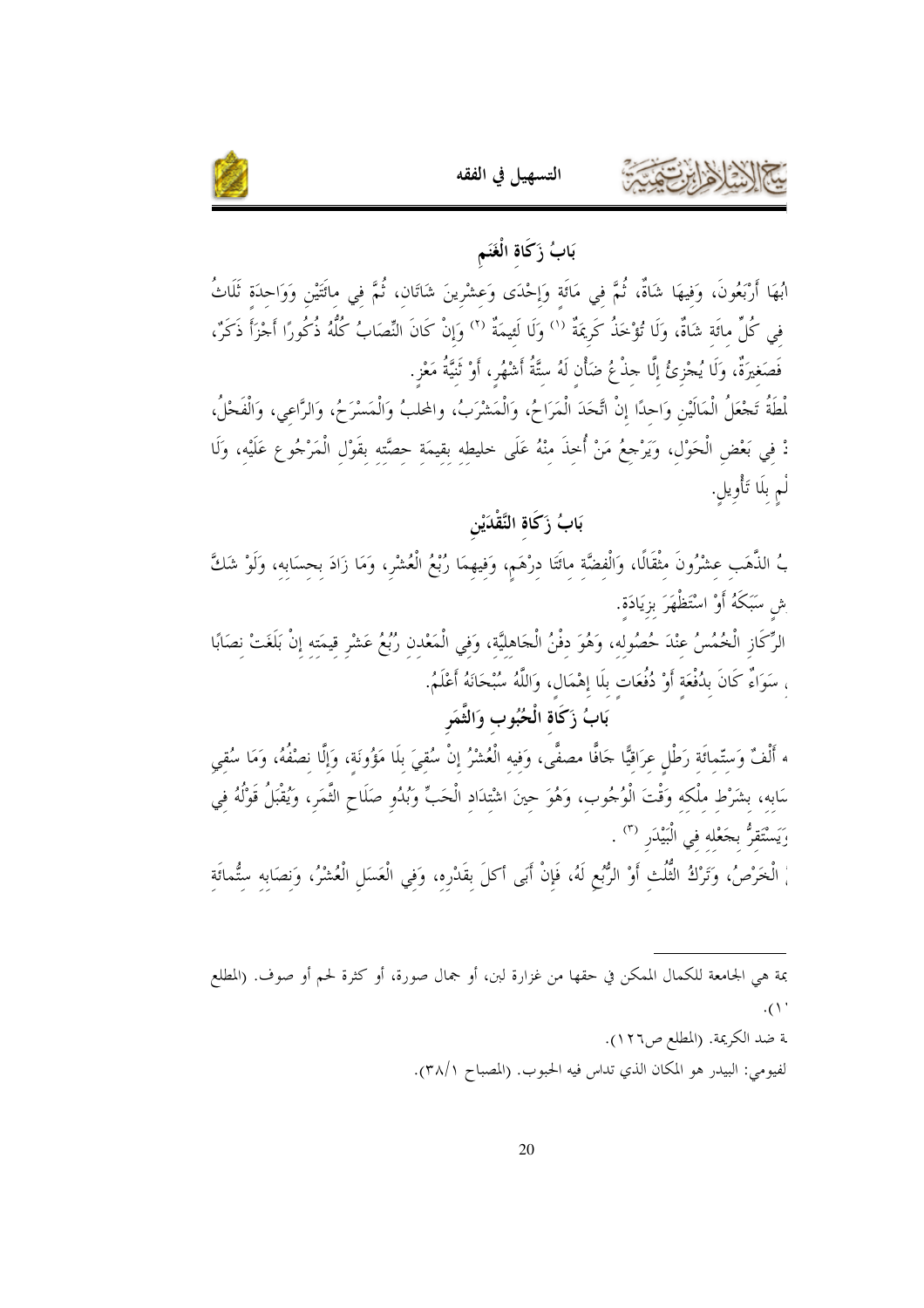



# بَابُ زَكَاةِ الْغَنَمِ

ابُهَا أَرْبَعُونَ، وَفِيهَا شَاةٌ، ثُمَّ في مَاتَة وَإحْدَى وَعشْرينَ شَاتَان، ثُمَّ في ماتَّتْين وَوَاحدَة ثَلَاثُ في كُلِّ مائَة شَاةٌ، وَلَا تُؤْخَذُ كَرِيمَةٌ <sup>(١</sup>) وَلَا لَئِيمَةٌ <sup>(٢)</sup> وَإِنْ كَانَ النِّصَابُ كُلُّهُ ذُكُورًا أَجْزَأَ ذَكَرٌ، فَصَغيرَةٌ، وَلَا يُجْزِئُ إِلَّا حِذْعُ ضَأْنِ لَهُ ستَّةُ أَشْهُرٍ، أَوْ تُنيَّةُ مَعْزٍ.

لْطَةُ تَجْعَلُ الْمَالَيْنِ وَاحدًا إنْ اتَّحَدَ الْمَرَاحُ، وَالْمَشْرَبُ، والمحلبُ وَالْمَسْرَحُ، وَالرَّاعي، وَالْفَحْلُ، دْ في بَعْض الْحَوْل، وَيَرْجعُ مَنْ أُحذَ منْهُ عَلَى حليطه بقيمَة حصَّته بقَوْل الْمَرْجُوعِ عَلَيْه، وَلَا لْم بلَا تَأْويل.

بَابُ زَكَاةِ النَّقْدَيْنِ

بُ الذَّهَبِ عشْرُونَ مِثْقَالًا، وَالْفِضَّةِ مِائَتَا دِرْهَمٍ، وَفِيهِمَا رُبْعُ الْعُشْرِ، وَمَا زَادَ بِحِسَابِهِ، وَلَوْ شَكَّ ِش سَبَكَهُ أَوْ اسْتَظْهَرَ بزِيَادَة.

الرِّكَازِ الْخُمُسُ عنْدَ حُصُوله، وَهُوَ دفْنُ الْحَاهليَّة، وَفي الْمَعْدن رُبُعُ عَشْرِ قيمَته إنْ بَلَغَتْ نصَابًا ، سَوَاءٌ كَانَ بِدُفْعَة أَوْ دُفُعَات بلَا إِهْمَال، وَاللَّهُ سُبْحَانَهُ أَعْلَمُ.

## بَابُ زَكَاة الْحُبُوبِ وَالثَّمَرِ

ه أَلْفٌ وَستّماتَة رَطْل عرَاقيًّا حَافًا مصفًّى، وَفيه الْعُشْرُ إنْ سُقيَ بِلَا مَؤُونَةٍ، وَإِلَّا نصْفُهُ، وَمَا سُقِي سَابه، بشَرْط ملْكه وَقْتَ الْوُجُوب، وَهُوَ حينَ اشْتلااد الْحَبِّ وَبُدُوٍ صَلَاحٍ التَّمَرِ، وَيُقْبَلُ قَوْلُهُ فِي رَيَسْتَقرُّ بجَعْله في الْبَيْدَر <sup>(٣)</sup> .

ْ الْخَرْصُ، وَتَرْكُ النُّلُثِ أَوْ الرُّبُعِ لَهُ، فَإِنْ أَبَى أكلَ بِقَدْرِهِ، وَفِي الْعَسَلِ الْعُشْرُ، وَنصَابِهِ سِتُّمائَةِ

بمة هي الجامعة للكمال الممكن في حقها من غزارة لبن، أو جمال صورة، أو كثرة لحم أو صوف. (المطلع  $\cdot$  (  $\wedge$  '

> ـة ضد الكريمة. (المطلع ص١٢٦). لفيومي: البيدر هو المكان الذي تداس فيه الحبوب. (المصباح ٣٨/١).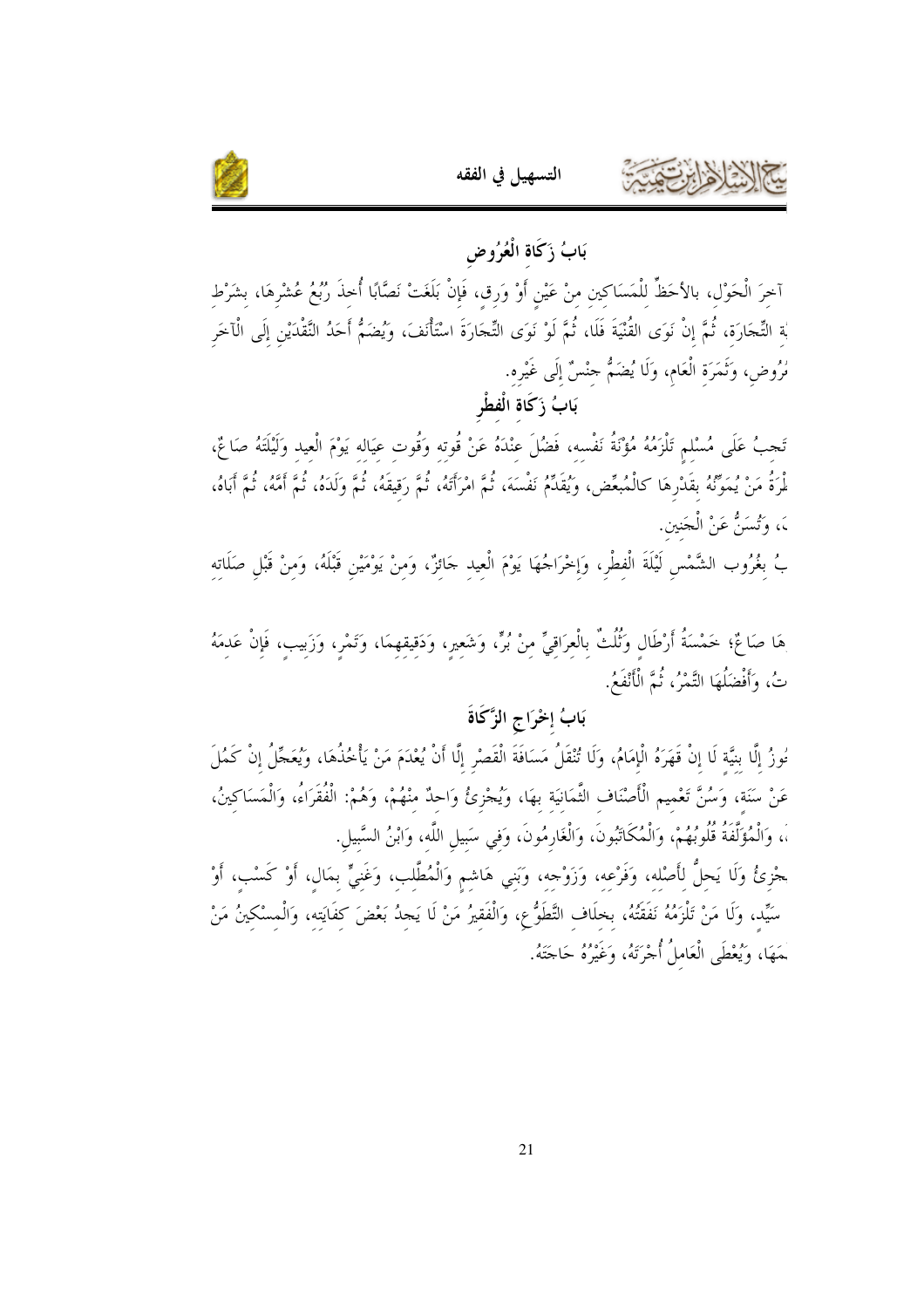

بَابُ زَكَاةِ الْعُرُوض آخِرَ الْحَوْلِ، بالأحَظِّ لِلْمَسَاكِينِ مِنْ عَيْنٍ أَوْ وَرِقٍ، فَإِنْ بَلَغَتْ نَصَّابًا أُخذَ رُبُعُ عُشْرِهَا، بشَرْط بْة التِّحَارَة، ثُمَّ إنْ نَوَى القُنْيَةَ فَلَا، ثُمَّ لَوْ نَوَى التِّحَارَةَ اسْتَأْنَفَ، وَيُضَمُّ أَحَدُ النَّقْدَيْنِ إلَى الْآخَر مُرُوض، وَنَمَرَة الْعَام، وَلَا يُضَمُّ حِنْسٌ إِلَى غَيْرِه. بَابُ زَكَاة الْفطْر

تَحِبُ عَلَى مُسْلم تَلْزَمُهُ مُؤْنَةُ نَفْسه، فَضُلَ عنْدَهُ عَنْ قُوته وَقُوت عيَاله يَوْمَ الْعيد وَلَيْلَتَهُ صَائِمٌ، لْمِرَةُ مَنْ يُمَوِّنُهُ بقَدْرِهَا كالْمُبعِّض، وَيُقَدِّمُ نَفْسَهَ، ثُمَّ امْرَأَتَهُ، ثُمَّ وَقيقَهُ، ثُمَّ وَكَدَهُ، ثُمَّ أَمَّهُ، ثُمَّ أَبَاهُ، ،َ، وَتُسَنُّ عَنْ الْجَنين.

بُ بغُرُوب الشَّمْس لَيْلَةَ الْفطْر، وَإخْرَاجُهَا يَوْمَ الْعيد حَائزٌ، وَمنْ يَوْمَيْن قَبْلَهُ، وَمنْ قَبْل صَلَاته

هَا صَاغٌ؛ خَمْسَةُ أَرْطَالِ وَثُلُثٌ بِالْعِرَاقِيِّ مِنْ بُرٍّ، وَشَعِيرٍ، وَدَقِيقِهِمَا، وَتَمْرٍ، وَزَبِيب، فَإِنْ عَدمَهُ تُ، وَأَفْضَلُهَا التَّمْرُ، ثُمَّ الْأَنْفَعُ.

## بَابُ إخْرَاجِ الزَّكَاةَ

مُوزُ إلَّا بنيَّة لَا إنْ قَهَرَهُ الْإمَامُ، وَلَا تُنْقَلُ مَسَافَةَ الْقَصْرِ إلَّا أَنْ يُعْدَمَ مَنْ يَأْخُذُهَا، وَيُعَجَّلُ إنْ كَمُلَ عَنْ سَنَة، وَسُنَّ تَعْميم الْأَصْنَاف الثَّمَانيَة بهَا، وَيُجْزِئُ وَاحِدٌ منْهُمْ، وَهُمْ: الْفُقَرَاءُ، وَالْمَسَاكينُ، ،، وَالْمُؤَلَّفَةُ قُلُوبُهُمْ، وَالْمُكَاتَبُونَ، وَالْغَارِمُونَ، وَفي سَبيلِ اللَّهِ، وَابْنُ السَّبِيلِ.

حْزِئُ وَلَا يَحلُّ لأَصْله، وَفَرْعه، وَزَوْجه، وَبَني هَاشم وَالْمُطَّلب، وَغَنيٌّ بمَال، أَوْ كَسْب، أَوْ سَيِّد، وَلَا مَنْ تَلْزَمُهُ نَفَقَتُهُ، بخلَاف التَّطَوُّع، وَالْفَقيرُ مَنْ لَا يَجدُ بَعْضَ كفَايَته، وَالْمسْكينُ مَنْ .<br>حَهَا، وَيُعْطَى الْعَاملُ أُجْرَتَهُ، وَغَيْرُهُ حَاجَتَهُ.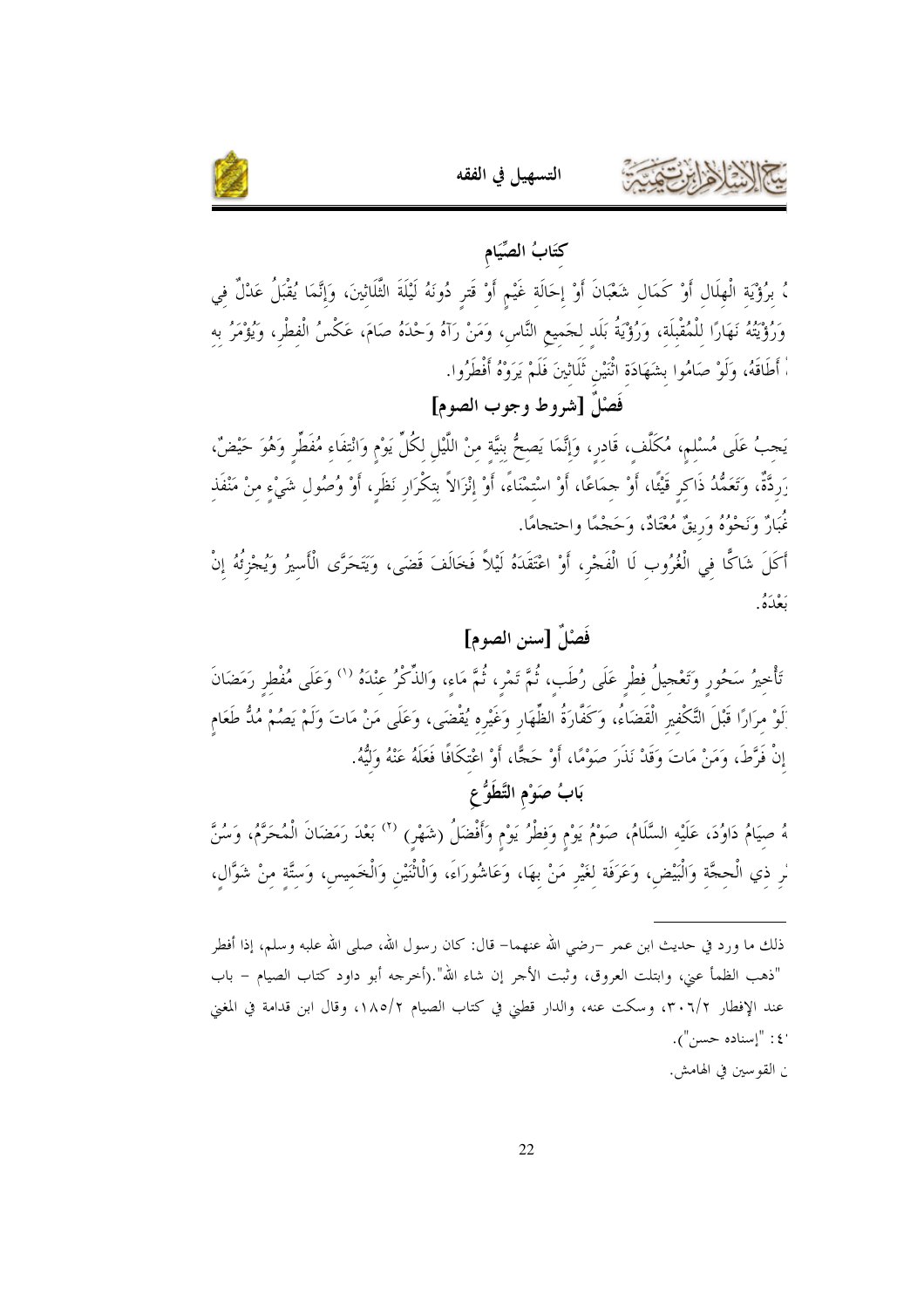

# كتَابُ الصِّيَامِ ، بِرُؤْيَةِ الْهِلَالِ أَوْ كَمَالِ شَعْبَانَ أَوْ إِحَالَةٍ غَيْمٍ أَوْ قَترِ دُونَهُ لَيْلَةَ الثَّلَاثِينَ، وَإِنَّمَا يُقْبَلُ عَدْلٌ فِي وَرُؤْيَتُهُ نَهَارًا للْمُقْبِلَة، وَرُؤْيَةُ بَلَد لجَميع النَّاس، وَمَنْ رَآهُ وَحْدَهُ صَامَ، عَكْسُ الْفطْر، وَيُؤْمَرُ به اْ أَطَاقَهُ، وَلَوْ صَامُوا بشَهَادَة اثْنَيْن ثَلَاثِينَ فَلَمْ يَرَوْهُ أَفْطَرُوا.

فَصْلٌ [شروط وجوب الصوم]

يَجبُ عَلَى مُسْلم، مُكَلِّف، قَادر، وَإِنَّمَا يَصحُّ بنيَّة منْ اللَّيْل لكُلِّ يَوْم وَانْتفَاء مُفَطِّر وَهُوَ حَيْضٌ، رَردَّةٌ، وَتَعَمُّدُ ذَاكر قَيْئًا، أَوْ حِمَاعًا، أَوْ اسْتمْنَاءً، أَوْ إنْزَالاً بتكْرَار نَظَر، أَوْ وُصُول شَيْء منْ مَنْفَذ نُمَارٌ وَنَحْوُهُ وَرِيقٌ مُعْنَادٌ، وَحَجْمًا واحتجامًا. أَكَلَ شَاكًا في الْغُرُوب لَا الْفَجْرِ، أَوْ اعْتَقَدَهُ لَيْلاً فَخَالَفَ قَضَى، وَيَتَحَرَّى الْأسيرُ وَيُجْزئُهُ إنْ ره ۶۰<br>بعک5.

## فَصَٰلٌ [سنن الصوم]

تَأْخِيرُ سَحُورٍ وَتَعْجِيلُ فِطْرٍ عَلَى رُطَب، ثُمَّ تَمْر، ثُمَّ مَاء، وَالذِّكْرُ عِنْدَهُ <sup>(١)</sup> وَعَلَى مُفْطر رَمَضَانَ َلِوْ مرَارًا قَبْلَ التَّكْفير الْقَضَاءُ، وَكَفَّارَةُ الظِّهَار وَغَيْره يُقْضَى، وَعَلَى مَنْ مَاتَ وَلَمْ يَصُمْ مُدُّ طَعَام إِنْ فَرَّطَ، وَمَنْ مَاتَ وَقَدْ نَذَرَ صَوْمًا، أَوْ حَجًّا، أَوْ اعْتكَافًا فَعَلَهُ عَنْهُ وَلَيُّهُ. بَابُ صَوْمِ التَّطَوُّ عِ

هُ صِيَامُ دَاوُدَ، عَلَيْه السَّلَامُ، صَوْمُ يَوْمٍ وَفِطْرُ يَوْمٍ وَأَفْضَلُ (شَهْرٍ) <sup>(٢)</sup> بَعْدَ رَمَضَانَ الْمُحَرَّمُ، وَسُنَّ لر ذي الْحجَّة وَالْبَيْض، وَعَرَفَة لغَيْر مَنْ بهَا، وَعَاشُورَاءَ، وَالْاثْنَيْنِ وَالْخَميس، وَستَّة منْ شَوَّال،

ذلك ما ورد في حديث ابن عمر –رضي الله عنهما– قال: كان رسول الله، صلى الله علبه وسلم، إذا أفطر "ذهب الظمأ عنى، وابتلت العروق، وثبت الأجر إن شاء الله".(أخرجه أبو داود كتاب الصيام – باب عند الإفطار ٣٠٦/٢، وسكت عنه، والدار قطني في كتاب الصيام ١٨٥/٢، وقال ابن قدامة في المغني '٤: "إسناده حسن"). ن القوسين في الهامش.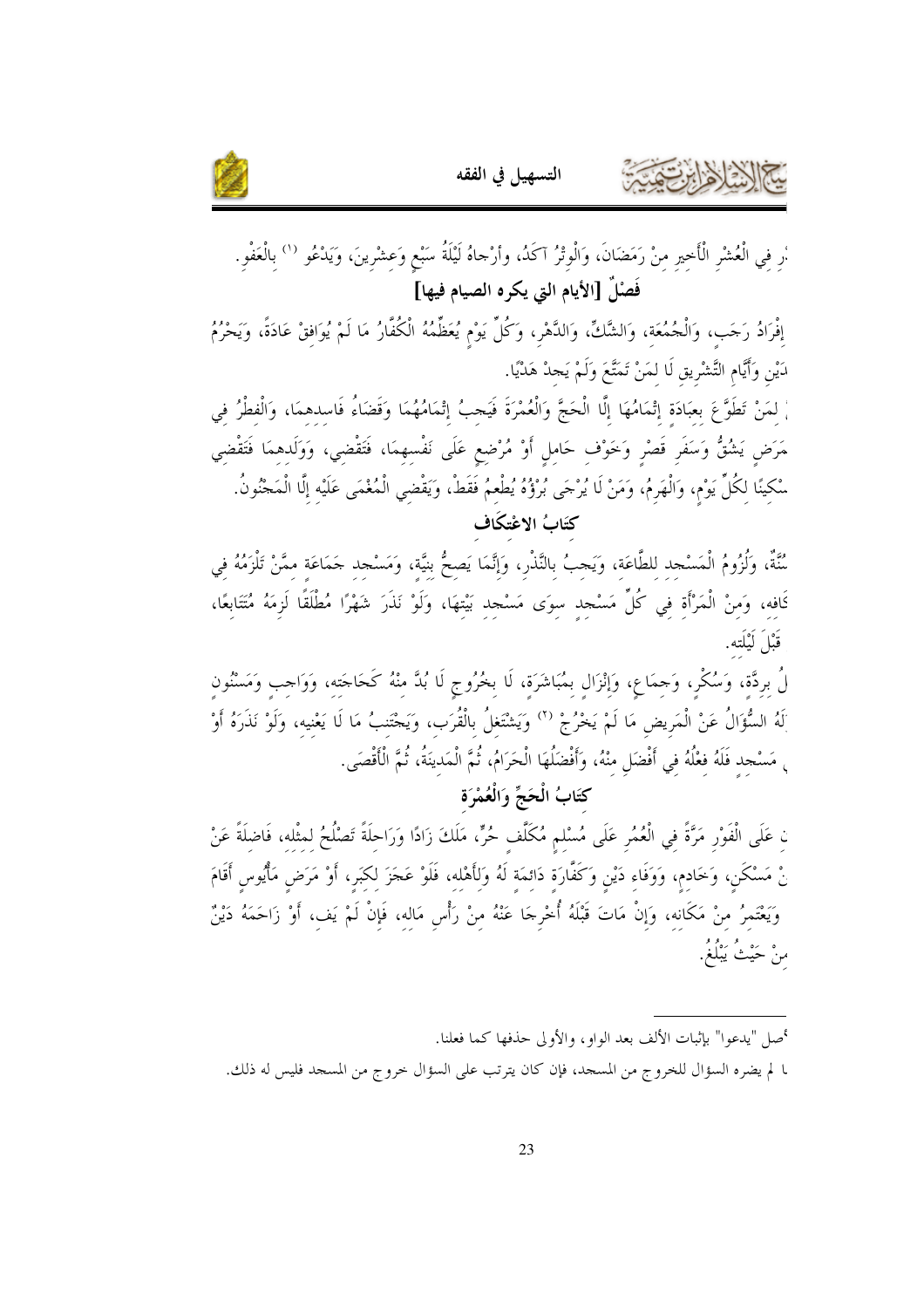



.<br>ار في الْعُشْر الْأَحير منْ رَمَضَانَ، وَالْوِتْرُ آكَدُ، وأرْحاهُ لَيْلَةُ سَبْعٍ وَعشْرينَ، وَيَدْعُو <sup>(١)</sup> بالْعَفْو. فَصْلٌ [الأيام التي يكره الصيام فيها]

إفْرَادُ رَحَب، وَالْجُمُعَة، وَالشَّكِّ، وَالدَّهْر، وَكُلِّ يَوْم يُعَظِّمُهُ الْكُفَّارُ مَا لَمْ يُوَافقْ عَادَةً، وَيَحْرُمُ دَيْنِ وَأَيَّامِ التَّشْرِيقِ لَا لمَنْ تَمَتَّعَ وَلَمْ يَجِدْ هَدْيًا.

، لمَنْ تَطَوَّعَ بعبَادَة إِتْمَامُهَا إِلَّا الْحَجَّ وَالْعُمْرَةَ فَيَحبُ إِتْمَامُهُمَا وَقَضَاءُ فَاسدهمَا، وَالْفطْرُ في مَرَض يَشُقُّ وَسَفَر قَصْر وَحَوْف حَامل أَوْ مُرْضِعٍ عَلَى نَفْسهمَا، فَتَقْضي، وَوَلَدهمَا فَتَقْضي سْكينًا لكُلِّ يَوْم، وَالْهَرِمُ، وَمَنْ لَا يُرْجَى بُرْؤُهُ يُطْعِمُ فَقَطْ، وَيَقْضي الْمُغْمَى عَلَيْه إلّا الْمَجْنُونُ. كتَابُ الاعْتكَاف

سُّنَّةٌ، وَلُزُومُ الْمَسْجد للطَّاعَة، وَيَحبُ بالنَّذْر، وَإِنَّمَا يَصحُّ بنيَّة، وَمَسْحد حَمَاعَة ممَّنْ تَلْزَمُهُ في كَافه، وَمنْ الْمَرْأَة في كُلِّ مَسْجد سوَى مَسْجد بَيْتهَا، وَلَوْ نَذَرَ شَهْرًا مُطْلَقًا لَزِمَهُ مُتَتَابعًا، قَبْلَ لَيْلَتِهِ.

لُ بردَّة، وَسُكْر، وَحِمَاع، وَإِنْزَال بمُبَاشَرَة، لَا بخُرُوجِ لَا بُدَّ مِنْهُ كَحَاجَتِه، وَوَاجب وَمَسْنُونِ َلَهُ السُّؤَالُ عَنْ الْمَريض مَا لَمْ يَحْرُجْ ('' وَيَشْتَغلُ بِالْقُرَبِ، وَيَحْتَنبُ مَا لَا يَعْنيه، وَلَوْ نَذَرَهُ أَوْ <sub>،</sub> مَسْجد فَلَهُ فعْلُهُ في أَفْضَل منْهُ، وأَفْضَلُهَا الْحَرَامُ، ثُمَّ الْمَدينَةُ، ثُمَّ الْأَقْصَى.

كَتَابُ الْحَجِّ وَالْعُمْرَة

نِ عَلَى الْفَوْرِ مَرَّةً فِي الْعُمُرِ عَلَى مُسْلِمٍ مُكَلَّفٍ حُرٍّ، مَلَكَ زَادًا وَرَاحلَةً تَصْلُحُ لمثْله، فَاضلَةً عَنْ نْ مَسْكَنٍ، وَخَادِمٍ، وَوَفَاءِ دَيْنِ وَكَفَّارَةِ دَائِمَةٍ لَهُ وَلِأَهْلِهِ، فَلَوْ عَجَزَ لكبَر، أَوْ مَرَض مَأْيُوس أَقَامَ وَيَعْتَمرُ منْ مَكَانه، وَإنْ مَاتَ قَبْلَهُ أُخْرِجَا عَنْهُ منْ رَأْسٍ مَاله، فَإِنْ لَمْ يَف، أَوْ زَاحَمَهُ دَيْنٌ منْ حَيْثُ يَبْلُغُ.

أصل "يدعوا" بإثبات الألف بعد الواو، والأولى حذفها كما فعلنا.

ـا لم يضره السؤال للخروج من المسجد، فإن كان يترتب على السؤال خروج من المسجد فليس له ذلك.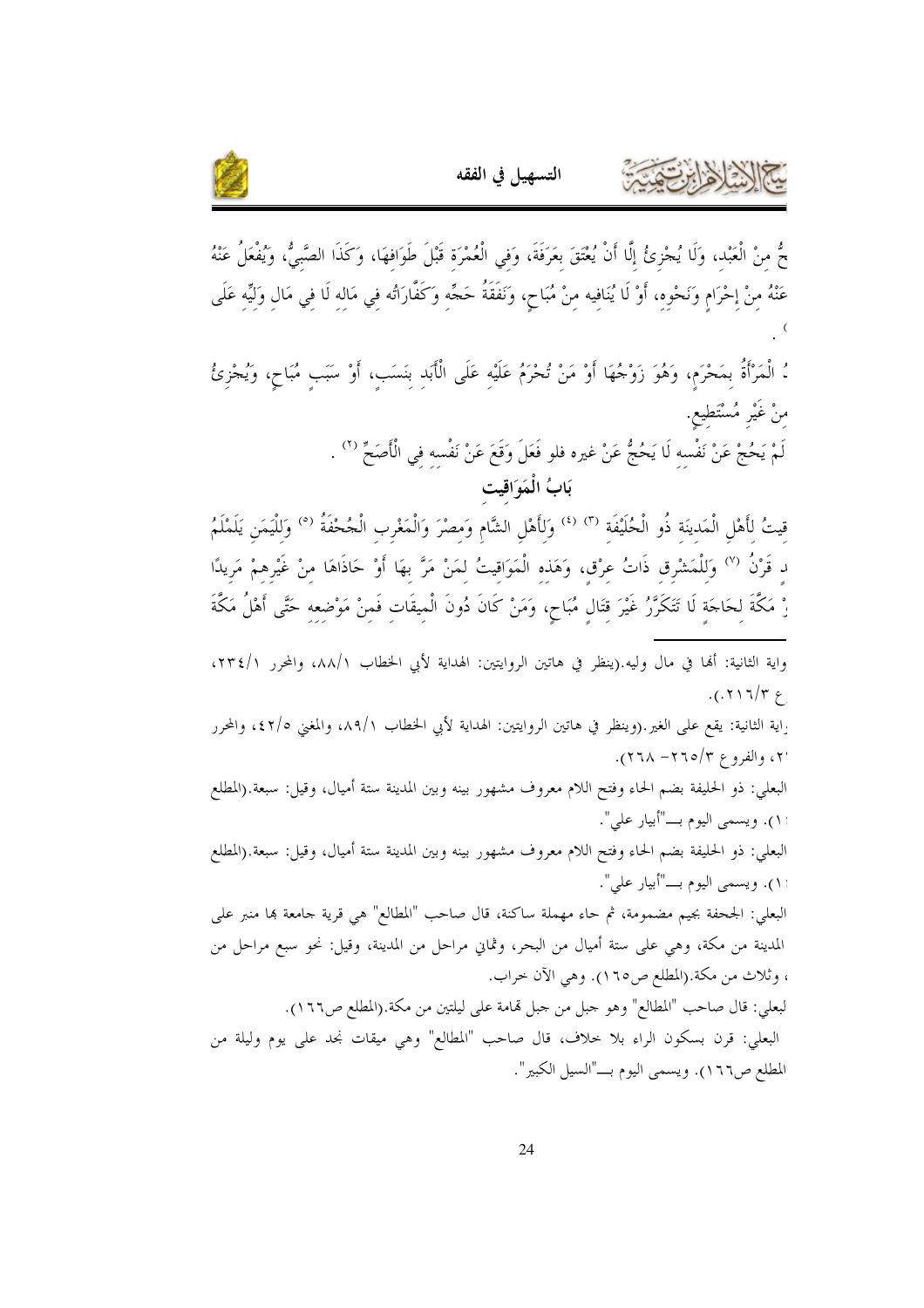

حٌ منْ الْعَبْد، وَلَا يُجْزِئُ إِلَّا أَنْ يُعْتَقَ بِعَرَفَةَ، وَفي الْعُمْرَة قَبْلَ طَوَافهَا، وَكَذَا الصَّبيُّ، وَيُفْعَلُ عَنْهُ عَنْهُ مِنْ إِحْرَامٍ وَنَحْوِهِ، أَوْ لَا يُنَافِيه مِنْ مُبَاحٍ، وَنَفَقَةُ حَجِّهِ وَكَفَّارَاتُه فِي مَالِهِ لَا فِي مَالِ وَلِيِّهِ عَلَى ءُ الْمَرْأَةُ بِمَحْرَمٍ، وَهُوَ زَوْجُهَا أَوْ مَنْ تُحْرَمُ عَلَيْه عَلَى الْأَبَد بنَسَبٍ، أَوْ سَبَبٍ مُبَاحٍ، وَيُجْزِئُ منْ غَيْرِ مُسْتَطيع. لَمْ يَحُجْ عَنْ نَفْسه لَا يَحُجُّ عَنْ غيره فلو فَعَلَ وَقَعَ عَنْ نَفْسِهِ في الْأَصَحِّ (٢) . بَابُ الْمَوَاقِيت قِيتُ لِأَهْلِ الْمَدِينَةِ ذُو الْحُلَيْفَةِ <sup>(٣) (٤)</sup> وَلِأَهْلِ الشَّامِ وَمِصْرَ وَالْمَغْرِبِ الْجُحْفَةُ <sup>(٥</sup>) وَلِلْيَمَنِ يَلَمْلَمُ د قَرْنُ <sup>(٧)</sup> وَللْمَشْرق ذَاتُ عرْق، وَهَذه الْمَوَاقيتُ لمَنْ مَرَّ بهَا أَوْ حَاذَاهَا منْ غَيْرهمْ مَريدًا رْ مَكَّةَ لحَاجَة لَا تَتَكَرَّرُ غَيْرَ قتَال مُبَاحٍ، وَمَنْ كَانَ دُونَ الْميقَات فَمنْ مَوْضعه حَتَّى أَهْلُ مَكَّةَ واية الثانية: ألها في مال وليه.(ينظر في هاتين الروايتين: الهداية لأبي الخطاب ٨٨/١، والمحرر ٢٣٤/١،  $.$ (.  $\gamma \mid \gamma / \gamma \in$ .<br>واية الثانية: يقع على الغير.(وينظر في هاتين الروايتين: الهداية لأبي الخطاب ٨٩/١، والمغنى ٤٢/٥، والمحرر ۲، والفروع ۲/۰۲– ۲۱۸). البعلي: ذو الحليفة بضم الحاء وفتح اللام معروف مشهور بينه وبين المدينة ستة أميال، وقيل: سبعة.(المطلع ١). ويسمى اليوم بــــ"أبيار علي". البعلي: ذو الحليفة بضم الحاء وفتح اللام معروف مشهور بينه وبين المدينة ستة أميال، وقيل: سبعة.(المطلع ١١). ويسمى اليوم بـــ"أبيار على". البعلي: الجحفة بجيم مضمومة، ثم حاء مهملة ساكنة، قال صاحب "المطالع" هي قرية جامعة بما منبر علي المدينة من مكة، وهي على ستة أميال من البحر، وثماني مراحل من المدينة، وقيل: نحو سبع مراحل من ، وثلاث من مكة.(المطلع ص١٦٥). وهي الآن حراب. لبعلي: قال صاحب "المطالع" وهو حبل من حبل قمامة على ليلتين من مكة.(المطلع ص١٦٦). البعلي: قرن بسكون الراء بلا حلاف، قال صاحب "المطالع" وهي ميقات نجد على يوم وليلة من المطلع ص١٦٦). ويسمى اليوم بـــ"السيل الكبير".

التسهيل في الفقه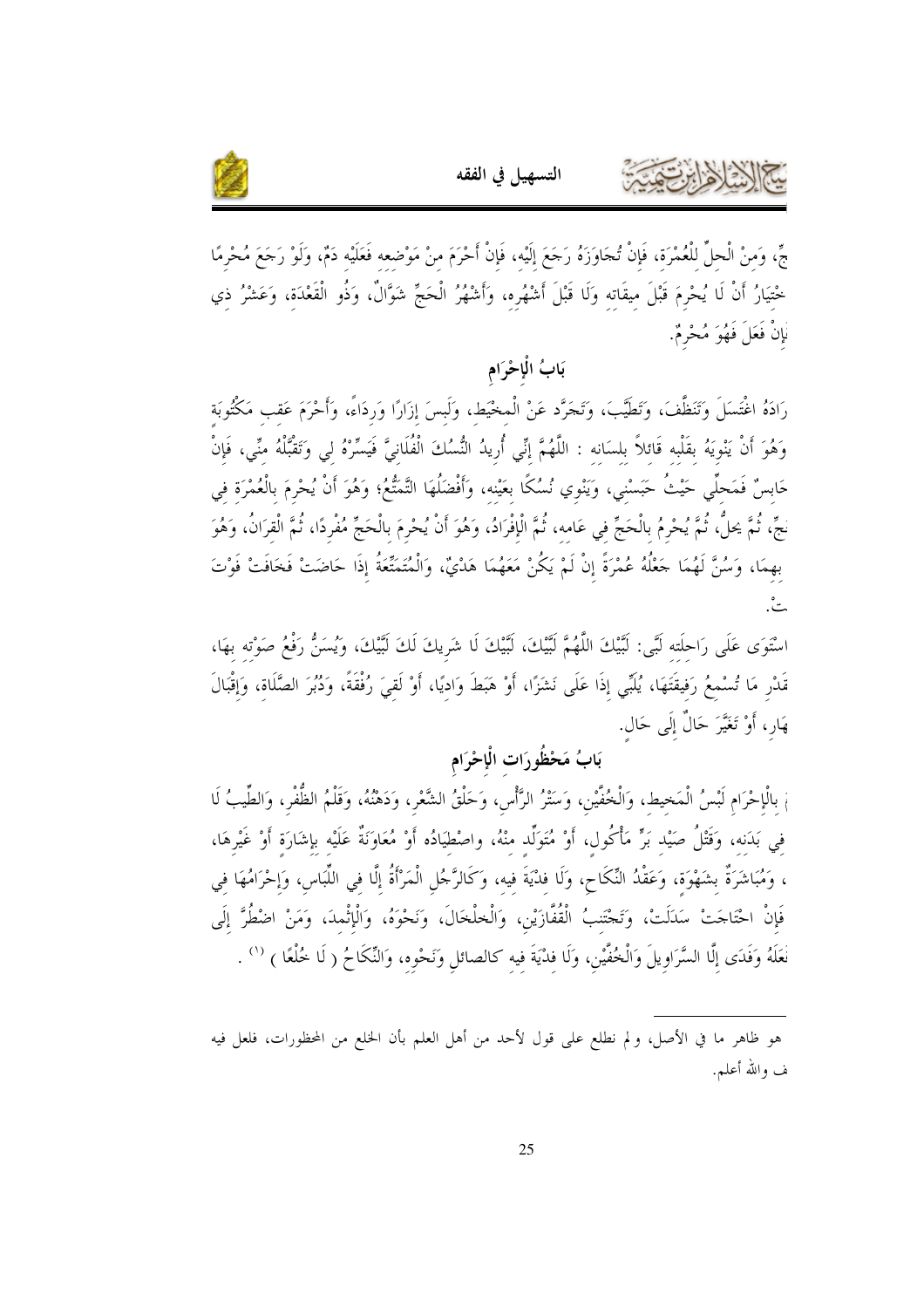

جِّ، وَمنْ الْحلِّ للْعُمْرَة، فَإِنْ تُجَاوَزَهُ رَجَعَ إِلَيْه، فَإِنْ أَحْرَمَ منْ مَوْضعه فَعَلَيْه دَمْ، وَلَوْ رَجَعَ مُحْرمًا خْتيَارُ أَنْ لَا يُحْرِمَ قَبْلَ ميقَاته وَلَا قَبْلَ أَشْهُرِه، وَأَشْهُرُ الْحَجِّ شَوَّالٌ، وَذُو الْقَعْدَة، وَعَشْرُ ذي .<br>نَإِنْ فَعَلَ فَهُوَ مُحْرِمٌ.

التسهيل في الفقه

بَابُ الْإِحْرَامِ

رَادَهُ اغْتَسَلَ وَتَنَظَّفَ، وَتَطَيَّبَ، وَتَجَرَّد عَنْ الْمخْيَط، وَلَبسَ إزَارًا وَردَاءً، وَأَحْرَمَ عَقب مَكْثُوبَة وَهُوَ أَنْ يَنْوِيَهُ بقَلْبِه قَائلاً بلسَانه : اللَّهُمَّ إنِّي أُرِيدُ النُّسُكَ الْفُلَانِيَّ فَيَسِّرْهُ لي وَتَقْبُّلْهُ منِّي، فَإِنْ حَابِسٌ فَمَحلِّي حَيْثُ حَبَسْني، وَيَنْوِي نُسُكًا بعَيْنه، وَأَفْضَلُهَا التَّمَتُّعُ؛ وَهُوَ أَنْ يُحْرمَ بالْعُمْرَة في نجِّ، ثُمَّ يحلُّ، ثُمَّ يُحْرِمُ بِالْحَجِّ فِي عَامِهِ، ثُمَّ الْإِفْرَادُ، وَهُوَ أَنْ يُحْرِمَ بِالْحَجِّ مُفْرِدًا، ثُمَّ الْقِرَانُ، وَهُوَ بهمَا، وَسُنَّ لَهُمَا جَعْلُهُ عُمْرَةً إنْ لَمْ يَكُنْ مَعَهُمَا هَدْيٌ، وَالْمُتَمَّتَّعَةُ إذَا حَاضَتْ فَخَافَتْ فَوْتَ ه<br>پ

اسْتَوَى عَلَى رَاحلَته لَبَّى: لَبَّيْكَ اللَّهُمَّ لَبَّيْكَ، لَبَّيْكَ لَا شَرِيكَ لَكَ لَبَّيْكَ، وَيُسَنُّ رَفْعُ صَوْته بهَا، قَدْر مَا تُسْمعُ رَفيقَتَهَا، يُلَبِّي إذَا عَلَى نَشَزًا، أَوْ هَبَطَ وَاديًا، أَوْ لَقِيَ رُفْقَةً، وَدُبُرَ الصَّلَاق، وَإِقْبَالَ هَارٍ، أَوْ تَغَيَّرَ حَالٌ إِلَى حَالٍ.

## بَابُ مَحْظُودَاتِ الْإِحْرَامِ

مْ بِالْإِحْرَامِ لَبْسُ الْمَحِيط، وَالْخُفِّيْن، وَسَتْرُ الرَّأْسِ، وَحَلْقُ الشَّعْرِ، وَدَهْنُهُ، وَقَلْمُ الظُّفْر، وَالطِّيبُ لَا في بَدَنه، وَقَتْلُ صَيْد بَرٍّ مَأْكُول، أَوْ مُتَوَلِّد منْهُ، واصْطِيَادُه أَوْ مُعَاوَنَةٌ عَلَيْه بإشَارَة أَوْ غَيْرِهَا، ، وَمُبَاشَرَةٌ بشَهْوَة، وَعَقْدُ النِّكَاحِ، وَلَا فدْيَةَ فيه، وَكَالرَّجُل الْمَرْأَةُ إِلَّا في اللِّبَاس، وَإحْرَامُهَا في فَإِنْ احْتَاجَتْ سَلَلَتْ، وَتَجْتَنبُ الْقُفَّازَيْنِ، وَالْخلْخَالَ، وَنَحْوَهُ، وَالْإِثْمِدَ، وَمَنْ اضْطُرَّ إِلَى نَعَلَهُ وَفَدَى إِلَّا السَّرَاوِيلَ وَالْخُفَّيْنِ، وَلَا فِدْيَةَ فيه كالصائل وَنَحْوه، وَالنِّكَاحُ ( لَا خُلْعًا ) <sup>(١</sup>′ .

هو ظاهر ما في الأصل، ولم نطلع على قول لأحد من أهل العلم بأن الخلع من المحظورات، فلعل فيه ف والله أعلم.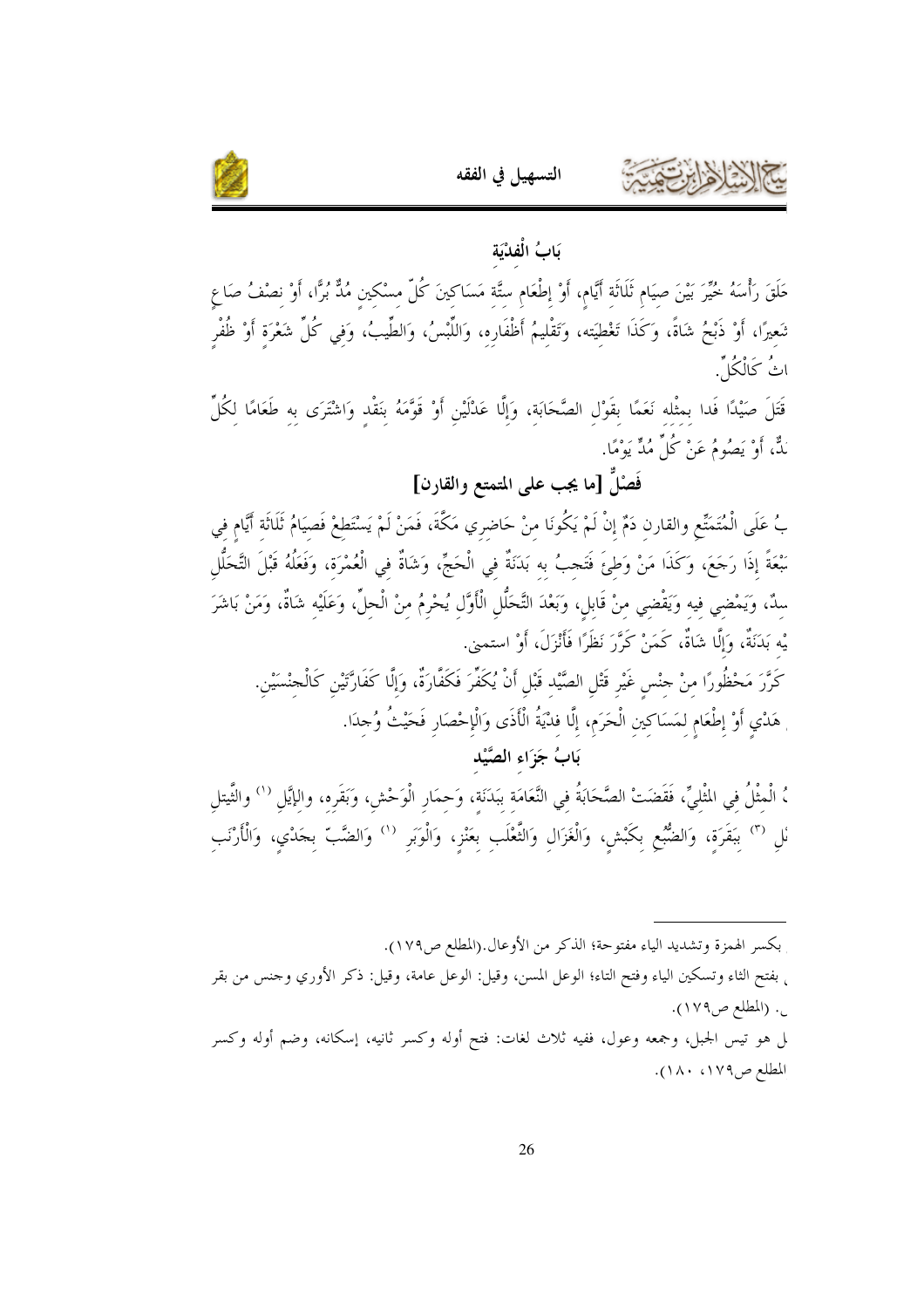



يَابُ الْفِلْيَة

حَلَقَ رَأْسَهُ خُيِّرَ بَيْنَ صِيَامٍ ثَلَاثَةِ أَيَّامٍ، أَوْ إطْعَامِ ستَّة مَسَاكِينَ كُلّ مسْكين مُذٌّ بُرًّا، أَوْ نصْفُ صَاع تَعِيرًا، أَوْ ذَبْحُ شَاةً، وَكَذَا تَغْطيَته، وَتَقْليمُ أَظْفَارِهِ، وَاللَّبْسُ، وَالطِّيبُ، وَفِي كُلِّ شَعْرَة أَوْ ظُفْر اثُ كَالْكُلُّ

قَتَلَ صَيْدًا فَدا بِمِثْلِهِ نَعَمًا بِقَوْلِ الصَّحَابَةِ، وَإِلَّا عَدْلَيْنِ أَوْ قَوَّمَهُ بِنَقْدِ وَاشْتَرَى بِهِ طَعَامًا لِكُلِّ بَدٌّ، أَوْ يَصُومُ عَنْ كُلِّ مُدٍّ يَوْمًا.

فَصْلٌ [ما يجب علمي المتمتع والقارن]

بُ عَلَى الْمُتَمَنِّع والقارن دَمٌ إنْ لَمْ يَكُونَا منْ حَاضري مَكَّةَ، فَمَنْ لَمْ يَسْتَطعْ فَصيَامُ ثَلَاثَة أَيَّام في سِّعَةً إذَا رَجَعَ، وَكَذَا مَنْ وَطئَ فَتَحبُ به بَدَنَةٌ في الْحَجِّ، وَشَاةٌ في الْعُمْرَة، وَفَعَلُهُ قَبْلَ التَّحَلُّل سدٌ، وَيَمْضي فيه وَيَقْضي منْ قَابل، وَبَعْدَ التَّحَلُّل الْأَوَّل يُحْرِمُ منْ الْحلِّ، وَعَلَيْه شَاةٌ، وَمَنْ بَاشَرَ يْه بَدَنَةٌ، وَإِلَّا شَاةٌ، كَمَنْ كَرَّرَ نَظَرًا فَأَنْزَلَ، أَوْ استمنى.

كَرَّرَ مَحْظُورًا منْ حنْس غَيْر قَتْل الصَّيْد قَبْل أَنْ يُكَفِّرَ فَكَفَّارَةٌ، وَإِلَّا كَفَارَّتْين كَالْحنْسَيْن. هَدْيِ أَوْ إطْعَامِ لِمَسَاكِينِ الْحَرَمِ، إلَّا فَدْيَةُ الْأَذَى وَالْإِحْصَارِ فَحَيْتُ وُحِدَا.

بَابُ جَزَاءِ الصَّيْدِ

،ُ الْمثْلُ في المْلْيِّ، فَقَضَتْ الصَّحَابَةُ في النَّعَامَة ببَدَنَة، وَحمَار الْوَحْش، وَبَقَره، والإيَّل '') والثَّيتل نْل <sup>(٣)</sup> ببَقَرَة، وَالضُّبُع بكَبْش، وَالْغَزَال وَالثَّعْلَب بعَنْز، وَالْوَبَر <sup>(١)</sup> وَالضَّبّ بجَدْي، وَالْأَرْنَب

بكسر الهمزة وتشديد الياء مفتوحة؛ الذكر من الأوعال.(المطلع ص١٧٩). ٍ بفتح الثاء وتسكين الياء وفتح التاء؛ الوعل المسن، وقيل: الوعل عامة، وقيل: ذكر الأوري وجنس من بقر <sub>ب</sub>. (المطلع ص١٧٩). لم هو تيس الجبل، وجمعه وعول، ففيه ثلاث لغات: فتح أوله وكسر ثانيه، إسكانه، وضم أوله وكسر المطلع ص١٧٩، ١٨٠).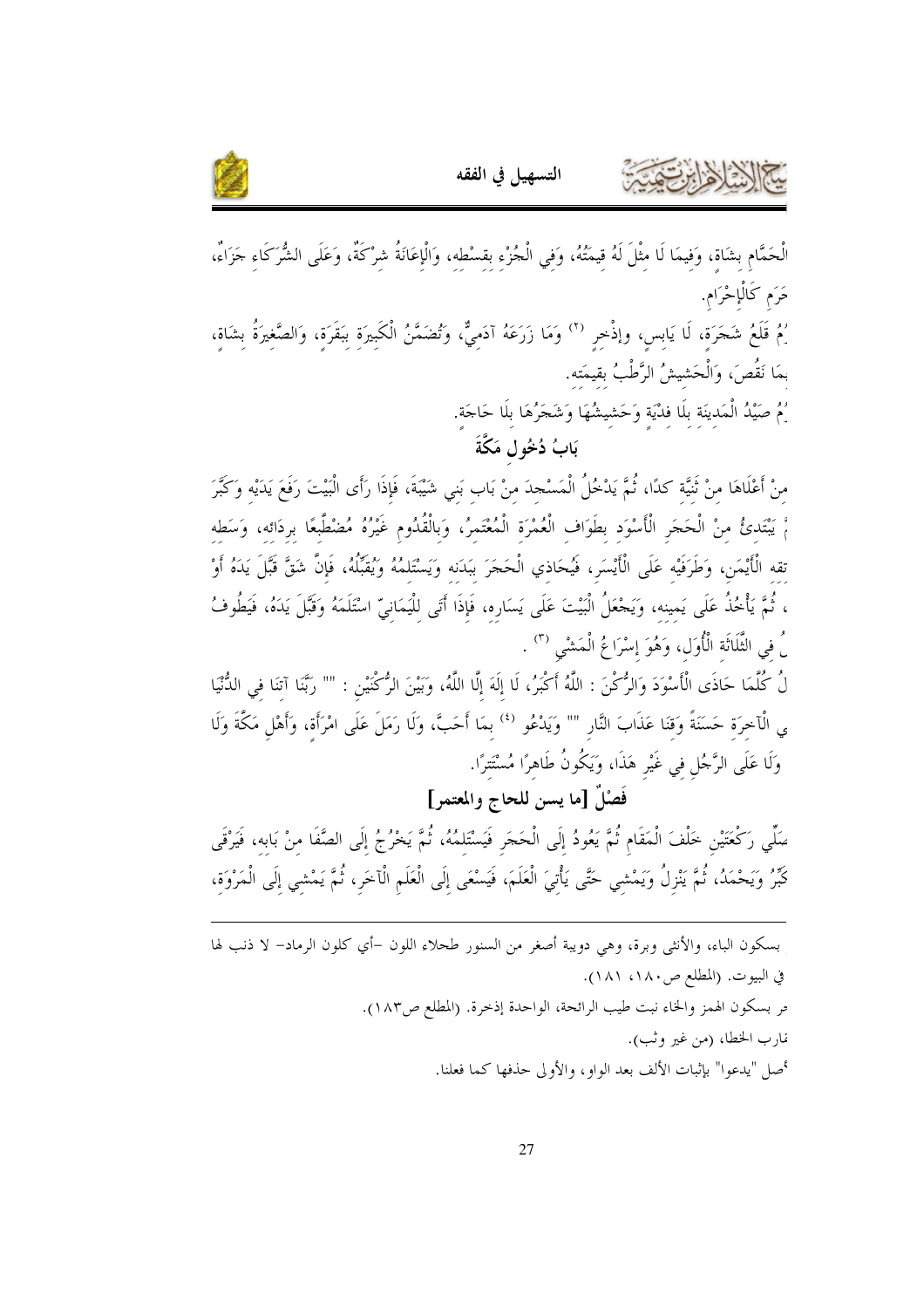



لْحَمَّامِ بِشَاةٍ، وَفِيمَا لَا مِثْلَ لَهُ قِيمَتُهُ، وَفي الْجُزْء بقسْطه، وَالْإعَانَةُ شرْكَةٌ، وَعَلَى الشُّرَكَاء جَزَاءٌ، حَرَم كَالْإِحْرَامِ. رُمُ قَلَعُ شَجَرَةٍ، لَا يَابِسٍ، وإذْخِرِ <sup>(٢)</sup> وَمَا زَرَعَهُ آدَمِيٌّ، وَتُضَمَّنُ الْكَبِيرَةِ بِبَقَرَةٍ، وَالصَّغِيرَةُ بشَاة، بمَا نَقُصَ، وَالْحَشيشُ الرَّطْبُ بقيمَته. ِّمْ صَيْدُ الْمَدينَة بلَا فدْيَة وَحَشيشُهَا وَشَجَرُهَا بلَا حَاجَة. بَابُ دُخُولٍ مَكَّةَ

منْ أَعْلَاهَا منْ ثَنيَّة كدًا، ثُمَّ يَدْخُلُ الْمَسْحدَ منْ بَاب بَني شَيْبَةَ، فَإِذَا رَأَى الْبَيْتَ رَفَعَ يَدَيْه وَكَبَّرَ مَّ يَبْتَدئُ منْ الْحَجَرِ الْأَسْوَد بطَوَاف الْعُمْرَة الْمُعْتَمرُ، وَبِالْقُدُومِ غَيْرُهُ مُضْطَّبعًا بردَائه، وَسَطه تقه الْأَيْمَنِ، وَطَرَفَيْه عَلَى الْأَيْسَرِ، فَيُحَاذي الْحَجَرَ بَبَدَنه وَيَسْتَلمُهُ وَيُقَبِّلُهُ، فَإِنَّ شَقَّ قَبَّلَ يَدَهُ أَوْ ، ثُمَّ يَأْخُذُ عَلَى يَمينه، وَيَحْعَلُ الْبَيْتَ عَلَى يَسَارِه، فَإِذَا أَتَى للْيَمَانيّ اسْتَلَمَهُ وَقَبَّلَ يَدَهُ، فَيَطُوفُ لُ في الثَّلَاثَة الْأُوَل، وَهُوَ إِسْرَا عُ الْمَشْيِ <sup>(٣)</sup> .

لُ كُلَّمَا حَاذَى الْأَسْوَدَ وَالرُّكْنَ : اللَّهُ أَكْبَرُ، لَا إِلَهَ إِلَّا اللَّهُ، وَبَيْنَ الرُّكْنَيْنِ : "" رَبَّنَا آتِنَا فِي الدُّنْيَا ي الْآخرَة حَسَنَةً وَقنَا عَذَابَ النَّارِ "" وَيَدْعُو <sup>(٤)</sup> بمَا أَحَبَّ، وَلَا رَمَلَ عَلَى امْرَأَة، وَأَهْل مَكَّةَ وَلَا وَلَا عَلَى الرَّجُلِ في غَيْرِ هَذَا، وَيَكُونُ طَاهرًا مُسْتَتِرًا.

فَصْلٌ [ما يسن للحاج والمعتمر]

صَلِّى رَكْعَتَيْنِ خَلْفَ الْمَقَامِ ثُمَّ يَعُودُ إِلَى الْحَجَرِ فَيَسْتَلمُهُ، ثُمَّ يَخْرُجُ إِلَى الصَّفَا مِنْ بَابِهِ، فَيَرْقَى كَبِّرُ وَيَحْمَدُ، ثُمَّ يَنْزِلُ وَيَمْشي حَتَّى يَأْتِيَ الْعَلَمَ، فَيَسْعَى إلَى الْعَلَمِ الْآخَر، ثُمَّ يَمْشي إلَى الْمَرْوَة،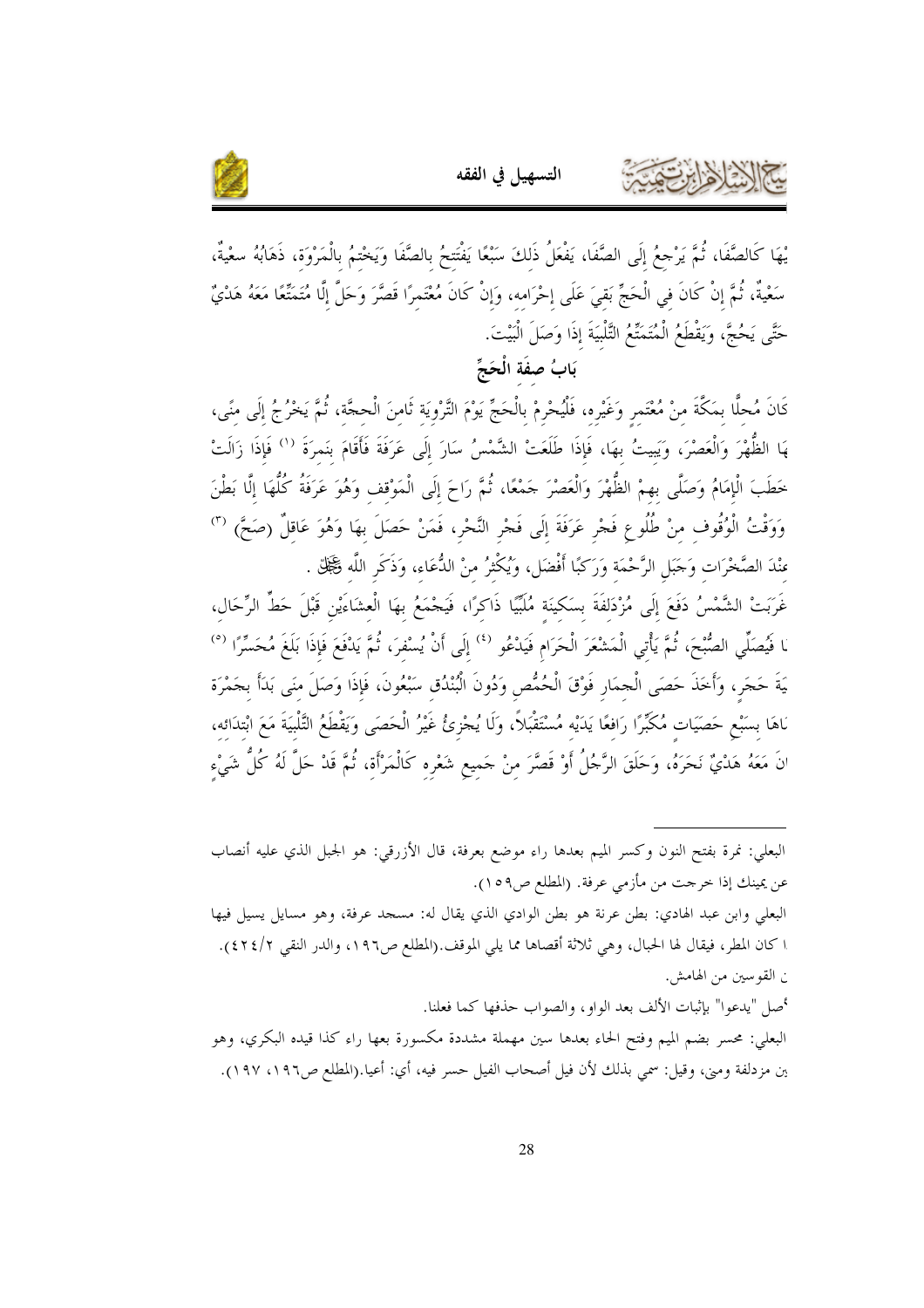



يْهَا كَالصَّفَا، ثُمَّ يَرْحِعُ إلَى الصَّفَا، يَفْعَلُ ذَلكَ سَبْعًا يَفْتَتحُ بالصَّفَا وَيَخْتمُ بالْمَرْوَة، ذَهَابُهُ سعْيةٌ، سَعْيةٌ، ثُمَّ إنْ كَانَ في الْحَجِّ بَقيَ عَلَى إحْرَامه، وَإنْ كَانَ مُعْتَمرًا قَصَّرَ وَحَلَّ إلَّا مُتَمَّقًا مَعَهُ هَدْيٌ حَتَّى يَحُجَّ، وَيَقْطَعُ الْمُتَمَتِّعُ التَّلْبِيَةَ إِذَا وَصَلَ الْبَيْتَ.

## بَابُ صفَة الْحَجِّ

كَانَ مُحلًّا بمَكَّةَ منْ مُعْتَمر وَغَيْره، فَلْيُحْرِمْ بِالْحَجِّ يَوْمَ التَّرْويَة ثَامنَ الْحجَّة، ثُمَّ يَحْرُجُ إلَى منًى، هَا الظُّهْرَ وَالْعَصْرَ، وَيَبِيتُ بهَا، فَإِذَا طَلَعَتْ الشَّمْسُ سَارَ إِلَى عَرَفَةَ فَأَقَامَ بنَمرَةَ '' فَإِذَا زَالَتْ خَطَبَ الْإِمَامُ وَصَلَّى بهمْ الظُّهْرَ وَالْعَصْرَ حَمْعًا، ثُمَّ رَاحَ إِلَى الْمَوْقف وَهُوَ عَرَفَةُ كُلُّهَا إلَّا بَطْنَ وَوَقْتُ الْوُقُوفِ مِنْ طُلُوعٍ فَجْرٍ عَرَفَةَ إِلَى فَجْرِ النَّحْرِ، فَمَنْ حَصَلَ بهَا وَهُوَ عَاقِلٌ (صَحَّ)  $\sp(n)$ منْدَ الصَّخْرَات وَحَبَل الرَّحْمَة وَرَكَبًا أَفْضَل، وَيُكْثِرُ منْ الدُّعَاء، وَذَكَر اللَّه فَخَلِّلّ .

غَرَبَتْ الشَّمْسُ دَفَعَ إلَى مُزْدَلفَةَ بسَكينَة مُلَبَّيًا ذَاكرًا، فَيَجْمَعُ بهَا الْعشَاءَيْن قَبْلَ حَطِّ الرِّحَال، مَا فَيُصَلِّي الصُّبْحَ، ثُمَّ يَأْتِي الْمَشْعَرَ الْحَرَام فَيَدْعُو <sup>(٤)</sup> إِلَى أَنْ يُسْفرَ، ثُمَّ يَدْفَعَ فَإِذَا بَلَغَ مُحَسِّرًا <sup>(٥</sup>) يَةَ حَجَر، وَأَخَذَ حَصَى الْجمَارِ فَوْقَ الْحُمُّصِ وَدُونَ الْبُنْدُقِ سَبْعُونَ، فَإِذَا وَصَلَ منَى بَدَأَ بجَمْرَة ناهَا بسَبْعٍ حَصَيَات مُكَبِّرًا رَافعًا يَدَيْه مُسْتَقْبَلاً، وَلَا يُجْزِئُ غَيْرُ الْحَصَى وَيَقْطَعُ التَّلْبيَةَ مَعَ ابْتدَائه، 'نَ مَعَهُ هَدْيٌ نَحَرَهُ، وَحَلَقَ الرَّجُلُ أَوْ قَصَّرَ منْ حَميع شَعْره كَالْمَرْأَة، ثُمَّ قَدْ حَلّ لَهُ كُلُّ شَيْء

- البعلي: نمرة بفتح النون وكسر الميم بعدها راء موضع بعرفة، قال الأزرقي: هو الجبل الذي عليه أنصاب عن يمينك إذا حرحت من مأزمي عرفة. (المطلع ص٥٩). البعلي وابن عبد الهادي: بطن عرنة هو بطن الوادي الذي يقال له: مسجد عرفة، وهو مسايل يسيل فيها
- ا كان المطر، فيقال لها الحبال، وهي ثلاثة أقصاها مما يلي الموقف.(المطلع ص١٩٦، والدر النقي ٢٤/٢٤/٢). ن القو سين من الهامش.
	- أصل "يدعوا" بإثبات الألف بعد الواو، والصواب حذفها كما فعلنا.

البعلي: محسر بضم الميم وفتح الحاء بعدها سين مهملة مشددة مكسورة بعها راء كذا قيده البكري، وهو ين مزدلفة ومني، وقيل: سمي بذلك لأن فيل أصحاب الفيل حسر فيه، أي: أعيا.(المطلع ص١٩٦، ١٩٧).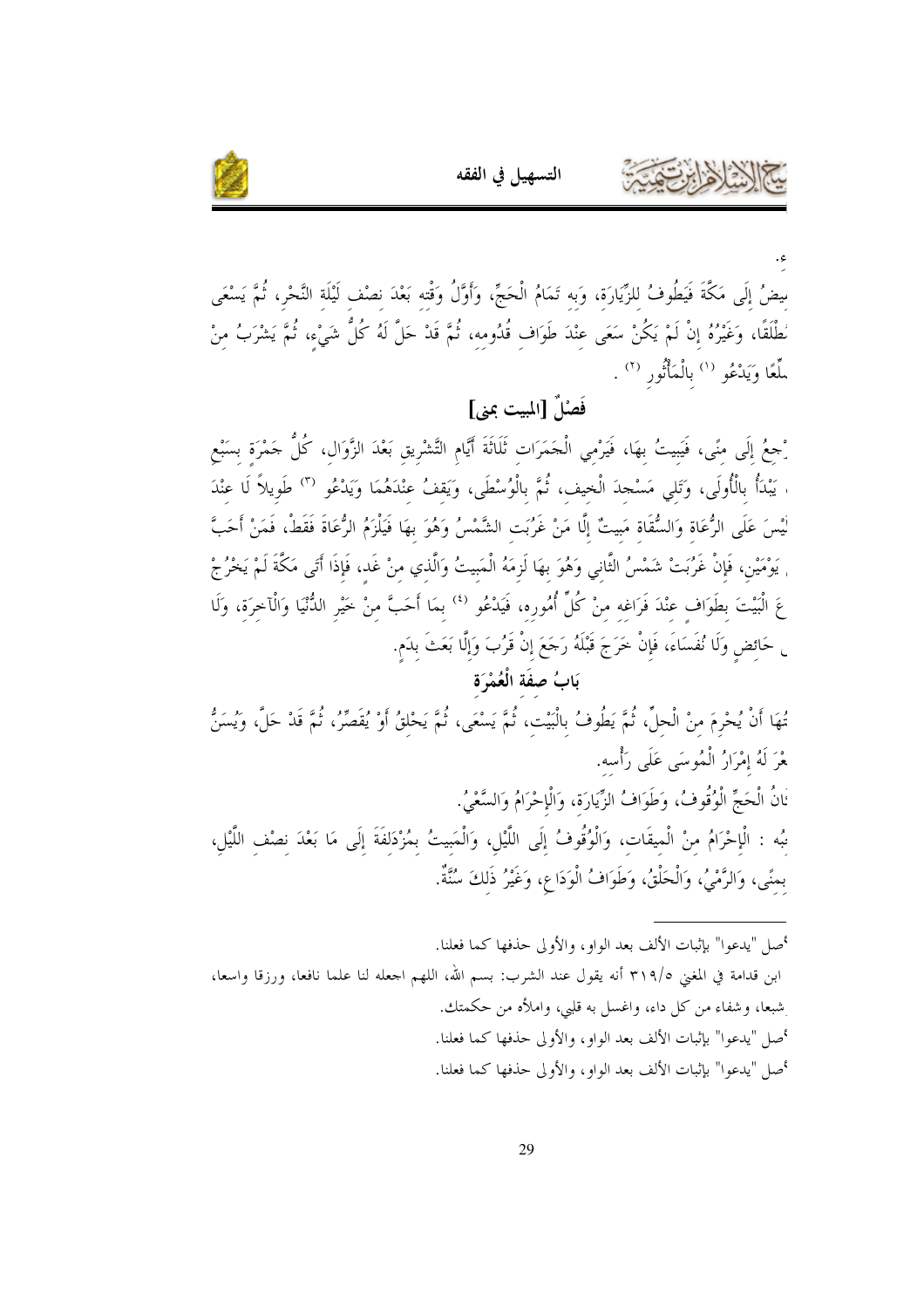



مِضُ إِلَى مَكَّةَ فَيَطُوفُ للزِّيَارَة، وَبه تَمَامُ الْحَجِّ، وَأَوَّلُ وَقْته بَعْدَ نصْف لَيْلَة النَّحْر، ثُمَّ يَسْعَى مُطْلَقًا، وَغَيْرُهُ إِنْ لَمْ يَكُنْ سَعَى عِنْدَ طَوَاف قُدُومه، ثُمَّ قَدْ حَلَّ لَهُ كُلُّ شَيْء، ثُمَّ يَشْرَبُ منْ سِّعًا وَيَدْعُو <sup>(١)</sup> بالْمَأْثُور <sup>(٢)</sup> .

فَصْلٌ [المبيت عِني]

# رْحِعُ إِلَى منًى، فَيَبِيتُ بهَا، فَيَرْمى الْجَمَرَات ثَلَاثَةَ أَيَّام التَّشْرِيق بَعْدَ الزَّوَال، كُلُّ حَمْرَة بسَبْع ، يَبْدَأُ بِالْأُولَى، وَتَلَى مَسْجِدَ الْخِيف، ثُمَّ بِالْوُسْطَى، وَيَقفُ عِنْدَهُمَا وَيَدْعُو <sup>٣١</sup> طَوِيلاً لَا عِنْدَ لْيْسَ عَلَى الرُّعَاةِ وَالسُّقَاةِ مَبِيتٌ إِلَّا مَنْ غَرُبَتِ الشَّمْسُ وَهُوَ بِهَا فَيَلْزَمُ الرُّعَاةَ فَقَطْ، فَمَنْ أَحَبَّ <sub>،</sub> يَوْمَيْن، فَإِنْ غَرُبَتْ شَمْسُ الثَّاني وَهُوَ بهَا لَزِمَهُ الْمَبيتُ وَالَّذي منْ غَد، فَإِذَا أَتَى مَكَّةَ لَمْ يَخْرُجْ عَ الْبَيْتَ بِطَوَافٍ عِنْدَ فَرَاغِهِ مِنْ كُلِّ أُمُورِهِ، فَيَدْعُو <sup>(٤)</sup> بِمَا أَحَبَّ منْ خَيْر الدُّنْيَا وَالْآخرَة، وَلَا <sub>ن</sub> حَائض وَلَا نُفَسَاءَ، فَإِنْ خَرَجَ قَبْلَهُ رَجَعَ إِنْ قَرُبَ وَإِلَّا بَعَثَ بِدَم.

## بَابُ صِفَة الْعُمْرَة

تُهَا أَنْ يُحْرِمَ منْ الْحلِّ، ثُمَّ يَطُوفُ بِالْبَيْتِ، ثُمَّ يَسْعَى، ثُمَّ يَحْلقُ أَوْ يُقَصِّرُ، ثُمَّ قَدْ حَلَّ، وَيُسَنُّ هْرَ لَهُ إِمْرَارُ الْمُوسَى عَلَى رَأْسه. نَانُ الْحَجِّ الْوُقُوفُ، وَطَوَافُ الزِّيَارَة، وَالْإِحْرَامُ وَالسَّعْيُ. نبُه : الْإحْرَامُ منْ الْميقَات، وَالْوُقُوفُ إلَى اللَّيْلِ، وَالْمَبِيتُ بِمُزْدَلِفَةَ إِلَى مَا بَعْدَ نِصْفِ اللَّيْلِ، بمنًى، وَالرَّمْيُ، وَالْحَلْقُ، وَطَوَافُ الْوَدَاعِ، وَغَيْرُ ذَلكَ سُنَّةٌ.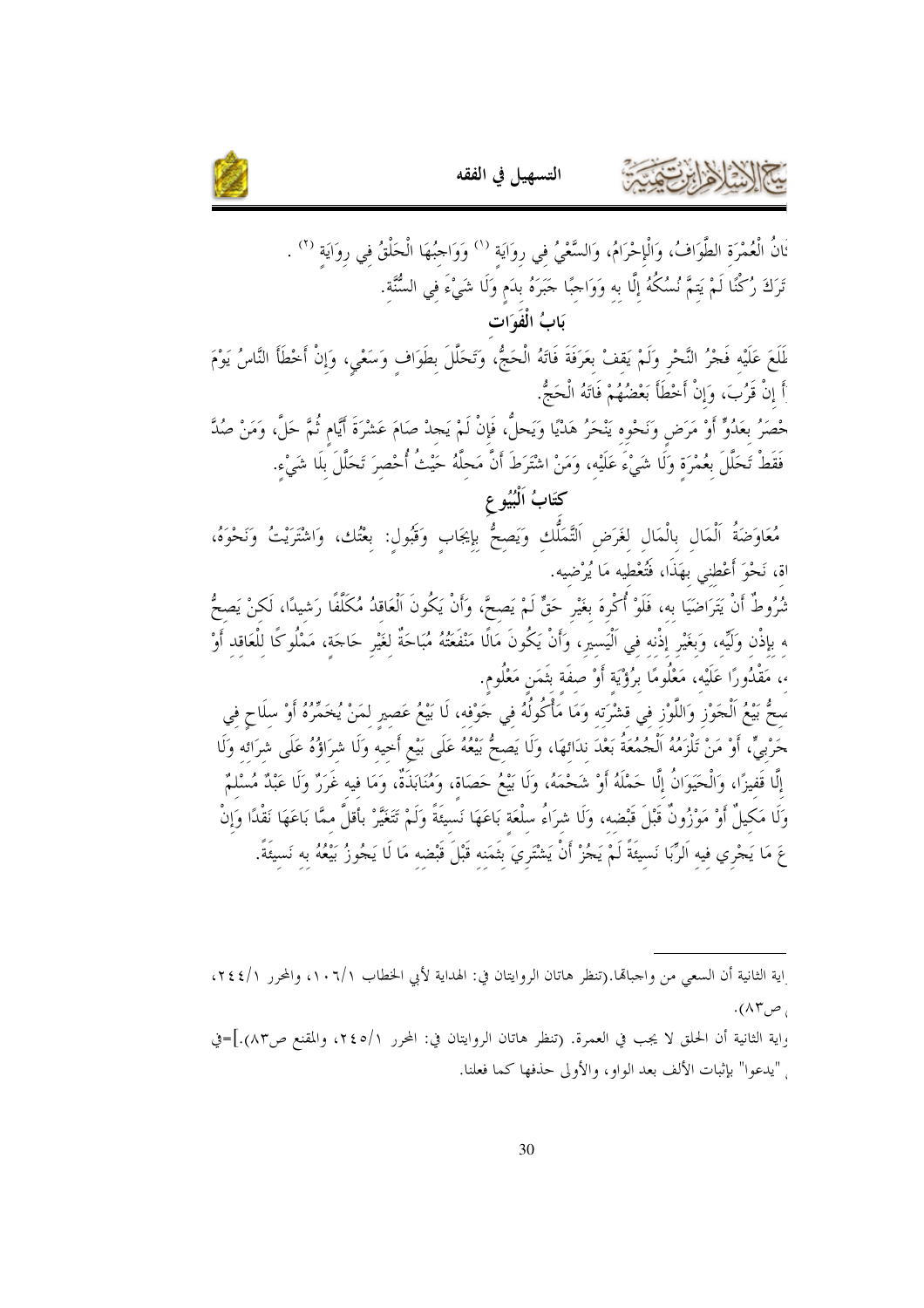



ُنانُ الْعُمْرَة الطَّوَافُ، وَالْإحْرَامُ، وَالسَّعْيُ في روَايَة <sup>(١)</sup> وَوَاحِبُهَا الْحَلْقُ في روَايَة <sup>(٢)</sup> . تَرَكَ رُكْنًا لَمْ يَتمَّ نُسُكُهُ إلَّا به وَوَاحِبًا حَبَرَهُ بدَم وَلَا شَيْءَ في السُّنَّة. بَابُ الْفَوَات لَمَعَ عَلَيْه فَجْرُ النَّحْرِ وَلَمْ يَقفْ بعَرَفَةَ فَاتَهُ الْحَجُّ، وَتَحَلَّلَ بطَوَاف وَسَعْي، وَإنْ أخْطَأ النَّاسُ يَوْمَ أَ إِنْ قَرُبَ، وَإِنْ أَحْطَأَ بَعْضُهُمْ فَاتَهُ الْحَجُّ.

حْصَرُ بعَدُوٌّ أَوْ مَرَضٍ وَنَحْوه يَنْحَرُ هَدْيًا وَيَحلُّ، فَإِنْ لَمْ يَجدْ صَامَ عَشْرَةَ أَيَّام ثُمَّ حَلَّ، وَمَنْ صُدَّ فَقَطْ تَحَلَّلَ بعُمْرَة وَلَا شَىْءَ عَلَيْه، وَمَنْ اشْتَرَطَ أَنَّ مَحلَّهُ حَيْثُ أُحْصرَ تَحَلَّلَ بلَا شَيْء.

كتَابُ اَلْبُيُو ع

مُعَاوَضَةُ اَلْمَال بِالْمَالِ لغَرَضِ اَلتَّمَلُّكِ وَيَصحُّ بِإيجَابِ وَقَبُول: بِعْتُكِ، وَاشْتَرَيْتُ وَنَحْوَهُ، اة، نَحْوَ أَعْطني بهَذَا، فَتُعْطيه مَا يُرْضيه.

تْمُرُوطٌ أَنْ يَتَرَاضَيَا به، فَلَوْ أُكْرِهَ بغَيْر حَقٍّ لَمْ يَصحَّ، وأَنْ يَكُونَ الْعَاقدُ مُكَلّفًا رَشيدًا، لَكنْ يَصحُّ ه بإذْن وَلَيِّه، وَبغَيْر إذْنه في اَلْيَسير، وَأَنْ يَكُونَ مَالًا مَنْفَعَتُهُ مُبَاحَةٌ لغَيْر حَاحَة، مَمْلُوكًا للْعَاقد أَوْ ،، مَقْدُورًا عَلَيْه، مَعْلُومًا برُؤْيَة أَوْ صفَة بتَمَن مَعْلُوم.

سحُّ بَيْعُ الْحَوْزِ وَاللَّوْزِ في قشْرَته وَمَا مَأْكُولُهُ في حَوْفه، لَا بَيْعُ عَصير لمَنْ يُخَمِّرُهُ أَوْ سلَاح في حَرْبيٍّ، أَوْ مَنْ تَلْزَمُهُ اَلْجُمُعَةُ بَعْدَ ندَائهَا، وَلَا يَصحُّ بَيْعُهُ عَلَى بَيْعٍ أَخيه وَلَا شرَاؤُهُ عَلَى شرَائَه وَلَا إِلَّا قَفيزًا، وَالْحَيَوَانُ إِلَّا حَمْلَهُ أَوْ شَحْمَهُ، وَلَا بَيْعُ حَصَاة، وَمُنَابَذَةٌ، وَمَا فيه غَرَرٌ وَلَا عَبْدٌ مُسْلَمٌ وَلَا مَكِيلٌ أَوْ مَوْزُونٌ قَبْلَ قَبْضه، وَلَا شرَاءُ سلْعَة بَاعَهَا نَسْيئَةً وَلَمْ تَتَغَيَّرْ بأَقلَّ ممَّا بَاعَهَا نَقْدًا وَإِنْ عَ مَا يَجْرِي فيه اَلرِّبَا نَسيئَةً لَمْ يَجُرْ أَنْ يَشْتَرِيَ بِثَمَنه قَبْلَ قَبْضه مَا لَا يَجُوزُ بَيْعُهُ به نَسيئَةً.

اية الثانية أن السعى من واجبالها.(تنظر هاتان الروايتان في: الهداية لأبي الخطاب ١٠٦/١، والمحرر ٢٤٤/١، ، ص۸۳.

واية الثانية أن الحلق لا يجب في العمرة. (تنظر هاتان الروايتان في: المحرر ٢٤٥/١، والمقنع ص٨٣).]=في ٍ "يدعوا" بإثبات الألف بعد الواو، والأولى حذفها كما فعلنا.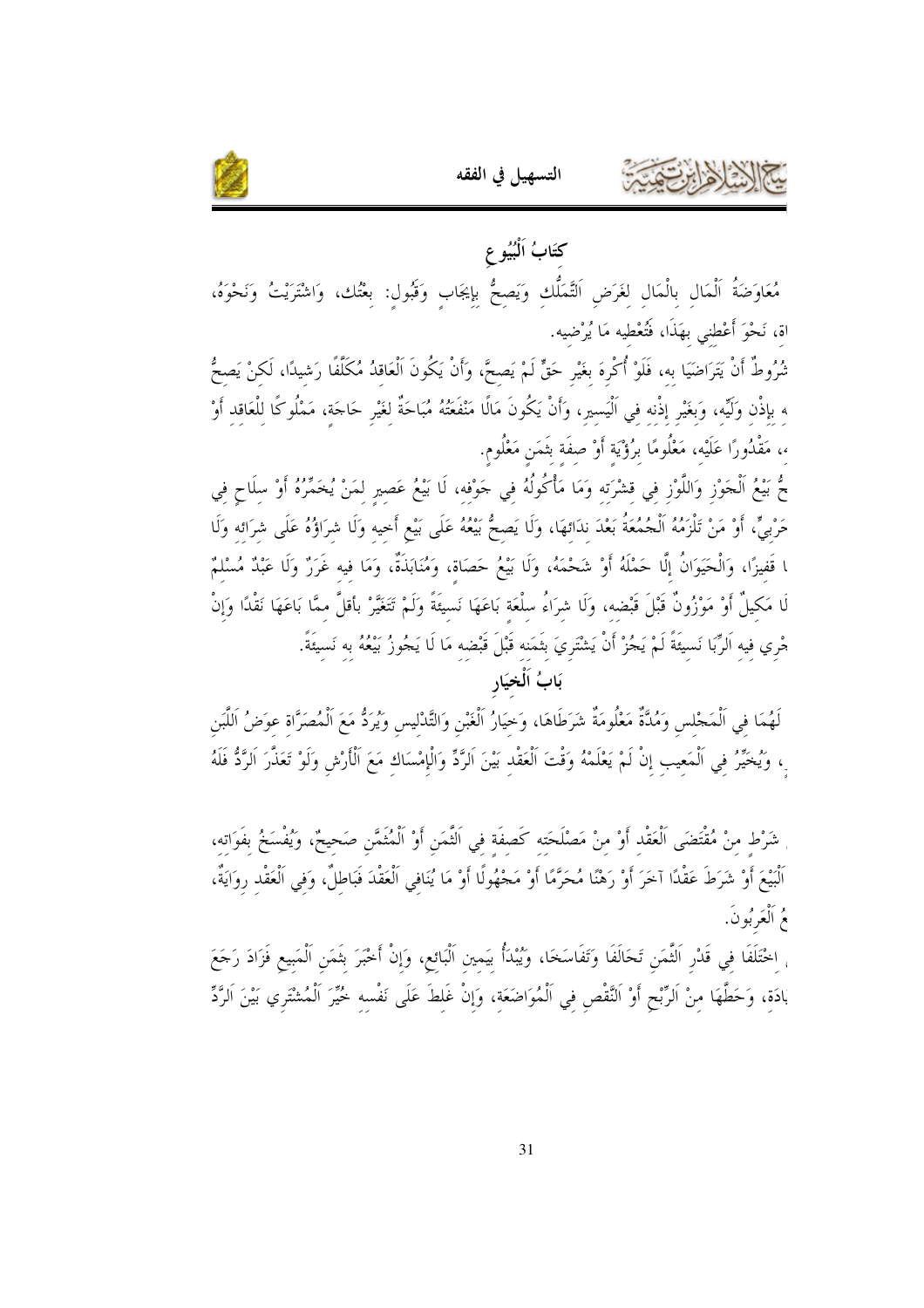



# كتَابُ اَلْبُيُو ع مُعَاوَضَةُ اَلْمَالِ بِالْمَالِ لِغَرَضِ اَلتَّمَلُّكِ وَيَصِحُّ بِإِيجَابِ وَقَبُولِ: بِعْتُك، وَاشْتَرَيْتُ وَنَحْوَهُ، اة، نَحْوَ أَعْطني بهَذَا، فَتُعْطيه مَا يُرْضيه.

تْمُرُوطٌ أَنْ يَتَرَاضَيَا به، فَلَوْ أُكْرِهَ بغَيْرِ حَقٌّ لَمْ يَصحَّ، وَأَنْ يَكُونَ الْعَاقلُ مُكَلّفًا رَشيدًا، لَكنْ يَصحُّ ه بإذْن وَلَيِّه، وَبغَيْر إذْنه في اَلْيَسير، وَأَنْ يَكُونَ مَالًا مَنْفَعَتُهُ مُبَاحَةٌ لِغَيْرِ حَاجَةٍ، مَمْلُوكًا لِلْعَاقِدِ أَوْ ،، مَقْدُورًا عَلَيْه، مَعْلُومًا برُؤْيَة أَوْ صفَة بتَمَن مَعْلُوم.

.<br>\* بَيْعُ اَلْجَوْزِ وَاللَّوْزِ في قشْرَته وَمَا مَأْكُولُهُ في جَوْفه، لَا بَيْعُ عَصِيرِ لِمَنْ يُخَمِّرُهُ أَوْ سِلَاحٍ فِي حَرْبِيٍّ، أَوْ مَنْ تَلْزَمُهُ الْجُمُعَةُ بَعْدَ ندَائهَا، وَلَا يَصِحُّ بَيْعُهُ عَلَى بَيْعٍ أَحيه وَلَا شرَاؤُهُ عَلَى شرَائِهِ وَلَا ا قَفيزًا، وَالْحَيَوَانُ إِلَّا حَمْلَهُ أَوْ شَحْمَهُ، وَلَا بَيْعُ حَصَاة، وَمُنَابَذَةٌ، وَمَا فيه غَرَرٌ وَلَا عَبْدٌ مُسْلَمٌ لَا مَكيلٌ أَوْ مَوْزُونٌ قَبْلَ قَبْضه، وَلَا شرَاءُ سلْعَة بَاعَهَا نَسيئَةً وَلَمْ تَتَغَيَّرْ بأقلَّ ممَّا بَاعَهَا نَقْدًا وَإِنْ جْري فيه اَلرِّبَا نَسيئَةً لَمْ يَجُزْ أَنْ يَشْتَرِيَ بثَمَنه قَبْلَ قَبْضه مَا لَا يَجُوزُ بَيْعُهُ به نَسيئَةً.

#### بَابُ اَلْخِيَارِ

لَهُمَا في اَلْمَجْلس وَمُلَّةٌ مَعْلُومَةٌ شَرَطَاهَا، وَخيَارُ اَلْغَبْنِ وَالتَّدْليس وَيُرَدُّ مَعَ اَلْمُصَرَّاة عوَضُ اَللَّبن ِ، وَيُخَيِّرُ فِي اَلْمَعِيبِ إِنْ لَمْ يَعْلَمْهُ وَقْتَ اَلْعَقْدِ بَيْنَ اَلرَّدِّ وَالْإِمْسَاكِ مَعَ الْأَرْش وَلَوْ تَعَذَّرَ الرَّدُّ فَلَهُ

شَرْط منْ مُقْتَضَى اَلْعَقْد أَوْ منْ مَصْلَحَته كَصفَة في اَلثَّمَن أَوْ اَلْمُثَمَّن صَحيحٌ، وَيُفْسَخُ بفَوَاته، ٱلْبَيْعَ أَوْ شَرَطَ عَقْدًا آخَرَ أَوْ رَهْنًا مُحَرَّمًا أَوْ مَجْهُولًا أَوْ مَا يُنَافِي الْعَقْدَ فَبَاطلٌ، وَفي اَلْعَقْد روَايَةٌ، مُ اَلْعَرْبُونَ.

<sub>،</sub> اخْتَلَفَا في قَدْر اَلثَّمَن تَحَالَفَا وَتَفَاسَخَا، وَيُبْدَأُ بِيَمِينِ اَلْبَائِعِ، وَإِنْ أَخْبَرَ بِثَمَنِ اَلْمَبِيعِ فَزَادَ رَجَعَ بَادَة، وَحَطَّهَا منْ اَلرِّبْحِ أَوْ النَّقْص في اَلْمُواضَعَة، وَإنْ غَلطَ عَلَى نَفْسه خُيِّرَ الْمُشْتَري بَيْنَ الرَّدِّ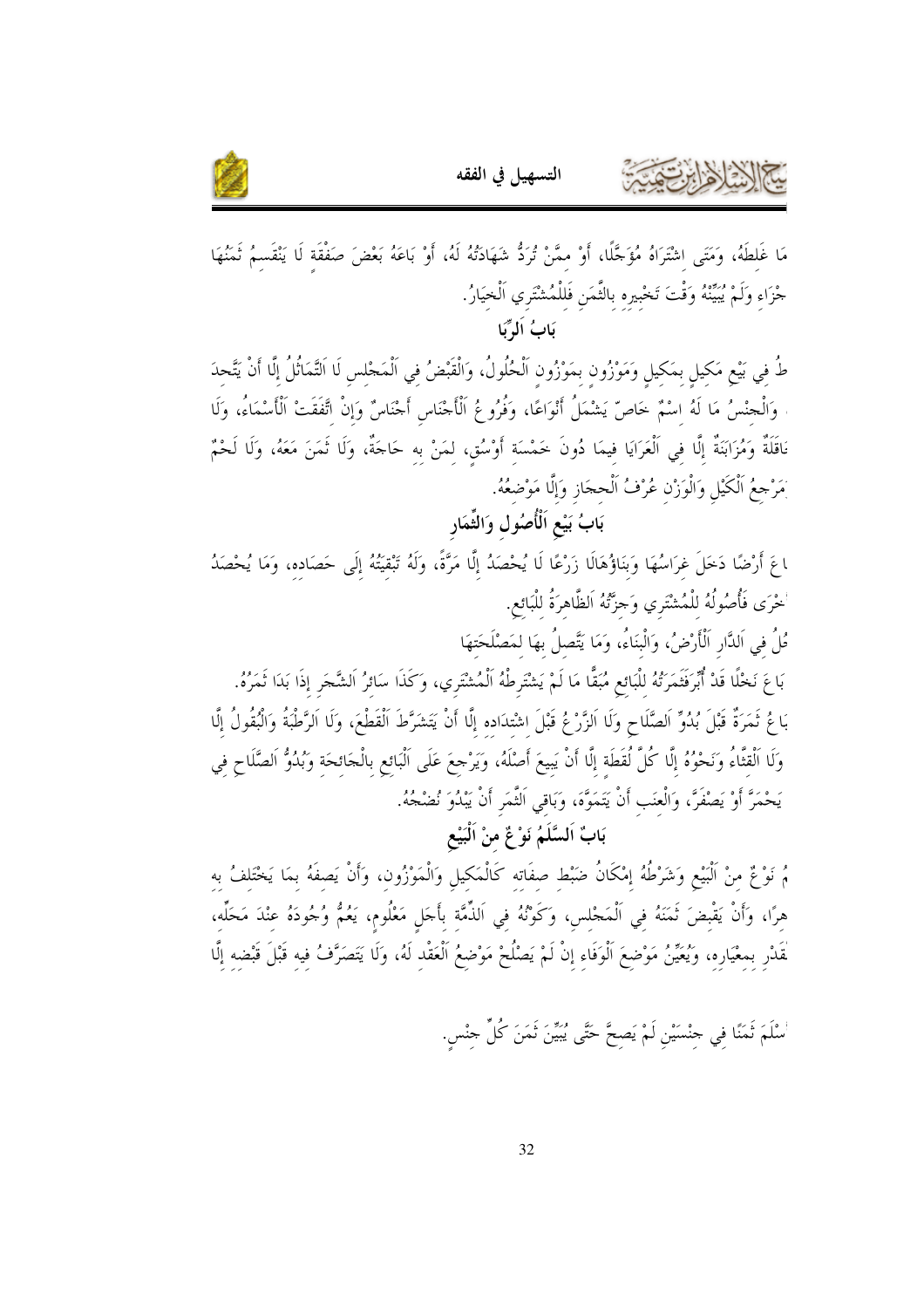

مَا غَلطَهُ، وَمَتَى اشْتَرَاهُ مُؤَجَّلًا، أَوْ ممَّنْ تُرَدُّ شَهَادَتُهُ لَهُ، أَوْ بَاعَهُ بَعْضَ صَفْقَة لَا يَنْقَسمُ ثَمَنُهَا حْزَاء وَلَمْ يُبَيِّنْهُ وَقْتَ تَخْبيره بالثَّمَن فَللْمُشْتَرى اَلْخيَارُ.

بَابُ اَلٰہِ کَا

طُ في بَيْعِ مَكيل بمَكيل وَمَوْزُون بمَوْزُون اَلْحُلُولُ، وَالْقَبْضُ في اَلْمَحْلس لَا اَلتَّمَاثُلُ إلّا أنْ يَتَّحدَ وَالْجنْسُ مَا لَهُ اسْمٌ خَاصَّ يَشْمَلُ أَنْوَاعًا، وَفُرُوعُ الْأَجْنَاسِ أَجْنَاسٌ وَإِنْ اتَّفَقَتْ الْأَسْمَاءُ، وَلَا نَاقَلَةٌ وَمُزَابَنَةٌ إلَّا في الْعَرَايَا فيمَا دُونَ خَمْسَة أَوْسُق، لمَنْ به حَاجَةٌ، وَلَا تَمَنَ مَعَهُ، وَلَا لَحْمٌ بَمَرْحِعُ الْكَيْلِ وَالْوَزْنِ عُرْفُ اَلْحِجَازِ وَإِلَّا مَوْضِعُهُ.

بَابُ بَيْعِ اَلْأُصُولِ وَالثِّمَارِ

اعَ أَرْضًا دَخلَ غرَاسُهَا وَبنَاؤُهَالَا زَرْعًا لَا يُحْصَدُ إِلَّا مَرَّةً، وَلَهُ تَبْقيَتُهُ إلَى حَصَاده، وَمَا يُحْصَدُ ْحْرَى فَأُصُولُهُ للْمُشْتَرى وَحِزَّتْهُ اَلظَّاهرَةُ للْبَائع.

.<br>قُلُ في اَلدَّارِ اَلْأَرْضُ، وَالْبنَاءُ، وَمَا يَتَّصلُ بهَا لمَصْلَحَتهَا

بَاعَ نَخْلًا قَدْ أُبِّرَفَثَمَرَتُهُ للْبَائع مُبَقًّا مَا لَمْ يَشْتَرطْهُ اَلْمُشْتَرى، وَكَذَا سَائرُ اَلشَّجَر إذَا بَدَا ثَمَرُهُ. بَاعُ ثَمَرَةٌ قَبْلَ بُدُوٍّ اَلصَّلَاحِ وَلَا الزَّرْعُ قَبْلَ اشْتدَاده إلَّا أَنْ يَتَشَرَّطَ اَلْقَطْعَ، وَلَا اَلرَّطْبَةُ وَالْبُقُولُ إِلَّا وَلَا اَلْقتَّاءُ وَنَحْوُهُ إِلَّا كُلَّ لُقَطَة إِلَّا أَنْ يَبِيعَ أَصْلَهُ، وَيَرْجِعَ عَلَى اَلْبَائع بالْجَائحَة وَبُدُوُّ الصَّلَاح في يَحْمَرَّ أَوْ يَصْفَرَّ، وَالْعَنَبِ أَنْ يَتَمَوَّهَ، وَبَاقي الثَّمَرِ أَنْ يَبْدُوَ نُضْجُهُ.

## بَابٌ اَلسَّلَمُ نَوْ عٌ منْ اَلْبَيْعِ

مُ نَوْعٌ منْ اَلْبَيْعِ وَشَرْطُهُ إِمْكَانُ ضَبْط صفَاته كَالْمَكِيلِ وَالْمَوْزُونِ، وَأَنْ يَصفَهُ بمَا يَخْتَلِفُ بِهِ هرًا، وَأَنْ يَقْبِضَ ثَمَنَهُ في اَلْمَجْلس، وَكَوْنُهُ في اَلذَّمَّة بأَجَلٍ مَعْلُومٍ، يَعُمُّ وُجُودَهُ عنْدَ مَحَلِّه، لْقَدْر بمعْيَارِه، وَيُعَيِّنُ مَوْضعَ اَلْوَفَاء إنْ لَمْ يَصْلُحْ مَوْضعُ الْعَقْد لَهُ، وَلَا يَتَصَرَّفُ فيه قَبْلَ قَبْضه إلَّا

ُسْلَمَ ثَمَنًا في جنْسَيْن لَمْ يَصحَّ حَتَّى يُبَيّنَ ثَمَنَ كُلِّ جنْس.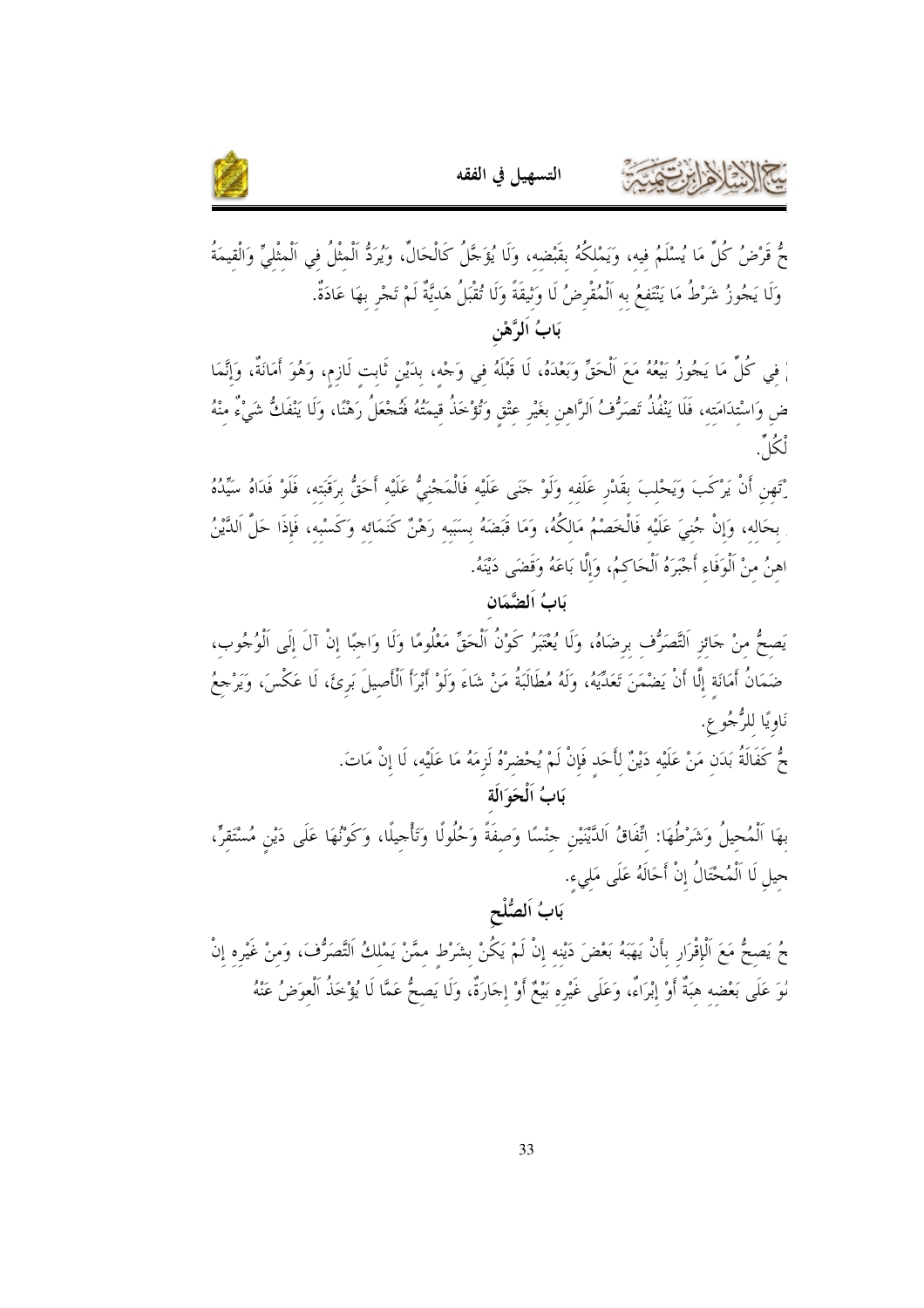



حٌ قَرْضُ كُلِّ مَا يُسْلَمُ فيه، وَيَمْلكُهُ بقَبْضه، وَلَا يُؤَجَّلُ كَالْحَالِّ، وَيُرَدُّ الْمثْلُ في الْمثْليِّ وَالْقيمَةُ وَلَا يَجُوزُ شَرْطُ مَا يَنْتَفعُ به اَلْمُقْرِضُ لَا وَثِيقَةً وَلَا تُقْبَلُ هَديَّةٌ لَمْ تَجْرِ بهَا عَادَةٌ. بَابُ اَلرَّهْنِ

اْ فِي كُلِّ مَا يَجُوزُ بَيْعُهُ مَعَ اَلْحَقِّ وَبَعْدَهُ، لَا قَبْلَهُ فِي وَجْهِ، بِدَيْنِ ثَابِتِ لَازِمٍ، وَهُوَ أَمَانَةٌ، وَإِنَّمَا ضِ وَاسْتِدَامَتِهِ، فَلَا يَنْفُذُ تَصَرُّفُ اَلرَّاهِنِ بِغَيْرِ عِتْقِ وَتُؤْخَذُ قِيمَتُهُ فَتُجْعَلُ رَهْنًا، وَلَا يَنْفَكُ شَيْءٌ مِنْهُ لْكُلِّ.

رْتَهِنِ أَنْ يَرْكَبَ وَيَحْلِبَ بقَدْرٍ عَلَفه وَلَوْ حَنَى عَلَيْه فَالْمَحْنيُّ عَلَيْه أَحَقُّ برَقَبَته، فَلَوْ فَدَاهُ سَيِّدُهُ بحَاله، وَإِنْ حُنيَ عَلَيْه فَالْخَصْمُ مَالكُهُ، وَمَا قَبَضَهُ بِسَبَبِه رَهْنٌ كَنَمَائِهِ وَكَسْبِهِ، فَإِذَا حَلَّ اَلدَّيْنُ اهنُ منْ اَلْوَفَاء أَجْبَرَهُ الْحَاكمُ، وَإِلَّا بَاعَهُ وَقَضَى دَيْنَهُ.

#### مَابُ اَلِضَّمَان

يَصحُّ منْ حَائزِ التَّصَرُّف برضَاهُ، وَلَا يُعْتَبَرُ كَوْنُ الْحَقِّ مَعْلُومًا وَلَا وَاجبًا إنْ آلَ إلَى الْوُجُوب، ضَمَانُ أَمَانَة إِلَّا أَنْ يَضْمَنَ تَعَدِّيَهُ، وَلَهُ مُطَالَبَةُ مَنْ شَاءَ وَلَوْ أَبْرَأَ اَلْأَصِيلَ بَرِئَ، لَا عَكْسَ، وَيَرْجعُ نَاوِيًا لِلرُّجُو ع.

> جُّ كَفَالَةُ بَدَن مَنْ عَلَيْه دَيْنٌ لأَحَد فَإِنْ لَمْ يُحْضرْهُ لَزِمَهُ مَا عَلَيْهِ، لَا إِنْ مَاتَ. يَابُ اَلْحَهَ الَّة

بهَا الْمُحيلُ وَشَرْطُهَا: اتِّفَاقُ الدَّيْنَيْنِ حِنْسًا وَصفَةً وَحُلُولًا وَتَأْحِيلًا، وَكَوْنُهَا عَلَى دَيْن مُسْتَقرٍّ، حِيلِ لَا اَلْمُحْتَالُ إِنْ أَحَالَهُ عَلَى مَلِيءِ. بَابُ اَلصُّلْح

جُ يَصحُّ مَعَ الْإقْرَارِ بأَنْ يَهَبَهُ بَعْضَ دَيْنه إنْ لَمْ يَكُنْ بشَرْط ممَّنْ يَمْلكُ التَّصَرُّفَ، وَمنْ غَيْره إنْ لُوَ عَلَى بَعْضِهِ هِبَةٌ أَوْ إِبْرَاءٌ، وَعَلَى غَيْرِه بَيْعٌ أَوْ إجَارَةٌ، وَلَا يَصحُّ عَمَّا لَا يُؤْخَذُ الْعوَضُ عَنْهُ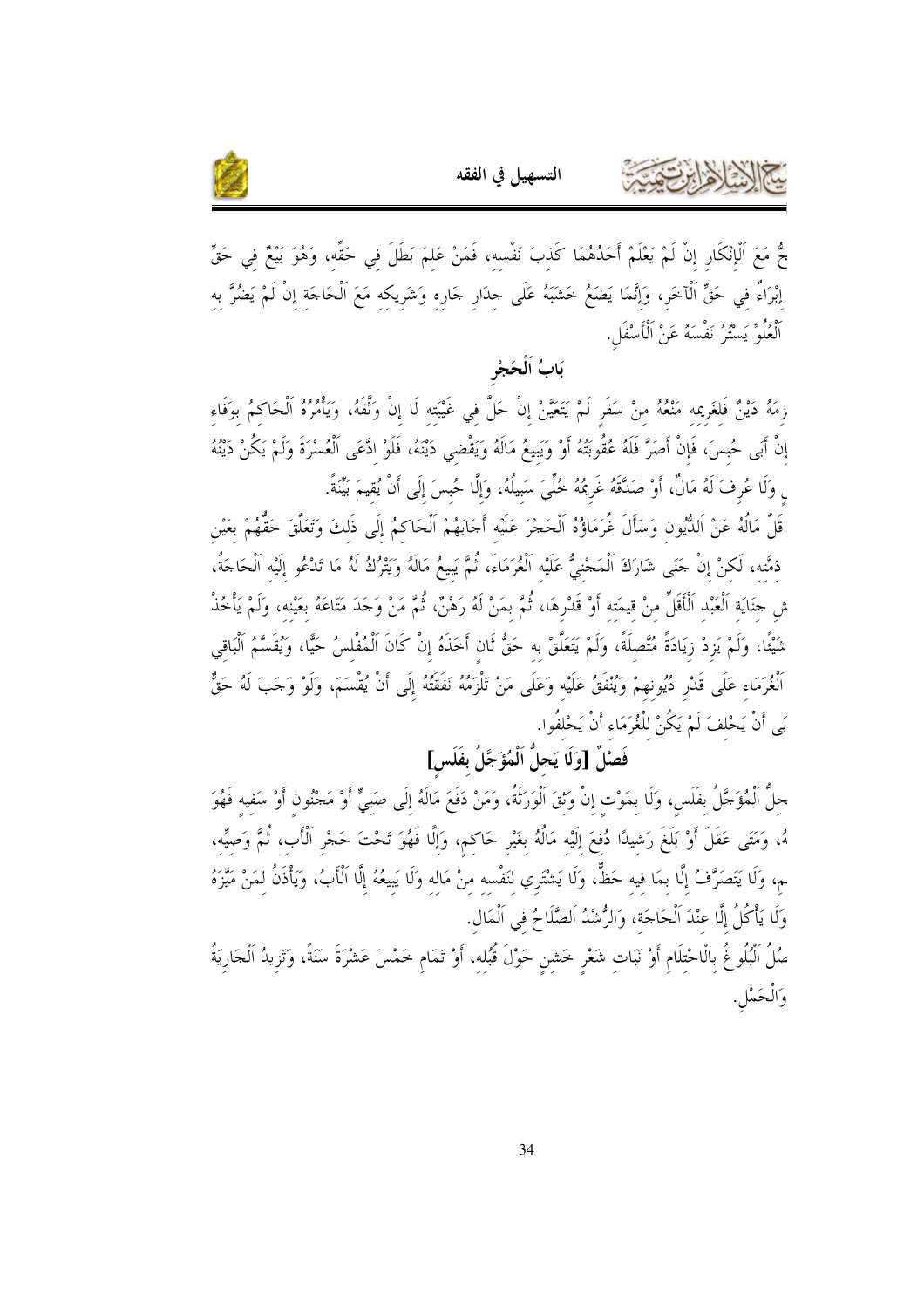



جُّ مَعَ اَلْإِنْكَارِ إِنْ لَمْ يَعْلَمْ أَحَدُهُمَا كَذبَ نَفْسه، فَمَنْ عَلمَ بَطَلَ في حَقٌّه، وَهُوَ بَيْعٌ في حَقِّ إبْرَاءٌ في حَقٍّ ٱلْآخَرِ، وَإِنَّمَا يَضَعُمُ خَشَبَهُ عَلَى حِدَارٍ حَارِه وَشَرِيكه مَعَ اَلْحَاجَة إنْ لَمْ يَضُرَّ به ٱلْعُلُوِّ يَسْتُرُ نَفْسَهُ عَنْ ٱلْأَسْفَلِ.

#### يَابُ اَلْحَجْ

زِمَهُ دَيْنٌ فَلغَرِيمه مَنْعُهُ منْ سَفَرٍ لَمْ يَتَعَيَّنْ إنْ حَلَّ في غَيْبَته لَا إنْ وَثَّقَهُ، وَيَأْمُرُهُ اَلْحَاكمُ بوَفَاء إِنْ أَبَى حُبسَ، فَإِنْ أَصَرَّ فَلَهُ عُقُوبَتُهُ أَوْ وَيَبِيعُ مَالَهُ وَيَقْضي دَيْنَهُ، فَلَوْ ادَّعَى الْعُسْرَةَ وَلَمْ يَكُنْ دَيْنُهُ <sub>ى</sub> وَلَا عُرِفَ لَهُ مَالٌ، أَوْ صَدَّقَهُ غَرِيمُهُ خُلِّيَ سَبِيلُهُ، وَإِلَّا حُبسَ إِلَى أَنْ يُقيمَ بَيِّنةً.

قَلَّ مَالُهُ عَنْ اَلدُّيُون وَسَأَلَ غُرَمَاؤُهُ اَلْحَجْرَ عَلَيْه أَحَابَهُمْ اَلْحَاكمُ إِلَى ذَلِكَ وَتَعَلَّقَ حَقُّهُمْ بِعَيْنِ ذمَّته، لَكنْ إنْ حَنَى شَارَكَ الْمَجْنِيُّ عَلَيْه الْغُرَمَاءَ، ثُمَّ يَبِيعُ مَالَهُ وَيَتْرُكُ لَهُ مَا تَدْعُو إلَيْه الْحَاجَةُ، ش حنَايَة اَلْعَبْد اَلْأَقَلِّ منْ قيمَته أَوْ قَدْرِهَا، ثُمَّ بمَنْ لَهُ رَهْنٌ، ثُمَّ مَنْ وَجَدَ مَتَاعَهُ بعَيْنه، وَلَمْ يَأْخُذْ شَيْئًا، وَلَمْ يَزِدْ زِيَادَةً مُتَّصلَةً، وَلَمْ يَتَعَلَّقْ به حَقُّ ثَان أَخَذَهُ إنْ كَانَ اَلْمُفْلسُ حَيًّا، وَيُقَسَّمُ اَلْبَاقى ٱلْغُرَمَاء عَلَى قَدْرٍ دُيُونهمْ وَيُنْفَقُ عَلَيْه وَعَلَى مَنْ تَلْزَمُهُ نَفَقَتُهُ إِلَى أَنْ يُقْسَمَ، وَلَوْ وَجَبَ لَهُ حَقٌّ بَى أَنْ يَحْلفَ لَمْ يَكُنْ للْغُرَمَاءِ أَنْ يَحْلفُوا.

## فَصْلٌ [وَلَا يَحلُّ اَلْمُؤَجَّلُ بِفَلَسٍ]

حلُّ الْمُؤَجَّلُ بفلَس، وَلَا بمَوْت إنْ وَتْقَ الْوَرَتَةُ، وَمَنْ دَفَعَ مَالَهُ إلَى صَبِيٍّ أَوْ مَجْنُون أوْ سَفيه فَهُوَ هُ، وَمَتَى عَقَلَ أَوْ بَلَغَ رَشيدًا دُفعَ إِلَيْه مَالُهُ بغَيْرِ حَاكم، وَإِلَّا فَهُوَ تَحْتَ حَجْرِ اَلْأب، ثُمَّ وَصيِّه، ـم، وَلَا يَتَصَرَّفُ إلَّا بمَا فيه حَظٌّ، وَلَا يَشْتَري لنَفْسه منْ مَاله وَلَا يَبِيعُهُ إلَّا الْأَبُ، وَيَأْذَنُ لمَنْ مَيَّزَهُ وَلَا يَأْكُلُ إِلَّا عِنْدَ اَلْحَاجَة، وَالرُّشْدُ اَلصَّلَاحُ في اَلْمَال.

صُلُ الْبُلُوغُ بِالْاحْتِلَامِ أَوْ نَبَاتِ شَعْرِ حَشنٍ حَوْلَ قُبُلِهِ، أَوْ تَمَام خَمْسَ عَشْرَةَ سَنَةً، وَتَزيدُ الْجَارِيَةُ وَالْحَمْلِ.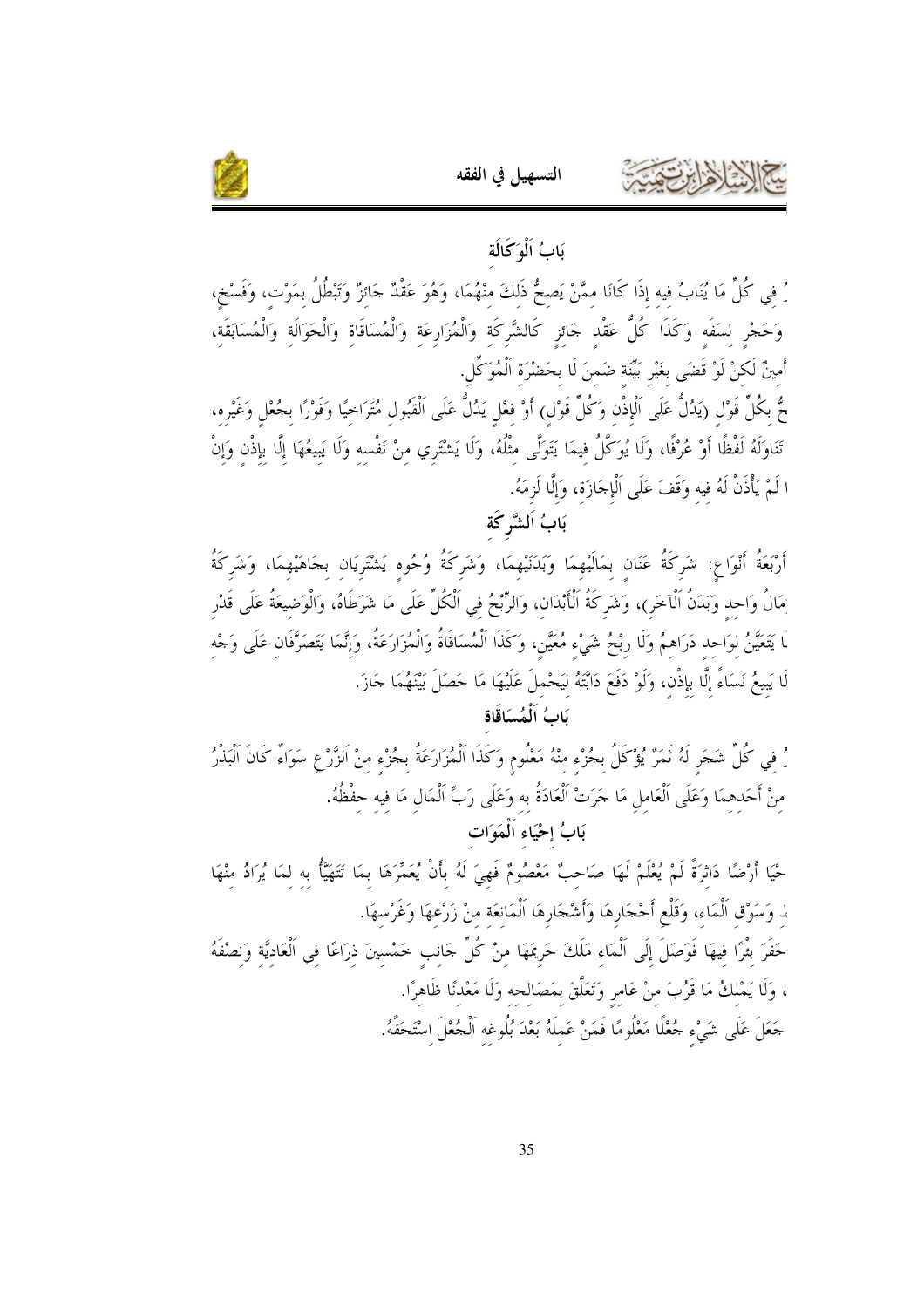



رُ في كُلِّ مَا يُنَابُ فيه إذَا كَانَا ممَّنْ يَصحُّ ذَلكَ منْهُمَا، وَهُوَ عَقْدٌ حَائزٌ وَتَبْطُلُ بمَوْت، وَفَسْخ، وَحَجْرِ لسَفَه وَكَذَا كُلُّ عَقْد جَائزِ كَالشَّركَة وَالْمُزَارِعَة وَالْمُسَاقَاة وَالْحَوَالَة وَالْمُسَابَقَة، أَمينٌ لَكنْ لَوْ قَضَى بغَيْر بَيِّنَة ضَمنَ لَا بحَضْرَة اَلْمُوَكِّل.

جٌ بكُلِّ قَوْل (يَدُلُّ عَلَى اَلْإِذْن وَكُلِّ قَوْلٍ) أَوْ فعْل يَدُلُّ عَلَى الْقَبُول مُتَرَاحيًا وَفَوْرًا بجُعْل وَغَيْره، تَنَاوَلَهُ لَفْظًا أَوْ عُرْفًا، وَلَا يُوَكَّلُ فيمَا يَتَوَلَّى مثْلُهُ، وَلَا يَشْتَري منْ نَفْسه وَلَا يَبيعُهَا إلَّا بإذْن وَإِنْ ا لَمْ يَأْذَنْ لَهُ فيه وَقَفَ عَلَى الْإِجَازَة، وَإِلَّا لَزِمَهُ.

بَابُ اَلشَّرِكَة

أَرْبَعَةُ أَنْوَاع: شَركَةُ عَنَان بمَالَيْهِمَا وَبَدَنَيْهِمَا، وَشَركَةُ وُجُوه يَشْتَرِيَان بجَاهَيْهِمَا، وَشَركَةُ ِمَالُ وَاحد وَبَدَنُ اَلْآخَرِ)، وَشَركَةُ اَلْأَبْدَان، وَالرِّبْحُ في الْكُلِّ عَلَى مَا شَرَطَاهُ، وَالْوَضيعَةُ عَلَى قَدْر .<br>ـا يَتَعَيَّنُ لوَاحد دَرَاهمُ وَلَا ربْحُ شَيْء مُعَيَّن، وَكَذَا اَلْمُسَاقَاةُ وَالْمُزَارَعَةُ، وَإِنَّمَا يَتَصَرَّفَان عَلَى وَجْه لَا يَبِيعُ نَسَاءً إِلَّا بِإِذْنٍ، وَلَوْ دَفَعَ دَابَّتَهُ لَيَحْملَ عَلَيْهَا مَا حَصَلَ بَيْنَهُمَا حَازَ.

بَابُ اَلْمُسَاقَاة

رُ في كُلِّ شَجَرٍ لَهُ ثَمَرٌ يُؤْكَلُ بجُزْء منْهُ مَعْلُوم وَكَذَا اَلْمُزَارَعَةُ بِجُزْءِ مِنْ اَلزَّرْعِ سَوَاءٌ كَانَ اَلْبَذْرُ منْ أَحَدهمَا وَعَلَى اَلْعَامل مَا حَرَتْ اَلْعَادَةُ بِهِ وَعَلَى رَبِّ اَلْمَالِ مَا فِيهِ حِفْظُهُ. بَابُ إحْيَاءِ اَلْمَوَاتِ

حْيَا أَرْضًا دَاتْرَةً لَمْ يُعْلَمْ لَهَا صَاحبٌ مَعْصُومٌ فَهِيَ لَهُ بِأَنْ يُعَمِّرَهَا بِمَا تَتَهَيَّأُ بِهِ لِمَا يُرَادُ مِنْهَا لـ وَسَوْق اَلْمَاء، وَقَلْع أَحْجَارِهَا وَأَشْجَارِهَا اَلْمَانعَة منْ زَرْعهَا وَغَرْسهَا.

حَفَرَ بثْرًا فيهَا فَوَصَلَ إلَى اَلْمَاء مَلَكَ حَرِيمَهَا منْ كُلِّ حَانب خَمْسينَ ذرَاعًا في اَلْعَاديَّة وَنصْفَهُ ، وَلَا يَمْلكُ مَا قَرُبَ منْ عَامِرٍ وَتَعَلَّقَ بِمَصَالحه وَلَا مَعْدنًا ظَاهِرًا. حَعَلَ عَلَى شَيْء جُعْلًا مَعْلُومًا فَمَنْ عَملَهُ بَعْدَ بُلُوغِهِ اَلْجُعْلَ اِسْتَحَقَّهُ.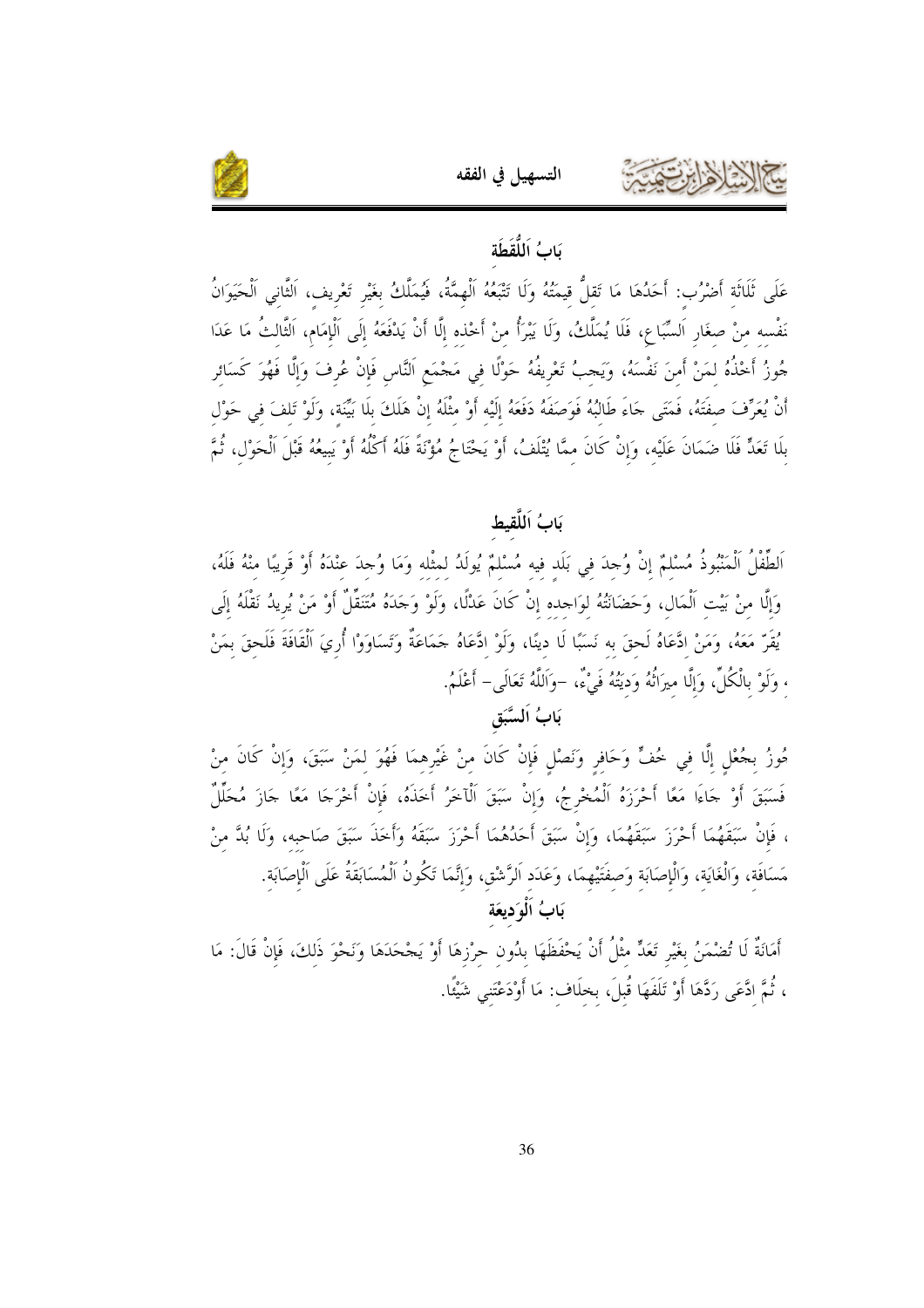

### بَابُ اَللُّقَطَة

التسهيل في الفقه

عَلَى ثَلَاثَة أَضْرُب: أَحَدُهَا مَا تَقلُّ قيمَتُهُ وَلَا تَتْبَعُهُ اَلْهمَّةُ، فَيُمَلَّكُ بغَيْر تَعْريف، الثّاني الْحَيَوَانُ نَفْسه منْ صغَارِ اَلسَّبَاع، فَلَا يُمَلَّكُ، وَلَا يَبْرَأُ منْ أَخْذه إلَّا أَنْ يَدْفَعَهُ إلَى اَلْإمَام، الثَّالثُ مَا عَدَا جُوزُ أَخْذُهُ لمَنْ أَمنَ نَفْسَهُ، وَيَجبُ تَعْرِيفُهُ حَوْلًا في مَجْمَعِ النَّاسِ فَإِنْ عُرِفَ وَإلَّا فَهُوَ كَسَائر أَنْ يُعَرِّفَ صفَتَهُ، فَمَتَى حَاءَ طَالبُهُ فَوَصَفَهُ دَفَعَهُ إلَيْه أَوْ مثْلَهُ إنْ هَلَكَ بلَا بَيِّنَة، وَلَوْ تَلفَ في حَوْل بلَا تَعَدٍّ فَلَا ضَمَانَ عَلَيْه، وَإِنْ كَانَ ممَّا يُتْلَفُ، أَوْ يَحْتَاجُ مُؤْنَةً فَلَهُ أَكْلُهُ أَوْ يَبيعُهُ قَبْلَ الْحَوْل، ثُمَّ

#### بَابُ اَللَّقبِط

اَلطِّفْلُ اَلْمَنْبُوذُ مُسْلمٌ إنْ وُحِدَ في بَلَد فيه مُسْلمٌ يُولَدُ لمثْله وَمَا وُحِدَ عنْدَهُ أَوْ قَريبًا منْهُ فَلَهُ، وَإِلَّا منْ بَيْت اَلْمَال، وَحَضَانَتُهُ لوَاحِده إنْ كَانَ عَدْلًا، وَلَوْ وَجَدَهُ مُتَنَقِّلٌ أَوْ مَنْ يُريدُ نَقْلَهُ إلَى يُقَرِّ مَعَهُ، وَمَنْ ادَّعَاهُ لَحقَ به نَسَبًا لَا دينًا، وَلَوْ ادَّعَاهُ حَمَاعَةٌ وَتَسَاوَوْا أُريَ الْقَافَةَ فَلَحقَ بمَنْ ، وَلَوْ بِالْكُلِّ، وَإِلَّا مِيرَاتُهُ وَدَيْتُهُ فَىْءٌ، –وَاَللَّهُ تَعَالَى– أَعْلَمُ.

### بَابُ اَلسَّبَق

مُوزُ بجُعْلٍ إلَّا في خُفٍّ وَحَافرٍ وَنَصْلٍ فَإِنْ كَانَ منْ غَيْرِهمَا فَهُوَ لمَنْ سَبَقَ، وَإِنْ كَانَ منْ فَسَبَقَ أَوْ جَاءَا مَعًا أَحْرَزَهُ اَلْمُخْرِجُ، وَإِنْ سَبَقَ اَلْآخَرُ أَخَذَهُ، فَإِنْ أَخْرَجَا مَعًا جَازَ مُحَلَّلٌ ، فَإِنْ سَبَقَهُمَا أَحْرَزَ سَبَقَهُمَا، وَإِنْ سَبَقَ أَحَدُهُمَا أَحْرَزَ سَبَقَهُ وَأَخَذَ سَبَقَ صَاحبه، وَلَا بُدَّ منْ مَسَافَة، وَالْغَايَة، وَالْإِصَابَة وَصفَتَيْهِمَا، وَعَدَد اَلرَّشْق، وَإِنَّمَا تَكُونُ اَلْمُسَابَقَةُ عَلَى الْإِصَابَة. بَابُ اَلْوَديعَة

أَمَانَةٌ لَا تُضْمَنُ بغَيْرِ تَعَدٍّ مثْلُ أَنْ يَحْفَظَهَا بدُون حرْزهَا أَوْ يَجْحَدَهَا وَنَحْوَ ذَلكَ، فَإِنْ قَالَ: مَا ، ثُمَّ ادَّعَى رَدَّهَا أَوْ تَلَفَهَا قُبلَ، بخلَاف: مَا أَوْدَعْتَنى شَيْئًا.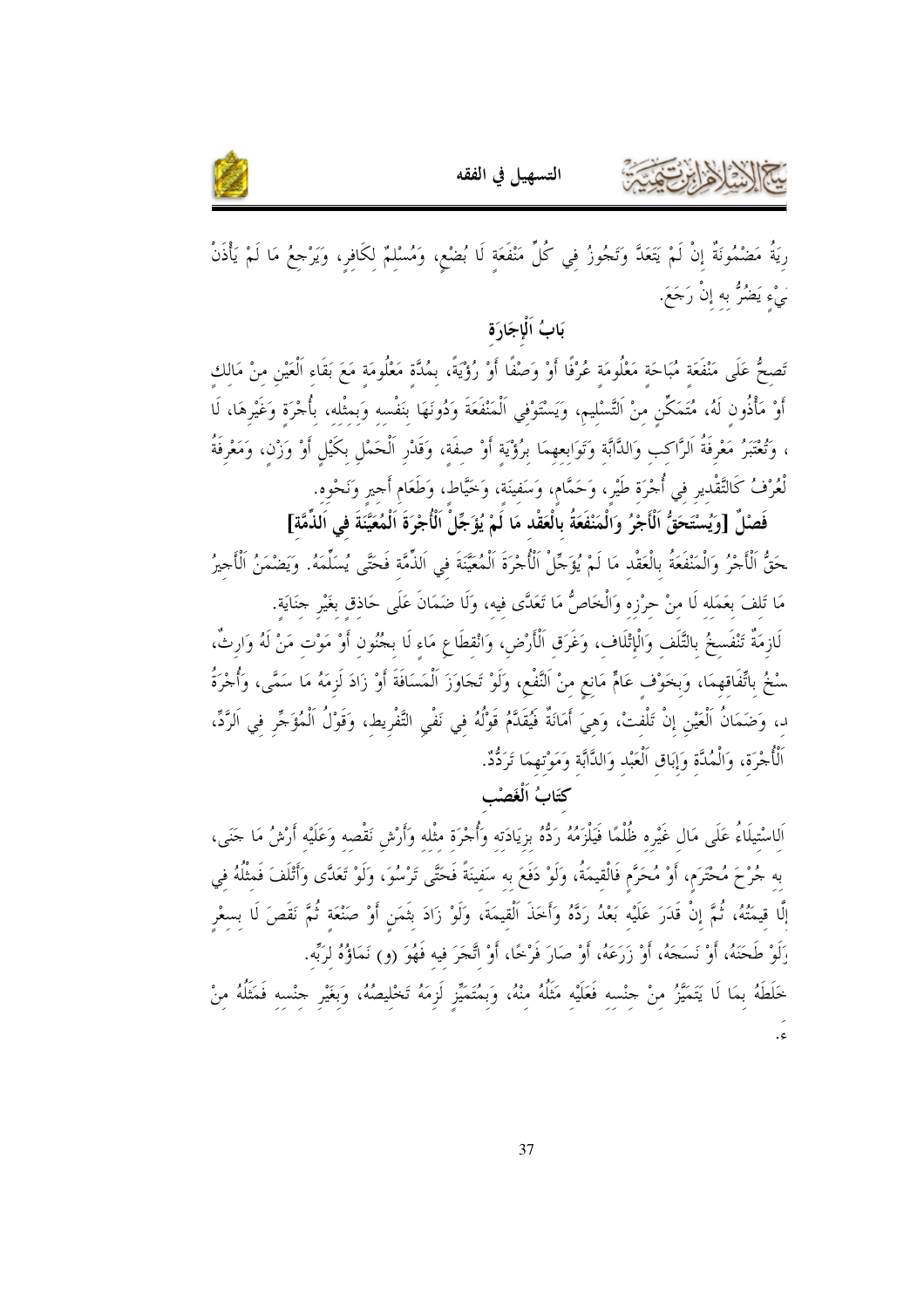



رِيَةُ مَضْمُونَةٌ إنْ لَمْ يَتَعَدَّ وَتَجُوزُ في كُلِّ مَنْفَعَة لَا بُضْع، وَمُسْلِمٌ لِكَافِرٍ، وَيَرْجعُ مَا لَمْ يَأْذَنْ َيْءِ يَضُرُّ بِهِ إِنْ رَجَعَ.

## بَابُ اَلْإِجَادَة

تَصِحُّ عَلَى مَنْفَعَةِ مُبَاحَةِ مَعْلُومَةِ عُرْفًا أَوْ وَصْفًا أَوْ رُؤْيَةً، بمُلَّة مَعْلُومَة مَعَ بَقَاء الْعَيْن منْ مَالك أَوْ مَأْذُون لَهُ، مُتَمَكِّن منْ التَّسْليم، وَيَسْتَوْفي اَلْمَنْفَعَةَ وَدُونَهَا بنَفْسه وَبمثْله، بأجْرَة وَغَيْرهَا، لَا ، وَتُعْتَبَرُ مَعْرِفَةُ اَلرَّاكب وَالدَّابَّة وَتَوَابعهمَا برُؤْيَة أَوْ صفَة، وَقَدْر اَلْحَمْل بكَيْل أَوْ وَزْن، وَمَعْرفَةُ لْعُرْفُ كَالتَّقْدير في أُجْرَة طَيْر، وَحَمَّام، وَسَفينَة، وَخَيَّاط، وَطَعَامِ أَجِيرِ وَنَحْوِهِ.

فَصْلٌ [وَيُسْتَحَقُّ اَلْأَجْرُ وَالْمَنْفَعَةُ بِالْعَقْدِ مَا لَمْ يُؤَجِّلْ الْأُجْرَةَ اَلْمُعَيَّنَةَ في الذِّمَّة] حَقُّ ٱلْأَجْرُ وَالْمَنْفَعَةُ بِالْعَقْدِ مَا لَمْ يُؤَجِّلْ ٱلْأُجْرَةَ الْمُعَيَّنَةَ فِي اَلذِّمَّة فَحَتَّى يُسَلِّمَهُ. وَيَضْمَنُ الْأَجيرُ مَا تَلفَ بعَمَله لَا منْ حرْزه وَالْخَاصُّ مَا تَعَدَّى فيه، وَلَا ضَمَانَ عَلَى حَاذق بغَيْر حنَايَة. لَازِمَةٌ تَنْفَسخُ بالتَّلَف وَالْإِتْلَاف، وَغَرَق الْأَرْض، وَانْقطَاعِ مَاء لَا بجُنُون أَوْ مَوْت مَنْ لَهُ وَارثٌ، سْخُ بِاتِّفَاقِهِمَا، وَبِخَوْف عَامٍّ مَانع منْ اَلنَّفْع، وَلَوْ تَجَاوَزَ اَلْمَسَافَةَ أَوْ زَادَ لَزمَهُ مَا سَمَّى، وَأُجْرَةُ د، وَضَمَانُ اَلْعَيْنِ إِنْ تَلْفتْ، وَهيَ أَمَانَةٌ فَيُقَدَّمُ قَوْلُهُ في نَفْيِ التَّفْرِيطِ، وَقَوْلُ اَلْمُؤَجِّرِ في اَلرَّدِّ، ٱلْأُحْرَة، وَالْمُدَّة وَإِبَاق الْعَبْد وَالدَّابَّة وَمَوْتهمَا تَرَدُّدٌ.

## كتَابُ اَلْغَصْب

اَلِاسْتِيلَاءُ عَلَى مَالٍ غَيْرِهِ ظُلْمًا فَيَلْزَمُهُ رَدُّهُ بزِيَادَتِه وَأُجْرَةٍ مثْله وَأَرْشِ نَقْصه وَعَلَيْه أَرْشُ مَا حَمَى، به جُرْحَ مُحْتَرَم، أَوْ مُحَرَّم فَالْقيمَةُ، وَلَوْ دَفَعَ به سَفينَةً فَحَتَّى تَرْسُوَ، وَلَوْ تَعَدَّى وَأَتْلَفَ فَمثْلُهُ في إلَّا قيمَتُهُ، ثُمَّ إنْ قَدَرَ عَلَيْه بَعْدُ رَدَّهُ وَأَخَذَ الْقيمَةَ، وَلَوْ زَادَ بثَمَن أَوْ صَنْعَة ثُمَّ نَقَصَ لَا بسعْر وَلَوْ طَحَنَهُ، أَوْ نَسَجَهُ، أَوْ زَرَعَهُ، أَوْ صَارَ فَرْحًا، أَوْ اتَّحَرَ فيه فَهُوَ (و) نَمَاؤُهُ لرَبِّه. خَلَطَهُ بِمَا لَا يَتَمَيَّرُ منْ حِنْسه فَعَلَيْه مَثَلُهُ منْهُ، وَبِمُتَمَيِّز لَزِمَهُ تَخْلِيصُهُ، وَبغَيْر حِنْسه فَمَثَلُهُ منْ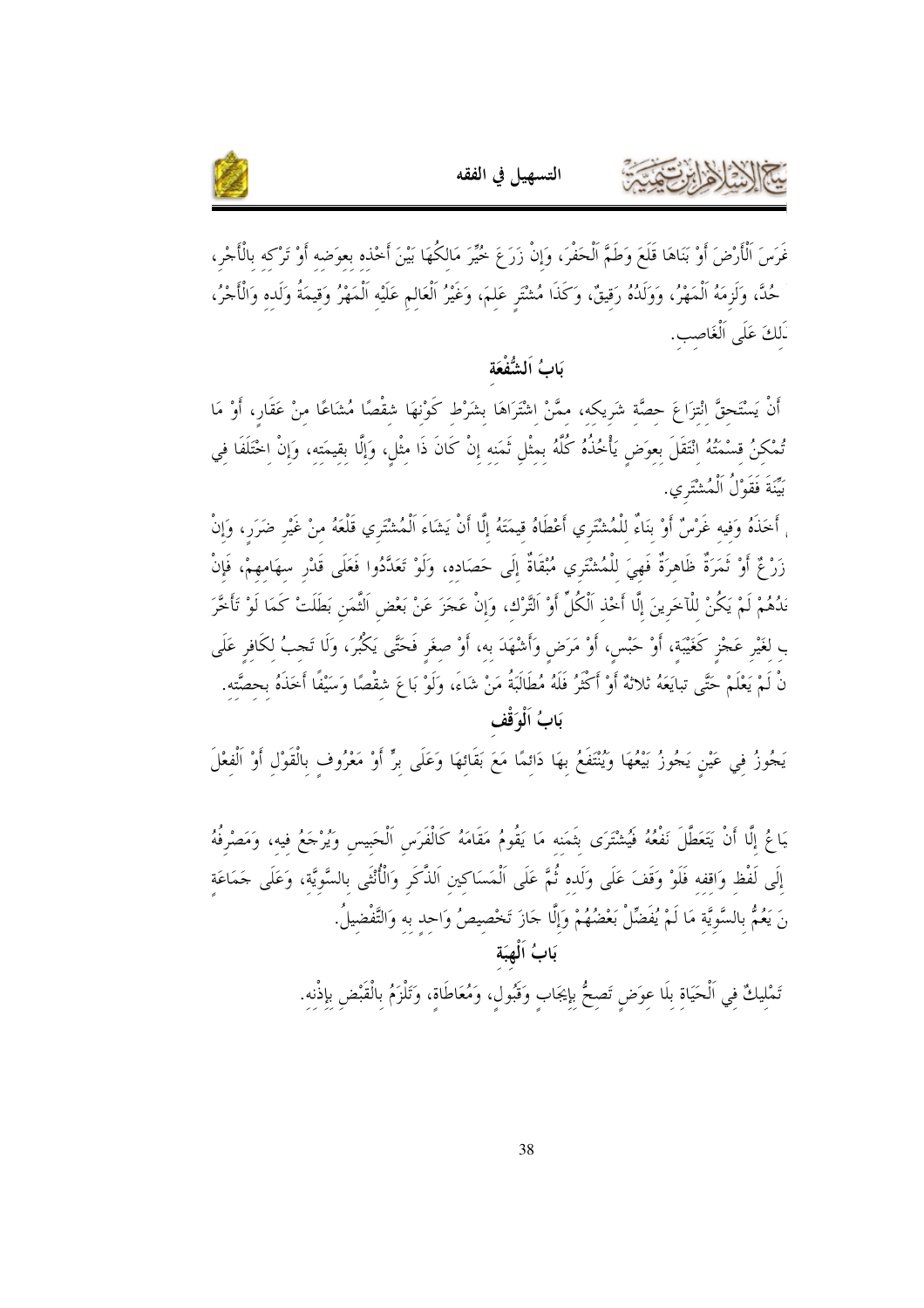



غَرَسَ الْأَرْضَ أَوْ بَنَاهَا قَلَعَ وَطَمَّ الْحَفْرَ، وَإِنْ زَرَعَ خُيِّرَ مَالكُهَا بَيْنَ أَخْذه بعوَضه أَوْ تَرْكه بالْأَجْرِ، حُدَّ، وَلَزِمَهُ اَلْمَهْرُ، وَوَلَدُهُ رَقيقٌ، وَكَذَا مُشْتَرِ عَلمَ، وَغَيْرُ اَلْعَالم عَلَيْه اَلْمَهْرُ وَقيمَةُ وَلَده وَالْأَجْرُ، لَمَكَ عَلَى اَلْغَاصب.

التسهيل في الفقه

#### يَابُ اَلشُّفْعَة

أَنْ يَسْتَحقَّ انْتزَاعَ حصَّة شَريكه، ممَّنْ اشْتَرَاهَا بشَرْط كَوْنهَا شقْصًا مُشَاعًا منْ عَقَار، أَوْ مَا تُمْكنُ قسْمَتُهُ انْتَقَلَ بعوَض يَأْخُذُهُ كُلَّهُ بمثْلِ ثَمَنه إنْ كَانَ ذَا مثْلِ، وَإِلَّا بِقِيمَتِهِ، وَإِنْ اخْتَلَفَا فِي بَيّنَةَ فَقَوْلُ اَلْمُشْتَرِي.

ِ أَحَذَهُ وَفِيهِ غَرْسٌ أَوْ بِنَاءٌ لِلْمُشْتَرِي أَعْطَاهُ قِيمَتَهُ إِلَّا أَنْ يَشَاءَ الْمُشْتَرِي قَلْعَهُ مِنْ غَيْرِ ضَرَرٍ، وَإِنْ زَرْ ثُمَّ أَوْ ثَمَرَةٌ ظَاهرَةٌ فَهِيَ للْمُشْتَرِي مُبْقَاةٌ إِلَى حَصَاده، وَلَوْ تَعَدَّدُوا فَعَلَى قَدْر سهَامهمْ، فَإِنْ نَدُهُمْ لَمْ يَكُنْ للْآخَرِينَ إِلَّا أَخْذ اَلْكُلِّ أَوْ التَّرْك، وَإِنْ عَجَزَ عَنْ بَعْض اَلثَّمَن بَطَلَتْ كَمَا لَوْ تَأْخَّرَ ب لغَيْرِ عَجْزٍ كَغَيْبَة، أَوْ حَبْسٍ، أَوْ مَرَضٍ وَأَشْهَدَ به، أَوْ صِغَرِ فَحَتَّى يَكْبُرَ، وَلَا تَجبُ لكَافِرِ عَلَى نْ لَمْ يَعْلَمْ حَتَّى تبايَعَهُ ثلاثةٌ أَوْ أَكْثَرُ فَلَهُ مُطَالَبَةُ مَنْ شَاءَ، وَلَوْ بَاعَ شقْصًا وَسَيْفًا أَخَذَهُ بحصَّته. بَابُ اَلْوَقْف

يَجُوزُ فِي عَيْنٍ يَجُوزُ بَيْعُهَا وَيُنْتَفَعُ بِهَا دَائِمًا مَعَ بَقَائِهَا وَعَلَى بِرٍّ أَوْ مَعْرُوفٍ بِالْقَوْلِ أَوْ اَلْفِعْلَ

يَاعُ إِلَّا أَنْ يَتَعَطَّلَ نَفْعُهُ فَيُشْتَرَى بَثَمَنه مَا يَقُومُ مَقَامَهُ كَالْفَرَس اَلْحَبيس وَيُرْجَعُ فيه، وَمَصْرفُهُ إِلَى لَفْظ وَاقفه فَلَوْ وَقَفَ عَلَى وَلَده ثُمَّ عَلَى الْمَسَاكين اَلذَّكَر وَالْأُنْثَى بالسَّويَّة، وَعَلَى حَمَاعَة نَ يَعُمُّ بِالسَّوِيَّة مَا لَمْ يُفَضِّلْ بَعْضُهُمْ وَإِلَّا جَازَ تَخْصِيصُ وَاحِدٍ بِهِ وَالتَّفْضِيلُ. بَابُ اَلْهِبَة

تَمْليكٌ فِي اَلْحَيَاةِ بِلَا عِوَضِ تَصِحُّ بِإِيجَابٍ وَقَبُولٍ، وَمُعَاطَاةٍ، وَتَلْزَمُ بِالْقَبْضِ بِإِذْنه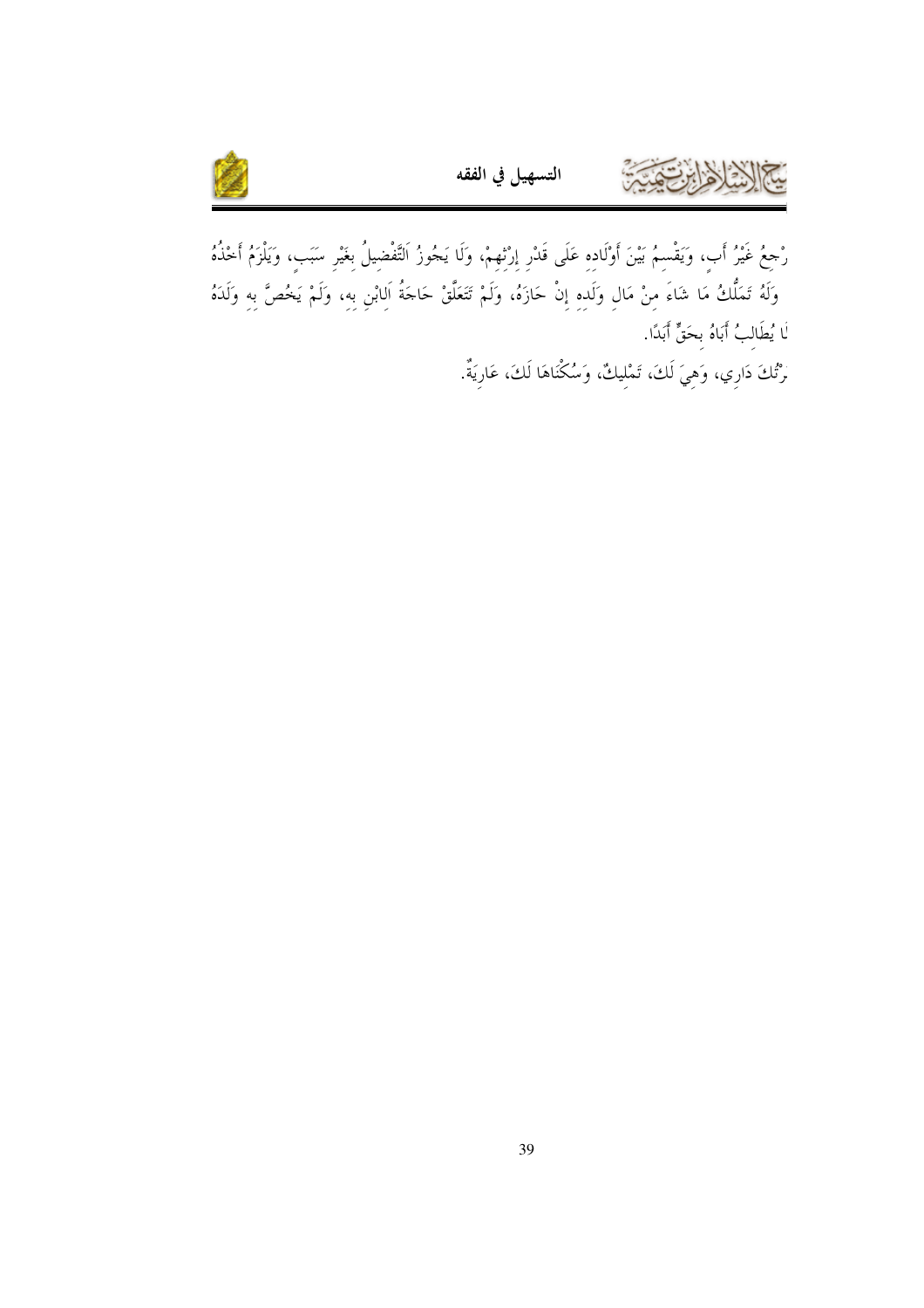

رْجِعُ غَيْرُ أَبٍ، وَيَقْسِمُ بَيْنَ أَوْلَادِهِ عَلَى قَدْرِ إِرْتِهِمْ، وَلَا يَجُوزُ اَلتَّفْضِيلُ بِغَيْرِ سَبَبٍ، وَيَلْزَمُ أَخْذُهُ وَلَهُ تَمَلُّكُ مَا شَاءَ مِنْ مَالِ وَلَدِهِ إِنْ حَازَهُ، وَلَمْ تَتَعَلَّقْ حَاجَةُ اَلِابْنِ بِهِ، وَلَمْ يَخُصَّ بِهِ وَلَدَهُ لَا يُطَالِبُ أَبَاهُ بِحَقٍّ أَبَدًا.

التسهيل في الفقه

َرْتُكَ دَارِي، وَهِيَ لَكَ، تَمْلِيكٌ، وَسُكْنَاهَا لَكَ، عَارِيَةٌ.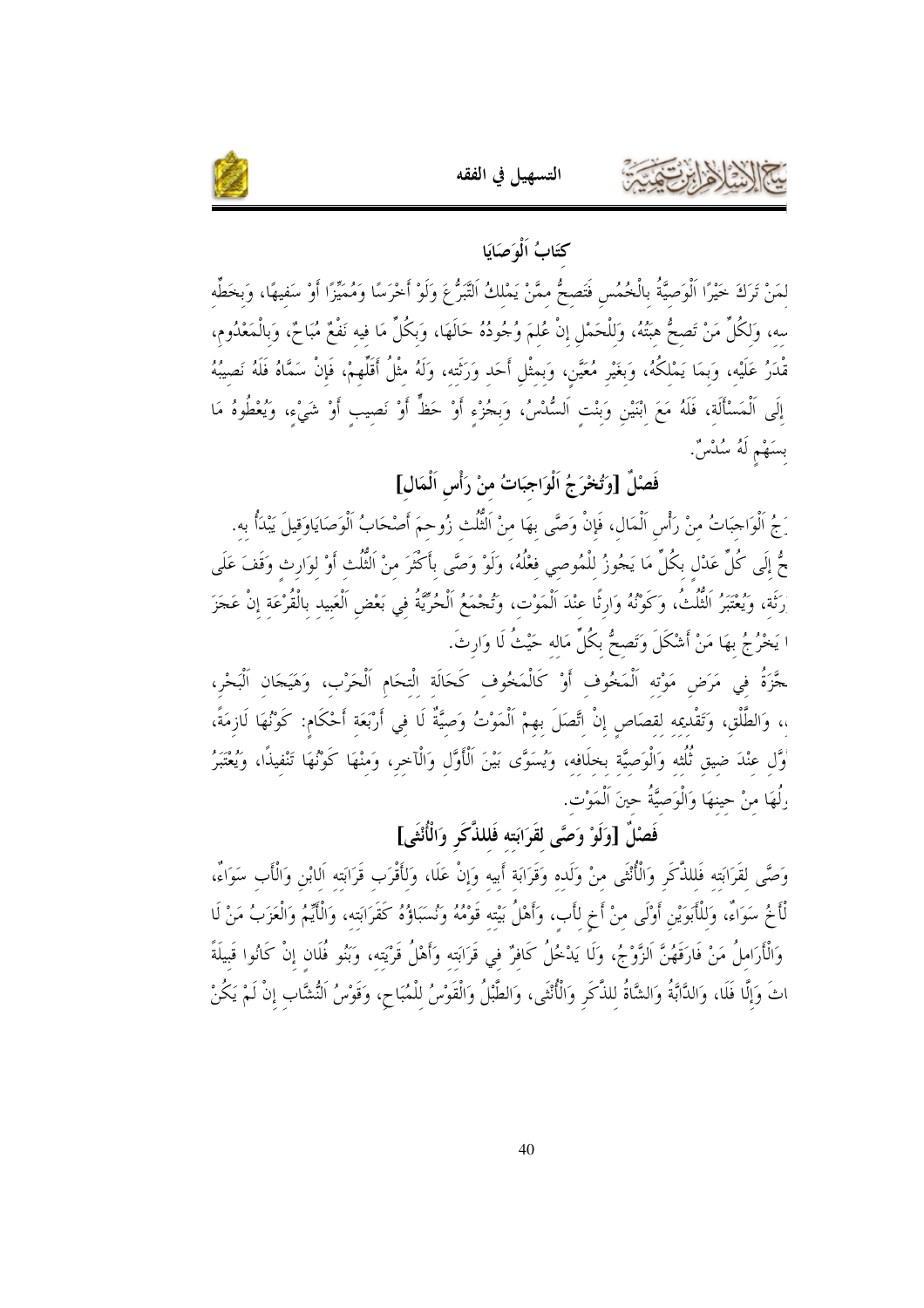

كتَابُ اَلْهَ صَايَا لمَنْ تَرَكَ خَيْرًا الْوَصِيَّةُ بِالْخُمُسِ فَتَصِحُّ ممَّنْ يَمْلكُ التَّبَرُّ عَ وَلَوْ أَخْرَسًا وَمُمَيِّزًا أَوْ سَفيهًا، وَبخطِّه سه، وَلكُلِّ مَنْ تَصحُّ هبَتُهُ، وَللْحَمْلِ إنْ عُلمَ وُجُودُهُ حَالَهَا، وَبكُلِّ مَا فيه نَفْعٌ مُبَاحٌ، وَبالْمَعْدُوم، مّْدَرُ عَلَيْه، وَبِمَا يَمْلَكُهُ، وَبَغَيْر مُعَيَّن، وَبمثْل أَحَد وَرَثَته، وَلَهُ مثْلُ أَقَلّْهمْ، فَإنْ سَمَّاهُ فَلَهُ نَصيبُهُ إِلَى الْمَسْأَلَة، فَلَهُ مَعَ ابْنَيْنِ وَبِنْتِ اَلسُّدْسُ، وَبِجُزْءِ أَوْ حَظٍّ أَوْ نَصِيبٍ أَوْ شَيْء، وَيُعْطُوهُ مَا بسَهْم لَهُ سُلْسٌ.

## فَصْلٌ [وَتُخْرَجُ اَلْوَاجِبَاتُ منْ رَأْسِ اَلْمَالٍ]

رَجُ اَلْوَاحِبَاتُ منْ رَأْسِ اَلْمَال، فَإِنْ وَصَّى بهَا منْ اَلْتُلْتْ زُوحمَ أَصْحَابُ اَلْوَصَايَاوَقيلَ يَبْدَأُ به. حٌّ إلَى كُلِّ عَدْل بكُلِّ مَا يَجُوزُ للْمُوصى فعْلُهُ، وَلَوْ وَصَّى بأَكْثَرَ منْ اَلْتُلْتْ أَوْ لوَارث وَقَفَ عَلَى رَثَة، وَيُعْتَبِرُ الْثُلْثُ، وَكَوْنُهُ وَارثًا عنْدَ اَلْمَوْت، وَتُجْمَعُ اَلْحُرِّيَّةُ في بَعْض اَلْعَبيد بالْقُرْعَة إنْ عَجَزَ ا يَخْرُجُ بهَا مَنْ أَشْكَلَ وَتَصحُّ بكُلِّ مَاله حَيْثُ لَا وَارِثَ.

حَّزَةُ في مَرَض مَوْته اَلْمَخُوف أَوْ كَالْمَخُوف كَحَالَة الْتحَام اَلْحَرْب، وَهَيَجَان اَلْبَحْر، ،، وَالطَّلْق، وَتَقْديمه لقصَاص إنْ اتَّصَلَ بهمْ الْمَوْتُ وَصيَّةٌ لَا في أَرْبَعَة أَحْكَام: كَوْنُهَا لَازمَةً، .<br>وَّل عنْدَ ضيق ثُلُثه وَالْوَصيَّة بخلَافه، وَيُسَوَّى بَيْنَ اَلْأَوَّل وَالْآخر، وَمنْهَا كَوْنُهَا تَنْفيذًا، وَيُغْتَبِرُ رِلُهَا منْ حينهَا وَالْوَصيَّةُ حينَ اَلْمَوْت.

## فَصْلَ [وَلَوْ وَصَّى لقَرَابَته فَللذَّكَر وَالْأُنْثَى]

وَصَّى لقَرَابَته فَللذَّكَر وَالْأُنْثَى منْ وَلَده وَقَرَابَة أَبيه وَإِنْ عَلَا، وَلأَقْرَب قَرَابَته اَلابْن وَالْأَب سَوَاءٌ، لْأَخُ سَوَاءٌ، وَللْأَبَوَيْنِ أَوْلَى منْ أَخٍ لأَبٍ، وَأَهْلُ بَيْته قَوْمُهُ وَنُسَبَاؤُهُ كَقَرَابَته، وَالْأَيْمُ وَالْعَزَبُ مَنْ لَا وَالْأَرَاملُ مَنْ فَارَقَهُنَّ الزَّوْجُ، وَلَا يَدْخُلُ كَافرٌ في قَرَابَته وَأَهْلُ قَرْيَته، وَبَنُو فُلَان إنْ كَانُوا قَبيلَةً اتَ وَإِلَّا فَلَا، وَالدَّابَّةُ وَالشَّاةُ للذَّكَرِ وَالْأُنْثَى، وَالطَّبْلُ وَالْقَوْسُ للْمُبَاح، وَقَوْسُ النُّشَّاب إنْ لَمْ يَكُنْ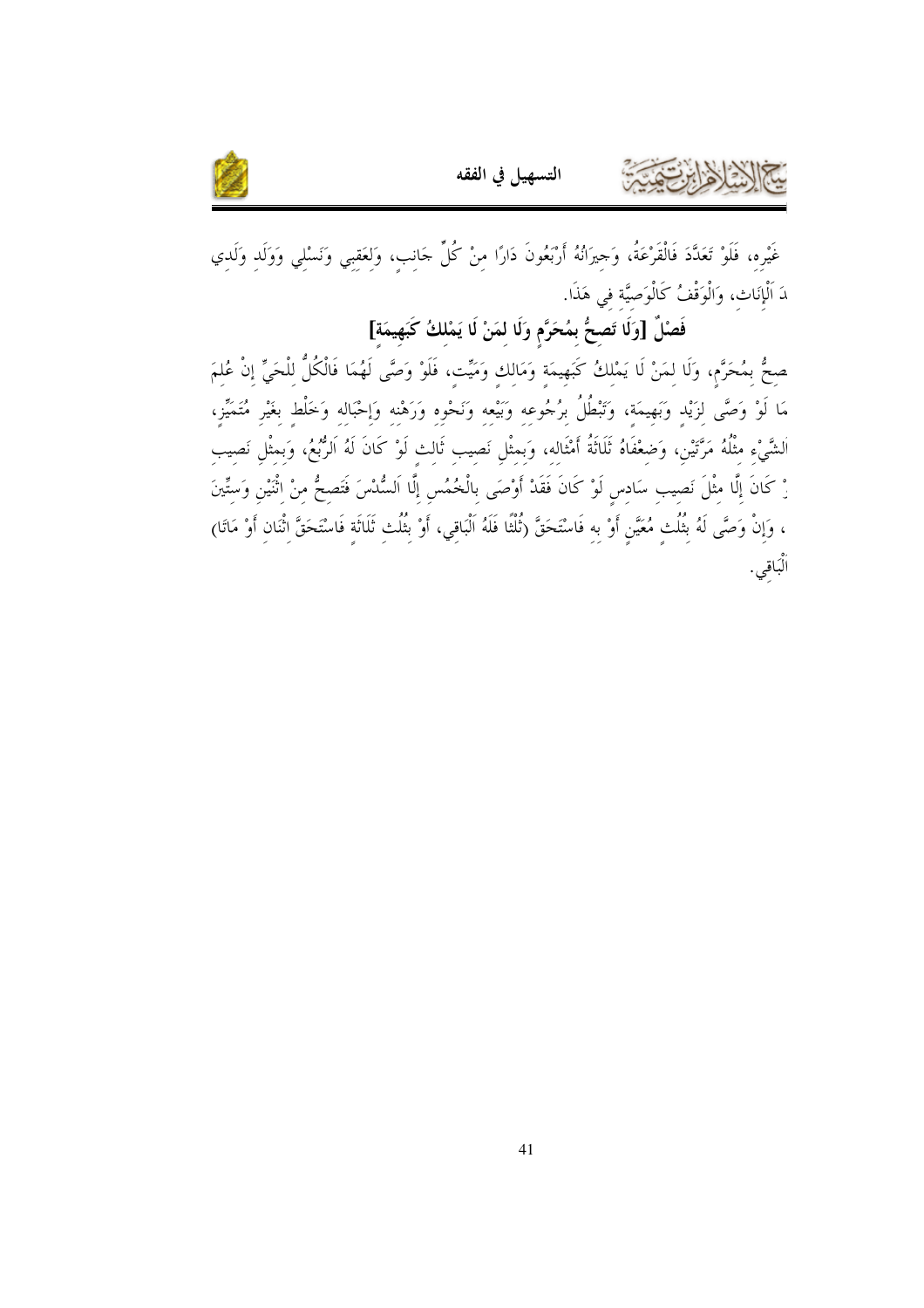

غَيْره، فَلَوْ تَعَدَّدَ فَالْقَرْعَةُ، وَحِيرَانُهُ أَرْبَعُونَ دَارًا مِنْ كُلِّ حَانِبٍ، وَلِعَقِبِي وَنَسْلِي وَوَلَدِ وَلَدِي دَ اَلْإِنَات، وَالْوَقْفُ كَالْوَصِيَّة في هَذَا.

فَصْلٌ [وَلَا تَصحُّ بمُحَرَّم وَلَا لمَنْ لَا يَمْلكُ كَبَهِيمَة]

صِحُّ بِمُحَرَّمٍ، وَلَا لِمَنْ لَا يَمْلِكُ كَبَهِيمَةٍ وَمَالِكٍ وَمَيِّتٍ، فَلَوْ وَصَّى لَهُمَا فَالْكُلُّ لِلْحَيِّ إِنْ عُلِمَ مَا لَوْ وَصَّى لِزَيْدِ وَبَهِيمَةٍ، وَتَبْطُلُ بِرُجُوعِهِ وَبَيْعِهِ وَنَحْوِهِ وَرَهْنِهِ وَإِحْبَالِهِ وَخَلْطِ بِغَيْرِ مُتَمَيِّزٍ، اَلشَّيْءِ مثْلُهُ مَرَّتْيْن، وَضعْفَاهُ ثَلَاثَةُ أَمْثَاله، وَبمثْل نَصيب ثَالث لَوْ كَانَ لَهُ الرُّبُعُ، وَبمثْل نَصيب رْ كَانَ إِلَّا مِثْلَ نَصِيبِ سَادِسٍ لَوْ كَانَ فَقَدْ أَوْصَى بِالْخُمُسِ إِلَّا اَلسُّدْسَ فَتَصِحُّ مِنْ اثْنَيْنِ وَسِتِّينَ ، وَإِنْ وَصَّى لَهُ بِثُلُثِ مُعَيَّنٍ أَوْ بِهِ فَاسْتَحَقَّ (تُلْثًا فَلَهُ اَلْبَاقِي، أَوْ بِثُلُثِ ثَلَاثَةٍ فَاسْتَحَقَّ اِثْنَانِ أَوْ مَاتَا) اْلْبَاقىي.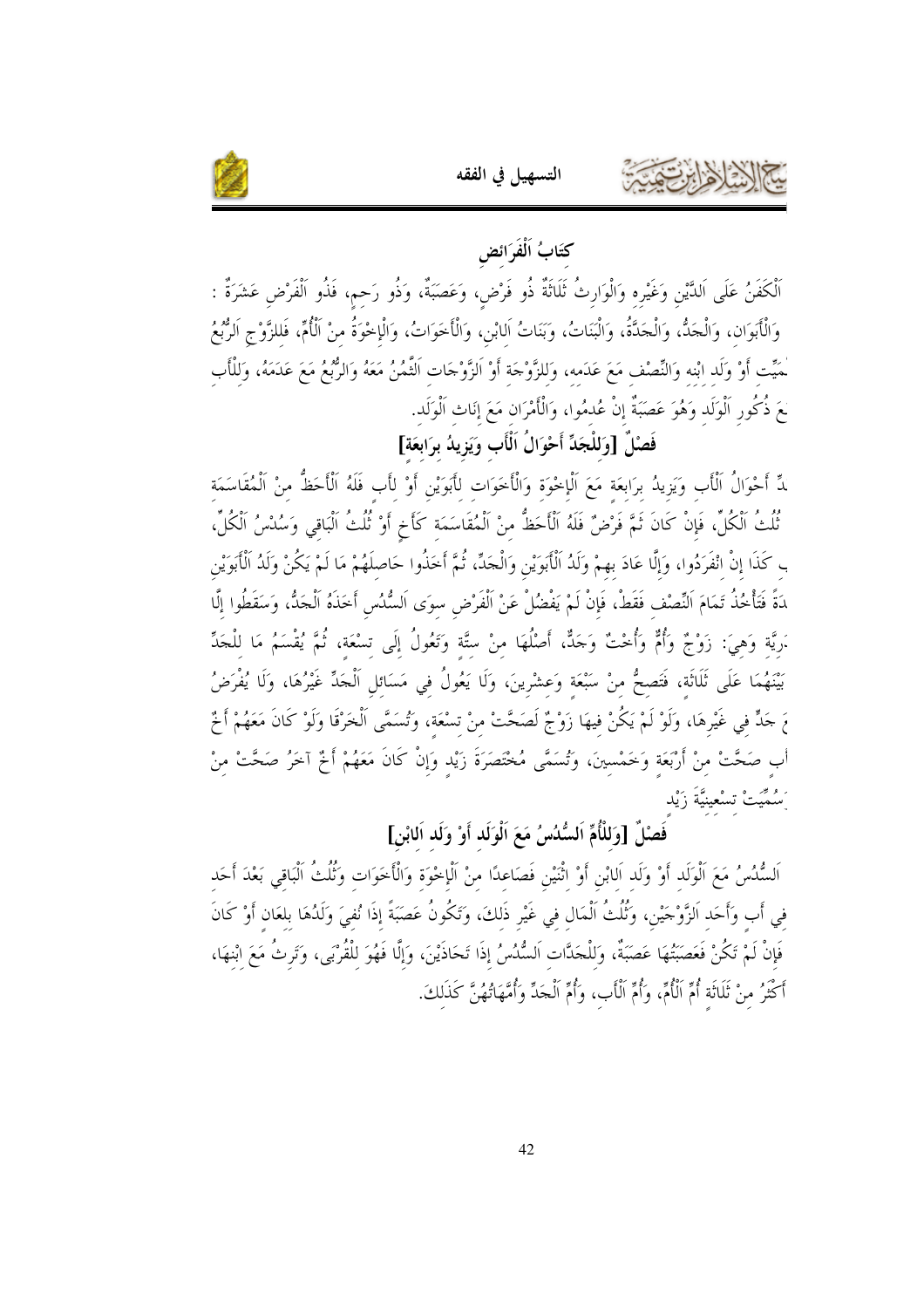

كتَابُ اَلْفَرَائض

ٱلْكَفَنُ عَلَى اَلدَّيْنِ وَغَيْرِه وَالْوَارِثُ ثَلَاثَةٌ ذُو فَرْضٍ، وَعَصَبَةٌ، وَذُو رَحمٍ، فَذُو الْفَرْض عَشَرَةٌ : وَالْأَبَوَانِ، وَالْحَدُّ، وَالْحَدَّةُ، وَالْبَنَاتُ، وَبَنَاتُ اَلابْنِ، وَالْأَخَوَاتُ، وَالْإِخْوَةُ منْ الْأُمِّ، فَللزَّوْجِ اَلرُّبُعُ ْمَيِّت أَوْ وَلَد ابْنه وَالنِّصْف مَعَ عَدَمه، وَللزَّوْجَة أَوْ الزَّوْجَات اَلثَّمُنُ مَعَهُ وَالرُّبعُ مَعَ عَدَمَهُ، وَللْأَب لَعَ ذُكُور اَلْوَلَد وَهُوَ عَصَبَةٌ إنْ عُدمُوا، وَالْأَمْرَان مَعَ إنَاث اَلْوَلَد.

فَصْلٌ [وَللْجَدِّ أَحْوَالُ اَلْأَبِ وَيَزِيدُ برَابِعَة]

لِّ أَحْوَالُ الْأَبِ وَيَزِيدُ برَابعَة مَعَ الْإِحْوَة وَالْأَخَوَات للَّبوَيْنِ أَوْ لأَبِ فَلَهُ الْأَخظُّ منْ الْمُقَاسَمَة ثُلُثُ الْكُلِّ، فَإِنْ كَانَ ثَمَّ فَرْضٌ فَلَهُ اَلْأَحَظُّ منْ اَلْمُقَاسَمَة كَأَخٍ أَوْ ثُلُثُ الْبَاقي وَسُدْسُ اَلْكُلِّ، ب كَذَا إنْ انْفَرَدُوا، وَإِلَّا عَادَ بهمْ وَلَدُ اَلْأَبَوَيْنِ وَالْجَدِّ، ثُمَّ أَخَذُوا حَاصلَهُمْ مَا لَمْ يَكُنْ وَلَدُ اَلْأَبَوَيْن دَةً فَتَأْخُذُ تَمَامَ اَلنِّصْف فَقَطْ، فَإِنْ لَمْ يَفْضُلْ عَنْ اَلْفَرْض سوَى اَلسُّنُس أَخَذَهُ اَلْجَكْ، وَسَقَطُوا إلَّا .َريَّة وَهيَ: زَوْجٌ وَأُمٌّ وَأُخْتٌ وَجَكٌّ، أَصْلُهَا منْ ستَّة وَتَعُولُ إِلَى تسْعَة، ثُمَّ يُقْسَمُ مَا للْجَدِّ بَيْنَهُمَا عَلَى ثَلَاثَة، فَتَصحُّ منْ سَبْعَة وَعشْرينَ، وَلَا يَعُولُ في مَسَائل اَلْجَدِّ غَيْرُهَا، وَلَا يُفْرَضُ مَ حَدٍّ في غَيْرِهَا، وَلَوْ لَمْ يَكُنْ فيهَا زَوْجٌ لَصَحَّتْ منْ تسْعَة، وَتُسَمَّى الْخَرْقَا وَلَوْ كَانَ مَعَهُمْ أَخْ أب صَحَّتْ منْ أَرْبَعَة وَخَمْسينَ، وَتُسَمَّى مُخْتَصَرَةَ زَيْد وَإِنْ كَانَ مَعَهُمْ أَخْ آخَرُ صَحَّتْ منْ َسُمَيَتْ تسْعينيَّةَ زَيْدِ

## فَصَلِّ [وَللْأُمِّ اَلسُّلُسُ مَعَ اَلْوَلَد أَوْ وَلَد اَلابْنِ]

اَلسُّدُسُ مَعَ اَلْوَلَد أَوْ وَلَد اَلابْنِ أَوْ اثْنَيْنِ فَصَاعدًا منْ الْإخْوَة وَالْأَخَوَات وَثُلُثُ الْبَاقي بَعْدَ أَحَد في أب وَأَحَد الزَّوْجَيْن، وَثُلُثُ الْمَال في غَيْر ذَلكَ، وَتَكُونُ عَصَبَةً إذَا نُفيَ وَلَدُهَا بلعَان أَوْ كَانَ فَإِنْ لَمْ تَكُنْ فَعَصَبَتُهَا عَصَبَةٌ، وَللْحَدَّات اَلسُّدُسُ إذَا تَحَاذَيْنَ، وَإِلَّا فَهُوَ للْقُرْبَى، وَتَرثُ مَعَ ابْنهَا، أَكْثَرُ منْ ثَلَاثَة أُمِّ الْأُمِّ، وَأُمِّ الْأَب، وَأُمِّ الْجَدِّ وَأُمَّهَاتُهُنَّ كَذَلِكَ.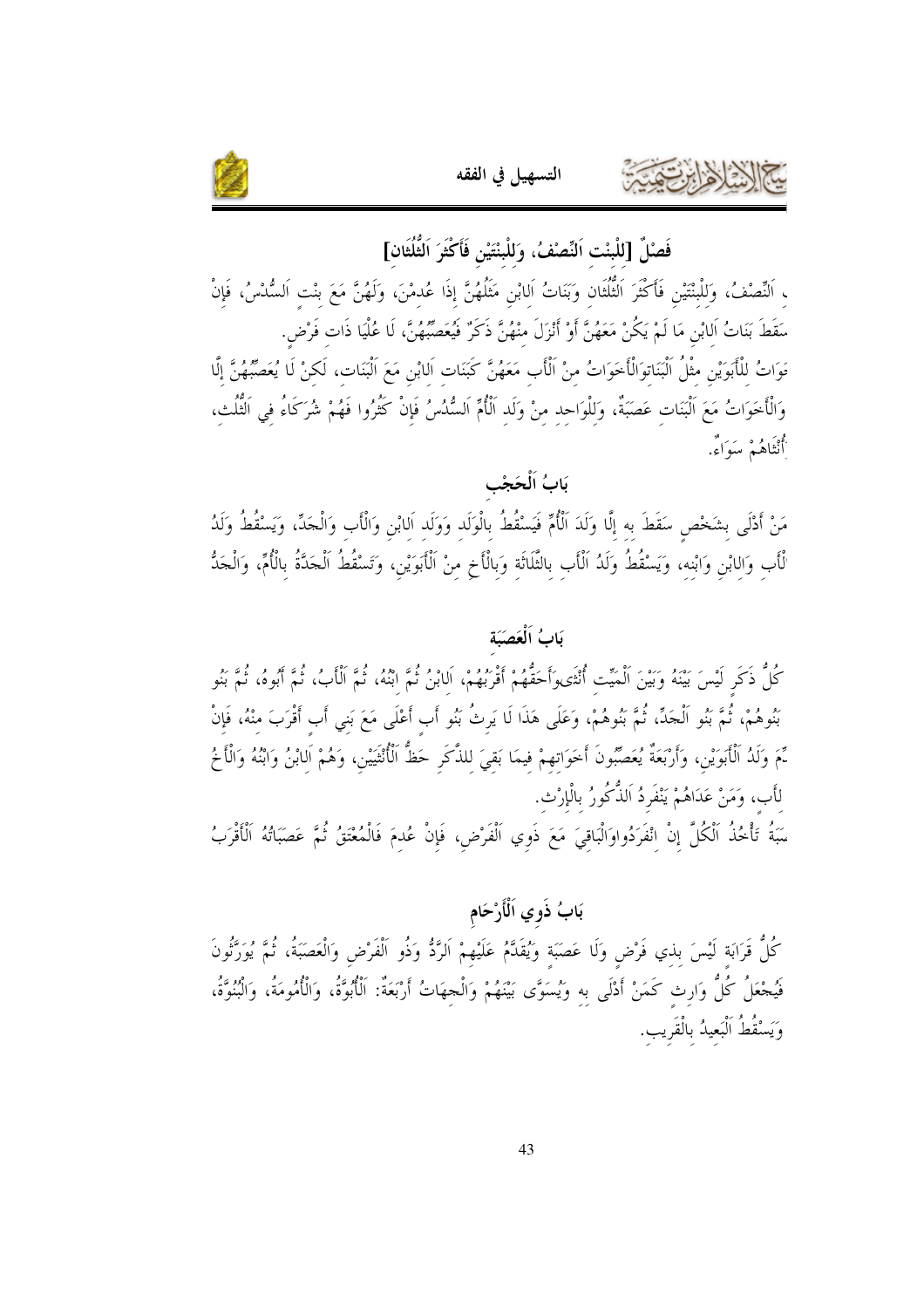



فَصْلٌ [للْبنْت اَلنِّصْفُ، وَللْبنْتَيْنِ فَأَكْثَرَ الثُّلُثَانِ]

التسهيل في الفقه

، اَلنِّصْفُ، وَللْبنْتَيْنِ فَأَكْثَرَ الثُّلُثَانِ وَبَنَاتُ اَلابْنِ مَثَلُهُنَّ إذَا عُدمْنَ، وَلَهُنَّ مَعَ بنْتِ اَلسُّدْسُ، فَإِنْ سَقَطَ بَنَاتُ اَلابْنِ مَا لَمْ يَكُنْ مَعَهُنَّ أَوْ أَنْزَلَ منْهُنَّ ذَكَرٌ فَيُعَصِّبُهُنَّ، لَا عُلْيَا ذَات فَرْض. قَوَاتُ للْأَبَوَيْنِ مثْلُ الْبَنَاتوَالْأَخَوَاتُ منْ اَلْأَبِ مَعَهُنَّ كَبَنَات اَلمابْنِ مَعَ الْبَنَات، لَكنْ لَا يُعَصِّبُهُنَّ إِلَّا وَالْأَخَوَاتُ مَعَ اَلْبَنَاتِ عَصَبَةٌ، وَلِلْوَاحِد منْ وَلَد اَلْأُمِّ اَلسُّدُسُ فَإِنْ كَثُرُوا فَهُمْ شُرَكَاءُ في اَلتُّلُث، أَنْتَاهُمْ سَوَاءٌ.

## بَابُ اَلْحَجْبِ

مَنْ أَدْلَى بشَخْص سَقَطَ به إلَّا وَلَدَ الْأُمِّ فَيَسْقُطُ بالْوَلَد وَوَلَد اَلابْن وَالْأَب وَالْجَدِّ، وَيَسْقُطُ وَلَدُ لْأَبِ وَاللَّنِ وَابْنه، وَيَسْقُطُ وَلَدُ اَلْأَبِ بالثَّلَاثَة وَبالْأَخِ منْ الْأَبَوَيْنِ، وَتَسْقُطُ الْجَدَّةُ بالْأُمِّ، وَالْجَدُّ

#### بَابُ اَلْعَصَبَة

كُلُّ ذَكَرٍ لَيْسَ بَيْنَهُ وَبَيْنَ اَلْمَيِّت أُنْثَى وَأَحَقُّهُمْ أَقْرَبُهُمْ، اَلابْنُ ثُمَّ ابْنُهُ، ثُمَّ الْأَبُ، ثُمَّ أَبُوهُ، ثُمَّ بَنُو بَنُوهُمْ، ثُمَّ بَنُو اَلْجَدِّ، ثُمَّ بَنُوهُمْ، وَعَلَى هَذَا لَا يَرثُ بَنُو أَب أَعْلَى مَعَ بَني أَب أَقْرَبَ منْهُ، فَإِنْ نِّمَ وَلَدُ ٱلْأَبَوَيْنِ، وَأَرْبَعَةٌ يُعَصِّبُونَ أَخَوَاتهمْ فيمَا بَقيَ للذَّكَرِ حَظُّ ٱلْأُنْثَيَيْنِ، وَهُمْ اَلابْنُ وَابْنُهُ وَالْأَخُ لأَب، وَمَنْ عَدَاهُمْ يَنْفَرِدُ اَلذُّكُورُ بِالْإِرْث.

سَبَةُ تَأْخُذُ اَلْكُلَّ إنْ انْفَرَدُواوَالْبَاقيَ مَعَ ذَوي اَلْفَرْض، فَإنْ عُدمَ فَالْمُعْتَقُ ثُمَّ عَصَبَاتُهُ اَلْأَقْرَبُ

## بَابُ ذَوي اَلْأَرْحَام

كُلُّ قَرَابَة لَيْسَ بذي فَرْضٍ وَلَا عَصَبَة وَيُقَدَّمُ عَلَيْهِمْ اَلرَّدُّ وَذُو اَلْفَرْضِ وَالْعَصَبَةُ، ثُمَّ يُوَرَّثُونَ فَيُحْعَلُ كُلُّ وَارِث كَمَنْ أَدْلَى به وَيُسَوَّى بَيْنَهُمْ وَالْحِهَاتُ أَرْبَعَةٌ: اَلْأُبُوَّةُ، وَالْأُمُومَةُ، وَالْبُنُوَّةُ، وَيَسْقُطُ اَلْبَعيدُ بِالْقَرِيبِ.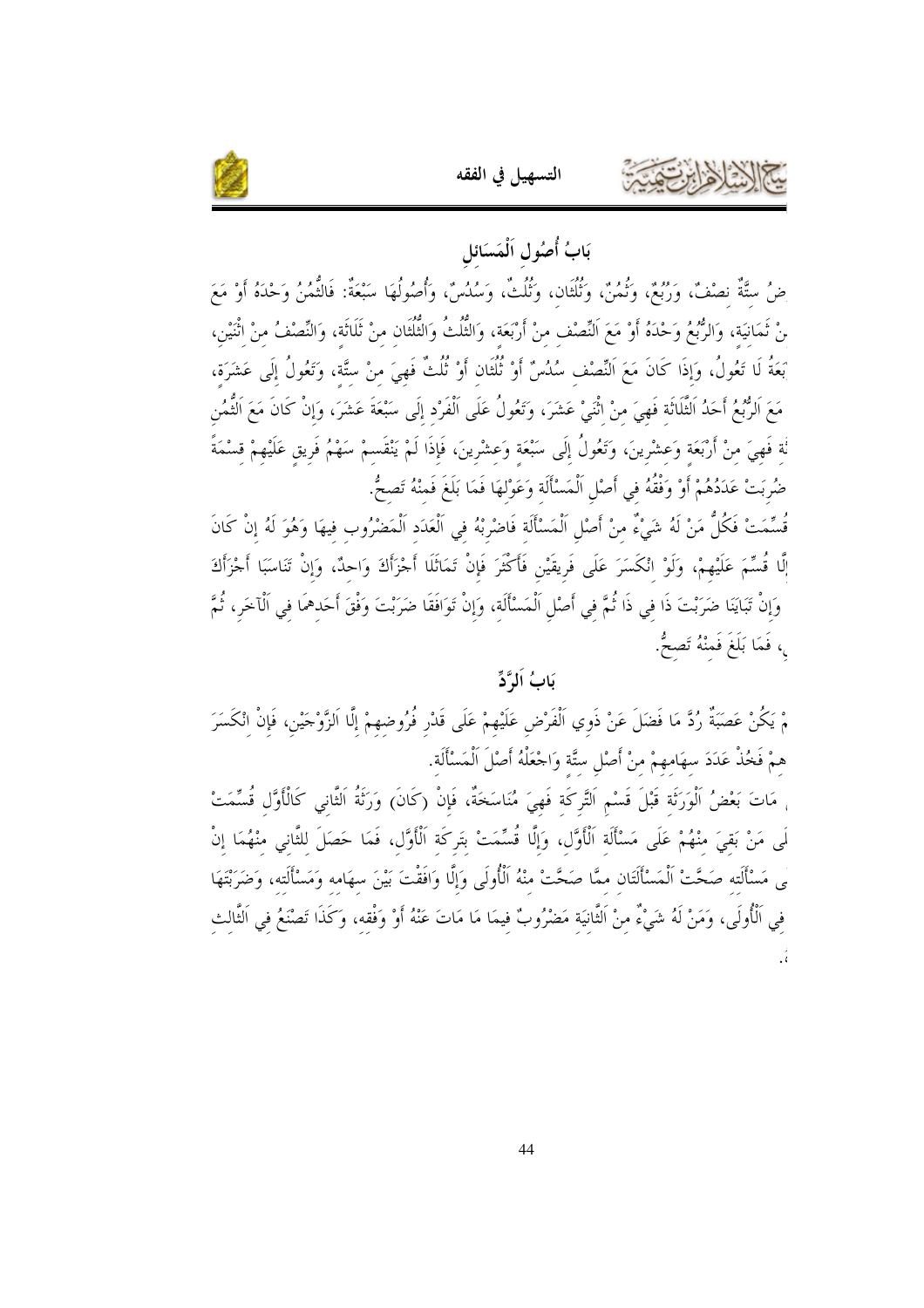



## بَابُ أُصُول اَلْمَسَائل

ضُ ستَّةٌ نصْفٌ، وَرُبُعٌ، وَثُمُنٌ، وَثُلُثَان، وَثُلُثٌ، وَسُلُسٌ، وَأُصُولُهَا سَبْعَةٌ: فَالتُّمُنُ وَحْدَهُ أَوْ مَعَ نْ ثَمَانيَة، وَالرُّبُعُ وَحْدَهُ أَوْ مَعَ النِّصْف منْ أَرْبَعَة، وَالثُّلُثُ وَالثُّلُثان منْ ثَلَاثَة، وَالنِّصْفُ منْ اثْنَيْن، بَعَةُ لَا تَعُولُ، وَإِذَا كَانَ مَعَ النِّصْف سُلُسٌ أَوْ ثُلُثَان أَوْ ثُلُثٌ فَهِيَ منْ ستَّة، وَتَعُولُ إلَى عَشَرَة، مَعَ اَلرُّبُمُ أَحَدُ الثَّلَاثَة فَهيَ منْ اثْنَىْ عَشَرَ، وتَعُولُ عَلَى اَلْفَرْد إلَى سَبْعَةَ عَشَرَ، وَإنْ كَانَ مَعَ الْثُمُن نُة فَهِيَ منْ أَرْبَعَة وَعشْرينَ، وَتَعُولُ إلَى سَبْعَة وَعشْرينَ، فَإذَا لَمْ يَنْقَسمْ سَهْمُ فَريق عَلَيْهمْ قسْمَةً ضُربَتْ عَدَدُهُمْ أَوْ وَفْقُهُ في أَصْلِ اَلْمَسْأَلَة وَعَوْلهَا فَمَا بَلَغَ فَمنْهُ تَصحُّ.

قُسِّمَتْ فَكُلُّ مَنْ لَهُ شَيْءٌ مِنْ أَصْلِ اَلْمَسْأَلَة فَاضْرِبْهُ فِي اَلْعَدَدِ اَلْمَضْرُوب فيهَا وَهُوَ لَهُ إِنْ كَانَ إِلَّا قُسِّمَ عَلَيْهِمْ، وَلَوْ انْكَسَرَ عَلَى فَرِيقَيْنِ فَأَكْثَرَ فَإِنْ تَمَاثَلَا أَجْزَأَكَ وَاحِدٌ، وَإِنْ تَنَاسَبَا أَجْزَأَكَ وَإِنْ تَبَايَنَا ضَرَبْتَ ذَا في ذَا ثُمَّ في أَصْلِ اَلْمَسْأَلَة، وَإِنْ تَوَافَقَا ضَرَبْتَ وَفْقَ أَحَدهمَا في اَلْآخَر، ثُمَّ <sub>ي</sub>، فَمَا بَلَغَ فَمِنْهُ تَصِحٌّ.

يَابُ اَلمَّ'دٍّ

مْ يَكُنْ عَصَبَةٌ رُدَّ مَا فَضَلَ عَنْ ذَوِي اَلْفَرْضِ عَلَيْهِمْ عَلَى قَدْرٍ فُرُوضهمْ إلَّا الزَّوْجَيْن، فَإنْ انْكَسَرَ همْ فَخُذْ عَدَدَ سهَامهمْ منْ أَصْلِ ستَّة وَاجْعَلْهُ أَصْلَ الْمَسْأَلَة.

، مَاتَ بَعْضُ اَلْوَرَتْة قَبْلَ قَسْم اَلتَّركَة فَهِيَ مُنَاسَخَةٌ، فَإِنْ (كَانَ) وَرَثَةُ اَلتَّانِي كَالْأَوَّل قُسِّمَتْ لَى مَنْ بَقىَ منْهُمْ عَلَى مَسْأَلَة الْأَوَّل، وَإِلَّا قُسِّمَتْ بِتَركَة الْأَوَّل، فَمَا حَصَلَ للثّانى منْهُمَا إنْ ى مَسْأَلَته صَحَّتْ الْمَسْأَلَتَان ممَّا صَحَّتْ منْهُ الْأُولَى وَإِلَّا وَافَقْتَ بَيْنَ سهَامه وَمَسْأَلَته، وَضَرَبْتَهَا في الْأُولَى، وَمَنْ لَهُ شَيْءٌ منْ الثَّانيَة مَضْرُوبٌ فيمَا مَا مَاتَ عَنْهُ أَوْ وَفْقه، وَكَذَا تَصْنَعُ في الثَّالث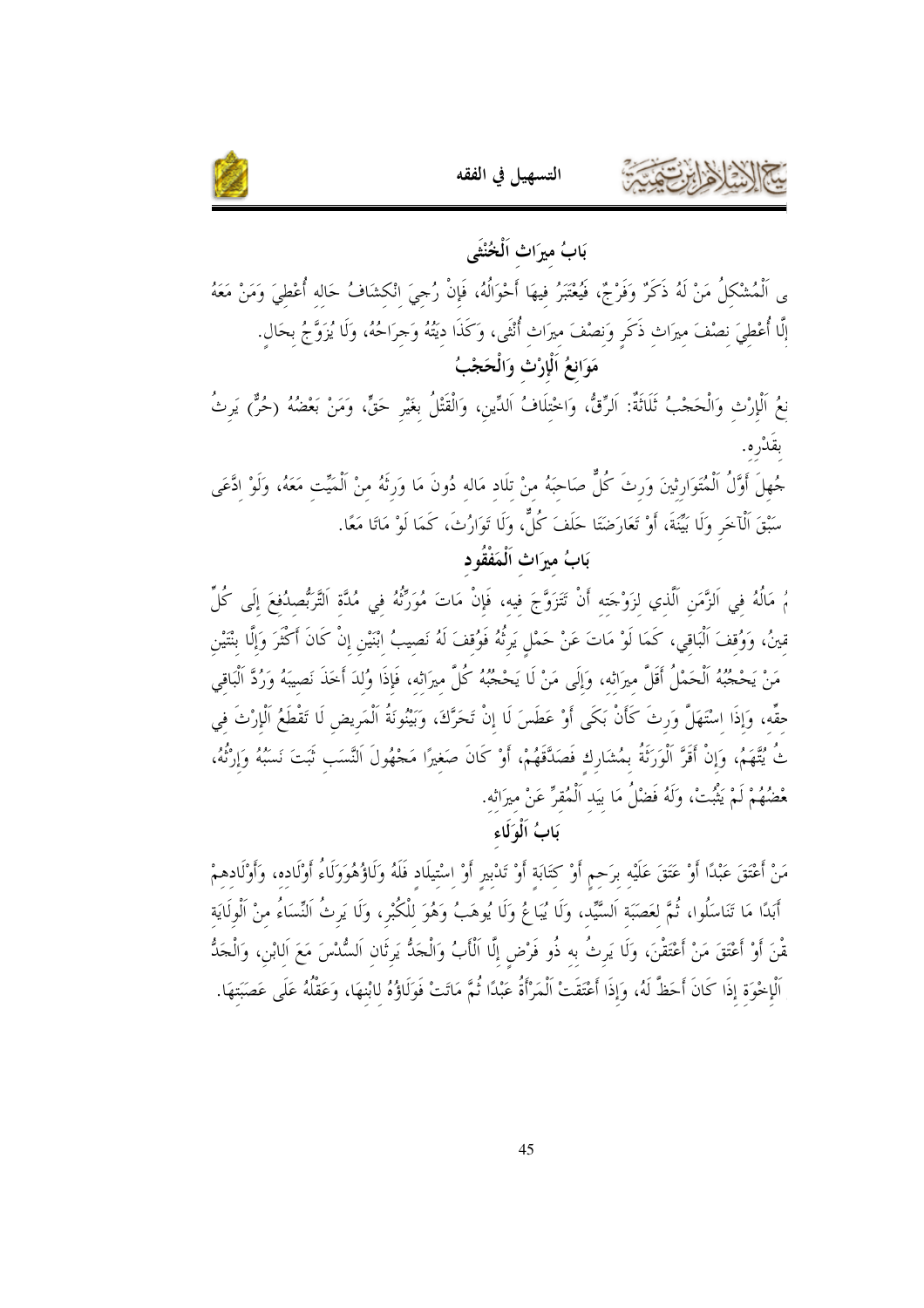



بَابُ ميرَاث اَلْخُنْثَمِ

ى اَلْمُشْكَلُ مَنْ لَهُ ذَكَرٌ وَفَرْجٌ، فَيُعْتَبَرُ فيهَا أَحْوَالُهُ، فَإِنْ رُحِيَ انْكشَافُ حَاله أُعْطيَ وَمَنْ مَعَهُ إلَّا أُعْطيَ نصْفَ ميرَاث ذَكَر وَنصْفَ ميرَاث أُنْثَى، وَكَذَا ديَتُهُ وَحِرَاحُهُ، وَلَا يُزَوَّجُ بحَال. مَوَانعُ اَلْإِرْثِ وَالْحَجْبُ

نعُ الْإِرْتِ وَالْحَجْبُ ثَلَاثَةٌ: اَلرِّقٌّ، وَاخْتلَافُ اَلدِّين، وَالْقَتْلُ بغَيْر حَقٍّ، وَمَنْ بَعْضُهُ (حُرٌّ) يَرثُ بقَدْره.

جُهلَ أَوَّلُ الْمُتَوَارِثينَ وَرثَ كُلٌّ صَاحَبَهُ منْ تلَاد مَاله دُونَ مَا وَرثَهُ منْ اَلْمَيِّت مَعَهُ، وَلَوْ ادَّعَى سَبْقَ الْآخَرِ وَلَا بَيِّنَةَ، أَوْ تَعَارَضَتَا حَلَفَ كُلٌّ، وَلَا تَوَارُثَ، كَمَا لَوْ مَاتَا مَعًا.

بَابُ ميرَاث اَلْمَفْقُود

مُ مَالُهُ في اَلزَّمَنِ الَّذي لزَوْجَته أَنْ تَتَزَوَّجَ فيه، فَإِنْ مَاتَ مُوَرِّثُهُ في مُدَّة اَلتَّرَبُّصدُفعَ إلَى كُلِّ قينُ، وَوُقفَ الْبَاقي، كَمَا لَوْ مَاتَ عَنْ حَمْلٍ يَرِثُهُ فَوُقفَ لَهُ نَصيبُ ابْنَيْنِ إنْ كَانَ أَكْثَرَ وَإلَّا بنْتَيْنِ مَنْ يَحْجُبُهُ الْحَمْلُ أَقَلَّ ميرَاثه، وَإِلَى مَنْ لَا يَحْجُبُهُ كُلَّ ميرَاثه، فَإِذَا وُلدَ أخذَ نَصيبَهُ وَرُدَّ الْبَاقي حقِّه، وَإِذَا اسْتَهَلَّ وَرثَ كَأَنْ بَكَى أَوْ عَطَسَ لَا إنْ تَحَرَّكَ، وَبَيْنُونَةُ اَلْمَريض لَا تَقْطَعُ اَلْإِرْثَ في تُ يُتَّهَمُ، وَإِنْ أَقَرَّ الْوَرَثَةُ بِمُشَارِك فَصَدَّقَهُمْ، أَوْ كَانَ صَغيرًا مَجْهُولَ النَّسَب ثَبَتَ نَسَبُهُ وَإِرْثُهُ، مْضُهُمْ لَمْ يَثْبُتْ، وَلَهُ فَضْلُ مَا بَيد اَلْمُقرِّ عَنْ ميرَانه.

بَابُ اَلْهَ لَكء

مَنْ أَعْتَقَ عَبْدًا أَوْ عَتَقَ عَلَيْه برَحم أَوْ كتَابَة أَوْ تَدْبير أَوْ اسْتيلَاد فَلَهُ وَلَاؤُهُوَوَلَاءُ أَوْلَاده، وَأَوْلَادهمْ أَبَدًا مَا تَنَاسَلُوا، ثُمَّ لعَصَبَة اَلسَّيِّد، وَلَا يُبَاعُ وَلَا يُوهَبُ وَهُوَ للْكُبْرِ، وَلَا يَرثُ النِّسَاءُ منْ الْولَايَة مّْنَ أَوْ أَعْتَقَ مَنْ أَعْتَقْنَ، وَلَا يَرِثُ به ذُو فَرْضٍ إِلَّا الْأَبُ وَالْحَدُّ يَرِثَان السُّدْسَ مَعَ الابْن، وَالْحَدُّ اَلْإِخْوَة إِذَا كَانَ أَحَظَّ لَهُ، وَإِذَا أَعْتَقَتْ اَلْمَرْأَةُ عَبْدًا ثُمَّ مَاتَتْ فَوَلَاؤُهُ لِابْنهَا، وَعَقْلُهُ عَلَى عَصَبَتهَا.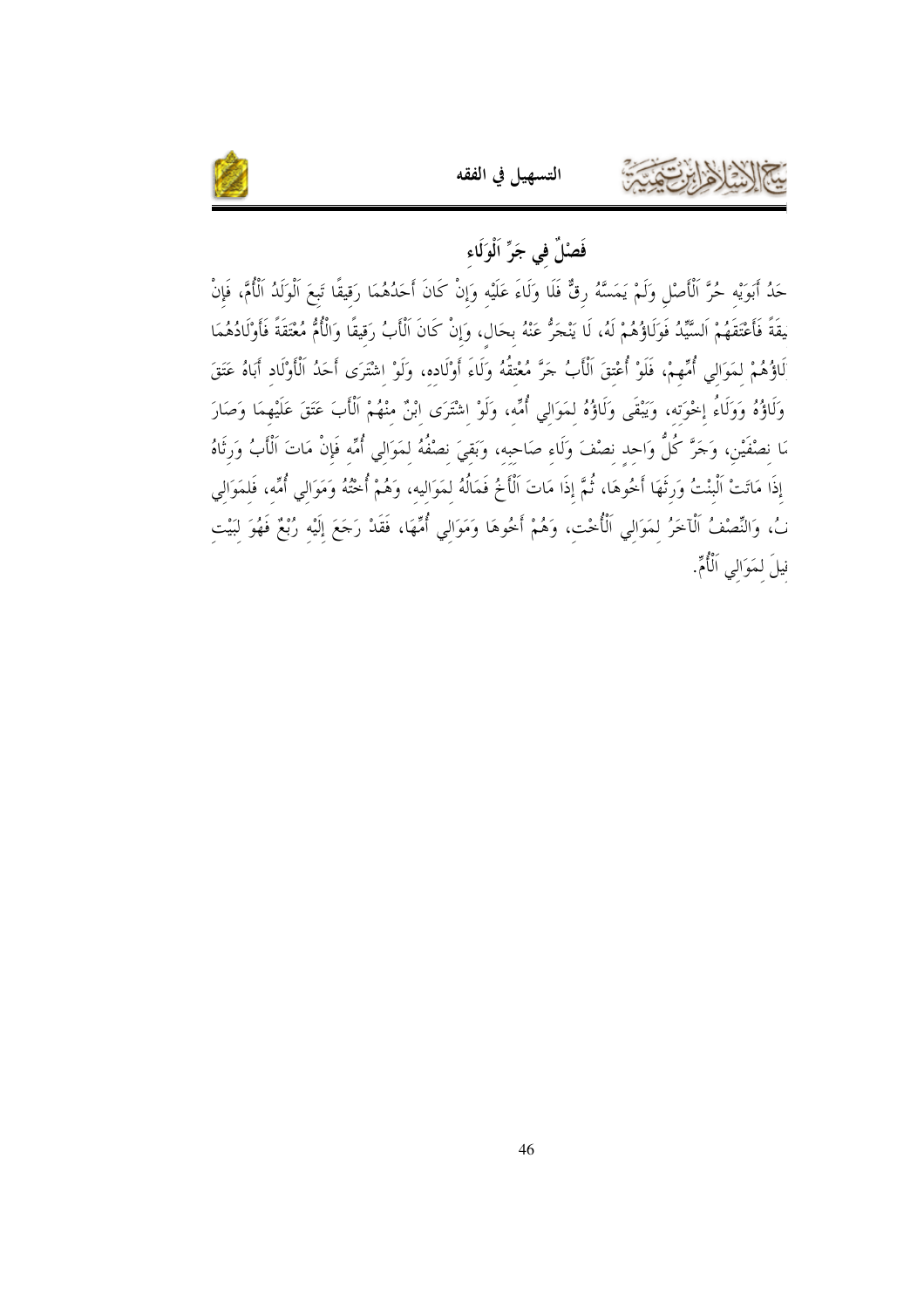

## فَصْلٌ في جَرٍّ اَلْوَلَاء

التسهيل في الفقه

حَدُ أَبَوَيْه حُرَّ الْأَصْلِ وَلَمْ يَمَسَّهُ رقٌّ فَلَا وَلَاءَ عَلَيْه وَإِنْ كَانَ أَحَدُهُمَا رَقيقًا تَبعَ الْوَلَدُ الْأُمَّ، فَإِنْ يقَةً فَأَعْتَقَهُمْ اَلسَّيِّدُ فَوَلَاؤُهُمْ لَهُ، لَا يَنْجَرُّ عَنْهُ بحَال، وَإِنْ كَانَ الْأَبُ رَقيقًا وَالْأُمُّ مُعْتَقَةً فَأَوْلَادُهُمَا لَاؤُهُمْ لمَوَالي أُمِّهمْ، فَلَوْ أُعْتقَ الْأَبُ حَرَّ مُعْتقُهُ وَلَاءَ أَوْلَاده، وَلَوْ اِشْتَرَى أَحَدُ الْأَوْلَادِ أَبَاهُ عَتَقَ وَلَاؤُهُ وَوَلَاءُ إِحْوَته، وَيَبْقَى وَلَاؤُهُ لمَوَالي أُمِّه، وَلَوْ اشْتَرَى ابْنٌ منْهُمْ الْأَبَ عَتَقَ عَلَيْهمَا وَصَارَ مَا نصْفَيْنِ، وَجَرَّ كُلُّ وَاحد نصْفَ وَلَاء صَاحبه، وَبَقىَ نصْفُهُ لمَوَالى أُمِّه فَإِنْ مَاتَ اَلْأَبُ وَرثَاهُ إذَا مَاتَتْ الْبنْتُ وَرِثْهَا أَخُوهَا، ثُمَّ إذَا مَاتَ الْأَخُ فَمَالُهُ لمَوَاليه، وَهُمْ أُخْتُهُ وَمَوَالي أُمِّه، فَلمَوَالي نْ، وَالنِّصْفُ اَلْآخَرُ لِمَوَالِي اَلْأُحْتِ، وَهُمْ أَخُوهَا وَمَوَالِي أُمِّهَا، فَقَدْ رَحَعَ إِلَيْه رُبْعٌ فَهُوَ لِبَيْتِ نيلَ لمَوَالي اَلْأُمِّ.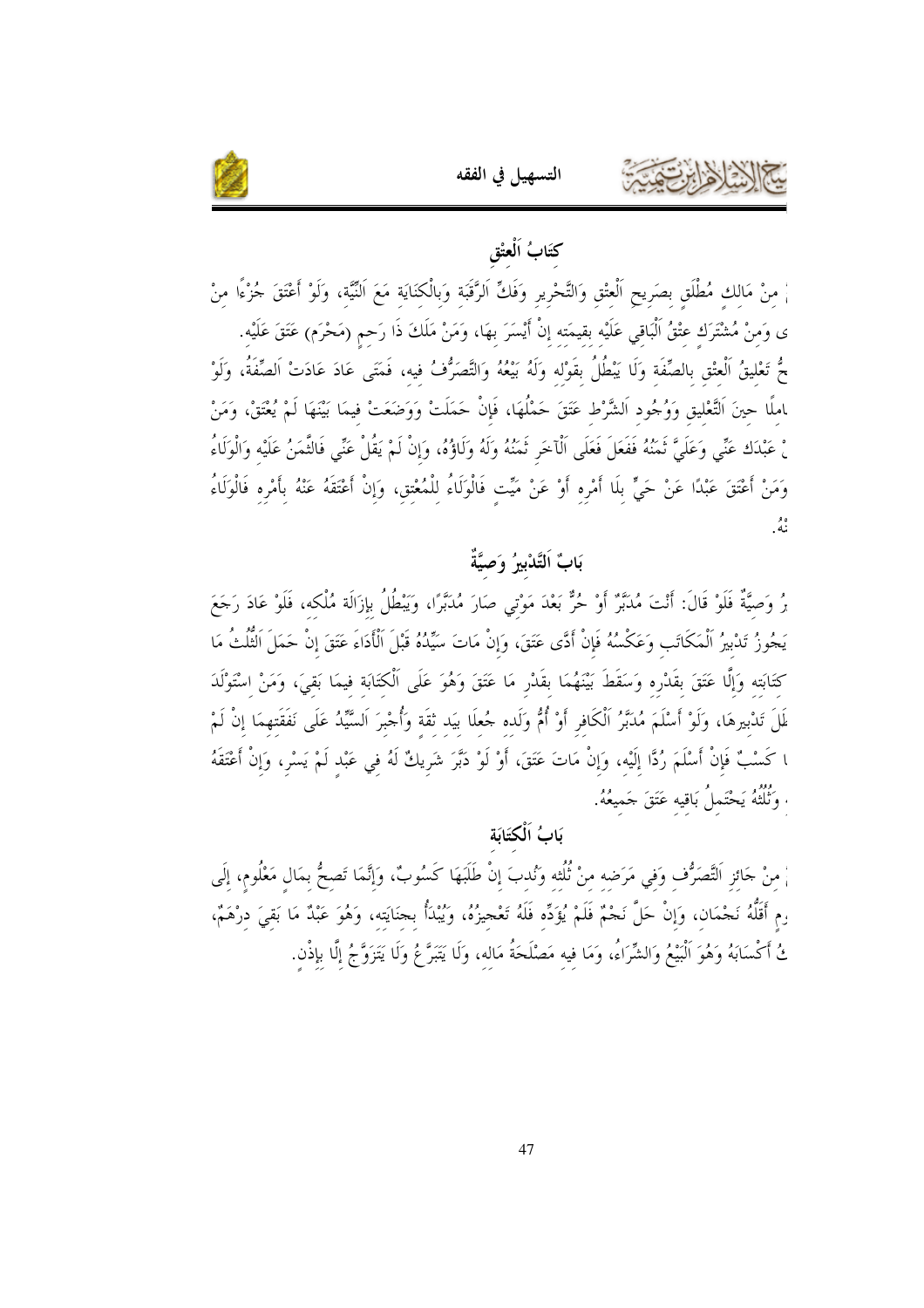

## كتَابُ اَلْعَتْق

التسهيل في الفقه

مْ مِنْ مَالِكِ مُطْلَقٍ بِصَرِيحٍ اَلْعِتْقِ وَالتَّحْرِيرِ وَفَكٍّ اَلرَّقَبَةِ وَبِالْكِنَايَةِ مَعَ اَلنَّيَّةِ، وَلَوْ أَعْتَقَ جُزْءًا مِنْ ى وَمنْ مُشْتَرَك عتْقُ الْبَاقي عَلَيْه بقيمَته إنْ أَيْسَرَ بهَا، وَمَنْ مَلَكَ ذَا رَحم (مَحْرَم) عَتَقَ عَلَيْه. حٌ تَعْليقُ الْعتْقِ بالصِّفَة وَلَا يَبْطُلُ بقَوْله وَلَهُ بَيْعُهُ وَالتَّصَرُّفُ فيه، فَمَتَى عَادَ عَادَتْ الصِّفَةُ، وَلَوْ ﺎﻣﻠًﺎ ﺣﻴﻦَ التَّعْليقِ وَوُجُودِ الشَّرْطِ عَتَقَ حَمْلُهَا، فَإِنْ حَمَلَتْ وَوَضَعَتْ فيمَا بَيْنَهَا لَمْ يُغْتَقْ، وَمَنْ لْ عَبْدَك عَنِّي وَعَلَىَّ نُمَنُهُ فَفَعَلَ فَعَلَى الْآخَرِ نُمَنُهُ وَلَهُ وَلَاؤُهُ، وَإِنْ لَمْ يَقُلْ عَنِّي فَالثَّمَنُ عَلَيْه وَالْوَلَاءُ وَمَنْ أَعْتَقَ عَبْدًا عَنْ حَيٍّ بلَا أَمْرِه أَوْ عَنْ مَيِّت فَالْوَلَاءُ للْمُعْتقِ، وَإِنْ أَعْتَقَهُ عَنْهُ بأَمْرِه فَالْوَلَاءُ ه و<br>نمه .

## بَابٌ اَلتَّدْبيرُ وَصيَّةٌ

برُ وَصيَّةٌ فَلَوْ قَالَ: أَنْتَ مُدَبَّرٌ أَوْ حُرٌّ بَعْدَ مَوْتي صَارَ مُدَبَّرًا، وَيَبْطُلُ بإزَالَة مُلْكه، فَلَوْ عَادَ رَجَعَ يَجُوزُ تَدْبيرُ الْمَكَاتَبِ وَعَكْسُهُ فَإِنْ أَدَّى عَتَقَ، وَإِنْ مَاتَ سَيِّدُهُ قَبْلَ الْأَدَاءَ عَتَقَ إنْ حَمَلَ الْثُلْثُ مَا كتَابَته وَإِلَّا عَتَقَ بقَدْره وَسَقَطَ بَيْنَهُمَا بقَدْرٍ مَا عَتَقَ وَهُوَ عَلَى الْكتَابَة فيمَا بَقىَ، وَمَنْ اسْتَوْلَدَ لَمِلَ تَدْبيرهَا، وَلَوْ أَسْلَمَ مُدَبَّرُ الْكَافر أَوْ أُمُّ وَلَده جُعلَا بيَد ثقَة وَأُجْبِرَ اَلسَّيِّدُ عَلَى نَفَقَتهِمَا إِنْ لَمْ ا كَسْبٌ فَإِنْ أَسْلَمَ رُدًّا إِلَيْه، وَإِنْ مَاتَ عَتَقَ، أَوْ لَوْ دَبَّرَ شَرِيكٌ لَهُ فِي عَبْدِ لَمْ يَسْرِ، وَإِنْ أَعْتَقَهُ ، وَثُلْتُهُ يَحْتَملُ بَاقيه عَتَقَ جَميعُهُ.

## بَابُ اَلْكِتَالَة

ٰ منْ حَائز اَلتَّصَرُّف وَفي مَرَضه منْ ثُلُثه وَنُدبَ إنْ طَلَبَهَا كَسُوبٌ، وَإِنَّمَا تَصحُّ بمَال مَعْلُوم، إلَى رِمِ أَقَلَّهُ نَجْمَان، وَإِنْ حَلَّ نَجْمٌ فَلَمْ يُؤَدِّه فَلَهُ تَعْجِيزُهُ، وَيُبْدَأُ بِجنَايَته، وَهُوَ عَبْدٌ مَا بَقيَ درْهَمٌ، ئُ أَكْسَابَهُ وَهُوَ الْبَيْعُ وَالشِّرَاءُ، وَمَا فيه مَصْلَحَةُ مَاله، وَلَا يَتَبَرَّعُ وَلَا يَتَزَوَّجُ إلَّا بإذْن.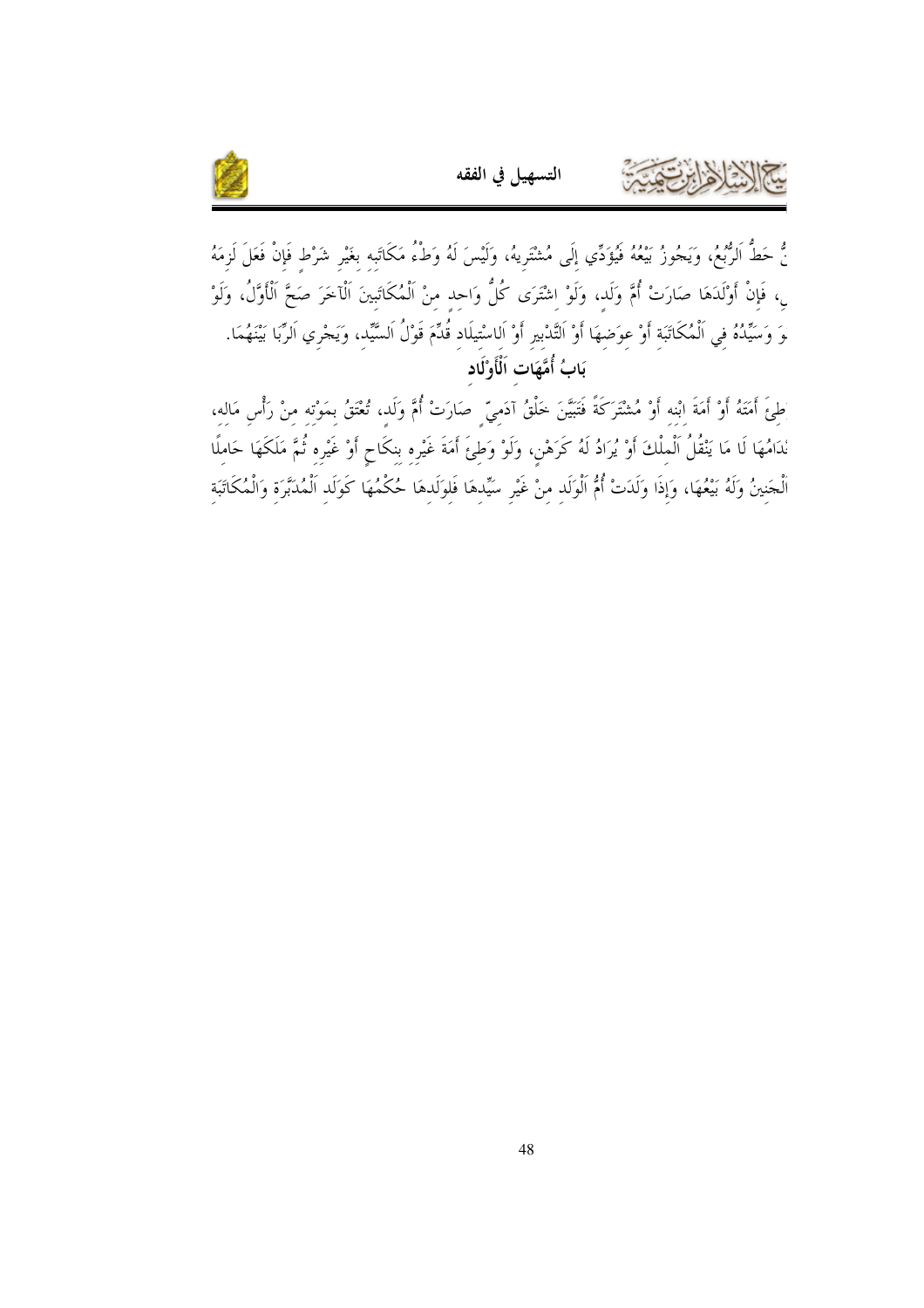

نُّ حَطُّ الرُّبْعُ، وَيَجُوزُ بَيْعُهُ فَيُؤَدِّي إِلَى مُشْتَرِيهُ، وَلَيْسَ لَهُ وَطـْءُ مَكَاتَبِه بغَيْرِ شَرْط فَإِنْ فَعَلَ لَزِمَهُ بِ، فَإِنْ أَوْلَدَهَا صَارَتْ أُمَّ وَلَدٍ، وَلَوْ اِشْتَرَى كُلُّ وَاحِدٍ مِنْ اَلْمُكَاتَبِينَ اَلْآخَرَ صَحَّ اَلْأَوَّلُ، وَلَوْ لَوَ وَسَيِّدُهُ في اَلْمُكَاتَبَة أَوْ عوَضهَا أَوْ التَّدْبير أَوْ اَلـاسْتيلَاد قُدِّمَ قَوْلُ اَلسَّيّد، وَيَجْري اَلرِّبَا بَيْنَهُمَا. بَابُ أُمَّهَات اَلْأَوْلَاد

التسهيل في الفقه

طِئَ أَمَنَهُ أَوْ أَمَةَ ابْنه أَوْ مُشْتَرَكَةً فَتَبَيَّنَ خَلْقُ آدَميّ صَارَتْ أُمَّ وَلَد، تُعْتَقُ بمَوْته منْ رَأْس مَاله، نْدَامُهَا لَا مَا يَنْقُلُ اَلْمِلْكَ أَوْ يُرَادُ لَهُ كَرَهْن، وَلَوْ وَطئَ أَمَةَ غَيْره بنكَاحٍ أَوْ غَيْره ثُمَّ مَلَكَهَا حَاملًا الْجَنِينُ وَلَهُ بَيْعُهَا، وَإِذَا وَلَدَتْ أُمُّ اَلْوَلَدِ مِنْ غَيْرِ سَيِّدِهَا فَلِوَلَدِهَا حُكْمُهَا كَوَلَدِ اَلْمُدَبَّرَةِ وَالْمُكَاتَبَةِ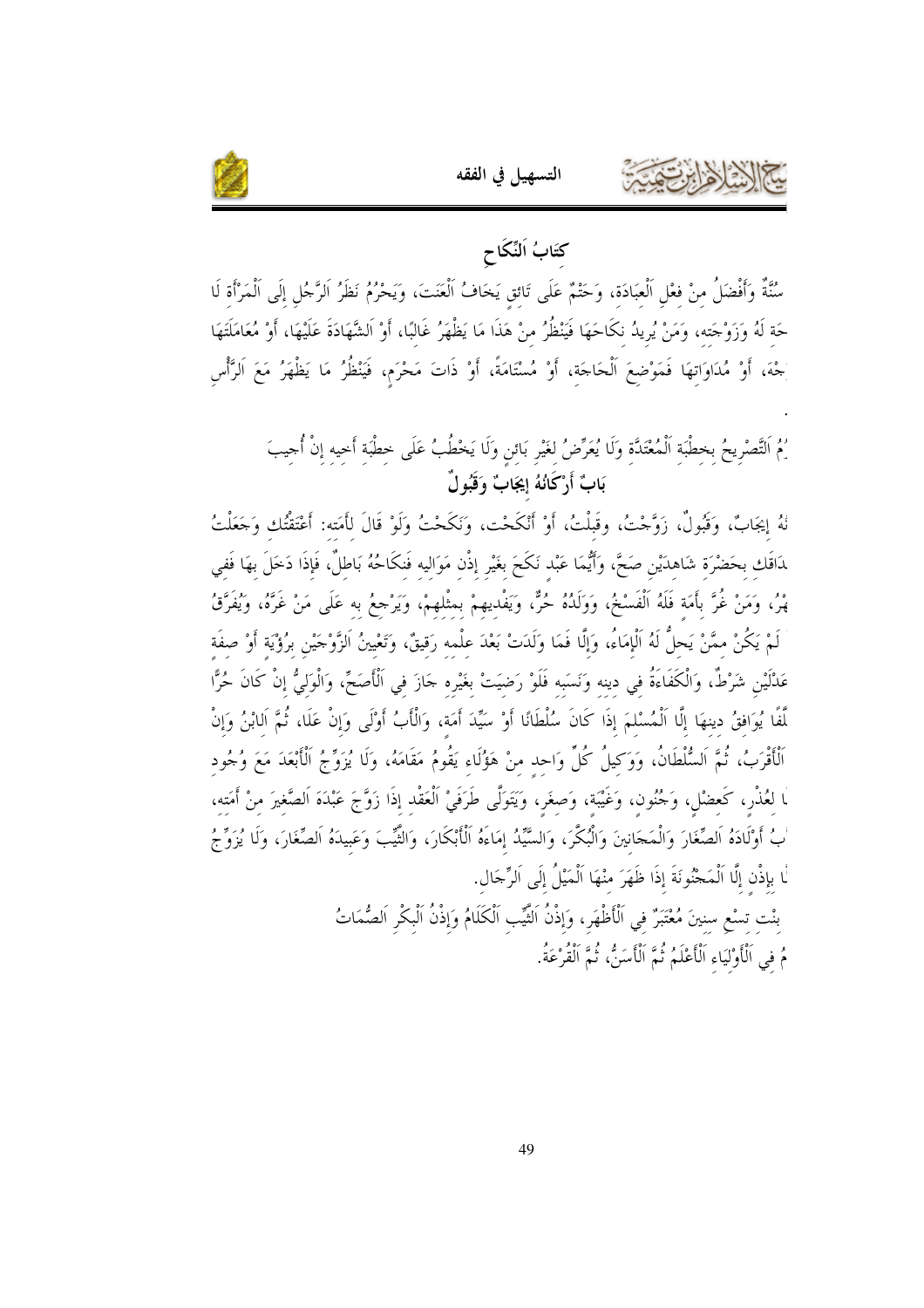

كتَابُ اَلنِّكَاحِ

التسهيل في الفقه

سُنَّةٌ وَأَفْضَلُ منْ فعْل اَلْعبَادَة، وَحَتْمٌ عَلَى تَائق يَخَافُ اَلْعَنَتَ، وَيَحْرُمُ نَظَرُ اَلرَّجُل إلَى اَلْمَرْأَة لَا حَة لَهُ وَزَوْجَته، وَمَنْ يُرِيدُ نكَاحَهَا فَيَنْظُرُ منْ هَذَا مَا يَظْهَرُ غَالبًا، أَوْ اَلشَّهَادَةَ عَلَيْهَا، أَوْ مُعَامَلَتَهَا جْهَ، أَوْ مُدَاوَاتهَا فَمَوْضعَ الْحَاجَة، أَوْ مُسْتَامَةً، أَوْ ذَاتَ مَحْرَم، فَيَنْظُرُ مَا يَظْهَرُ مَعَ الرَّأْس

ِمُ التَّصْرِيحُ بخطْبَة الْمُعْتَدَّة وَلَا يُعَرِّضُ لغَيْرِ بَائنِ وَلَا يَخْطُبُ عَلَى حطْبَة أَحيه إنْ أُجيبَ بَابٌ أَرْكَانُهُ إيجَابٌ وَقَبُولٌ

نُهُ إيجَابٌ، وَقَبُولٌ، زَوَّجْتُ، وقَبِلْتُ، أَوْ أَنْكَحْت، وَنَكَحْتُ وَلَوْ قَالَ لأَمَته: أَعْتَقْتُك وَحَعَلْتُ ﻠﺎﻗَﻚ ﺑﺤَﻀْﺮَﺓ ﺷَﺎﻫﺪَﻳْﻦ ﺻَﺤًّ، وَأَيُّمَا عَبْد نَكَحَ بغَيْر إذْن مَوَاليه فَنكَاحُهُ بَاطلٌ، فَإِذَا دَخَلَ بهَا فَفي هْرُ، وَمَنْ غُرَّ بأَمَة فَلَهُ اَلْفَسْخُ، وَوَلَدُهُ حُرٌّ، ويَفْديهمْ بمثْلهمْ، وَيَرْجعُ به عَلَى مَنْ غَرَّهُ، ويُفَرَّقُ لَمْ يَكُنْ ممَّنْ يَحلُّ لَهُ الْإِمَاءُ، وَإِلَّا فَمَا وَلَدَتْ بَعْدَ علْمه رَقيقٌ، وَتَعْيينُ الزَّوْجَيْن برُؤْيَة أَوْ صفَة عَدْلَيْن شَرْطٌ، وَالْكَفَاءَةُ في دينه وَنَسَبه فَلَوْ رَضيَتْ بغَيْره حَازَ في اَلْأَصَحِّ، وَالْوَليُّ إنْ كَانَ حُرًّا لَّفًا يُوَافقُ دينهَا إلَّا اَلْمُسْلَمَ إذَا كَانَ سُلْطَانًا أَوْ سَيِّدَ أَمَة، وَالْأَبُ أَوْلَى وَإنْ عَلَا، ثُمَّ الابْنُ وَإنْ ٱلْأَقْرَبُ، ثُمَّ اَلسُّلْطَانُ، وَوَكيلُ كُلِّ وَاحد منْ هَؤُلَاء يَقُومُ مَقَامَهُ، وَلَا يُزَوِّجُ الْأَبْعَدَ مَعَ وُجُود ّا لعُذْر، كَعضْل، وَجُنُون، وَغَيْبَة، وَصغَر، وَيَتَوَلَّى طَرَفَيْ الْعَقْد إذَا زَوَّجَ عَبْدَهَ الصَّغيرَ منْ أمَته، ْبُ أَوْلَادَهُ الصِّغَارَ وَالْمَحَانِينَ وَالْبُكَّرَ، وَالسَّيِّدُ إمَاءَهُ الْأَبْكَارَ، وَالثَّيّبَ وَعَبيدَهُ الصِّغَارَ، وَلَا يُزَوِّجُ لْا بإذْن إلَّا اَلْمَحْنُونَةَ إذَا ظَهَرَ منْهَا اَلْمَيْلُ إِلَى اَلرِّجَال.

> بنْت تسْعِ سنينَ مُعْتَبَرٌ في اَلْأَظْهَر، وَإِذْنُ الثَّيِّب اَلْكَلَامُ وَإِذْنُ اَلْبِكْرِ اَلصُّمَاتُ مُ في اَلْأَوْلَيَاءِ اَلْأَعْلَمُ نُمَّ اَلْأَسَنُّ، ثُمَّ اَلْقُرْعَةُ.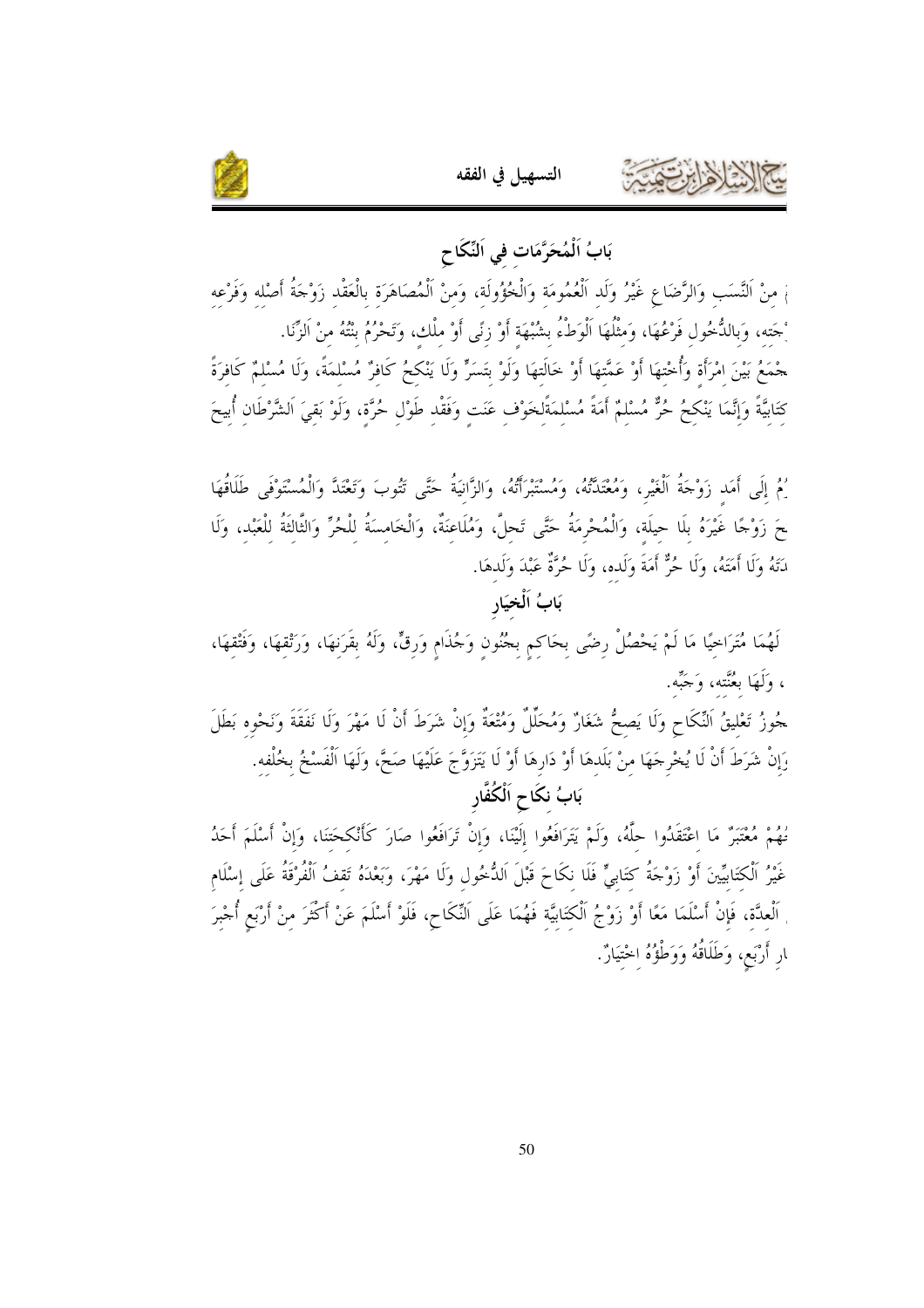



## بَابُ اَلْمُحَرَّمَات في اَلنِّكَا ح

مْ منْ النَّسَب وَالرَّضَاعِ غَيْرُ وَلَد اَلْعُمُومَة وَالْخُؤُولَة، وَمنْ اَلْمُصَاهَرَة بالْعَقْد زَوْجَةُ أَصْله وَفَرْعه ْحَته، وَبِالدُّحُولِ فَرْعُهَا، وَمثْلُهَا اَلْوَطْءُ بشُبْهَة أَوْ زِنًى أَوْ ملْكِ، وَتَحْرُمُ بِنْتُهُ مِنْ الزِّنا. جْمَعُ بَيْنَ امْرَأَة وَأُخْتهَا أَوْ عَمَّتهَا أَوْ خَالَتهَا وَلَوْ بَتَسَرٍّ وَلَا يَنْكحُ كَافرٌ مُسْلمَةً، وَلَا مُسْلمٌ كَافرَةً

كِتَابِيَّةً وَإِنَّمَا يَنْكِحُ حُرٌّ مُسْلِمٌ أَمَةً مُسْلِمَةًلِخَوْفٍ عَنَتٍ وَفَقْدِ طَوْلٍ حُرَّةٍ، وَلَوْ بَقِيَ الشَّرْطَانِ أُبِيحَ

رُمُ إلَى أَمَد زَوْجَةُ الْغَيْرِ، وَمُعْتَدَّتُهُ، وَمُسْتَبْرَأَتُهُ، وَالزَّانيَةُ حَتَّى تَتُوبَ وَتَعْتَدَّ وَالْمُسْتَوْفَى طَلَاقُهَا حَ زَوْجًا غَيْرَهُ بلَا حيلَة، وَالْمُحْرِمَةُ حَتَّى تَحلَّ، وَمُلَاعنَةٌ، وَالْخَامسَةُ للْحُرِّ وَالثَّالثَةُ للْعَبْد، وَلَا دَتَهُ وَلَا أَمَتَهُ، وَلَا حُرٌّ أَمَةَ وَلَده، وَلَا حُرَّةٌ عَبْدَ وَلَدهَا.

## بَابُ اَلْخِيَارِ

لَهُمَا مُتَرَاحِيًا مَا لَمْ يَحْصُلْ رضًى بحَاكم بجُنُون وَجُذَام وَرقٍّ، وَلَهُ بقَرَنهَا، وَرَثْقهَا، وَفَتْقهَا، ، وَلَهَا بعُنَّته، وَجَبِّه.

ـ<br>حُوزُ تَعْليقُ النِّكَاحِ وَلَا يَصحُّ شَغَارٌ وَمُحَلِّلٌ وَمُتْعَةٌ وَإِنْ شَرَطَ أَنْ لَا مَهْرَ وَلَا نَفَقَةَ وَنَحْوه بَطَلَ رَإِنْ شَرَطَ أَنْ لَا يُخْرِجَهَا منْ بَلَدهَا أَوْ دَارِهَا أَوْ لَا يَتَزَوَّجَ عَلَيْهَا صَحَّ، وَلَهَا الْفَسْخُ بخُلْفه. بَابُ نكَاحِ اَلْكُفَّارِ

نُهُمْ مُعْتَبَرٌ مَا اعْتَقَدُوا حلَّهُ، وَلَمْ يَتَرَافَعُوا إلَيْنَا، وَإِنْ تَرَافَعُوا صَارَ كَأْنْكحَتنَا، وَإِنْ أَسْلَمَ أَحَدُ غَيْرُ الْكتَابِيِّينَ أَوْ زَوْجَةُ كتَابِيٍّ فَلَا نكَاحَ قَبْلَ الدُّخُول وَلَا مَهْرَ، وَبَعْدَهُ تَقفُ الْفُرْقَةُ عَلَى إسْلَام اَلْعِدَّة، فَإِنْ أَسْلَمَا مَعًا أَوْ زَوْجُ اَلْكِتَابَيَّة فَهُمَا عَلَى اَلنِّكَاحِ، فَلَوْ أَسْلَمَ عَنْ أكْثَرَ منْ أَرْبَع أُجْبرَ ﺎﺭ ﺃﺭْﺑَﻊ، ﻭَﻃَﻠَﺎﻗُﻪُ ﻭَﻭَﻃْؤُهُ اخْتَيَارٌ.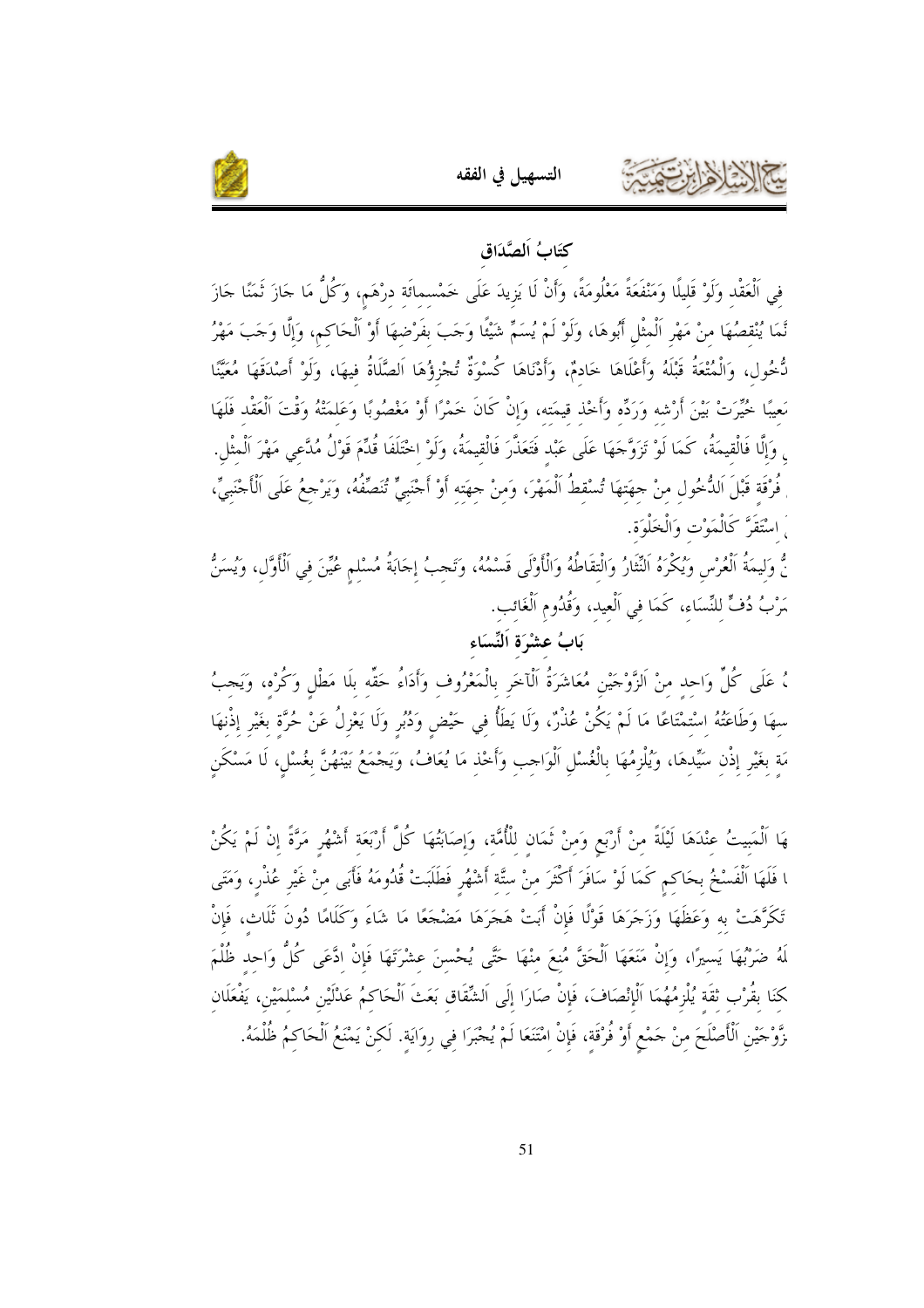

#### كتَابُ اَلصَّدَاق

التسهيل في الفقه

في اَلْعَقْد وَلَوْ قَليلًا وَمَنْفَعَةً مَعْلُومَةً، وَأَنْ لَا يَزيدَ عَلَى خَمْسمائَة درْهَم، وَكُلُّ مَا جَازَ ثَمَنًا جَازَ نَّمَا يُنْقصُهَا مِنْ مَهْرِ اَلْمِثْل أَبُوهَا، وَلَوْ لَمْ يُسَمِّ شَيْئًا وَجَبَ بفَرْضهَا أَوْ اَلْحَاكم، وَإلَّا وَجَبَ مَهْرُ نُّخُول، وَالْمُتْعَةُ قَبْلَهُ وَأَعْلَاهَا خَادمٌ، وَأَدْنَاهَا كُسْوَةٌ تُجْزؤُهَا اَلصَّلَاةُ فيهَا، وَلَوْ أَصْدَقَهَا مُعَيَّنًا مَعيبًا خُيِّرَتْ بَيْنَ أَرْشه وَرَدِّه وَأَخْذ قيمَته، وَإِنْ كَانَ خَمْرًا أَوْ مَغْصُوبًا وَعَلمَتْهُ وَقْتَ الْعَقْد فَلَهَا <sub>ى</sub> وَإِلَّا فَالْقِيمَةُ، كَمَا لَوْ تَزَوَّجَهَا عَلَى عَبْد فَتَعَذَّرَ فَالْقِيمَةُ، وَلَوْ اخْتَلَفَا قُدِّمَ قَوْلُ مُدَّعى مَهْرَ الْمثْل. فُرْقَة قَبْلَ الدُّخُولِ منْ حهَتهَا تُسْقطُ الْمَهْرَ، وَمنْ حهَته أَوْ أَحْنَبِيٍّ تُنَصِّفُهُ، وَيَرْحعُ عَلَى الْأَحْنَبِيِّ، َ اسْتَقَرَّ كَالْمَوْت وَالْخَلْوَة.

نُّ وَليمَةُ اَلْعُرْس وَيُكْرَهُ النِّثَارُ وَالْتقَاطُهُ وَالْأَوْلَى قَسْمُهُ، وَتَحبُ إجَابَةُ مُسْلم عُيّنَ في الْأَوَّل، وَيُسَنُّ مَرْبُ دُفٍّ للنِّسَاء، كَمَا في اَلْعيد، وَقُدُوم اَلْغَائب.

#### بَابُ عشْرَة اَلنِّسَاء

، عَلَى كُلِّ وَاحِدٍ مِنْ اَلزَّوْجَيْنِ مُعَاشَرَةُ اَلْآخَرِ بِالْمَعْرُوفِ وَأَدَاءُ حَقِّهِ بِلَا مَطْلٍ وَكُرْه، وَيَجبُ سهَا وَطَاعَتُهُ اسْتمْتَاعًا مَا لَمْ يَكُنْ عُذْرٌ، وَلَا يَطَأُ في حَيْض وَدُبُر وَلَا يَعْزِلُ عَنْ حُرَّة بغَيْر إذْنهَا مَة بغَيْرِ إذْنِ سَيِّدهَا، وَيُلْزِمُهَا بِالْغُسْلِ اَلْوَاحِبِ وَأَحْذِ مَا يُعَافُ، وَيَحْمَعُ بَيْنَهُنَّ بغُسْلٍ، لَا مَسْكَنِ

هَا الْمَبِيتُ عِنْدَهَا لَيْلَةً منْ أَرْبَعٍ وَمنْ ثَمَان للْأُمَّة، وَإِصَابَتُهَا كُلَّ أَرْبَعَة أشْهُر مَرَّةً إنْ لَمْ يَكُنْ ا فَلَهَا الْفَسْخُ بحَاكم كَمَا لَوْ سَافَرَ أَكْثَرَ منْ ستَّة أَشْهُر فَطَلَبَتْ قُدُومَهُ فَأَبَى منْ غَيْر عُذْر، وَمَتَى تَكَرَّهَتْ به وَعَظَهَا وَزَجَرَهَا قَوْلًا فَإِنْ أَبَتْ هَجَرَهَا مَضْجَعًا مَا شَاءَ وَكَلَامًا دُونَ ثَلَاث، فَإِنْ لَهُ ضَرْبُهَا يَسيرًا، وَإِنْ مَنَعَهَا الْحَقَّ مُنعَ منْهَا حَتَّى يُحْسنَ عشْرَتَهَا فَإِنْ ادَّعَى كُلُّ وَاحد ظُلْمَ كنَا بقُرْب ثقَة يُلْزِمُهُمَا اَلْإِنْصَافَ، فَإِنْ صَارَا إلَى اَلشِّقَاق بَعَثَ اَلْحَاكمُ عَدْلَيْن مُسْلمَيْن، يَفْعَلَان زَّوْجَيْنِ ٱلْأَصْلَحَ منْ حَمْعٍ أَوْ فُرْقَة، فَإِنْ امْتَنَعَا لَمْ يُجْبَرَا في روَايَة. لَكنْ يَمْنَعُ ٱلْحَاكمُ ظُلْمَهُ.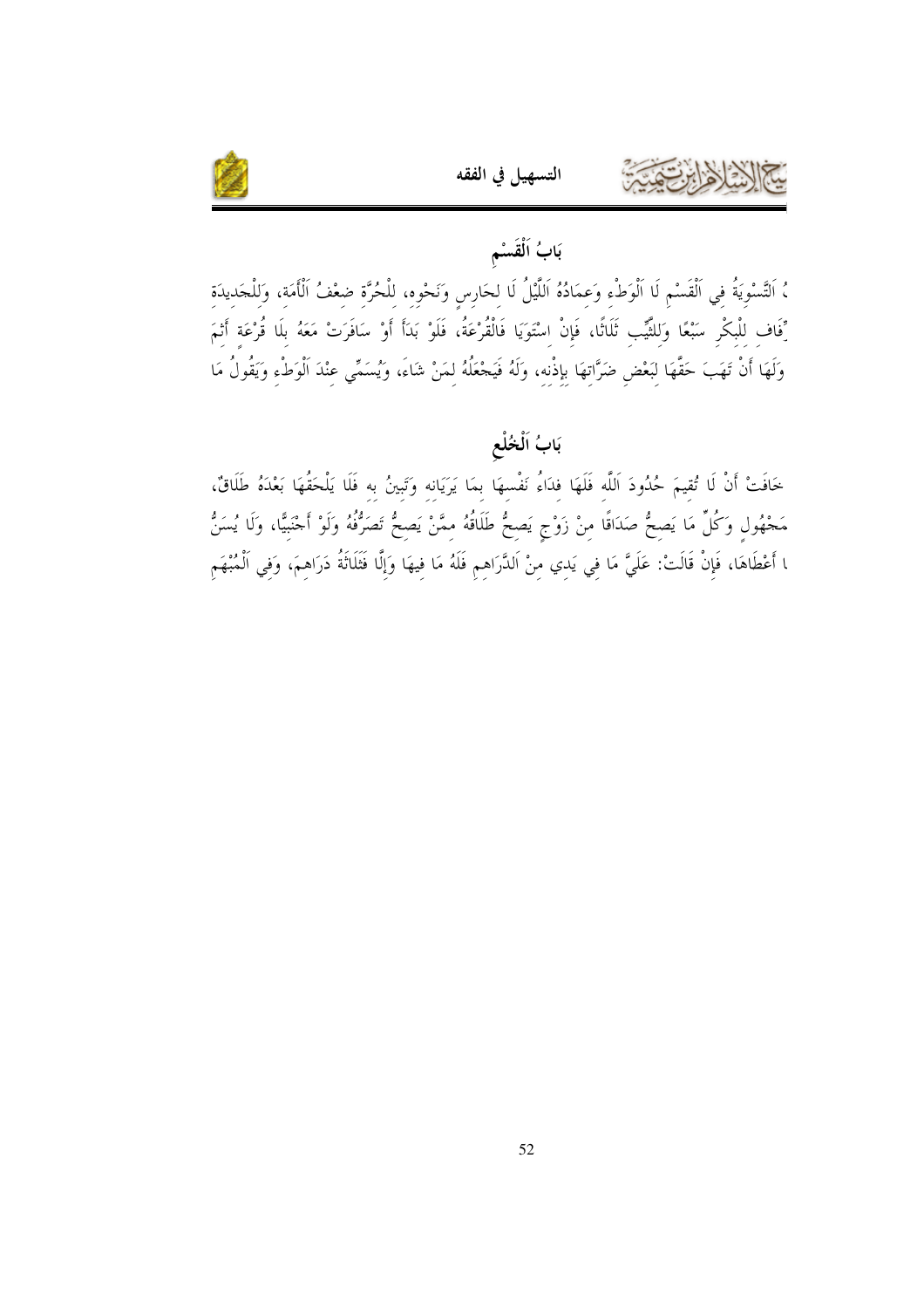

## بَابُ اَلْقَسْم

التسهيل في الفقه

، التَّسْوِيَةُ فِي الْقَسْمِ لَا الْوَطْءِ وَعِمَادُهُ اَللَّيْلُ لَا لِحَارِسِ وَنَحْوِهِ، لِلْحُرَّةِ ضِعْفُ الْأَمَةِ، وَلِلْحَدِيدَةِ رِّفَافِ لِلْبِكْرِ سَبْعًا وَلِلثَّيِّبِ ثَلَاثًا، فَإِنْ اِسْتَوَيَا فَالْقُرْعَةُ، فَلَوْ بَدَأَ أَوْ سَافَرَتْ مَعَهُ بلَا قُرْعَة أَنْمَ وَلَهَا أَنْ تَهَبَ حَقَّهَا لِبَعْضِ ضَرَّاتِهَا بِإِذْنِهِ، وَلَهُ فَيَجْعَلُهُ لِمَنْ شَاءَ، وَيُسَمِّي عِنْدَ الْوَطْءِ وَيَقُولُ مَا

## بَابُ اَلْخُلْع

خَافَتْ أَنْ لَا تُقيمَ حُدُودَ اللَّه فَلَهَا فدَاءُ نَفْسهَا بمَا يَرَيَانه وَتَبِينُ به فَلَا يَلْحَقُهَا بَعْدَهُ طَلَاقٌ، مَحْهُولٍ وَكُلِّ مَا يَصِحُّ صَدَاقًا مِنْ زَوْجٍ يَصِحُّ طَلَاقُهُ مِمَّنْ يَصِحُّ تَصَرُّفُهُ وَلَوْ أَحْنَبِيًّا، وَلَا يُسَنُّ ﺎ أَعْطَاهَا، فَإِنْ قَالَتْ: عَلَيَّ مَا في يَدي منْ اَلدَّرَاهم فَلَهُ مَا فيهَا وَإِلَّا فَثَلَاثَةُ دَرَاهمَ، وَفي اَلْمُبْهَم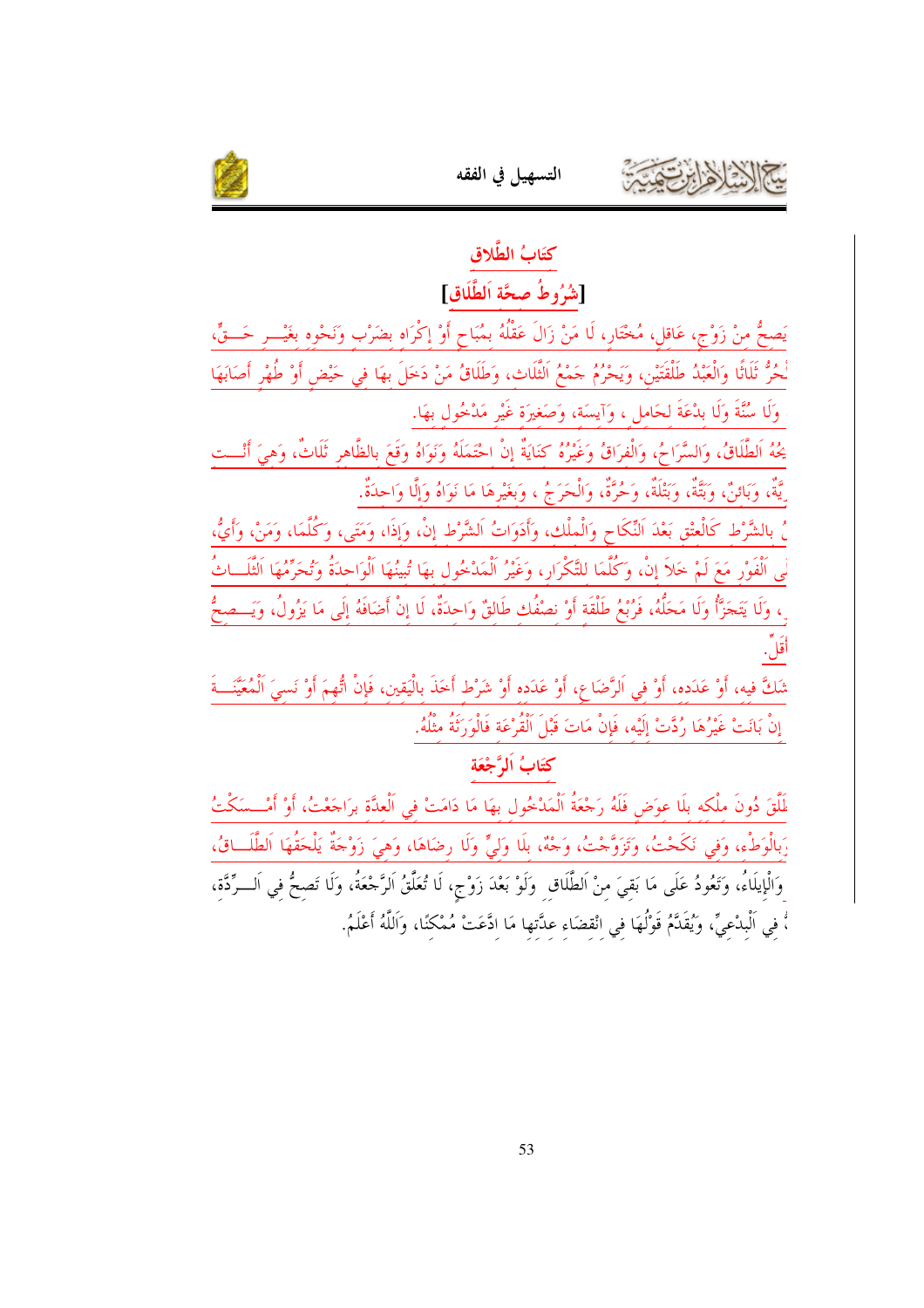

# كتَابُ الطَّلاق

## [شُرُوطُ صحَّة اَلطَّلَاق]

يَصحُّ منْ زَوْجٍ، عَاقل، مُخْتَار، لَا مَنْ زَالَ عَقْلُهُ بمُبَاحٍ أَوْ إكْرَاه بضَرْب وَنَحْوه بغَيْـــر حَـــقٍّ، لْحُرُّ ثَلَاثًا وَالْعَبْدُ طَلْقَتَيْنِ، وَيَحْرُمُ حَمْعُ الثَّلَاثِ، وَطَلَاقُ مَنْ دَخَلَ بهَا في حَيْض أوْ طُهْر أَصَابَهَا وَلَا سُنَّةَ وَلَا بِدْعَةَ لحَاملٍ ، وَآيسَةٍ، وَصَغِيرَةٍ غَيْرٍ مَدْخُولٍ بهَا.

يحُهُ الطَّلَاقُ، وَالسَّرَاحُ، وَالْفرَاقُ وَغَيْرُهُ كنَايَةٌ إنْ احْتَمَلَهُ وَنَوَاهُ وَقَعَ بالظَّاهر ثَلَاثٌ، وَهيَ أَنْـــت ِيَّةٌ، وَبَائنٌ، وَبَتَّةٌ، وَبَتْلَةٌ، وَحُرَّةٌ، وَالْحَرَجُ ، وَبغَيْرِهَا مَا نَوَاهُ وَإِلَّا وَاحِدَةٌ.

ُ، بالشَّرْط كَالْعتْق بَعْدَ النِّكَاح وَالْملْك، وَأَدَوَاتُ الشَّرْط إنْ، وَإذَا، وَمَتَى، وَكُلَّمَا، وَمَنْ، وأَيُّ، لَى اَلْفَوْرِ مَعَ لَمْ حَلاً إنْ، وَكُلَّمَا للتَّكْرَارِ، وَغَيْرُ الْمَدْخُول بهَا تُبينُهَا الْوَاحدَةُ وَتُحَرِّمُهَا الثَّلَــاثُ رِ، وَلَا يَتَجَرَّأُ وَلَا مَحَلُّهُ، فَرُبْعُ طَلْقَة أَوْ نصْفُك طَالقٌ وَاحدَةٌ، لَا إِنْ أَضَافَهُ إلَى مَا يَزُولُ، وَيَـــصحُّ أَقَلْ.

شَكَّ فيه، أَوْ عَدَده، أَوْ في الرَّضَاع، أَوْ عَدَده أَوْ شَرْطٍ أَحَذَ بِالْيَقِينِ، فَإِنْ اتُّهِمَ أَوْ نَسِيَ الْمُعَيَّنَــةَ إِنْ بَانَتْ غَيْرُهَا رُدَّتْ إِلَيْهِ، فَإِنْ مَاتَ قَبْلَ اَلْقُرْعَة فَالْوَرَنَةُ مِثْلُهُ.

## كتَابُ اَلمَّ جْعَة

لَمَّلَّقَ دُونَ ملْكه بلَا عوَض فَلَهُ رَجْعَةُ اَلْمَدْخُول بهَا مَا دَامَتْ في اَلْعدَّة برَاجَعْتُ، أَوْ أَمْـــسَكْتُ رَبِالْوَطْءِ، وَفِي نَكَحْتُ، وَتَزَوَّجْتُ، وَجْهٌ، بِلَا وَلِيٍّ وَلَا رِضَاهَا، وَهيَ زَوْجَةٌ يَلْحَقُهَا الطَّلَــاقُ، وَالْإِيلَاءُ، وَتَعُودُ عَلَى مَا بَقيَ منْ اَلطَّلَاقِ ۚ وَلَوْ بَعْدَ زَوْجٍ، لَا تُعَلَّقُ الرَّحْعَةُ، وَلَا تَصحُّ في اَلـــرِّدَّة، ،ّْ فِي اَلْبِدْعِيِّ، وَيُقَدَّمُ قَوْلُهَا فِي انْقضَاء عدَّتها مَا ادَّعَتْ مُمْكنًا، وَاللَّهُ أَعْلَمُ.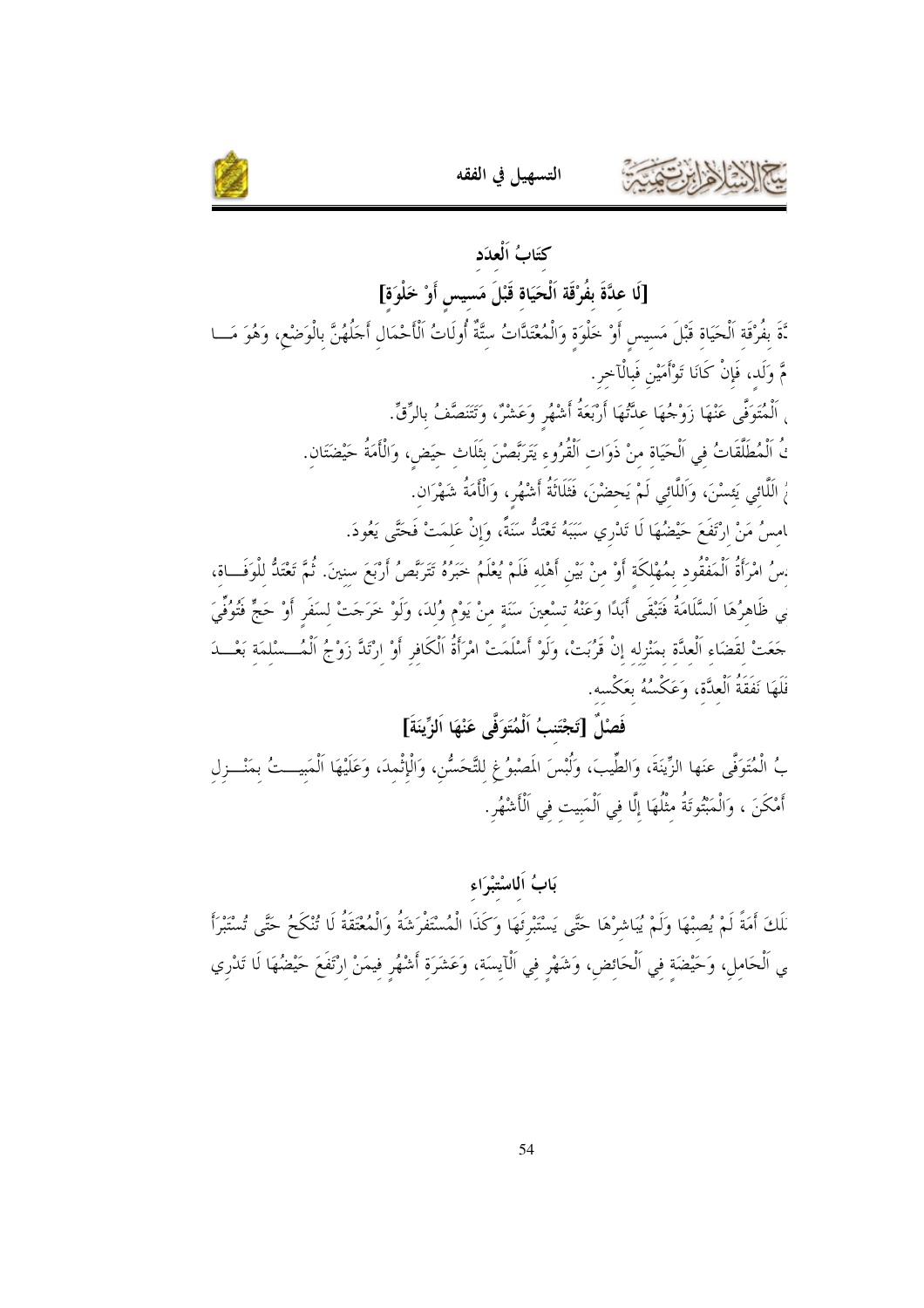

# كتَابُ اَلْعدَد [لَا عدَّةَ بفُرْقَة اَلْحَيَاة قَبْلَ مَسيس أَوْ خَلْوَة] نَّةَ بفُرْقَة اَلْحَيَاة قَبْلَ مَسيسٍ أَوْ خَلْوَةٍ وَالْمُعْتَدَّاتُ سِتَّةٌ أُولَاتُ اَلْأَحْمَالِ أَحَلُهُنَّ بِالْوَضْعِ، وَهُوَ مَـــا مَّ وَلَد، فَإِنْ كَانَا تَوْأَمَيْنِ فَبِالْآخرِ. <sub>،</sub> اَلْمُتَوَفَّى عَنْهَا زَوْجُهَا عَدَّتُهَا أَرْبَعَةُ أَشْهُر وَعَشْرٌ، وَتَتَنَصَّفُ بِالرِّقِّ. نُ الْمُطَلَّقَاتُ في الْحَيَاة منْ ذَوَات الْقُرُوء يَتَرَبَّصْنَ بثَلَاث حيَض، وَالْأَمَةُ حَيْضَتَان. رُ اللَّامَى يَعسْنَ، وَاللَّامَى لَمْ يَحضْنَ، فَثَلَاثَةُ أَشْهُر، وَالْأَمَةُ شَهْرَان. ﺎﻣﺲُ ﻣَﻦْ ﺍﺭْﺗَﻔَﻊَ حَيْضُهَا لَا تَدْرِي سَبَبَهُ تَعْتَدُّ سَنَةً، وَإِنْ عَلمَتْ فَحَتَّى يَعُودَ. :سُ امْرَأَةُ الْمَفْقُود بمُهْلكَة أَوْ منْ بَيْن أَهْله فَلَمْ يُعْلَمُ خَبَرُهُ تَتَرَبَّصُ أَرْبَعَ سنينَ. ثُمَّ تَعْتَدُّ للْوَفَــاة، ىي ظَاهِرُهَا اَلسَّلَامَةُ فَتَبْقَى أَبَدًا وَعَنْهُ تسْعِينَ سَنَة منْ يَوْم وُلدَ، وَلَوْ خَرَجَتْ لسَفَر أَوْ حَجٍّ فَتُوفّيَ حَعَتْ لقَضَاء الْعدَّة بمَنْزله إنْ قَرُبَتْ، وَلَوْ أَسْلَمَتْ امْرَأَةُ الْكَافر أَوْ ارْتَدَّ زَوْجُ الْمُــسْلمَة بَعْــدَ فَلَهَا نَفَقَةُ ٱلْعِدَّة، وَعَكْسُهُ بِعَكْسه.

التسهيل في الفقه

## فَصْلٌ [تَجْتَنبُ اَلْمُتَوَفَّى عَنْهَا اَلزِّينَةَ]

بُ الْمُتَوَفَّى عنَها الزِّينَةَ، وَالطِّيبَ، وَلُبْسَ المَصْبوُغِ لِلتَّحَسُّنِ، وَالْإِثْمِدَ، وَعَلَيْهَا الْمَبِيــتُ بِمَنْــزِلِ أَمْكَنَ ، وَالْمَبْتُوتَةُ مثْلُهَا إِلَّا في اَلْمَبِيت في اَلْأَشْهُرِ.

#### بَابُ اَلماسْتِبْرَاء

لَكَ أَمَةً لَمْ يُصِبْهَا وَلَمْ يُبَاشِرْهَا حَتَّى يَسْتَبْرِئَهَا وَكَذَا الْمُسْتَفْرَشَةُ وَالْمُعْتَقَةُ لَا تُنْكَحُ حَتَّى تُسْتَبْرَأَ ى اَلْحَامِلِ، وَحَيْضَةٍ فِي اَلْحَائِضِ، وَشَهْرِ فِي اَلْآيِسَةِ، وَعَشَرَةِ أَشْهُرِ فِيمَنْ اِرْتَفَعَ حَيْضُهَا لَا تَدْرِي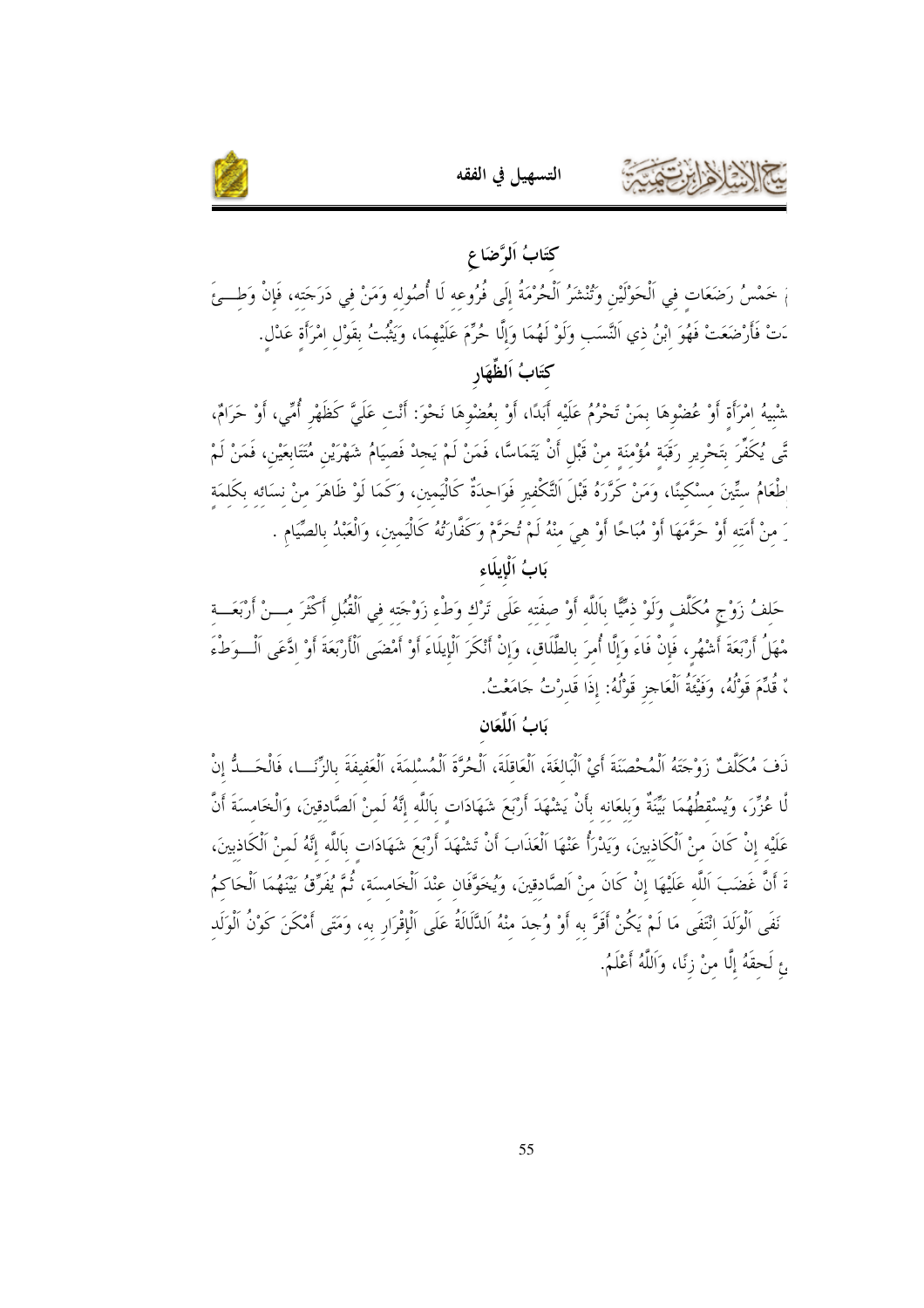



# كتَابُ اَلرَّضَاع مْ خَمْسُ رَضَعَات في الْحَوْلَيْنِ وَتُنْشَرُ الْحُرْمَةُ إلَى فُرُوعه لَا أُصُوله وَمَنْ في دَرَجَته، فَإنْ وَطــئَ دَتْ فَأَرْضَعَتْ فَهُوَ ابْنُ ذي اَلنَّسَب وَلَوْ لَهُمَا وَإِلَّا حُرِّمَ عَلَيْهِمَا، وَيَثْبُتُ بقَوْل امْرَأة عَدْل. كتَابُ اَلظِّهَارِ

شْبيهُ امْرَأَة أَوْ عُضْوهَا بمَنْ تَحْرُمُ عَلَيْه أَبَدًا، أَوْ بعُضْوهَا نَحْوَ: أَنْت عَلَيَّ كَظَهْرِ أُمِّي، أَوْ حَرَامٌ، تَّى يُكَفِّرَ بَتَحْرِيرِ رَقَبَة مُؤْمَنَة منْ قَبْلِ أَنْ يَتَمَاسًّا، فَمَنْ لَمْ يَجِدْ فَصيَامُ شَهْرَيْن مُتَتَابِعَيْن، فَمَنْ لَمْ طْعَامُ ستِّينَ مسْكينًا، وَمَنْ كَرَّرَهُ قَبْلَ التَّكْفيرِ فَوَاحدَةٌ كَالْيَمين، وَكَمَا لَوْ ظَاهَرَ منْ نسائه بكَلمَة رَ منْ أَمَته أَوْ حَرَّمَهَا أَوْ مُبَاحًا أَوْ هيَ منْهُ لَمْ تُحَرَّمْ وَكَفَّارَتُهُ كَالْيَمين، وَالْعَبْدُ بالصَّيَام .

يَابُ اَلْحَايِلَاءِ

حَلفُ زَوْجٍ مُكَلِّف وَلَوْ ذمِّيًّا باللَّه أَوْ صفَته عَلَى تَرْك وَطْء زَوْجَته في اَلْقُبُل أَكْثَرَ مـــنْ أرْبَعَـــة مْهَلُ أَرْبَعَةَ أَشْهُر، فَإِنْ فَاءَ وَإِلَّا أُمرَ بالطَّلَاق، وَإِنْ أَنْكَرَ الْإِيلَاءَ أَوْ أَمْضَى الْأَرْبَعَةَ أَوْ ادَّعَى اَلْـــوَطْءَ ، قُدِّمَ قَوْلُهُ، وَفَيْئَةُ الْعَاجزِ قَوْلُهُ: إذَا قَدرْتُ حَامَعْتُ.

#### يَابُ اَللَّعَانِ

نَفَ مُكَلَّفٌ زَوْجَتَهُ الْمُحْصَنَةَ أَيْ الْبَالغَةَ، الْعَاقلَةَ، الْحُرَّةَ الْمُسْلمَةَ، الْعَفيفَةَ بالزَّنَــا، فَالْحَــدُّ إنْ لَّا عُزِّرَ، وَيُسْقطُهُمَا بَيَّنَةٌ وَبلعَانه بأَنْ يَشْهَدَ أَرْبَعَ شَهَادَات باللَّه إنَّهُ لَمنْ الصَّادقينَ، وَالْخَامسَةَ أَنَّ عَلَيْه إنْ كَانَ منْ اَلْكَاذِبِينَ، وَيَدْرَأُ عَنْهَا الْعَذَابَ أَنْ تَشْهَدَ أَرْبَعَ شَهَادَات باللَّه إنَّهُ لَمنْ الْكَاذِبِينَ، ةَ أَنَّ غَضَبَ اَللَّه عَلَيْهَا إِنْ كَانَ منْ اَلصَّادقينَ، وَيُخَوَّفَان عنْدَ الْخَامسَة، ثُمَّ يُفَرِّقُ بَيْنَهُمَا الْحَاكمُ نَفَى اَلْوَلَدَ انْتَفَى مَا لَمْ يَكُنْ أَقَرَّ به أَوْ وُجدَ منْهُ اَلدَّلَالَةُ عَلَى اَلْإِقْرَار به، وَمَتَى أَمْكَنَ كَوْنُ الْوَلَد ئ لَحقَهُ إِلَّا منْ زِنًا، وَاَللَّهُ أَعْلَمُ.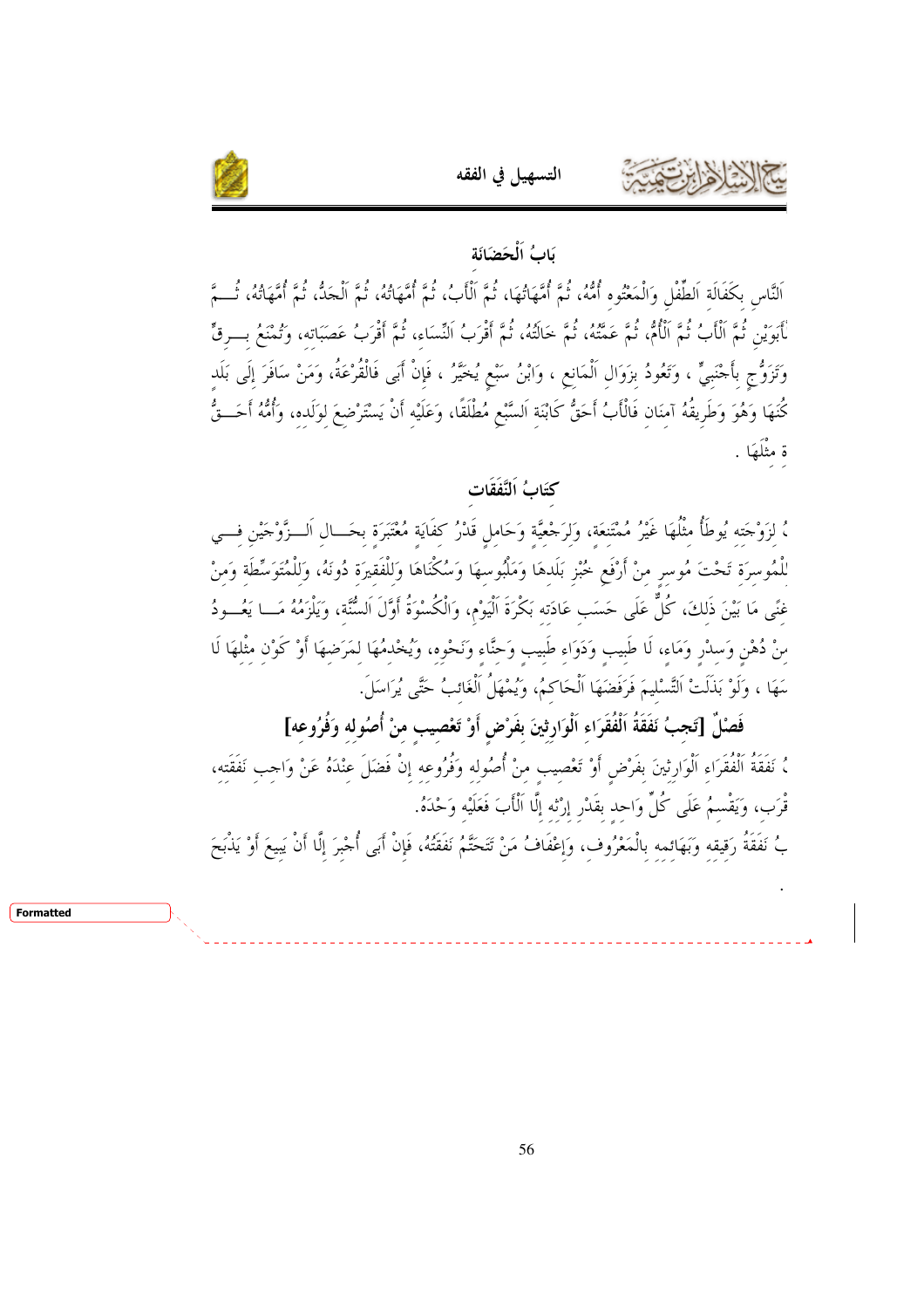

#### بَابُ اَلْحَضَانَة

التسهيل في الفقه

اَلنَّاس بكَفَالَة اَلطِّفْل وَالْمَعْتُوه أُمُّهُ، ثُمَّ أُمَّهَاتُهَا، ثُمَّ الْأَبُ، ثُمَّ أُمَّهَاتُهُ، ثُمَّ أُمَّهاتُهُ، ثُمَّ أُمَّهاتُهُ، ثُمّ لْأَبَوَيْنِ ثُمَّ الْأَبُ ثُمَّ الْأُمُّ، ثُمَّ عَمَّتُهُ، ثُمَّ خالَتُهُ، ثُمَّ أَقْرَبُ عَقَبَ أَقْرَبُ عَصَبَاته، وَتُمْنَعُ بـــرقٍّ وَتَزَوُّج بأَجْنَبيٍّ ، وَتَعُودُ بزَوَال الْمَانع ، وَابْنُ سَبْعٍ يُخَيَّرُ ، فَإِنْ أَبَى فَالْقُرْعَةُ، وَمَنْ سَافَرَ إِلَى بَلَد كُنَهَا وَهُوَ وَطَرِيقُهُ آمنَان فَالْأَبُ أَحَقُّ كَابْنَة اَلسَّبْعِ مُطْلَقًا، وَعَلَيْه أَنْ يَسْتَرْضعَ لوَلَده، وَأُمُّهُ أَحَــقُّ ة مثْلَهَا .

## كَتَابُ اَلنَّفَقَات

، لزَوْجَته يُوطَأُ مثْلُهَا غَيْرُ مُمْتَنعَة، وَلرَجْعيَّة وَحَامل قَدْرُ كفَايَة مُعْتَبَرَة بحَــال اَلــزّوْجَيْن فـــي للْمُوسرَة تَحْتَ مُوسر منْ أَرْفَع خُبْز بَلَدهَا وَمَلْبُوسهَا وَسُكْنَاهَا وَللْفَقيرَة دُونَهُ، وَللْمُتَوَسِّطَة وَمنْ غنًى مَا بَيْنَ ذَلكَ، كُلٌّ عَلَى حَسَب عَادَته بَكْرَةَ الْيَوْم، وَالْكُسْوَةُ أَوَّلَ السُّنَّة، وَيَلْزَمُهُ مَــا يَعُـــودُ منْ دُهْنِ وَسلْرٍ وَمَاء، لَا طَبيب وَدَوَاء طَبيب وَحنَّاء وَنَحْوه، وَيُخْدمُهَا لمَرَضهَا أَوْ كَوْن مثْلهَا لَا سَهَا ، وَلَوْ بَذَلَتْ التَّسْليمَ فَرَفَضَهَا الْحَاكمُ، وَيُمْهَلُ الْغَائبُ حَتَّى يُرَاسَلَ.

فَصْلٌ [تَجبُ نَفَقَةُ اَلْفُقَرَاء اَلْوَارثينَ بفَرْض أَوْ تَعْصيب منْ أُصُوله وَفُرُوعه] ، نَفَقَةُ الْفُقَرَاءِ اَلْوَارِثِينَ بِفَرْضٍ أَوْ تَعْصِيبٍ مِنْ أُصُولِهِ وَفُرُوعِهِ إِنْ فَضَلَ عِنْدَهُ عَنْ وَاجِبِ نَفَقَتِهِ، قْرَب، وَيَقْسمُ عَلَى كُلِّ وَاحد بقَدْرِ إِرْتْه إِلَّا اَلْأَبَ فَعَلَيْه وَحْدَهُ.

بُ نَفَقَةُ رَقيقه وَبَهَائمه بالْمَعْرُوف، وَإعْفَافُ مَنْ تَتَحَتَّمُ نَفَقَتُهُ، فَإِنْ أَبَى أُجْبرَ إلَّا أَنْ يَبِيعَ أَوْ يَذْبَحَ

Formatted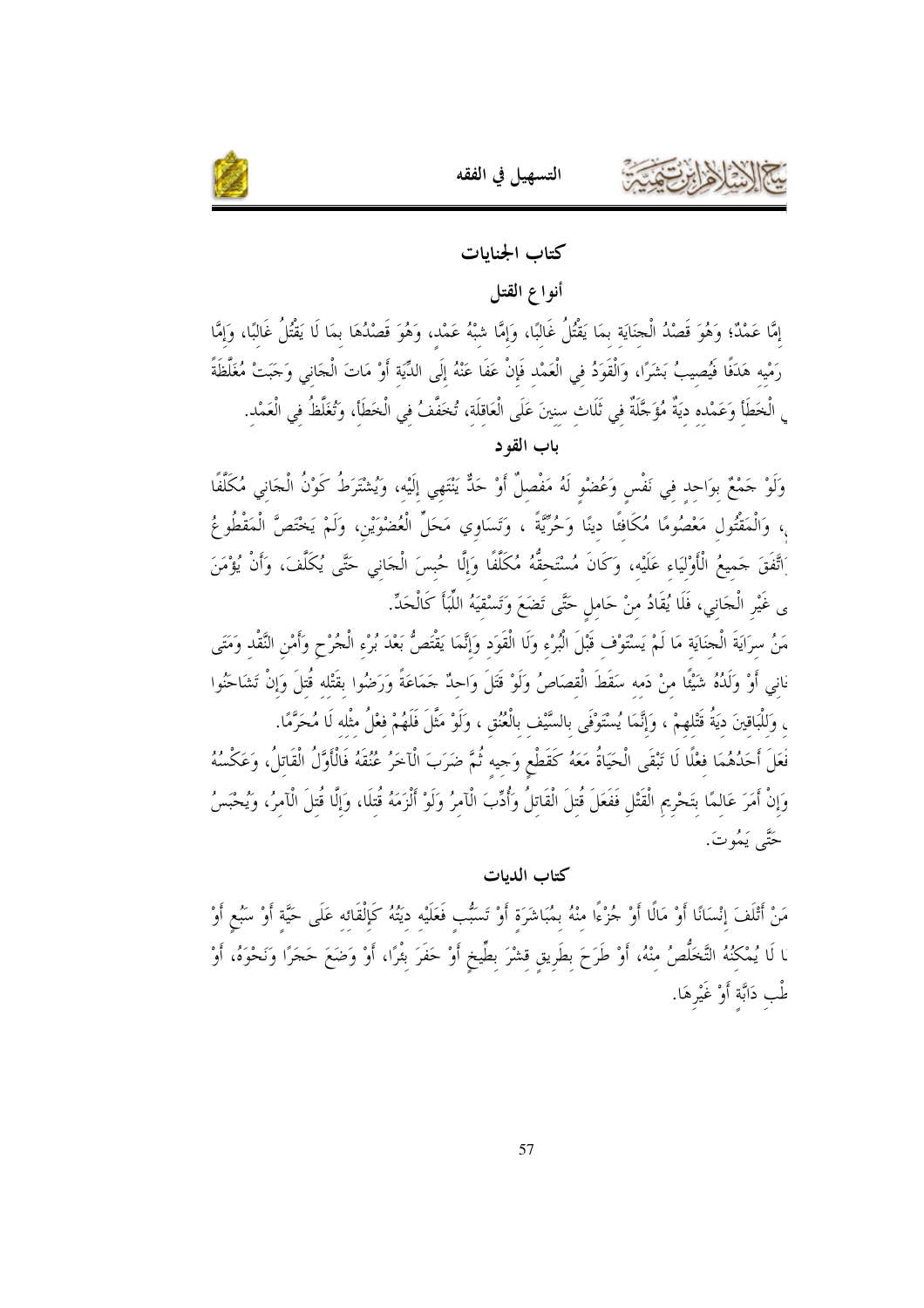



#### كتاب الجنايات

#### أنواع القتل

إمَّا عَمْدٌ؛ وَهُوَ قَصْدُ الْجنَايَة بمَا يَقْتُلُ غَالبًا، وَإِمَّا شبْهُ عَمْد، وَهُوَ قَصْدُهَا بمَا لَا يَقْتُلُ غَالبًا، وَإِمَّا رَمْيه هَدَفًا فُيُصيبُ بَشَرًا، وَالْقَوَدُ في الْعَمْد فَإِنْ عَفَا عَنْهُ إلَى الدِّيَة أَوْ مَاتَ الْجَاني وَجَبَتْ مُغَلَّظَةً <sub>ي</sub> الْخَطَأِ وَعَمْدِهِ دِيَةٌ مُؤَجَّلَةٌ فِي ثَلَاثِ سِنِينَ عَلَى الْعَاقِلَةِ، تُخَفَّفُ فِي الْخَطَأِ، وَتُغَلِّظُ فِي الْعَمْدِ.

باب القو د

وَلَوْ جَمْعٌ بوَاحد في نَفْسٍ وَعُضْوٍ لَهُ مَفْصِلٌ أَوْ حَدٌّ يَنْتَهِي إِلَيْهِ، وَيُشْتَرَطُ كَوْنُ الْجَاني مُكَلَّفًا ، وَالْمَقْتُول مَعْصُومًا مُكَافئًا دينًا وَحُرِّيَّةً ، وَتَسَاوِي مَحَلِّ الْعُضْوَيْنِ، وَلَمْ يَخْتَصَّ الْمَقْطُوعُ َاتَّفَقَ حَميعُ الْأَوْليَاء عَلَيْه، وَكَانَ مُسْتَحقَّهُ مُكَلَّفًا وَإِلَّا حُبِسَ الْجَانِي حَتَّى يُكَلَّفَ، وَأَنْ يُؤْمَنَ ى غَيْرِ الْجَانِي، فَلَا يُقَادُ منْ حَاملٍ حَتَّى تَضَعَ وَتَسْقِيَهُ اللَّبَأَ كَالْحَدِّ.

مَنُ سرَايَةَ الْحِنَايَة مَا لَمْ يَسْتَوْف قَبْلَ الْبُرْء وَلَا الْقَوَد وَإِنَّمَا يَقْتَصُّ بَعْدَ بُرْء الْحُرْح وأَمْن النَّقْد وَمَتَى ناني أَوْ وَلَدُهُ شَيْئًا منْ دَمه سَقَطَ الْقصَاصُ وَلَوْ قَتَلَ وَاحدٌ حَمَاعَةً وَرَضُوا بقَتْله قُتلَ وَإنْ تَشَاحَنُوا ، وَللْبَاقينَ ديَةُ قَتْلهمْ ، وَإِنَّمَا يُسْتَوْفَى بالسَّيْف بالْعُنُق ، وَلَوْ مَثَّلَ فَلَهُمْ فغْلُ مثْله لَا مُحَرَّمًا.

فَعَلَ أَحَدُهُمَا فعْلًا لَا تَبْقَى الْحَيَاةُ مَعَهُ كَقَطْعٍ وَجيه ثُمَّ ضَرَبَ الْآخَرُ عُنُقَهُ فَالْأَوَّلُ الْقَاتلُ، وَعَكْسُهُ وَإِنْ أَمَرَ عَالمًا بتَحْرِيم الْقَتْلِ فَفَعَلَ قُتلَ الْقَاتلُ وَأُدِّبَ الْآمرُ وَلَوْ أَلْزَمَهُ قُتلَا، وَإِلَّا قُتلَ الْآمرُ، وَيُحْبَسُ حَتَّى يَهُوتَ.

#### كتاب الديات

مَنْ أَتْلَفَ إنْسَانًا أَوْ مَالًا أَوْ جُزْءًا منْهُ بمُبَاشَرَة أَوْ تَسَبُّب فَعَلَيْه ديَتُهُ كَإلْقَائه عَلَى حَيَّة أَوْ سَبُع أَوْ نا لَا يُمْكُنُهُ التَّخَلُّصُ منْهُ، أَوْ طَرَحَ بطَريق قشْرَ بطِّيخ أَوْ حَفَرَ بثْرًا، أَوْ وَضَعَ حَجَرًا وَنَحْوَهُ، أَوْ طْب دَابَّة أَوْ غَيْرِهَا.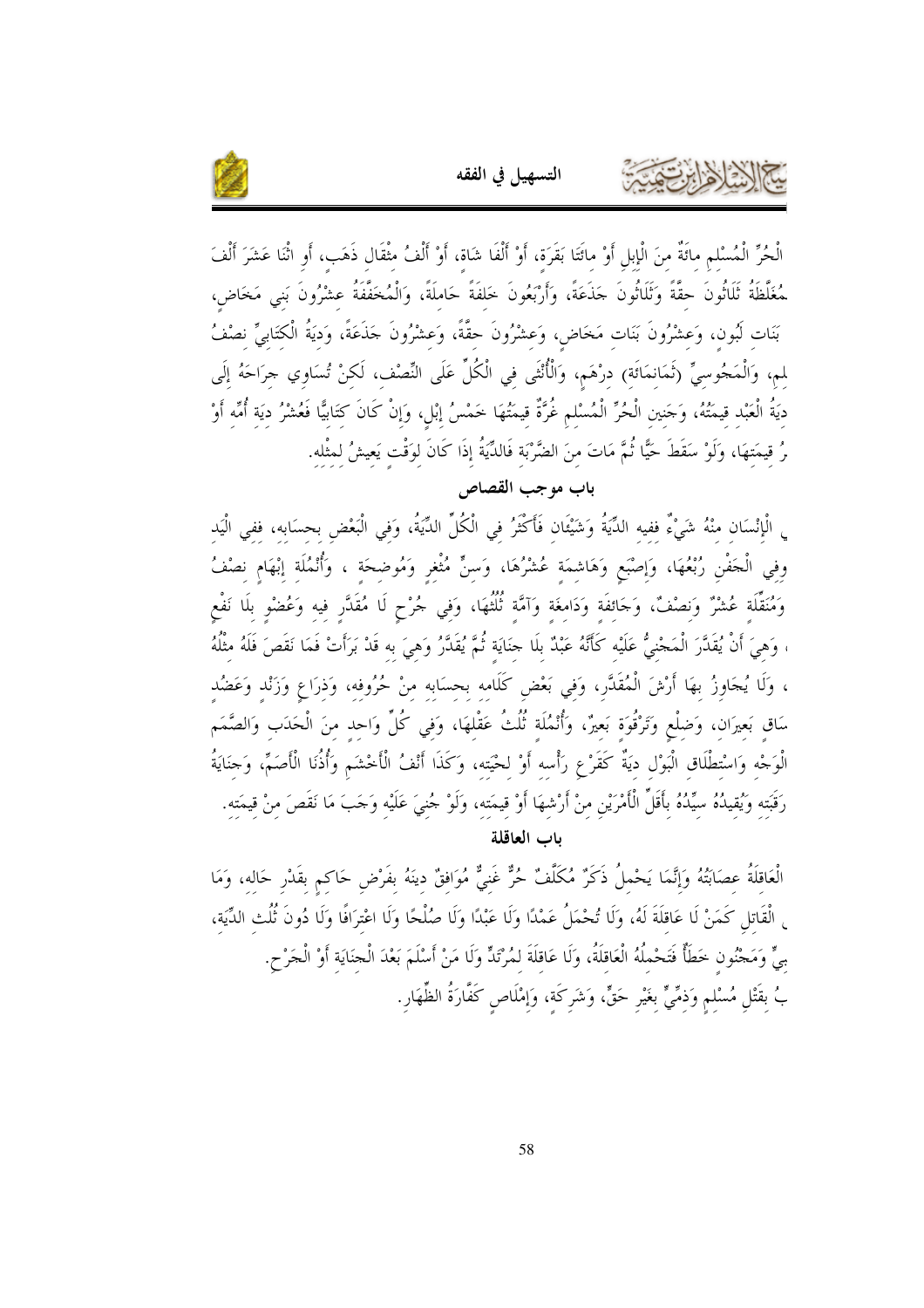

الْحُرِّ الْمُسْلم مائَةٌ منَ الْإبلِ أَوْ مائَتَا بَقَرَة، أَوْ أَلْفَا شَاة، أَوْ أَلْفُ مثْقَال ذَهَب، أَو اثْنَا عَشَرَ أَلْفَ ـ<br>ـمُغَلَّظَةُ ثَلَاثُونَ حقَّةً وَثَلَاثُونَ حَذَعَةً، وَأَرْبَعُونَ خَلفَةً حَاملَةً، وَالْمُخَفَّفَةُ عشْرُونَ بَنى مَخَاض، بَنَات لَبُون، وَعشْرُونَ بَنَات مَخَاضٍ، وَعشْرُونَ حقَّةً، وَعشْرُونَ حَذَعَةً، وَديَةُ الْكتَابِيِّ نصْفُ لم، وَالْمَجُوسيِّ (ثَمَانمَائَة) درْهَم، وَالْأُنْثَى في الْكُلِّ عَلَى النِّصْف، لَكنْ تُسَاوِي حرَاحَهُ إلَى ديَةُ الْعَبْد قيمَتُهُ، وَجَنين الْحُرِّ الْمُسْلم غُرَّةٌ قيمَتُهَا خَمْسُ إبْل، وَإِنْ كَانَ كتَابيًّا فَعُشْرُ ديَة أُمِّه أَوْ رُ قيمَتهَا، وَلَوْ سَقَطَ حَيًّا ثُمَّ مَاتَ منَ الضَّرْبَة فَالدِّيَةُ إِذَا كَانَ لِوَقْتِ يَعِيشُ لِمِثْلِهِ.

التسهيل في الفقه

باب موجب القصاص

<sub>ي</sub> الْإِنْسَان منْهُ شَيْءٌ ففيه الدِّيَةُ وَشَيْئَان فَأَكْثَرُ في الْكُلِّ الدِّيَةُ، وَفِي الْبَعْض بحسَابه، ففي الْيَدِ وفي الْحَفْنِ رُبْعُهَا، وَإصْبَعِ وَهَاشِمَة عُشْرُهَا، وَسنٍّ مُثْغِرِ وَمُوضِحَة ، وَأُنْمُلَة إبْهَام نصْفُ وَمُنَقِّلَة عُشْرٌ وَنصْفٌ، وَحَائفَة وَدَامغَة وَآمَّة ثُلُثُهَا، وَفي جُرْحٍ لَا مُقَدَّرٍ فيه وَعُضْو بلَا نَفْع ، وَهيَ أَنْ يُقَدَّرَ الْمَجْنيُّ عَلَيْه كَأَنَّهُ عَبْدٌ بلَا حنَايَة ثُمَّ يُقَدَّرُ وَهيَ به قَدْ بَرَأَتْ فَمَا نَقَصَ فَلَهُ مثْلُهُ ، وَلَا يُجَاوِزُ بهَا أَرْشَ الْمُقَدَّر، وَفي بَعْض كَلَامه بحسَابه منْ حُرُوفه، وَذرَاع وَزَنْد وَعَضُد سَاق بَعيرَان، وَضلْعٍ وَتَرْقُوَة بَعيرٌ، وَأُنْمُلَة ثُلُثُ عَقْلهَا، وَفي كُلِّ وَاحد منَ الْحَدَب وَالصَّمَم الْوَجْهِ وَاسْتِطْلَاقِ الْبَوْلِ ديَةٌ كَقَرْعِ رَأْسه أَوْ لحْيَته، وَكَذَا أَنْفُ الْأَحْشَم وَأَذُنَا الْأَصَمّ، وَحَنَايَةُ رَقَبَته وَيُقيدُهُ سيِّدُهُ بأَقَلِّ الْأَمْرَيْنِ منْ أَرْشهَا أَوْ قيمَته، وَلَوْ جُنيَ عَلَيْه وَجَبَ مَا نَقَصَ منْ قيمَته. باب العاقلة

الْعَاقلَةُ عصَابَتُهُ وَإِنَّمَا يَحْملُ ذَكَرٌ مُكَلَّفٌ حُرٌّ غَنِيٌّ مُوَافقٌ دِينَهُ بِفَرْضٍ حَاكِمٍ بِقَدْرِ حَالِهِ، وَمَا <sub>ِ</sub> الْقَاتلِ كَمَنْ لَا عَاقلَةَ لَهُ، وَلَا تُحْمَلُ عَمْدًا وَلَا عَبْدًا وَلَا صُلْحًا وَلَا اعْترَافًا وَلَا دُونَ ثُلُث الدِّيَة، بِيٍّ وَمَجْنُون خَطَأٌ فَتَحْملُهُ الْعَاقلَةُ، وَلَا عَاقلَةَ لمُرْتَدٍّ وَلَا مَنْ أَسْلَمَ بَعْدَ الْجنَايَة أوْ الْجَرْحِ. بُ بقَتْلِ مُسْلمٍ وَذمِّيٍّ بغَيْرٍ حَقٍّ، وَشَركَة، وَإِمْلَاصٍ كَفَّارَةُ الظِّهَارِ.